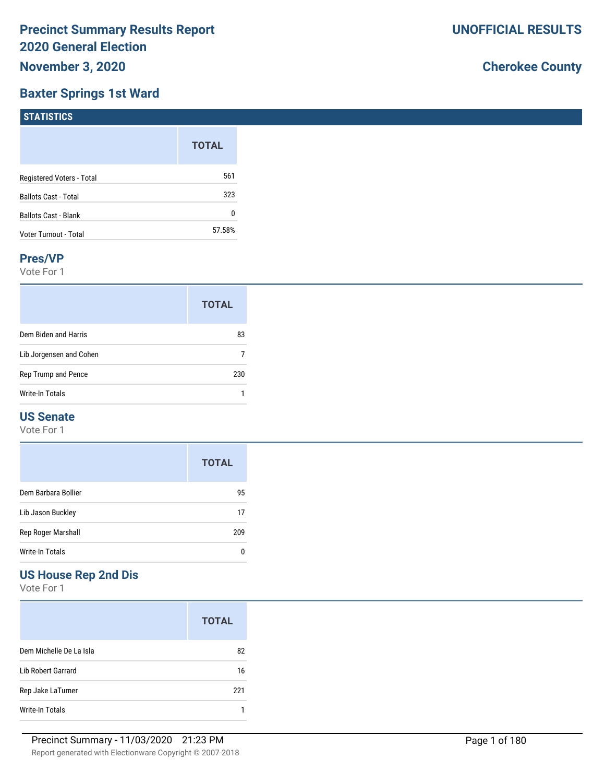## **Baxter Springs 1st Ward**

# **Cherokee County**

| STATISTICS                  |              |
|-----------------------------|--------------|
|                             | <b>TOTAL</b> |
| Registered Voters - Total   | 561          |
| <b>Ballots Cast - Total</b> | 323          |
| Ballots Cast - Blank        | 0            |
| Voter Turnout - Total       | 57.58%       |

### **Pres/VP**

Vote For 1

|                         | <b>TOTAL</b> |
|-------------------------|--------------|
| Dem Biden and Harris    | 83           |
| Lib Jorgensen and Cohen |              |
| Rep Trump and Pence     | 230          |
| Write-In Totals         |              |

# **US Senate**

Vote For 1

|                     | <b>TOTAL</b> |
|---------------------|--------------|
| Dem Barbara Bollier | 95           |
| Lib Jason Buckley   | 17           |
| Rep Roger Marshall  | 209          |
| Write-In Totals     |              |

# **US House Rep 2nd Dis**

|                         | <b>TOTAL</b> |
|-------------------------|--------------|
| Dem Michelle De La Isla | 82           |
| Lib Robert Garrard      | 16           |
| Rep Jake LaTurner       | 221          |
| Write-In Totals         |              |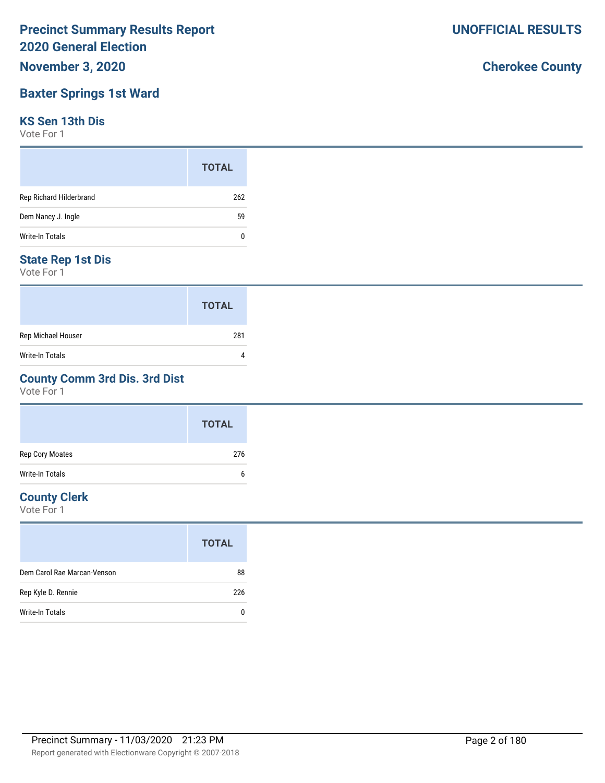# **November 3, 2020**

# **Baxter Springs 1st Ward**

## **KS Sen 13th Dis**

Vote For 1

|                         | <b>TOTAL</b> |
|-------------------------|--------------|
| Rep Richard Hilderbrand | 262          |
| Dem Nancy J. Ingle      | 59           |
| Write-In Totals         | 0            |

## **State Rep 1st Dis**

Vote For 1

|                        | <b>TOTAL</b> |
|------------------------|--------------|
| Rep Michael Houser     | 281          |
| <b>Write-In Totals</b> |              |

## **County Comm 3rd Dis. 3rd Dist**

Vote For 1

|                 | <b>TOTAL</b> |
|-----------------|--------------|
| Rep Cory Moates | 276          |
| Write-In Totals | b            |

# **County Clerk**

Vote For 1

| <b>TOTAL</b> |
|--------------|
| 88           |
| 226          |
| 0            |
|              |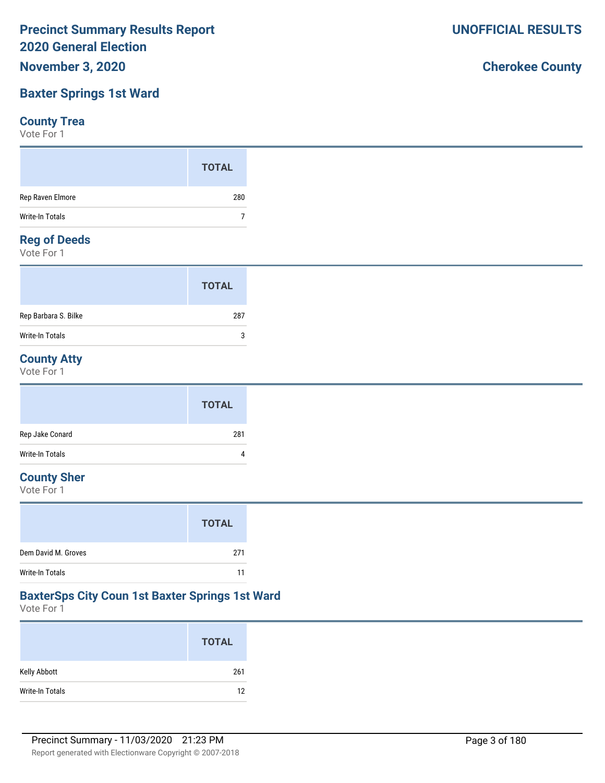# **Baxter Springs 1st Ward**

## **County Trea**

Vote For 1

|                    | <b>TOTAL</b> |
|--------------------|--------------|
| Rep Raven Elmore   | 280          |
| Write-In Totals    |              |
| <b>Demof Deeds</b> |              |

### **Reg of Deeds**

Vote For 1

|                      | <b>TOTAL</b> |  |
|----------------------|--------------|--|
| Rep Barbara S. Bilke | 287          |  |
| Write-In Totals      | 3            |  |

# **County Atty**

Vote For 1

|                 | <b>TOTAL</b> |
|-----------------|--------------|
| Rep Jake Conard | 281          |
| Write-In Totals | 4            |

# **County Sher**

Vote For 1

|                     | <b>TOTAL</b> |
|---------------------|--------------|
| Dem David M. Groves | 271          |
| Write-In Totals     | 11           |

## **BaxterSps City Coun 1st Baxter Springs 1st Ward**

Vote For 1

|                 | <b>TOTAL</b> |
|-----------------|--------------|
| Kelly Abbott    | 261          |
| Write-In Totals | 12           |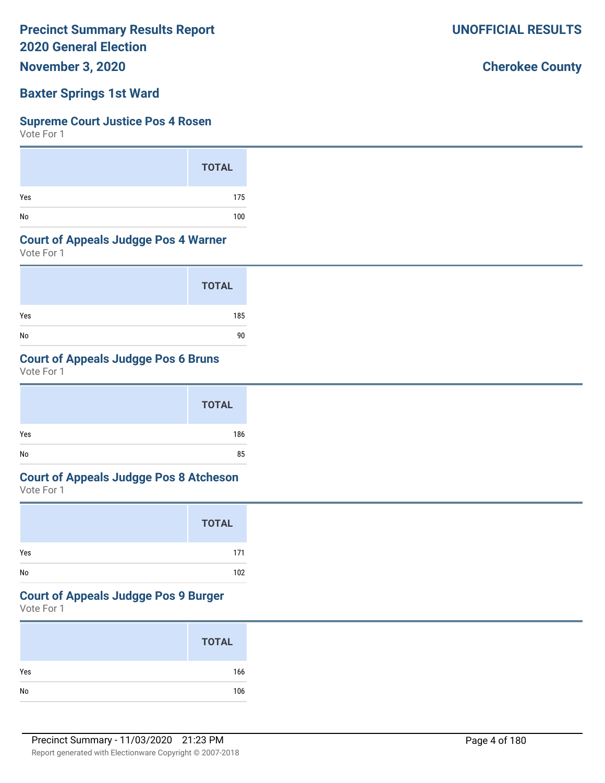**November 3, 2020**

## **Baxter Springs 1st Ward**

### **Supreme Court Justice Pos 4 Rosen**

Vote For 1

|     | <b>TOTAL</b> |
|-----|--------------|
| Yes | 175          |
| No  | 100          |

## **Court of Appeals Judgge Pos 4 Warner**

Vote For 1

|     | <b>TOTAL</b> |
|-----|--------------|
| Yes | 185          |
| No  | 90           |

## **Court of Appeals Judgge Pos 6 Bruns**

Vote For 1

|     | <b>TOTAL</b> |  |
|-----|--------------|--|
| Yes | 186          |  |
| No  | 85           |  |

# **Court of Appeals Judgge Pos 8 Atcheson**

Vote For 1

|     | <b>TOTAL</b> |
|-----|--------------|
| Yes | 171          |
| No  | 102          |

## **Court of Appeals Judgge Pos 9 Burger**

Vote For 1

|     | <b>TOTAL</b> |
|-----|--------------|
| Yes | 166          |
| No  | 106          |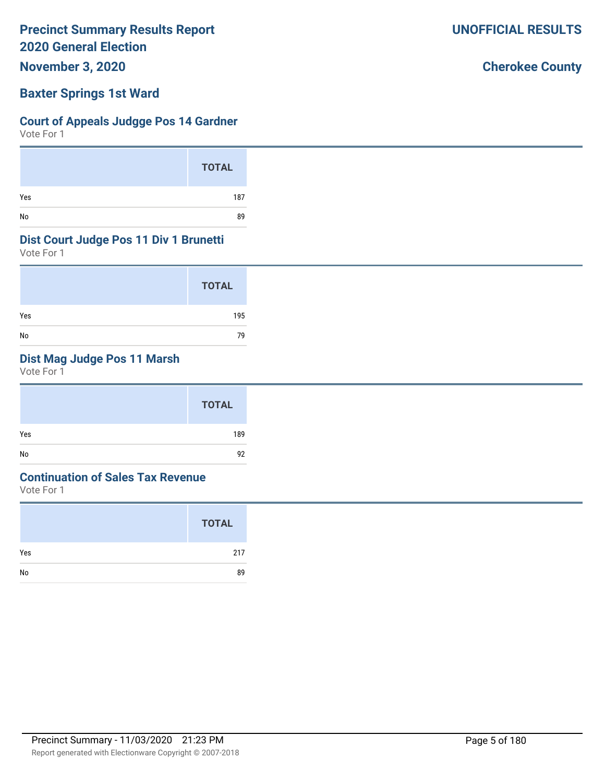**November 3, 2020**

## **Baxter Springs 1st Ward**

## **Court of Appeals Judgge Pos 14 Gardner**

Vote For 1

|     | <b>TOTAL</b> |
|-----|--------------|
| Yes | 187          |
| No  | 89           |

## **Dist Court Judge Pos 11 Div 1 Brunetti**

Vote For 1

|     | <b>TOTAL</b> |
|-----|--------------|
| Yes | 195          |
| No  | 79           |

# **Dist Mag Judge Pos 11 Marsh**

Vote For 1

|     | <b>TOTAL</b> |
|-----|--------------|
| Yes | 189          |
| No  | 92           |

## **Continuation of Sales Tax Revenue**

Vote For 1

|     | <b>TOTAL</b> |
|-----|--------------|
| Yes | 217          |
| No  | 89           |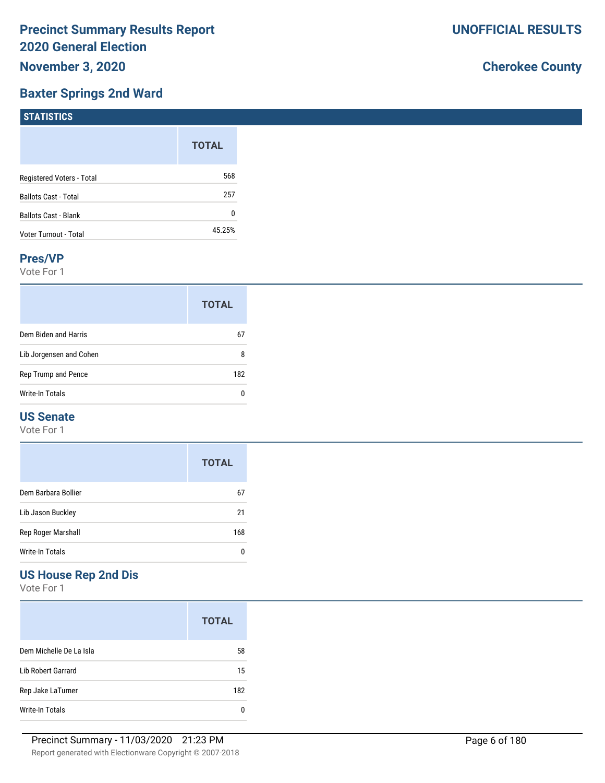# **Baxter Springs 2nd Ward**

# **Cherokee County**

| $1311131103$                |              |
|-----------------------------|--------------|
|                             | <b>TOTAL</b> |
| Registered Voters - Total   | 568          |
| Ballots Cast - Total        | 257          |
| <b>Ballots Cast - Blank</b> | 0            |
| Voter Turnout - Total       | 45.25%       |

### **Pres/VP**

**STATISTICS** 

Vote For 1

|                         | <b>TOTAL</b> |
|-------------------------|--------------|
| Dem Biden and Harris    | 67           |
| Lib Jorgensen and Cohen | 8            |
| Rep Trump and Pence     | 182          |
| Write-In Totals         |              |

## **US Senate**

Vote For 1

|                     | <b>TOTAL</b> |
|---------------------|--------------|
| Dem Barbara Bollier | 67           |
| Lib Jason Buckley   | 21           |
| Rep Roger Marshall  | 168          |
| Write-In Totals     |              |

# **US House Rep 2nd Dis**

|                         | <b>TOTAL</b> |
|-------------------------|--------------|
| Dem Michelle De La Isla | 58           |
| Lib Robert Garrard      | 15           |
| Rep Jake LaTurner       | 182          |
| Write-In Totals         | n            |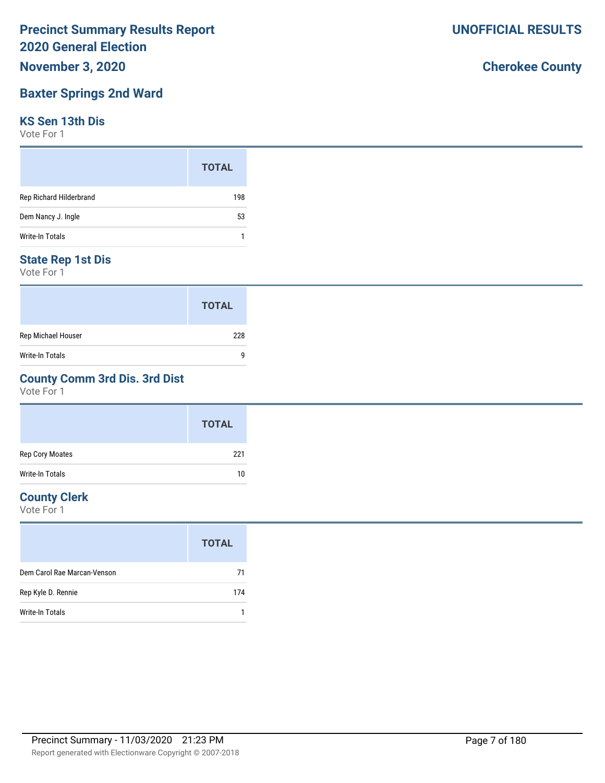# **November 3, 2020**

# **Baxter Springs 2nd Ward**

## **KS Sen 13th Dis**

Vote For 1

|                         | <b>TOTAL</b> |
|-------------------------|--------------|
| Rep Richard Hilderbrand | 198          |
| Dem Nancy J. Ingle      | 53           |
| Write-In Totals         | 1            |

# **State Rep 1st Dis**

Vote For 1

|                        | <b>TOTAL</b> |
|------------------------|--------------|
| Rep Michael Houser     | 228          |
| <b>Write-In Totals</b> | q            |

## **County Comm 3rd Dis. 3rd Dist**

Vote For 1

|                 | <b>TOTAL</b> |
|-----------------|--------------|
| Rep Cory Moates | 221          |
| Write-In Totals | 10           |

# **County Clerk**

Vote For 1

|                             | <b>TOTAL</b> |
|-----------------------------|--------------|
| Dem Carol Rae Marcan-Venson | 71           |
| Rep Kyle D. Rennie          | 174          |
| Write-In Totals             |              |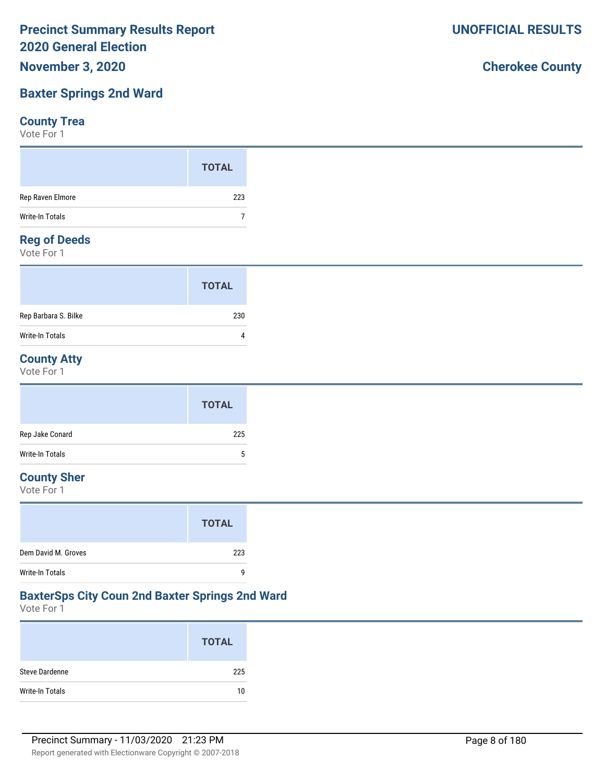# **Baxter Springs 2nd Ward**

## **County Trea**

Vote For 1

|                   | <b>TOTAL</b> |
|-------------------|--------------|
| Rep Raven Elmore  | 223          |
| Write-In Totals   |              |
| <b>BeachBeads</b> |              |

## **Reg of Deeds**

Vote For 1

|                      | <b>TOTAL</b> |  |
|----------------------|--------------|--|
| Rep Barbara S. Bilke | 230          |  |
| Write-In Totals      |              |  |

# **County Atty**

Vote For 1

|                 | <b>TOTAL</b>              |
|-----------------|---------------------------|
| Rep Jake Conard | 225                       |
| Write-In Totals | $\ddot{\phantom{1}}$<br>J |

# **County Sher**

Vote For 1

|                        | <b>TOTAL</b> |
|------------------------|--------------|
| Dem David M. Groves    | 223          |
| <b>Write-In Totals</b> | q            |

# **BaxterSps City Coun 2nd Baxter Springs 2nd Ward**

Vote For 1

|                       | <b>TOTAL</b> |
|-----------------------|--------------|
| <b>Steve Dardenne</b> | 225          |
| Write-In Totals       | 10           |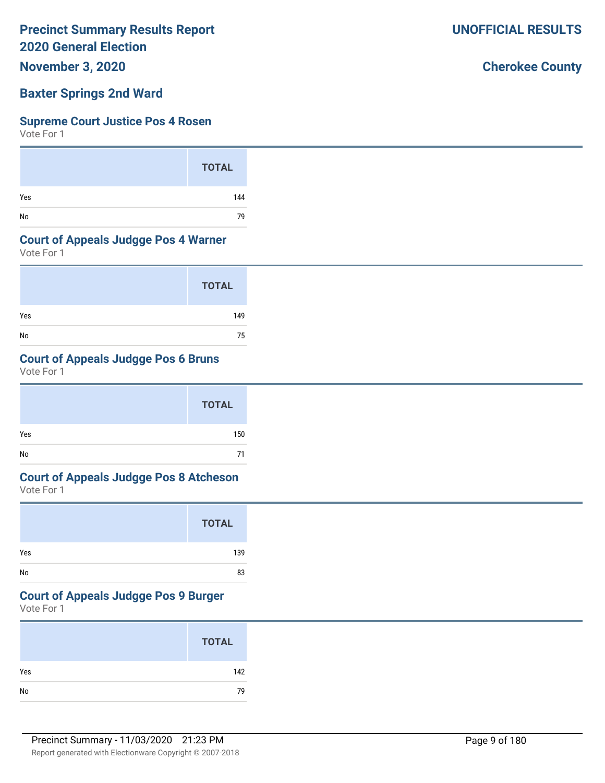**November 3, 2020**

# **Baxter Springs 2nd Ward**

### **Supreme Court Justice Pos 4 Rosen**

Vote For 1

|     | <b>TOTAL</b> |
|-----|--------------|
| Yes | 144          |
| No  | 79           |

## **Court of Appeals Judgge Pos 4 Warner**

Vote For 1

|     | <b>TOTAL</b> |
|-----|--------------|
| Yes | 149          |
| No  | 75           |

# **Court of Appeals Judgge Pos 6 Bruns**

Vote For 1

|     | <b>TOTAL</b> |
|-----|--------------|
| Yes | 150          |
| No  | 71           |

# **Court of Appeals Judgge Pos 8 Atcheson**

Vote For 1

|     | <b>TOTAL</b> |
|-----|--------------|
| Yes | 139          |
| No  | 83           |

## **Court of Appeals Judgge Pos 9 Burger**

Vote For 1

|     | <b>TOTAL</b> |
|-----|--------------|
| Yes | 142          |
| No  | 79           |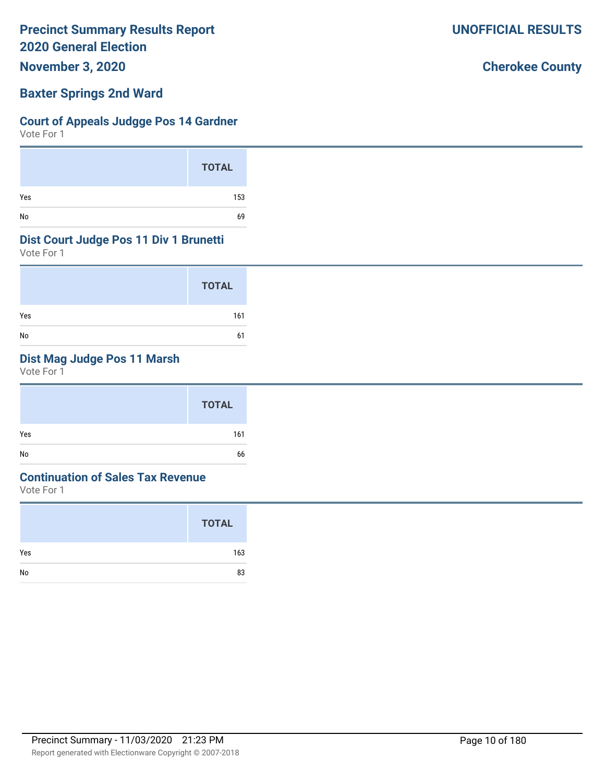**November 3, 2020**

## **Baxter Springs 2nd Ward**

## **Court of Appeals Judgge Pos 14 Gardner**

Vote For 1

|     | <b>TOTAL</b> |
|-----|--------------|
| Yes | 153          |
| No  | 69           |

## **Dist Court Judge Pos 11 Div 1 Brunetti**

Vote For 1

|     | <b>TOTAL</b> |
|-----|--------------|
| Yes | 161          |
| No  | 61           |

# **Dist Mag Judge Pos 11 Marsh**

Vote For 1

|     | <b>TOTAL</b> |
|-----|--------------|
| Yes | 161          |
| No  | 66           |

# **Continuation of Sales Tax Revenue**

Vote For 1

|     | <b>TOTAL</b> |
|-----|--------------|
| Yes | 163          |
| No  | 83           |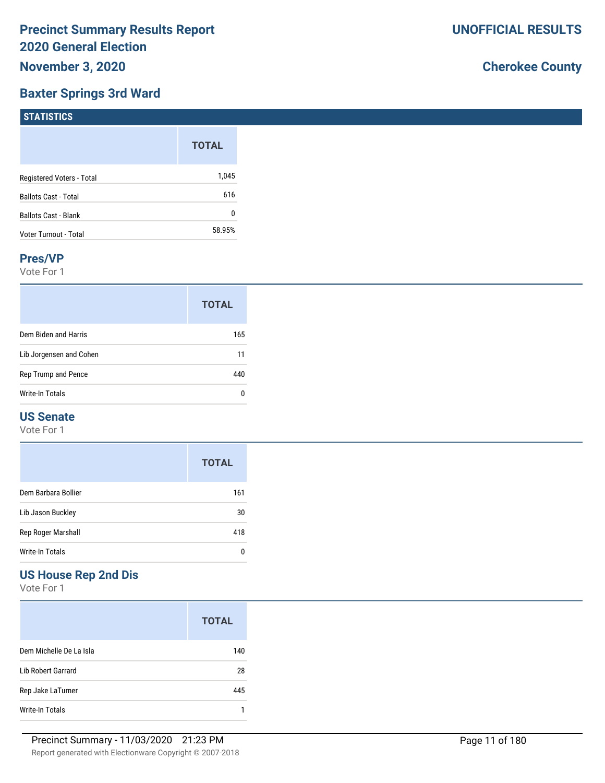# **Baxter Springs 3rd Ward**

# **Cherokee County**

| 1311131103                  |              |
|-----------------------------|--------------|
|                             | <b>TOTAL</b> |
| Registered Voters - Total   | 1,045        |
| <b>Ballots Cast - Total</b> | 616          |
| Ballots Cast - Blank        | 0            |
| Voter Turnout - Total       | 58.95%       |

### **Pres/VP**

**STATISTICS** 

Vote For 1

|                         | <b>TOTAL</b> |
|-------------------------|--------------|
| Dem Biden and Harris    | 165          |
| Lib Jorgensen and Cohen | 11           |
| Rep Trump and Pence     | 440          |
| Write-In Totals         |              |

# **US Senate**

Vote For 1

|                     | <b>TOTAL</b> |
|---------------------|--------------|
| Dem Barbara Bollier | 161          |
| Lib Jason Buckley   | 30           |
| Rep Roger Marshall  | 418          |
| Write-In Totals     | Ω            |

# **US House Rep 2nd Dis**

|                         | <b>TOTAL</b> |
|-------------------------|--------------|
| Dem Michelle De La Isla | 140          |
| Lib Robert Garrard      | 28           |
| Rep Jake LaTurner       | 445          |
| Write-In Totals         |              |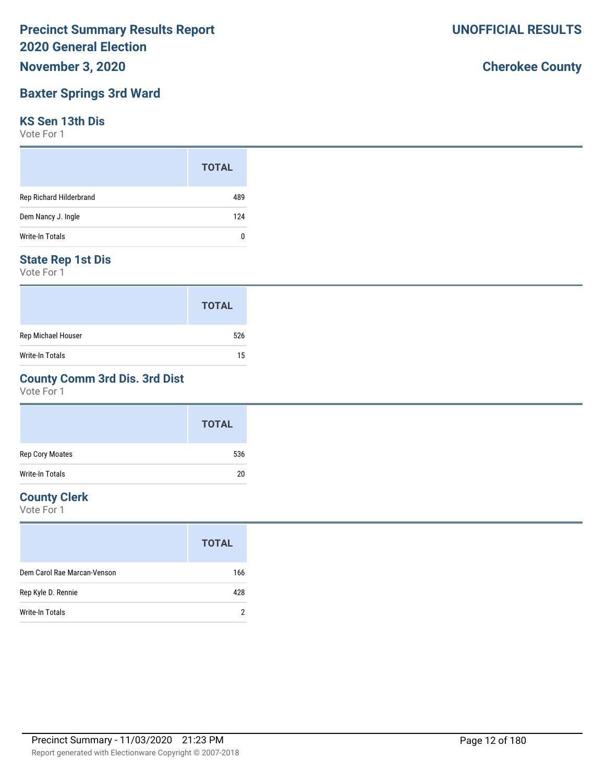# **November 3, 2020**

# **Baxter Springs 3rd Ward**

## **KS Sen 13th Dis**

Vote For 1

|                         | <b>TOTAL</b> |
|-------------------------|--------------|
| Rep Richard Hilderbrand | 489          |
| Dem Nancy J. Ingle      | 124          |
| Write-In Totals         | 0            |

## **State Rep 1st Dis**

Vote For 1

|                    | <b>TOTAL</b> |
|--------------------|--------------|
| Rep Michael Houser | 526          |
| Write-In Totals    | 15           |

## **County Comm 3rd Dis. 3rd Dist**

Vote For 1

|                 | <b>TOTAL</b> |
|-----------------|--------------|
| Rep Cory Moates | 536          |
| Write-In Totals | 20           |

# **County Clerk**

Vote For 1

|                             | <b>TOTAL</b> |
|-----------------------------|--------------|
| Dem Carol Rae Marcan-Venson | 166          |
| Rep Kyle D. Rennie          | 428          |
| Write-In Totals             | າ            |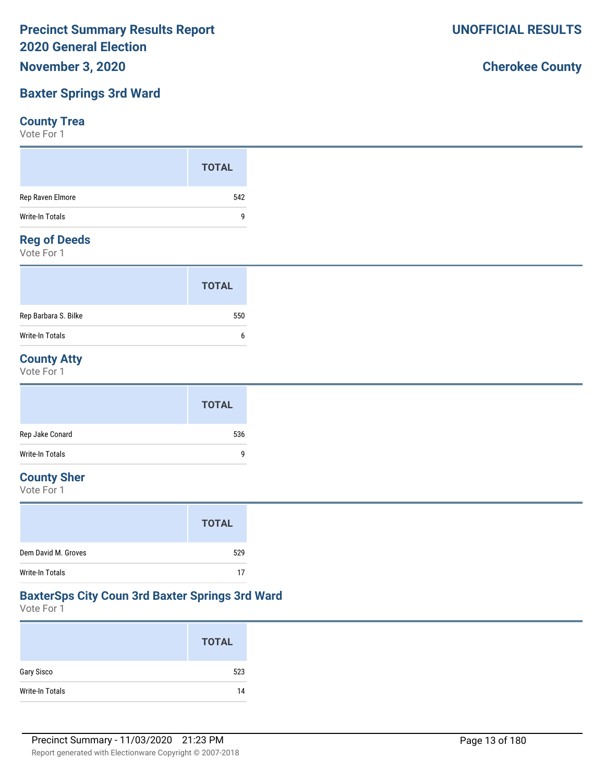# **Baxter Springs 3rd Ward**

## **County Trea**

Vote For 1

## **Reg of Deeds**

Vote For 1

|                      | <b>TOTAL</b> |  |
|----------------------|--------------|--|
| Rep Barbara S. Bilke | 550          |  |
| Write-In Totals      | 6            |  |

# **County Atty**

Vote For 1

|                 | <b>TOTAL</b> |
|-----------------|--------------|
| Rep Jake Conard | 536          |
| Write-In Totals | 9            |

# **County Sher**

Vote For 1

|                     | <b>TOTAL</b> |
|---------------------|--------------|
| Dem David M. Groves | 529          |
| Write-In Totals     | 17           |

# **BaxterSps City Coun 3rd Baxter Springs 3rd Ward**

Vote For 1

|                 | <b>TOTAL</b> |
|-----------------|--------------|
| Gary Sisco      | 523          |
| Write-In Totals | 14           |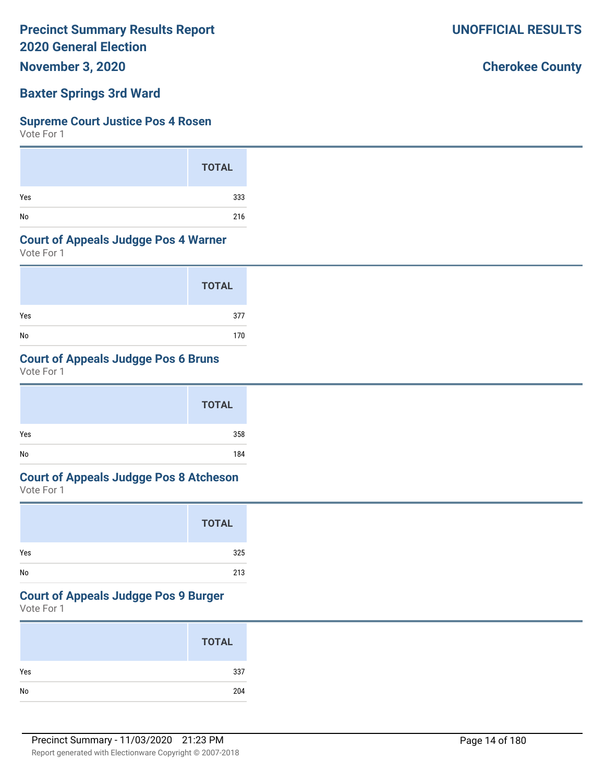**November 3, 2020**

# **Baxter Springs 3rd Ward**

### **Supreme Court Justice Pos 4 Rosen**

Vote For 1

|     | <b>TOTAL</b> |
|-----|--------------|
| Yes | 333          |
| No  | 216          |

## **Court of Appeals Judgge Pos 4 Warner**

Vote For 1

|     | <b>TOTAL</b> |
|-----|--------------|
| Yes | 377          |
| No  | 170          |

## **Court of Appeals Judgge Pos 6 Bruns**

Vote For 1

|     | <b>TOTAL</b> |  |
|-----|--------------|--|
| Yes | 358          |  |
| No  | 184          |  |

# **Court of Appeals Judgge Pos 8 Atcheson**

Vote For 1

|     | <b>TOTAL</b> |
|-----|--------------|
| Yes | 325          |
| No  | 213          |

## **Court of Appeals Judgge Pos 9 Burger**

Vote For 1

| <b>TOTAL</b> |     |
|--------------|-----|
| Yes          | 337 |
| ${\sf No}$   | 204 |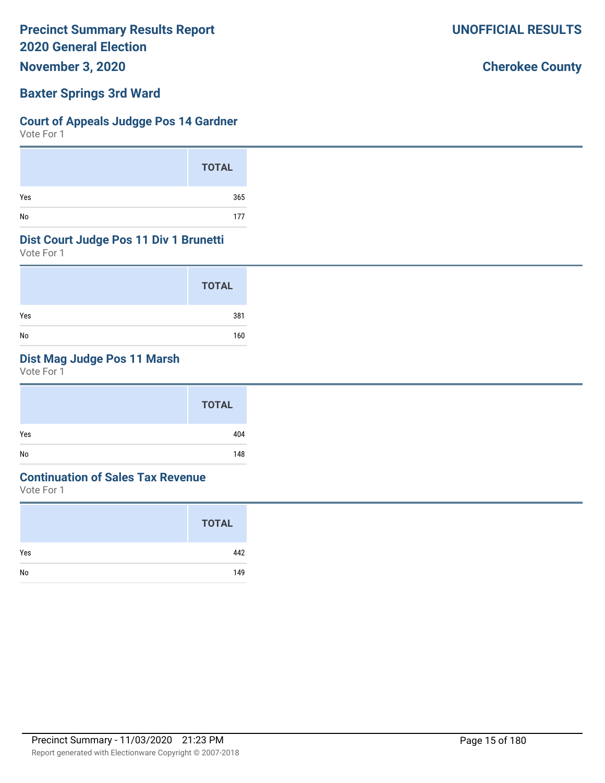**November 3, 2020**

## **Baxter Springs 3rd Ward**

## **Court of Appeals Judgge Pos 14 Gardner**

Vote For 1

|     | <b>TOTAL</b> |
|-----|--------------|
| Yes | 365          |
| No  | 177          |

## **Dist Court Judge Pos 11 Div 1 Brunetti**

Vote For 1

|     | <b>TOTAL</b> |
|-----|--------------|
| Yes | 381          |
| No  | 160          |

# **Dist Mag Judge Pos 11 Marsh**

Vote For 1

| <b>TOTAL</b> |
|--------------|
| Yes<br>404   |
| No<br>148    |

# **Continuation of Sales Tax Revenue**

Vote For 1

|     | <b>TOTAL</b> |
|-----|--------------|
| Yes | 442          |
| No  | 149          |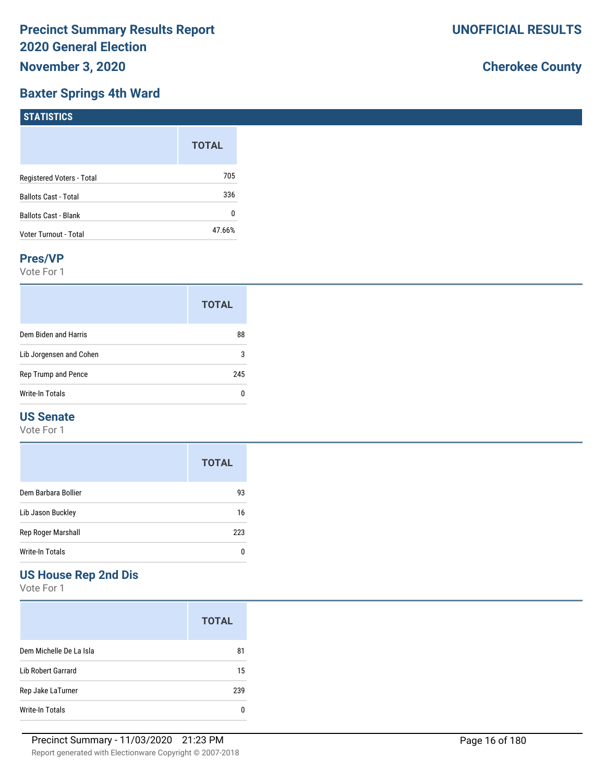## **Baxter Springs 4th Ward**

# **Cherokee County**

| $1311131103$                |              |
|-----------------------------|--------------|
|                             | <b>TOTAL</b> |
| Registered Voters - Total   | 705          |
| <b>Ballots Cast - Total</b> | 336          |
| <b>Ballots Cast - Blank</b> | 0            |
| Voter Turnout - Total       | 47.66%       |
|                             |              |

### **Pres/VP**

**STATISTICS** 

Vote For 1

|                         | <b>TOTAL</b> |
|-------------------------|--------------|
| Dem Biden and Harris    | 88           |
| Lib Jorgensen and Cohen | 3            |
| Rep Trump and Pence     |              |
| Write-In Totals         | n            |

# **US Senate**

Vote For 1

|                     | <b>TOTAL</b> |
|---------------------|--------------|
| Dem Barbara Bollier | 93           |
| Lib Jason Buckley   | 16           |
| Rep Roger Marshall  | 223          |
| Write-In Totals     |              |

# **US House Rep 2nd Dis**

|                         | <b>TOTAL</b> |
|-------------------------|--------------|
| Dem Michelle De La Isla | 81           |
| Lib Robert Garrard      | 15           |
| Rep Jake LaTurner       | 239          |
| Write-In Totals         |              |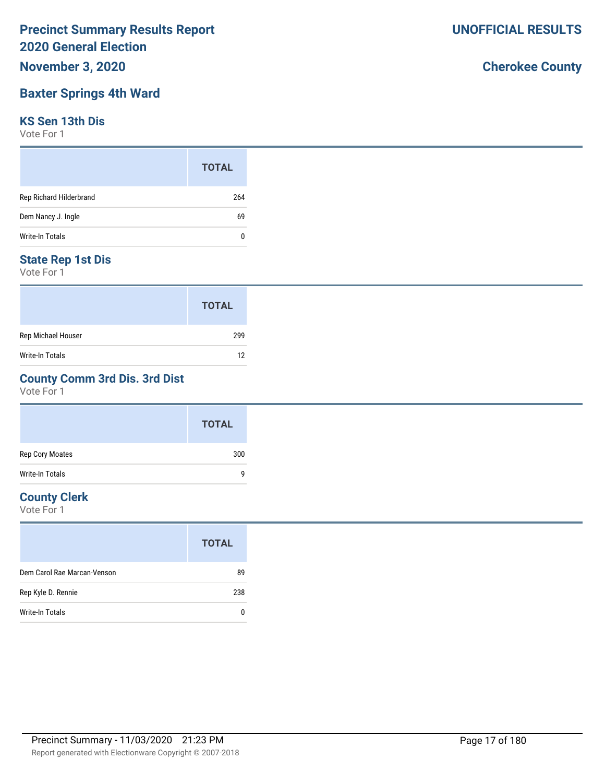# **November 3, 2020**

# **Baxter Springs 4th Ward**

## **KS Sen 13th Dis**

Vote For 1

|                         | <b>TOTAL</b> |
|-------------------------|--------------|
| Rep Richard Hilderbrand | 264          |
| Dem Nancy J. Ingle      | 69           |
| Write-In Totals         | 0            |

# **State Rep 1st Dis**

Vote For 1

|                        | <b>TOTAL</b> |
|------------------------|--------------|
| Rep Michael Houser     | 299          |
| <b>Write-In Totals</b> | 12           |

## **County Comm 3rd Dis. 3rd Dist**

Vote For 1

|                        | <b>TOTAL</b> |
|------------------------|--------------|
| Rep Cory Moates        | 300          |
| <b>Write-In Totals</b> | q            |

# **County Clerk**

Vote For 1

|                             | <b>TOTAL</b> |
|-----------------------------|--------------|
| Dem Carol Rae Marcan-Venson | 89           |
| Rep Kyle D. Rennie          | 238          |
| Write-In Totals             | 0            |
|                             |              |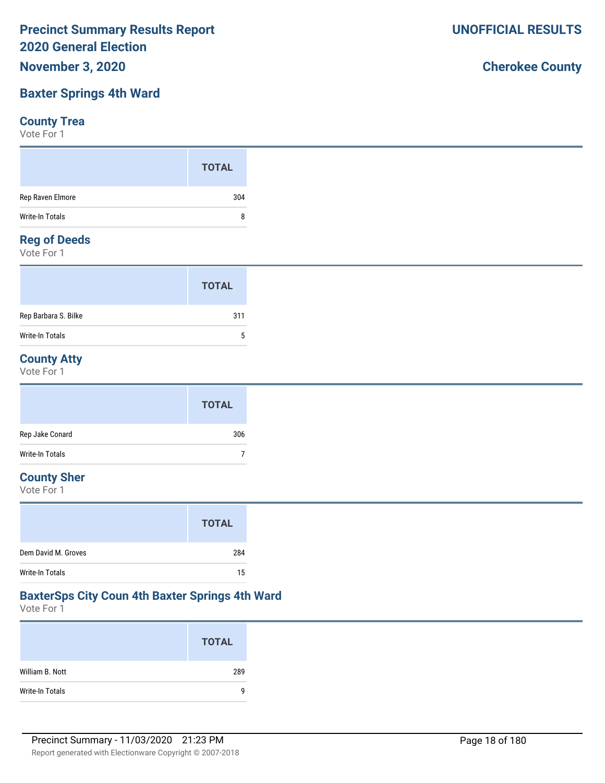# **Baxter Springs 4th Ward**

## **County Trea**

Vote For 1

|                  | <b>TOTAL</b> |
|------------------|--------------|
| Rep Raven Elmore | 304          |
| Write-In Totals  | 8            |
| <b>B</b> CB L    |              |

## **Reg of Deeds**

Vote For 1

|                      | <b>TOTAL</b> |
|----------------------|--------------|
| Rep Barbara S. Bilke | 311          |
| Write-In Totals      | 5            |

# **County Atty**

Vote For 1

|                 | <b>TOTAL</b> |
|-----------------|--------------|
| Rep Jake Conard | 306          |
| Write-In Totals |              |

## **County Sher**

Vote For 1

|                     | <b>TOTAL</b> |
|---------------------|--------------|
| Dem David M. Groves | 284          |
| Write-In Totals     | 15           |

# **BaxterSps City Coun 4th Baxter Springs 4th Ward**

Vote For 1

|                 | <b>TOTAL</b> |
|-----------------|--------------|
| William B. Nott | 289          |
| Write-In Totals | 9            |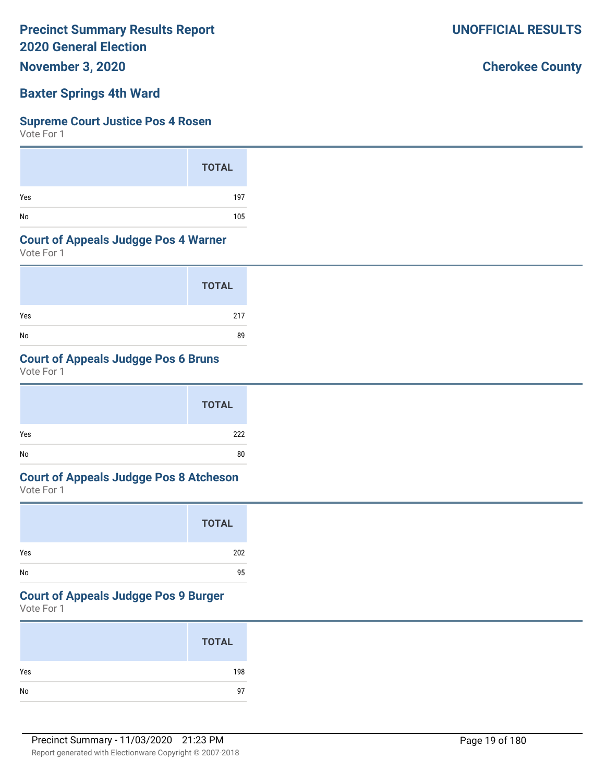**November 3, 2020**

## **Baxter Springs 4th Ward**

### **Supreme Court Justice Pos 4 Rosen**

Vote For 1

|     | <b>TOTAL</b> |
|-----|--------------|
| Yes | 197          |
| No  | 105          |

## **Court of Appeals Judgge Pos 4 Warner**

Vote For 1

|     | <b>TOTAL</b> |
|-----|--------------|
| Yes | 217          |
| No  | 89           |

# **Court of Appeals Judgge Pos 6 Bruns**

Vote For 1

|     | <b>TOTAL</b> |  |
|-----|--------------|--|
| Yes | 222          |  |
| No  | 80           |  |

# **Court of Appeals Judgge Pos 8 Atcheson**

Vote For 1

|     | <b>TOTAL</b> |
|-----|--------------|
| Yes | 202          |
| No  | 95           |

## **Court of Appeals Judgge Pos 9 Burger**

Vote For 1

|            | <b>TOTAL</b> |
|------------|--------------|
| Yes        | 198          |
| ${\sf No}$ | 97           |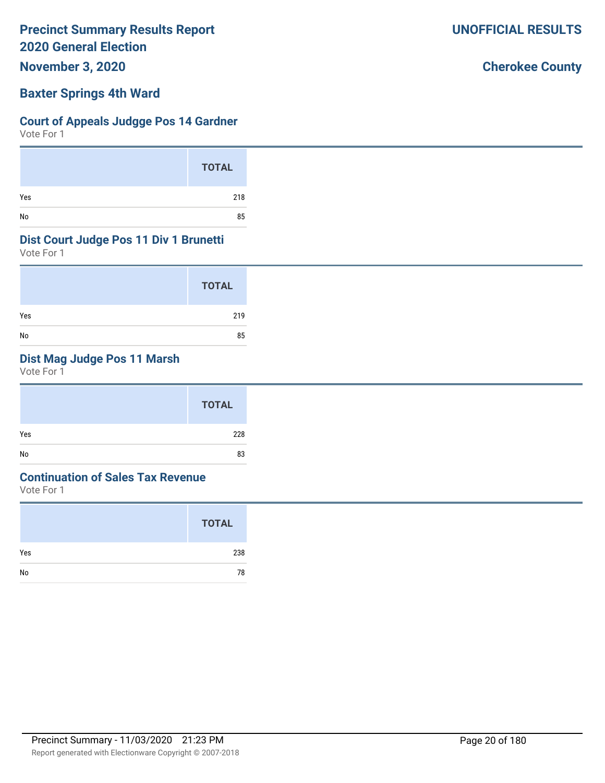**November 3, 2020**

## **Baxter Springs 4th Ward**

## **Court of Appeals Judgge Pos 14 Gardner**

Vote For 1

|     | <b>TOTAL</b> |
|-----|--------------|
| Yes | 218          |
| No  | 85           |

## **Dist Court Judge Pos 11 Div 1 Brunetti**

Vote For 1

|     | <b>TOTAL</b> |
|-----|--------------|
| Yes | 219          |
| No  | 85           |

# **Dist Mag Judge Pos 11 Marsh**

Vote For 1

|     | <b>TOTAL</b> |
|-----|--------------|
| Yes | 228          |
| No  | 83           |

# **Continuation of Sales Tax Revenue**

Vote For 1

|     | <b>TOTAL</b> |
|-----|--------------|
| Yes | 238          |
| No  | 78           |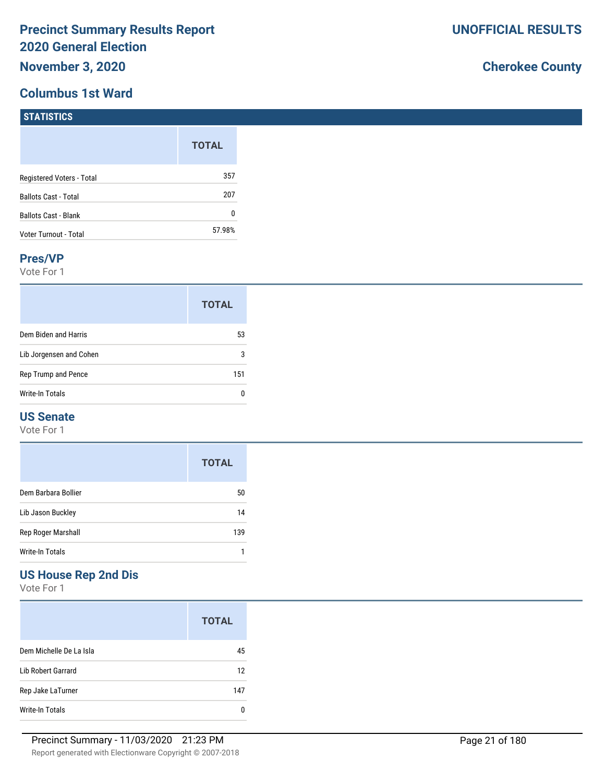# **Columbus 1st Ward**

# **Cherokee County**

| $\blacksquare$ 3181151165   |              |
|-----------------------------|--------------|
|                             | <b>TOTAL</b> |
| Registered Voters - Total   | 357          |
| <b>Ballots Cast - Total</b> | 207          |
| Ballots Cast - Blank        | 0            |
| Voter Turnout - Total       | 57.98%       |

### **Pres/VP**

**STATISTICS** 

Vote For 1

|                         | <b>TOTAL</b> |
|-------------------------|--------------|
| Dem Biden and Harris    | 53           |
| Lib Jorgensen and Cohen | 3            |
| Rep Trump and Pence     | 151          |
| Write-In Totals         |              |

## **US Senate**

Vote For 1

|                     | <b>TOTAL</b> |
|---------------------|--------------|
| Dem Barbara Bollier | 50           |
| Lib Jason Buckley   | 14           |
| Rep Roger Marshall  | 139          |
| Write-In Totals     |              |

# **US House Rep 2nd Dis**

|                           | <b>TOTAL</b> |
|---------------------------|--------------|
| Dem Michelle De La Isla   | 45           |
| <b>Lib Robert Garrard</b> | 12           |
| Rep Jake LaTurner         | 147          |
| Write-In Totals           | n            |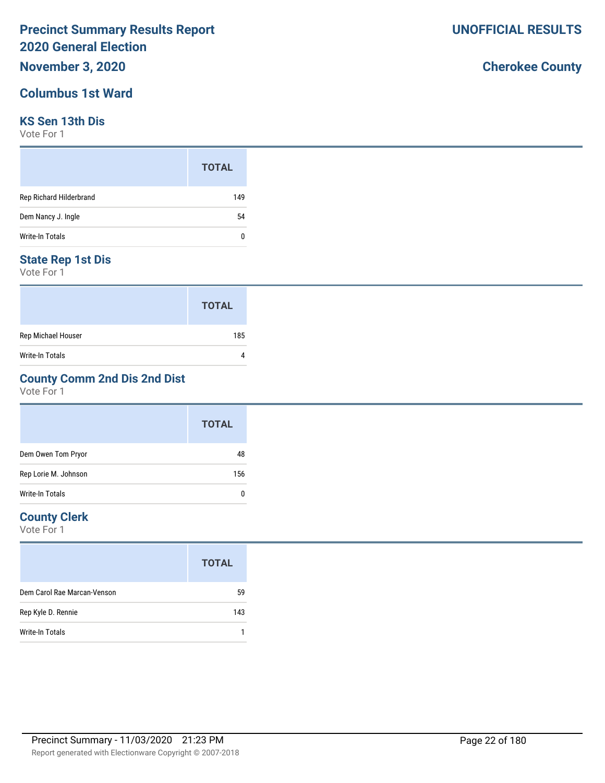# **November 3, 2020**

# **Columbus 1st Ward**

## **KS Sen 13th Dis**

Vote For 1

|                         | <b>TOTAL</b> |
|-------------------------|--------------|
| Rep Richard Hilderbrand | 149          |
| Dem Nancy J. Ingle      | 54           |
| Write-In Totals         | 0            |

## **State Rep 1st Dis**

Vote For 1

|                    | <b>TOTAL</b> |
|--------------------|--------------|
| Rep Michael Houser | 185          |
| Write-In Totals    |              |

# **County Comm 2nd Dis 2nd Dist**

Vote For 1

|                      | <b>TOTAL</b> |
|----------------------|--------------|
| Dem Owen Tom Pryor   | 48           |
| Rep Lorie M. Johnson | 156          |
| Write-In Totals      | 0            |

# **County Clerk**

Vote For 1

|                             | <b>TOTAL</b> |
|-----------------------------|--------------|
| Dem Carol Rae Marcan-Venson | 59           |
| Rep Kyle D. Rennie          | 143          |
| Write-In Totals             |              |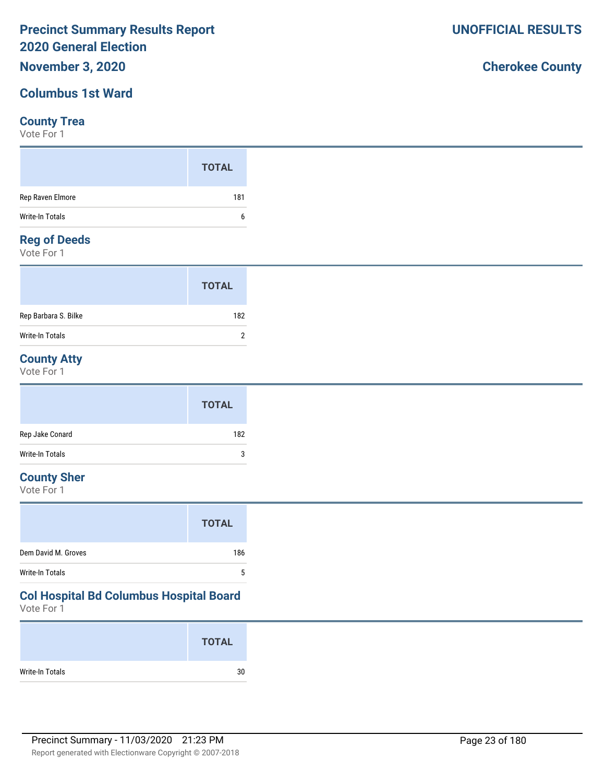# **November 3, 2020**

# **Columbus 1st Ward**

## **County Trea**

Vote For 1

|                  | <b>TOTAL</b> |
|------------------|--------------|
| Rep Raven Elmore | 181          |
| Write-In Totals  | b            |

## **Reg of Deeds**

Vote For 1

|                      | <b>TOTAL</b> |  |
|----------------------|--------------|--|
| Rep Barbara S. Bilke | 182          |  |
| Write-In Totals      | າ            |  |

# **County Atty**

Vote For 1

|                 | <b>TOTAL</b> |
|-----------------|--------------|
| Rep Jake Conard | 182          |
| Write-In Totals | 3            |

# **County Sher**

Vote For 1

# **Col Hospital Bd Columbus Hospital Board**

Vote For 1

|                 | <b>TOTAL</b> |
|-----------------|--------------|
| Write-In Totals | 30           |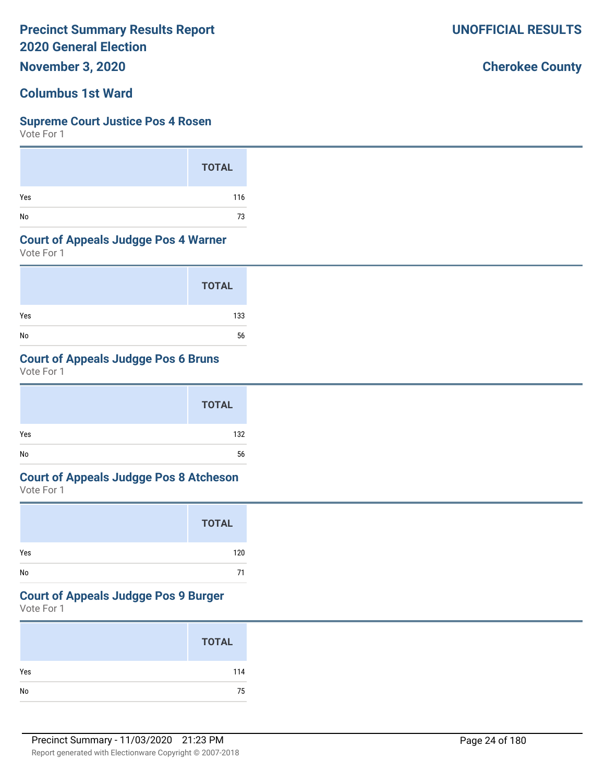**November 3, 2020**

# **Columbus 1st Ward**

## **Supreme Court Justice Pos 4 Rosen**

Vote For 1

|     | <b>TOTAL</b> |
|-----|--------------|
| Yes | 116          |
| No  | 73           |

## **Court of Appeals Judgge Pos 4 Warner**

Vote For 1

|     | <b>TOTAL</b> |
|-----|--------------|
| Yes | 133          |
| No  | 56           |

# **Court of Appeals Judgge Pos 6 Bruns**

Vote For 1

|     | <b>TOTAL</b> |  |
|-----|--------------|--|
| Yes | 132          |  |
| No  | 56           |  |

# **Court of Appeals Judgge Pos 8 Atcheson**

Vote For 1

|     | <b>TOTAL</b> |
|-----|--------------|
| Yes | 120          |
| No  | 71           |

# **Court of Appeals Judgge Pos 9 Burger**

Vote For 1

|            | <b>TOTAL</b> |
|------------|--------------|
| Yes        | 114          |
| ${\sf No}$ | 75           |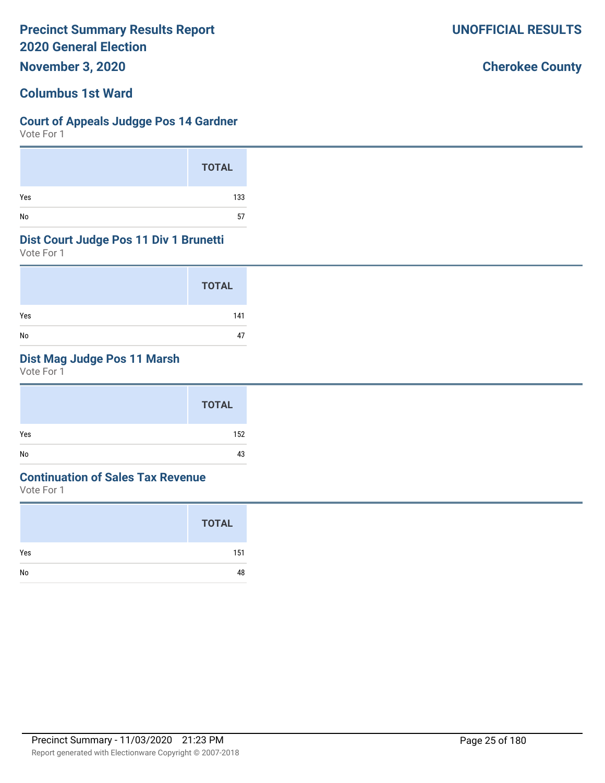**November 3, 2020**

# **Columbus 1st Ward**

## **Court of Appeals Judgge Pos 14 Gardner**

Vote For 1

|     | <b>TOTAL</b> |
|-----|--------------|
| Yes | 133          |
| No  | 57           |

## **Dist Court Judge Pos 11 Div 1 Brunetti**

Vote For 1

|     | <b>TOTAL</b> |
|-----|--------------|
| Yes | 141          |
| No  | 47           |

# **Dist Mag Judge Pos 11 Marsh**

Vote For 1

## **Continuation of Sales Tax Revenue**

Vote For 1

|     | <b>TOTAL</b> |
|-----|--------------|
| Yes | 151          |
| No  | 48           |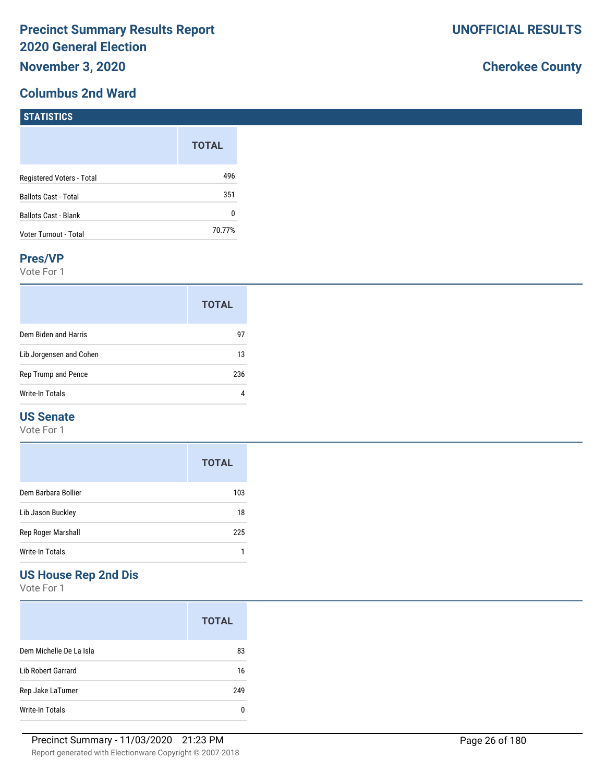# **Columbus 2nd Ward**

# **Cherokee County**

| <b>POIRTIO</b>              |              |
|-----------------------------|--------------|
|                             | <b>TOTAL</b> |
| Registered Voters - Total   | 496          |
| <b>Ballots Cast - Total</b> | 351          |
| <b>Ballots Cast - Blank</b> | 0            |
| Voter Turnout - Total       | 70.77%       |

### **Pres/VP**

**STATISTICS** 

Vote For 1

|                         | <b>TOTAL</b> |
|-------------------------|--------------|
| Dem Biden and Harris    | 97           |
| Lib Jorgensen and Cohen | 13           |
| Rep Trump and Pence     | 236          |
| <b>Write-In Totals</b>  |              |

## **US Senate**

Vote For 1

|                     | <b>TOTAL</b> |
|---------------------|--------------|
| Dem Barbara Bollier | 103          |
| Lib Jason Buckley   | 18           |
| Rep Roger Marshall  | 225          |
| Write-In Totals     |              |

# **US House Rep 2nd Dis**

|                         | <b>TOTAL</b> |
|-------------------------|--------------|
| Dem Michelle De La Isla | 83           |
| Lib Robert Garrard      | 16           |
| Rep Jake LaTurner       | 249          |
| Write-In Totals         |              |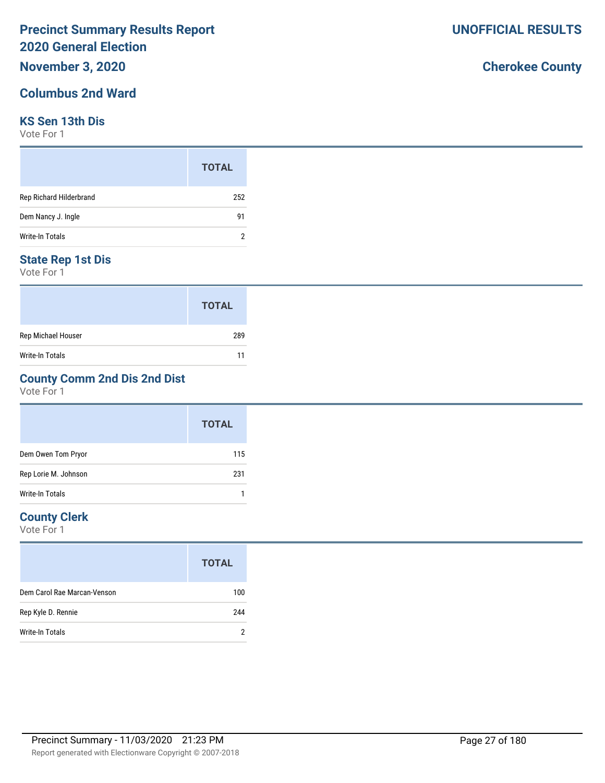# **November 3, 2020**

# **Columbus 2nd Ward**

## **KS Sen 13th Dis**

Vote For 1

|                         | <b>TOTAL</b> |
|-------------------------|--------------|
| Rep Richard Hilderbrand | 252          |
| Dem Nancy J. Ingle      | 91           |
| <b>Write-In Totals</b>  |              |

## **State Rep 1st Dis**

Vote For 1

|                    | <b>TOTAL</b> |
|--------------------|--------------|
| Rep Michael Houser | 289          |
| Write-In Totals    | 11           |

# **County Comm 2nd Dis 2nd Dist**

Vote For 1

|                      | <b>TOTAL</b> |
|----------------------|--------------|
| Dem Owen Tom Pryor   | 115          |
| Rep Lorie M. Johnson | 231          |
| Write-In Totals      |              |

# **County Clerk**

|                             | <b>TOTAL</b> |
|-----------------------------|--------------|
| Dem Carol Rae Marcan-Venson | 100          |
| Rep Kyle D. Rennie          | 244          |
| Write-In Totals             |              |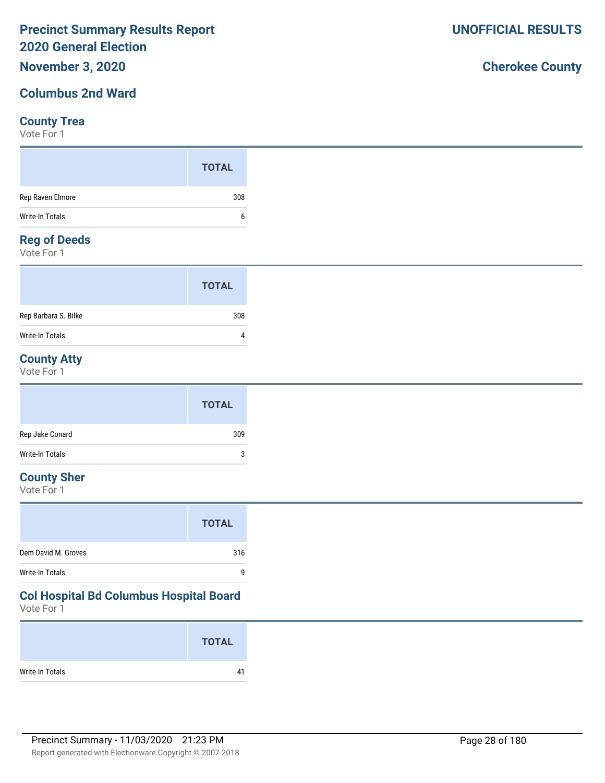# **November 3, 2020**

# **Columbus 2nd Ward**

## **County Trea**

Vote For 1

|                     | <b>TOTAL</b> |
|---------------------|--------------|
| Rep Raven Elmore    | 308          |
| Write-In Totals     | b            |
| <b>Dog of Doods</b> |              |

## **Reg of Deeds**

Vote For 1

|                      | <b>TOTAL</b> |  |
|----------------------|--------------|--|
| Rep Barbara S. Bilke | 308          |  |
| Write-In Totals      | Λ            |  |

# **County Atty**

Vote For 1

|                 | <b>TOTAL</b> |
|-----------------|--------------|
| Rep Jake Conard | 309          |
| Write-In Totals | 3            |

# **County Sher**

Vote For 1

|                     | <b>TOTAL</b> |
|---------------------|--------------|
| Dem David M. Groves | 316          |
| Write-In Totals     | q            |

# **Col Hospital Bd Columbus Hospital Board**

Vote For 1

|                 | <b>TOTAL</b> |
|-----------------|--------------|
| Write-In Totals | 41           |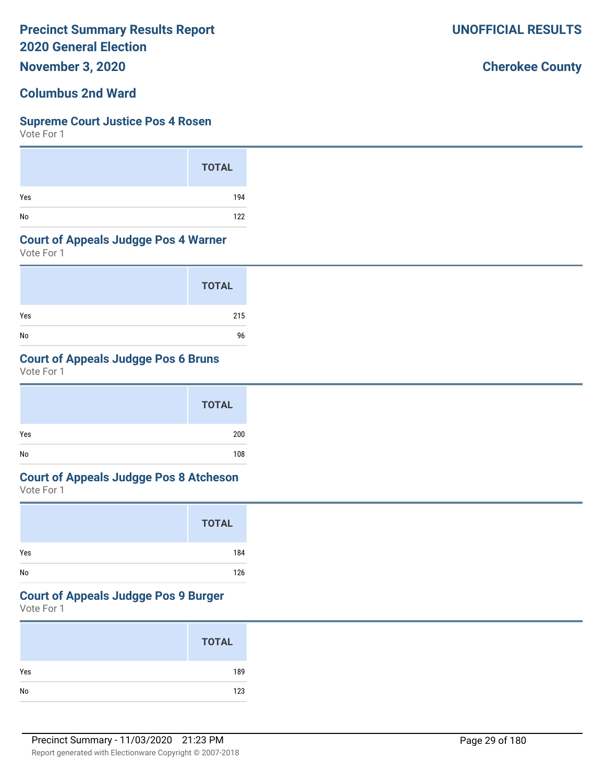**November 3, 2020**

# **Columbus 2nd Ward**

## **Supreme Court Justice Pos 4 Rosen**

Vote For 1

|     | <b>TOTAL</b> |
|-----|--------------|
| Yes | 194          |
| No  | 122          |

## **Court of Appeals Judgge Pos 4 Warner**

Vote For 1

|     | <b>TOTAL</b> |
|-----|--------------|
| Yes | 215          |
| No  | 96           |

# **Court of Appeals Judgge Pos 6 Bruns**

Vote For 1

|     | <b>TOTAL</b> |  |
|-----|--------------|--|
| Yes | 200          |  |
| No  | 108          |  |

# **Court of Appeals Judgge Pos 8 Atcheson**

Vote For 1

|     | <b>TOTAL</b> |
|-----|--------------|
| Yes | 184          |
| No  | 126          |

# **Court of Appeals Judgge Pos 9 Burger**

Vote For 1

|     | <b>TOTAL</b> |
|-----|--------------|
| Yes | 189          |
| No  | 123          |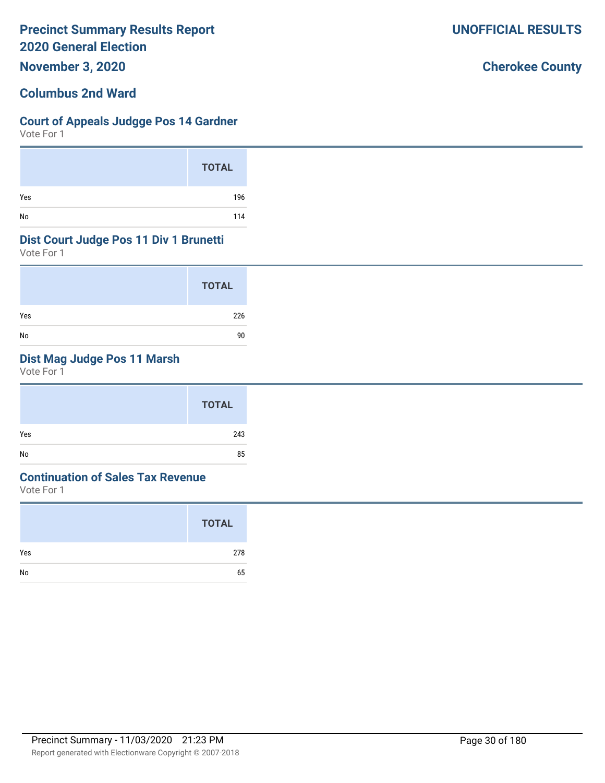**November 3, 2020**

# **Columbus 2nd Ward**

## **Court of Appeals Judgge Pos 14 Gardner**

Vote For 1

|     | <b>TOTAL</b> |
|-----|--------------|
| Yes | 196          |
| No  | 114          |

## **Dist Court Judge Pos 11 Div 1 Brunetti**

Vote For 1

|     | <b>TOTAL</b> |
|-----|--------------|
| Yes | 226          |
| No  | 90           |

# **Dist Mag Judge Pos 11 Marsh**

Vote For 1

|     | <b>TOTAL</b> |
|-----|--------------|
| Yes | 243          |
| No  | 85           |

## **Continuation of Sales Tax Revenue**

Vote For 1

|     | <b>TOTAL</b> |
|-----|--------------|
| Yes | 278          |
| No  | 65           |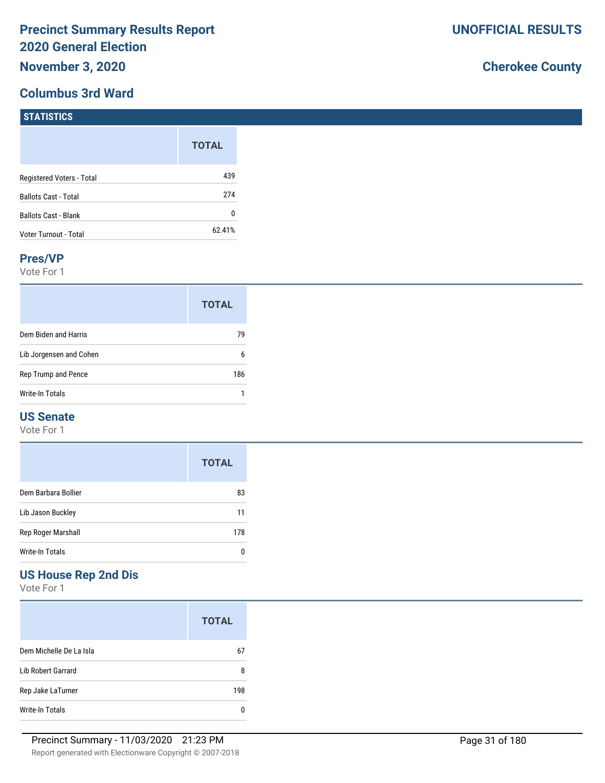# **Columbus 3rd Ward**

# **Cherokee County**

| <b>STATISTICS</b>           |              |
|-----------------------------|--------------|
|                             | <b>TOTAL</b> |
| Registered Voters - Total   | 439          |
| <b>Ballots Cast - Total</b> | 274          |
| <b>Ballots Cast - Blank</b> | 0            |
| Voter Turnout - Total       | 62.41%       |

### **Pres/VP**

Vote For 1

|                         | <b>TOTAL</b> |
|-------------------------|--------------|
| Dem Biden and Harris    | 79           |
| Lib Jorgensen and Cohen | 6            |
| Rep Trump and Pence     | 186          |
| Write-In Totals         |              |

## **US Senate**

Vote For 1

|                     | <b>TOTAL</b> |
|---------------------|--------------|
| Dem Barbara Bollier | 83           |
| Lib Jason Buckley   | 11           |
| Rep Roger Marshall  | 178          |
| Write-In Totals     |              |

# **US House Rep 2nd Dis**

|                         | <b>TOTAL</b> |
|-------------------------|--------------|
| Dem Michelle De La Isla | 67           |
| Lib Robert Garrard      | 8            |
| Rep Jake LaTurner       | 198          |
| Write-In Totals         |              |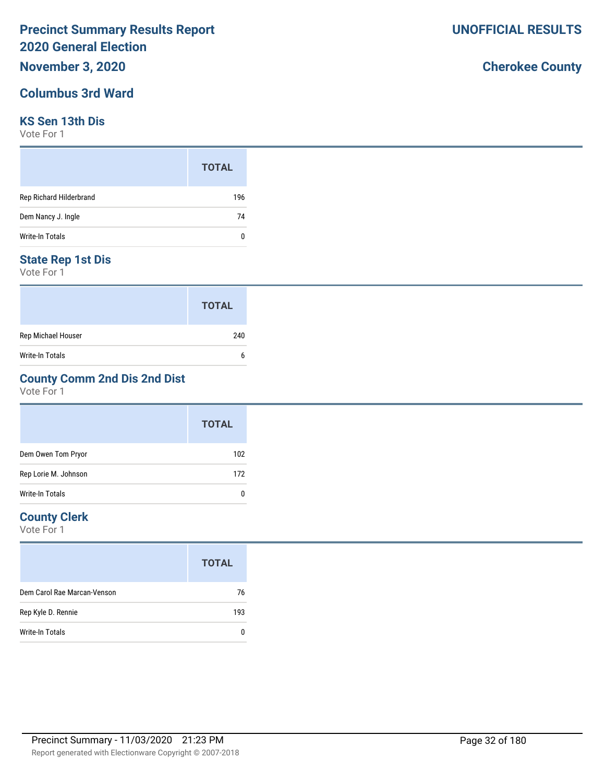# **November 3, 2020**

# **Columbus 3rd Ward**

# **KS Sen 13th Dis**

Vote For 1

|                         | <b>TOTAL</b> |
|-------------------------|--------------|
| Rep Richard Hilderbrand | 196          |
| Dem Nancy J. Ingle      | 74           |
| Write-In Totals         | 0            |

## **State Rep 1st Dis**

Vote For 1

|                        | <b>TOTAL</b> |
|------------------------|--------------|
| Rep Michael Houser     | 240          |
| <b>Write-In Totals</b> | h            |

# **County Comm 2nd Dis 2nd Dist**

Vote For 1

|                      | <b>TOTAL</b> |
|----------------------|--------------|
| Dem Owen Tom Pryor   | 102          |
| Rep Lorie M. Johnson | 172          |
| Write-In Totals      | C            |

# **County Clerk**

Vote For 1

|                             | <b>TOTAL</b> |
|-----------------------------|--------------|
| Dem Carol Rae Marcan-Venson | 76           |
| Rep Kyle D. Rennie          | 193          |
| Write-In Totals             |              |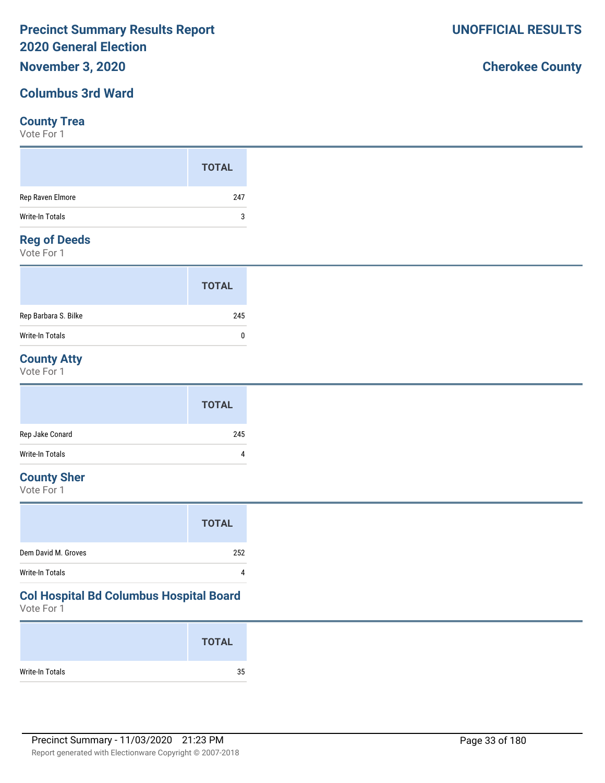# **November 3, 2020**

# **Columbus 3rd Ward**

## **County Trea**

Vote For 1

## **Reg of Deeds**

Vote For 1

|                      | <b>TOTAL</b> |  |
|----------------------|--------------|--|
| Rep Barbara S. Bilke | 245          |  |
| Write-In Totals      | n            |  |

# **County Atty**

Vote For 1

|                 | <b>TOTAL</b> |
|-----------------|--------------|
| Rep Jake Conard | 245          |
| Write-In Totals | 4            |

# **County Sher**

Vote For 1

|                     | <b>TOTAL</b> |
|---------------------|--------------|
| Dem David M. Groves | 252          |
| Write-In Totals     | Δ            |

# **Col Hospital Bd Columbus Hospital Board**

Vote For 1

|                 | <b>TOTAL</b> |
|-----------------|--------------|
| Write-In Totals | 35           |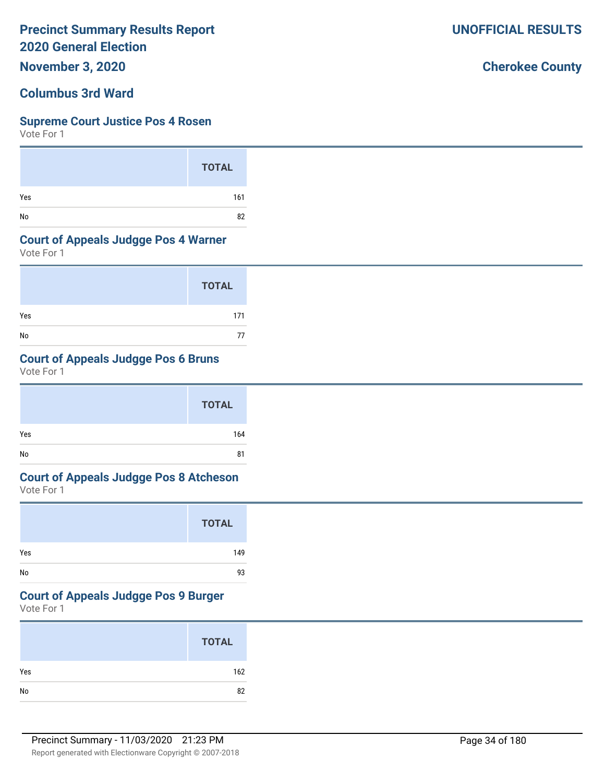**November 3, 2020**

# **Columbus 3rd Ward**

### **Supreme Court Justice Pos 4 Rosen**

Vote For 1

|     | <b>TOTAL</b> |
|-----|--------------|
| Yes | 161          |
| No  | 82           |

## **Court of Appeals Judgge Pos 4 Warner**

Vote For 1

|     | <b>TOTAL</b> |
|-----|--------------|
| Yes | 171          |
| No  | 77           |

# **Court of Appeals Judgge Pos 6 Bruns**

Vote For 1

|     | <b>TOTAL</b> |
|-----|--------------|
| Yes | 164          |
| No  | 81           |

# **Court of Appeals Judgge Pos 8 Atcheson**

Vote For 1

|     | <b>TOTAL</b> |
|-----|--------------|
| Yes | 149          |
| No  | 93           |

# **Court of Appeals Judgge Pos 9 Burger**

Vote For 1

|     | <b>TOTAL</b> |
|-----|--------------|
| Yes | 162          |
|     | 82           |

**UNOFFICIAL RESULTS**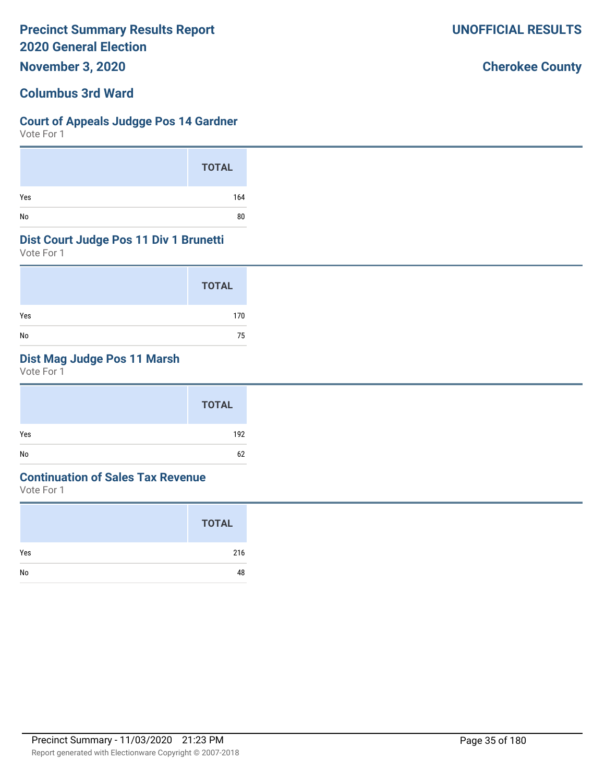**November 3, 2020**

# **Columbus 3rd Ward**

# **Court of Appeals Judgge Pos 14 Gardner**

Vote For 1

|     | <b>TOTAL</b> |
|-----|--------------|
| Yes | 164          |
| No  | 80           |

## **Dist Court Judge Pos 11 Div 1 Brunetti**

Vote For 1

|     | <b>TOTAL</b> |
|-----|--------------|
| Yes | 170          |
| No  | 75           |

# **Dist Mag Judge Pos 11 Marsh**

Vote For 1

|     | <b>TOTAL</b> |
|-----|--------------|
| Yes | 192          |
| No  | 62           |

# **Continuation of Sales Tax Revenue**

Vote For 1

|     | <b>TOTAL</b> |
|-----|--------------|
| Yes | 216          |
| No  | 48           |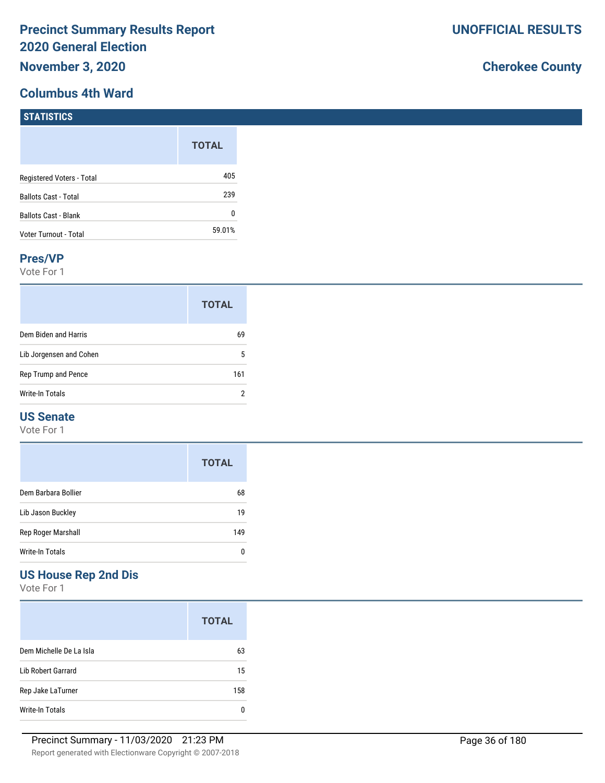# **Columbus 4th Ward**

# **Cherokee County**

| 1311131103                  |              |
|-----------------------------|--------------|
|                             | <b>TOTAL</b> |
| Registered Voters - Total   | 405          |
| <b>Ballots Cast - Total</b> | 239          |
| <b>Ballots Cast - Blank</b> | 0            |
| Voter Turnout - Total       | 59.01%       |

### **Pres/VP**

**STATISTICS** 

Vote For 1

|                         | <b>TOTAL</b> |
|-------------------------|--------------|
| Dem Biden and Harris    | 69           |
| Lib Jorgensen and Cohen | 5            |
| Rep Trump and Pence     | 161          |
| Write-In Totals         | 2            |

## **US Senate**

Vote For 1

|                     | <b>TOTAL</b> |
|---------------------|--------------|
| Dem Barbara Bollier | 68           |
| Lib Jason Buckley   | 19           |
| Rep Roger Marshall  | 149          |
| Write-In Totals     |              |

# **US House Rep 2nd Dis**

|                         | <b>TOTAL</b> |
|-------------------------|--------------|
| Dem Michelle De La Isla | 63           |
| Lib Robert Garrard      | 15           |
| Rep Jake LaTurner       | 158          |
| Write-In Totals         |              |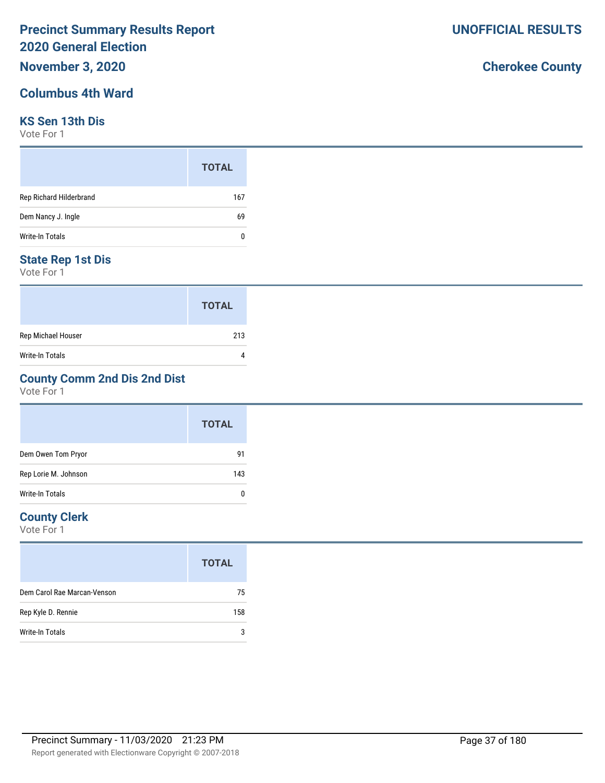## **November 3, 2020**

### **Columbus 4th Ward**

### **KS Sen 13th Dis**

Vote For 1

|                         | <b>TOTAL</b> |
|-------------------------|--------------|
| Rep Richard Hilderbrand | 167          |
| Dem Nancy J. Ingle      | 69           |
| Write-In Totals         | 0            |

### **State Rep 1st Dis**

Vote For 1

|                    | <b>TOTAL</b> |
|--------------------|--------------|
| Rep Michael Houser | 213          |
| Write-In Totals    |              |

### **County Comm 2nd Dis 2nd Dist**

Vote For 1

|                        | <b>TOTAL</b> |
|------------------------|--------------|
| Dem Owen Tom Pryor     | 91           |
| Rep Lorie M. Johnson   | 143          |
| <b>Write-In Totals</b> | 0            |

### **County Clerk**

Vote For 1

|                             | <b>TOTAL</b> |
|-----------------------------|--------------|
| Dem Carol Rae Marcan-Venson | 75           |
| Rep Kyle D. Rennie          | 158          |
| Write-In Totals             | ঽ            |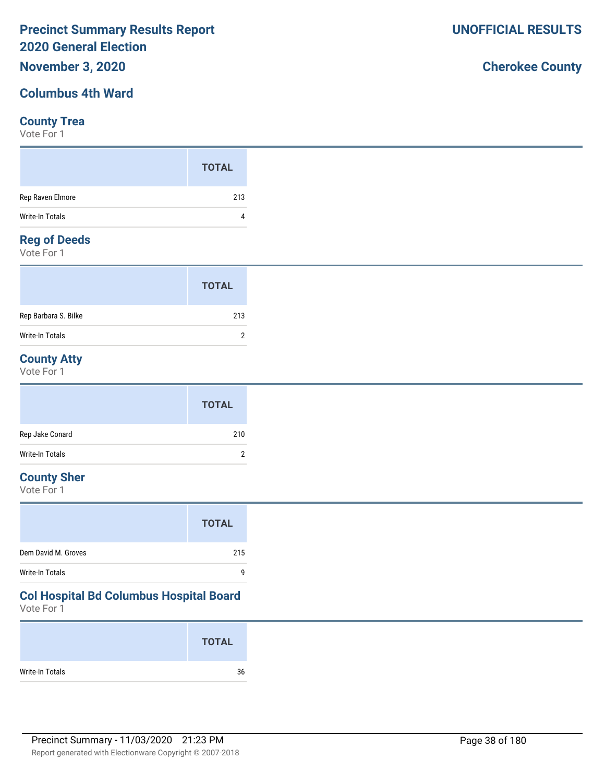### **November 3, 2020**

### **Columbus 4th Ward**

#### **County Trea**

Vote For 1

#### **Reg of Deeds**

Vote For 1

|                      | <b>TOTAL</b> |  |
|----------------------|--------------|--|
| Rep Barbara S. Bilke | 213          |  |
| Write-In Totals      | າ            |  |

### **County Atty**

Vote For 1

|                 | <b>TOTAL</b> |
|-----------------|--------------|
| Rep Jake Conard | 210          |
| Write-In Totals | C            |

### **County Sher**

Vote For 1

| Dem David M. Groves<br>215 |
|----------------------------|
| Write-In Totals<br>q       |

## **Col Hospital Bd Columbus Hospital Board**

Vote For 1

|                 | <b>TOTAL</b> |
|-----------------|--------------|
| Write-In Totals | 36           |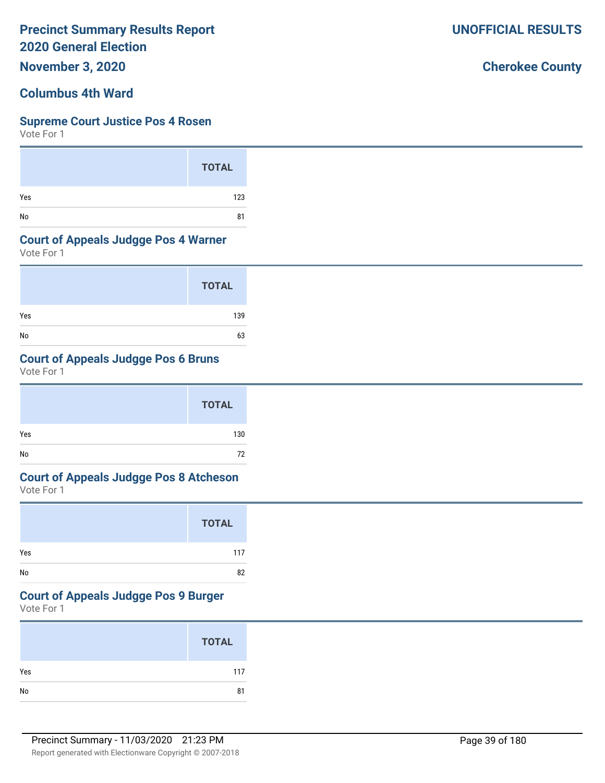**November 3, 2020**

### **Columbus 4th Ward**

### **Supreme Court Justice Pos 4 Rosen**

Vote For 1

|     | <b>TOTAL</b> |  |
|-----|--------------|--|
| Yes | 123          |  |
| No  | 81           |  |

### **Court of Appeals Judgge Pos 4 Warner**

Vote For 1

|     | <b>TOTAL</b> |
|-----|--------------|
| Yes | 139          |
| No  | 63           |

### **Court of Appeals Judgge Pos 6 Bruns**

Vote For 1

|     | <b>TOTAL</b> |  |
|-----|--------------|--|
| Yes | 130          |  |
| No  | 72           |  |

# **Court of Appeals Judgge Pos 8 Atcheson**

Vote For 1

|     | <b>TOTAL</b> |
|-----|--------------|
| Yes | 117          |
| No  | 82           |

# **Court of Appeals Judgge Pos 9 Burger**

Vote For 1

|     | <b>TOTAL</b> |
|-----|--------------|
| Yes | 117          |
|     | 81           |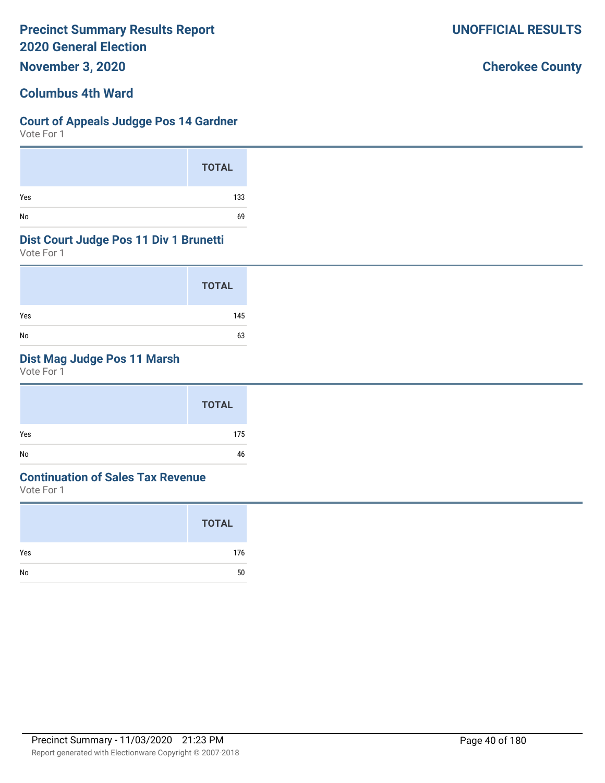**November 3, 2020**

### **Columbus 4th Ward**

### **Court of Appeals Judgge Pos 14 Gardner**

Vote For 1

|     | <b>TOTAL</b> |
|-----|--------------|
| Yes | 133          |
| No  | 69           |

#### **Dist Court Judge Pos 11 Div 1 Brunetti**

Vote For 1

|     | <b>TOTAL</b> |
|-----|--------------|
| Yes | 145          |
| No  | 63           |

### **Dist Mag Judge Pos 11 Marsh**

Vote For 1

|     | <b>TOTAL</b> |
|-----|--------------|
| Yes | 175          |
| No  | 46           |

### **Continuation of Sales Tax Revenue**

Vote For 1

|     | <b>TOTAL</b> |
|-----|--------------|
| Yes | 176          |
| No  | 50           |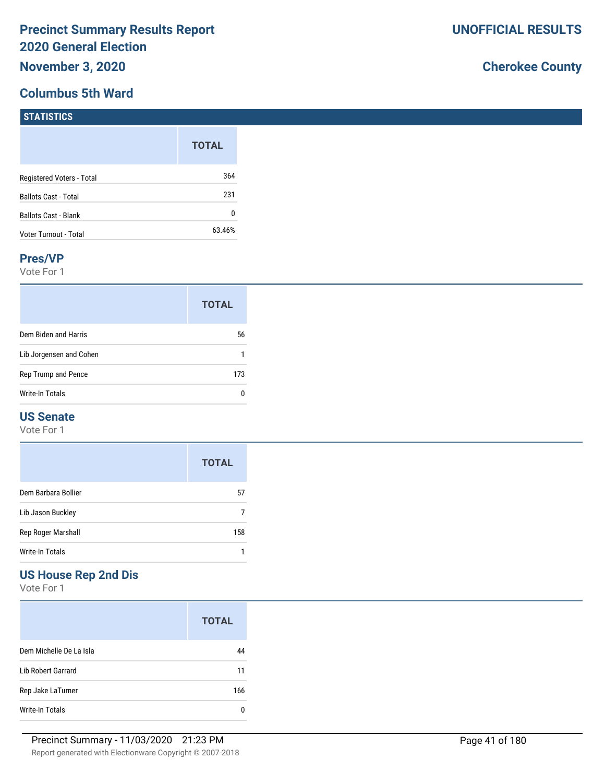### **Columbus 5th Ward**

# **Cherokee County**

| <b>STATISTICS</b>           |              |
|-----------------------------|--------------|
|                             | <b>TOTAL</b> |
| Registered Voters - Total   | 364          |
| <b>Ballots Cast - Total</b> | 231          |
| <b>Ballots Cast - Blank</b> | 0            |
| Voter Turnout - Total       | 63.46%       |

#### **Pres/VP**

Vote For 1

|                         | <b>TOTAL</b> |
|-------------------------|--------------|
| Dem Biden and Harris    | 56           |
| Lib Jorgensen and Cohen |              |
| Rep Trump and Pence     | 173          |
| Write-In Totals         |              |

### **US Senate**

Vote For 1

|                     | <b>TOTAL</b> |
|---------------------|--------------|
| Dem Barbara Bollier | 57           |
| Lib Jason Buckley   |              |
| Rep Roger Marshall  | 158          |
| Write-In Totals     |              |

### **US House Rep 2nd Dis**

Vote For 1

|                         | <b>TOTAL</b> |
|-------------------------|--------------|
| Dem Michelle De La Isla | 44           |
| Lib Robert Garrard      | 11           |
| Rep Jake LaTurner       | 166          |
| Write-In Totals         |              |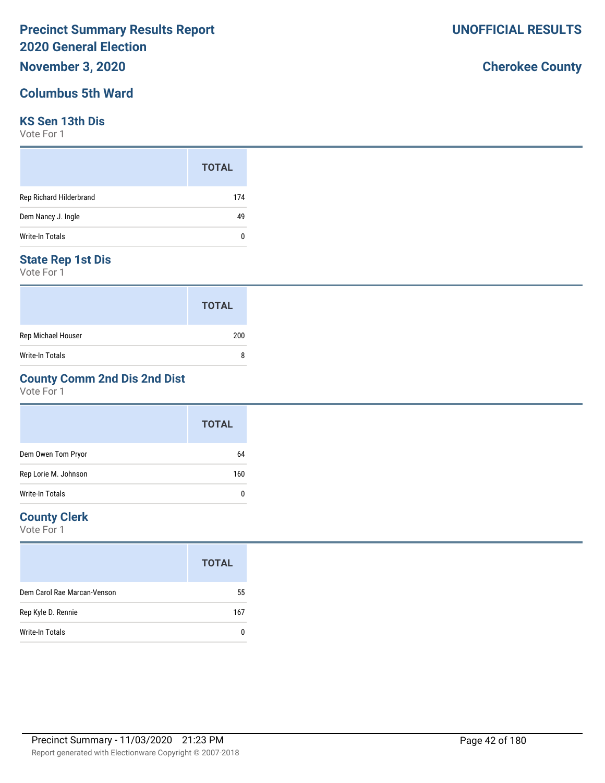## **November 3, 2020**

### **Columbus 5th Ward**

### **KS Sen 13th Dis**

Vote For 1

|                         | <b>TOTAL</b> |  |
|-------------------------|--------------|--|
| Rep Richard Hilderbrand | 174          |  |
| Dem Nancy J. Ingle      | 49           |  |
| Write-In Totals         | 0            |  |

### **State Rep 1st Dis**

Vote For 1

|                    | <b>TOTAL</b> |
|--------------------|--------------|
| Rep Michael Houser | 200          |
| Write-In Totals    | 8            |

### **County Comm 2nd Dis 2nd Dist**

Vote For 1

|                      | <b>TOTAL</b> |
|----------------------|--------------|
| Dem Owen Tom Pryor   | 64           |
| Rep Lorie M. Johnson | 160          |
| Write-In Totals      | 0            |

### **County Clerk**

Vote For 1

|                             | <b>TOTAL</b> |
|-----------------------------|--------------|
| Dem Carol Rae Marcan-Venson | 55           |
| Rep Kyle D. Rennie          | 167          |
| Write-In Totals             |              |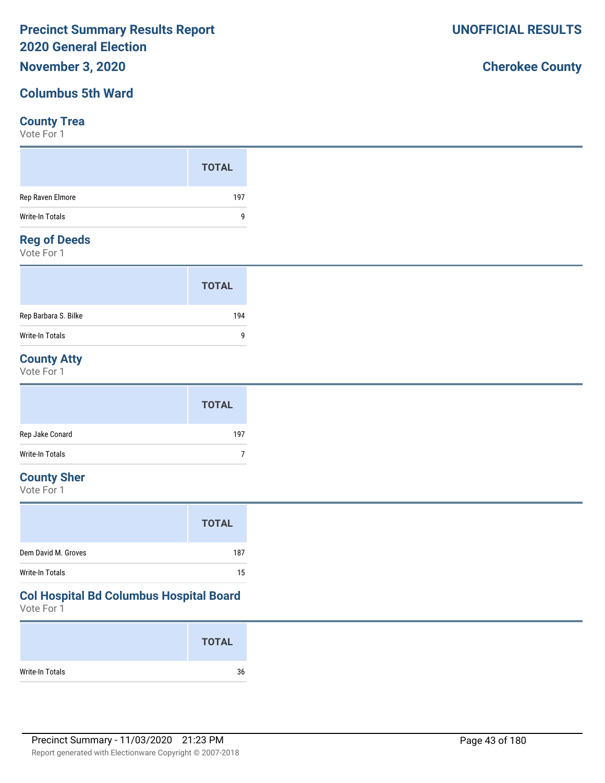### **November 3, 2020**

### **Columbus 5th Ward**

#### **County Trea**

Vote For 1

|                    | <b>TOTAL</b> |
|--------------------|--------------|
| Rep Raven Elmore   | 197          |
| Write-In Totals    | 9            |
| <b>Demof Deeds</b> |              |

#### **Reg of Deeds**

Vote For 1

|                      | <b>TOTAL</b> |  |
|----------------------|--------------|--|
| Rep Barbara S. Bilke | 194          |  |
| Write-In Totals      | q            |  |

### **County Atty**

Vote For 1

|                 | <b>TOTAL</b> |
|-----------------|--------------|
| Rep Jake Conard | 197          |
| Write-In Totals |              |

### **County Sher**

Vote For 1

## **Col Hospital Bd Columbus Hospital Board**

Vote For 1

|                 | <b>TOTAL</b> |
|-----------------|--------------|
| Write-In Totals | 36           |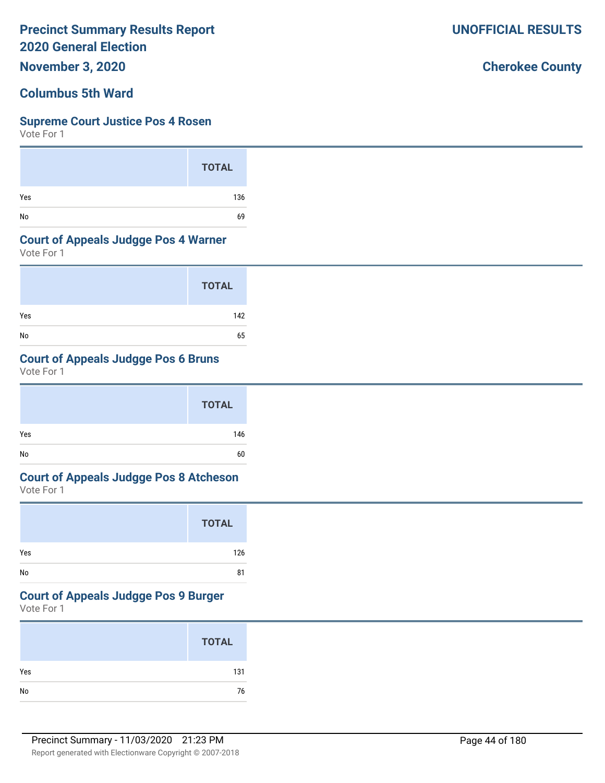**November 3, 2020**

### **Columbus 5th Ward**

### **Supreme Court Justice Pos 4 Rosen**

Vote For 1

|     | <b>TOTAL</b> |
|-----|--------------|
| Yes | 136          |
| No  | 69           |

#### **Court of Appeals Judgge Pos 4 Warner**

Vote For 1

|     | <b>TOTAL</b> |
|-----|--------------|
| Yes | 142          |
| No  | 65           |

### **Court of Appeals Judgge Pos 6 B**

Vote For 1

|     | <b>TOTAL</b> |  |
|-----|--------------|--|
| Yes | 146          |  |
| No  | 60           |  |

# **Court of Appeals Judgge Pos 8 Atcheson**

Vote For 1

|     | <b>TOTAL</b> |
|-----|--------------|
| Yes | 126          |
| No  | 81           |

# **Court of Appeals Judgge Pos 9 Burger**

Vote For 1

|               | <b>TOTAL</b> |
|---------------|--------------|
| Yes           | 131          |
| $\mathsf{No}$ | 76           |

|              | 65 |
|--------------|----|
| <b>Bruns</b> |    |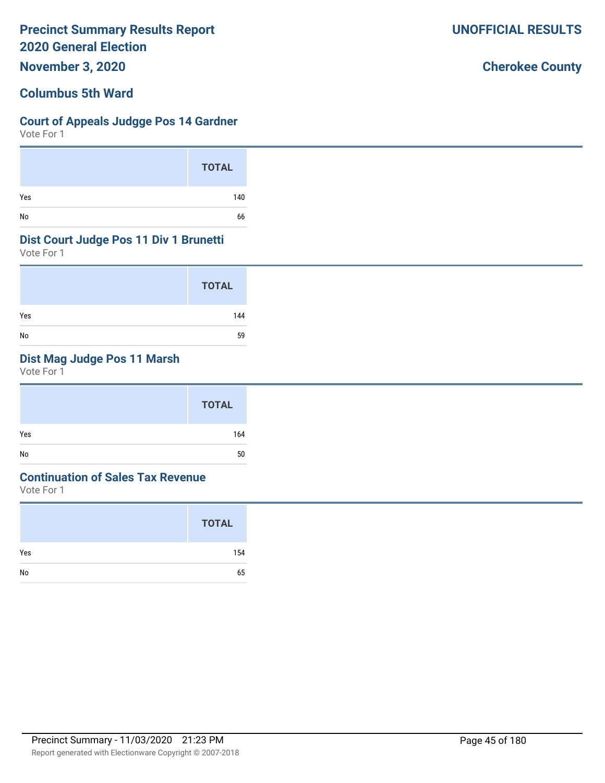**November 3, 2020**

### **Columbus 5th Ward**

### **Court of Appeals Judgge Pos 14 Gardner**

Vote For 1

|     | <b>TOTAL</b> |
|-----|--------------|
| Yes | 140          |
| No  | 66           |

#### **Dist Court Judge Pos 11 Div 1 Brunetti**

Vote For 1

|     | <b>TOTAL</b> |
|-----|--------------|
| Yes | 144          |
| No  | 59           |

### **Dist Mag Judge Pos 11 Marsh**

Vote For 1

|     | <b>TOTAL</b> |
|-----|--------------|
| Yes | 164          |
| No  | 50           |

### **Continuation of Sales Tax Revenue**

Vote For 1

|     | <b>TOTAL</b> |
|-----|--------------|
| Yes | 154          |
| No  | 65           |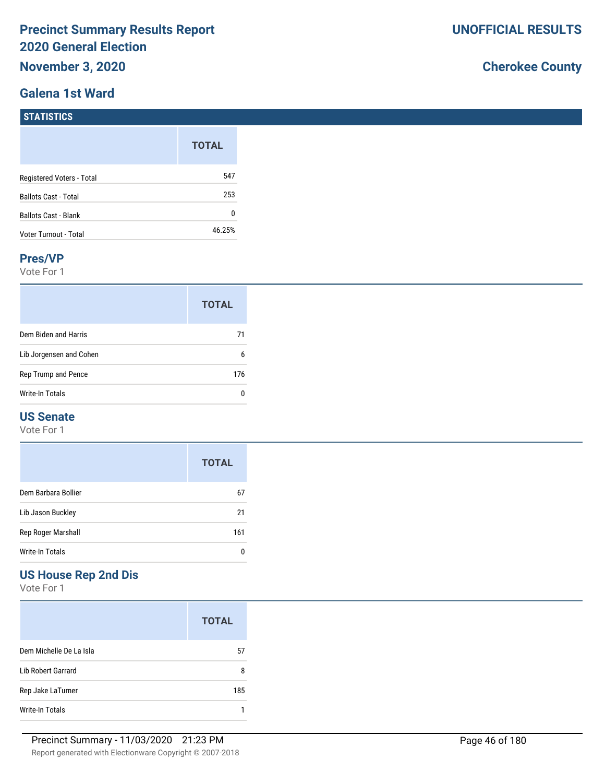### **Galena 1st Ward**

# **Cherokee County**

| <b>ISTATISTICS</b> |  |
|--------------------|--|
|                    |  |

|                             | <b>TOTAL</b> |
|-----------------------------|--------------|
| Registered Voters - Total   | 547          |
| <b>Ballots Cast - Total</b> | 253          |
| <b>Ballots Cast - Blank</b> | N            |
| Voter Turnout - Total       | 46.25%       |

#### **Pres/VP**

Vote For 1

|                         | <b>TOTAL</b> |
|-------------------------|--------------|
| Dem Biden and Harris    | 71           |
| Lib Jorgensen and Cohen | 6            |
| Rep Trump and Pence     | 176          |
| <b>Write-In Totals</b>  |              |

### **US Senate**

Vote For 1

|                     | <b>TOTAL</b> |
|---------------------|--------------|
| Dem Barbara Bollier | 67           |
| Lib Jason Buckley   | 21           |
| Rep Roger Marshall  | 161          |
| Write-In Totals     |              |

### **US House Rep 2nd Dis**

Vote For 1

|                         | <b>TOTAL</b> |
|-------------------------|--------------|
| Dem Michelle De La Isla | 57           |
| Lib Robert Garrard      | 8            |
| Rep Jake LaTurner       | 185          |
| Write-In Totals         |              |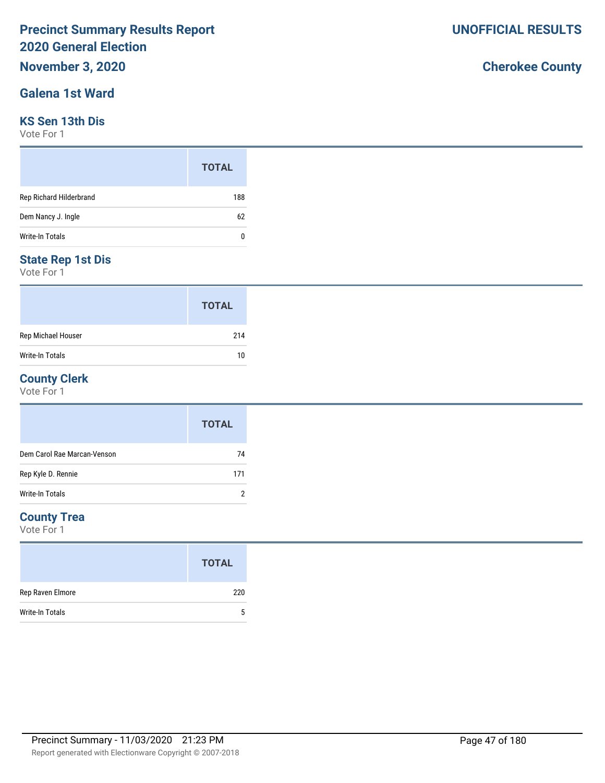# **November 3, 2020**

### **Galena 1st Ward**

#### **KS Sen 13th Dis**

Vote For 1

|                         | <b>TOTAL</b> |
|-------------------------|--------------|
| Rep Richard Hilderbrand | 188          |
| Dem Nancy J. Ingle      | 62           |
| Write-In Totals         | 0            |

### **State Rep 1st Dis**

Vote For 1

|                        | <b>TOTAL</b> |
|------------------------|--------------|
| Rep Michael Houser     | 214          |
| <b>Write-In Totals</b> | 10           |

### **County Clerk**

Vote For 1

|                             | <b>TOTAL</b> |
|-----------------------------|--------------|
| Dem Carol Rae Marcan-Venson | 74           |
| Rep Kyle D. Rennie          | 171          |
| Write-In Totals             | 2            |

### **County Trea**

Vote For 1

|                        | <b>TOTAL</b> |
|------------------------|--------------|
| Rep Raven Elmore       | 220          |
| <b>Write-In Totals</b> | 5            |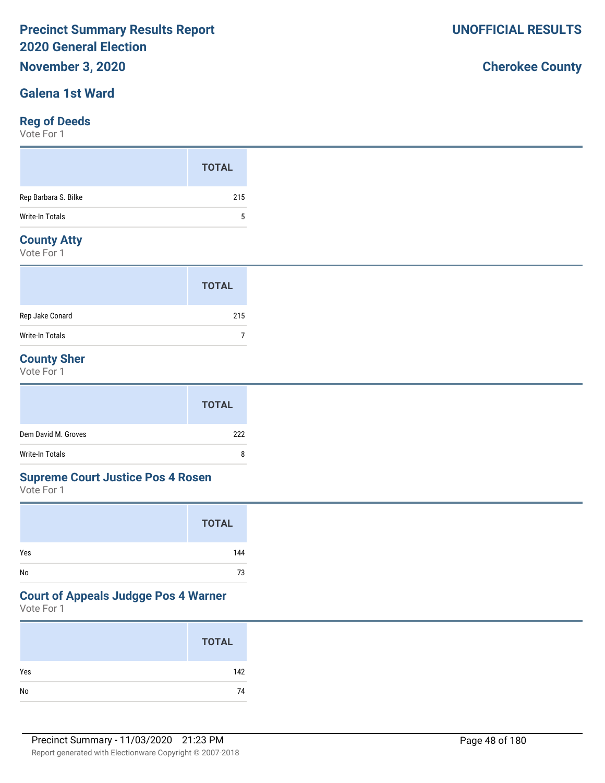# **November 3, 2020**

### **Galena 1st Ward**

### **Reg of Deeds**

Vote For 1

|                      | <b>TOTAL</b> |
|----------------------|--------------|
| Rep Barbara S. Bilke | 215          |
| Write-In Totals      | 5            |
|                      |              |

### **County Atty**

Vote For 1

|                 | <b>TOTAL</b> |
|-----------------|--------------|
| Rep Jake Conard | 215          |
| Write-In Totals |              |

### **County Sher**

Vote For 1

|                     | <b>TOTAL</b> |
|---------------------|--------------|
| Dem David M. Groves | 222          |
| Write-In Totals     | 8            |

#### **Supreme Court Justice Pos 4 Rosen**

Vote For 1

|     | <b>TOTAL</b> |
|-----|--------------|
| Yes | 144          |
| No  | 73           |

### **Court of Appeals Judgge Pos 4 Warner**

Vote For 1

|     | <b>TOTAL</b> |
|-----|--------------|
| Yes | 142          |
| No  | 74           |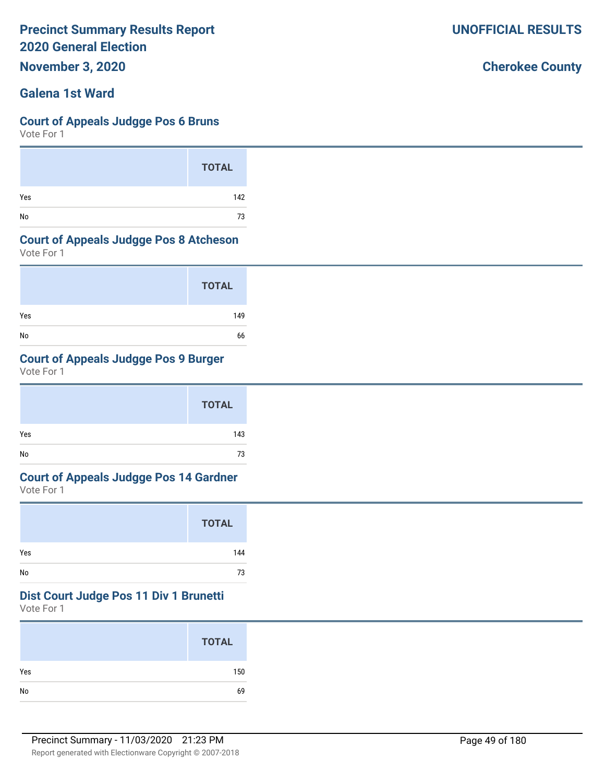**November 3, 2020**

### **Galena 1st Ward**

#### **Court of Appeals Judgge Pos 6 Bruns**

Vote For 1

|     | <b>TOTAL</b> |
|-----|--------------|
| Yes | 142          |
| No  | 73           |

#### **Court of Appeals Judgge Pos 8 Atcheson**

Vote For 1

|     | <b>TOTAL</b> |
|-----|--------------|
| Yes | 149          |
| No  | 66           |

### **Court of Appeals Judgge Pos 9 Burger**

Vote For 1

|     | <b>TOTAL</b> |
|-----|--------------|
| Yes | 143          |
| No  | 73           |

# **Court of Appeals Judgge Pos 14 Gardner**

Vote For 1

|     | <b>TOTAL</b> |
|-----|--------------|
| Yes | 144          |
| No  | 73           |

#### **Dist Court Judge Pos 11 Div 1 Brunetti**

Vote For 1

|     | <b>TOTAL</b> |
|-----|--------------|
| Yes | 150          |
| No  | 69           |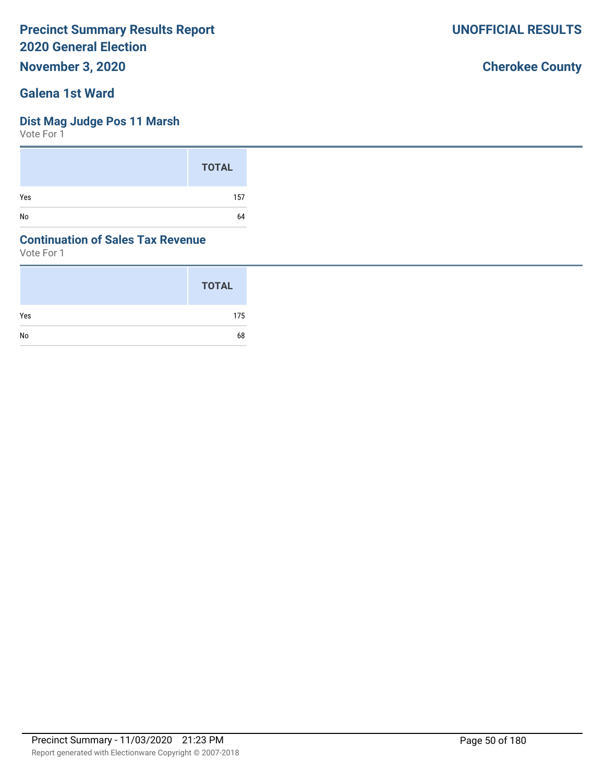**November 3, 2020**

### **Galena 1st Ward**

### **Dist Mag Judge Pos 11 Marsh**

Vote For 1

|     | <b>TOTAL</b> |
|-----|--------------|
| Yes | 157          |
| No  | 64           |

### **Continuation of Sales Tax Revenue**

Vote For 1

|     | <b>TOTAL</b> |
|-----|--------------|
| Yes | 175          |
| No  | 68           |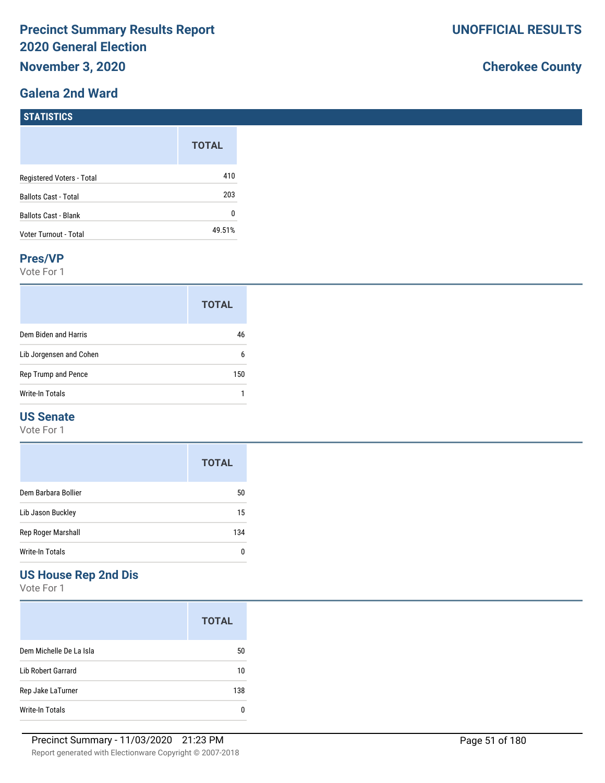### **Galena 2nd Ward**

**STATISTICS** 

# **Cherokee County**

| $31$ A1131163               |              |
|-----------------------------|--------------|
|                             | <b>TOTAL</b> |
| Registered Voters - Total   | 410          |
| <b>Ballots Cast - Total</b> | 203          |
| <b>Ballots Cast - Blank</b> | 0            |
| Voter Turnout - Total       | 49.51%       |

#### **Pres/VP**

Vote For 1

|                         | <b>TOTAL</b> |
|-------------------------|--------------|
| Dem Biden and Harris    | 46           |
| Lib Jorgensen and Cohen | 6            |
| Rep Trump and Pence     | 150          |
| Write-In Totals         |              |

### **US Senate**

Vote For 1

|                     | <b>TOTAL</b> |
|---------------------|--------------|
| Dem Barbara Bollier | 50           |
| Lib Jason Buckley   | 15           |
| Rep Roger Marshall  | 134          |
| Write-In Totals     | 0            |

## **US House Rep 2nd Dis**

Vote For 1

|                         | <b>TOTAL</b> |
|-------------------------|--------------|
| Dem Michelle De La Isla | 50           |
| Lib Robert Garrard      | 10           |
| Rep Jake LaTurner       | 138          |
| Write-In Totals         |              |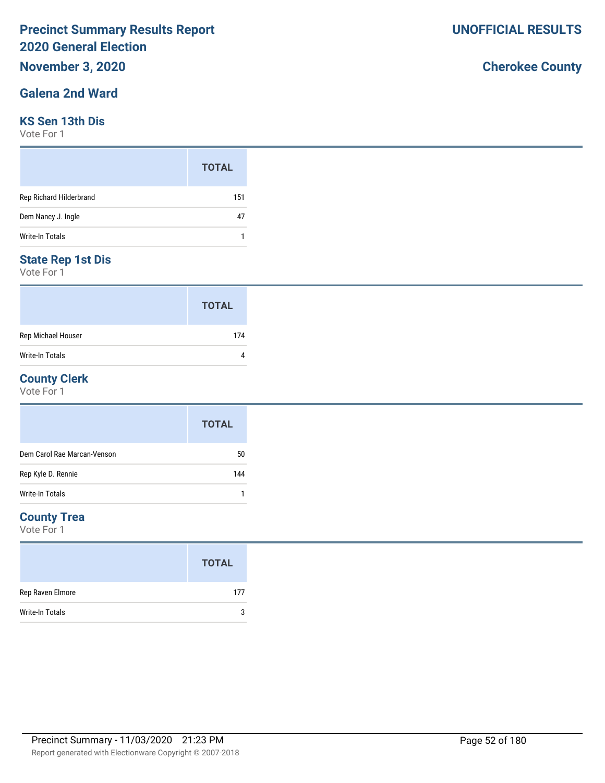# **November 3, 2020**

### **Galena 2nd Ward**

#### **KS Sen 13th Dis**

Vote For 1

|                         | <b>TOTAL</b> |
|-------------------------|--------------|
| Rep Richard Hilderbrand | 151          |
| Dem Nancy J. Ingle      | 47           |
| Write-In Totals         |              |

### **State Rep 1st Dis**

Vote For 1

|                    | <b>TOTAL</b> |
|--------------------|--------------|
| Rep Michael Houser | 174          |
| Write-In Totals    |              |

#### **County Clerk**

Vote For 1

|                             | <b>TOTAL</b> |
|-----------------------------|--------------|
| Dem Carol Rae Marcan-Venson | 50           |
| Rep Kyle D. Rennie          | 144          |
| <b>Write-In Totals</b>      |              |

### **County Trea**

Vote For 1

|                  | <b>TOTAL</b> |
|------------------|--------------|
| Rep Raven Elmore | 177          |
| Write-In Totals  | 3            |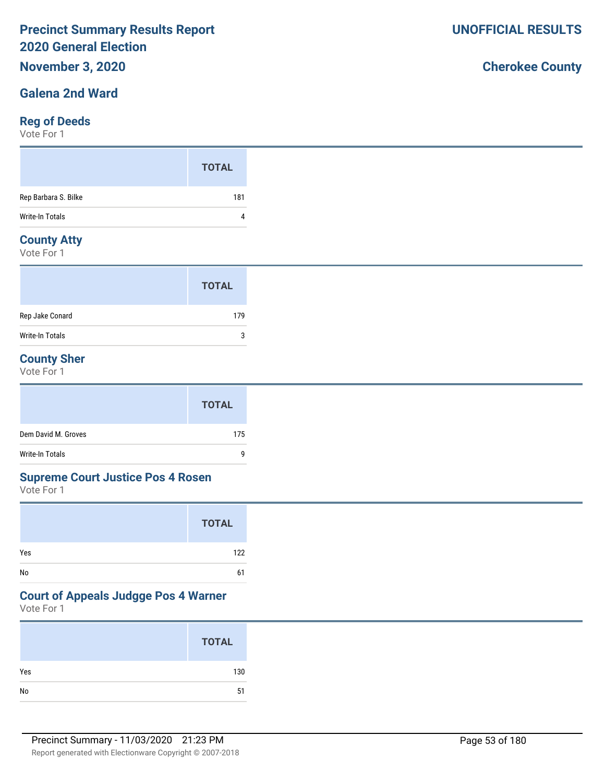## **November 3, 2020**

### **Galena 2nd Ward**

### **Reg of Deeds**

Vote For 1

### **County Atty**

Vote For 1

|                 | <b>TOTAL</b> |  |
|-----------------|--------------|--|
| Rep Jake Conard | 179          |  |
| Write-In Totals | 3            |  |

### **County Sher**

Vote For 1

|                     | <b>TOTAL</b> |
|---------------------|--------------|
| Dem David M. Groves | 175          |
| Write-In Totals     | g            |

#### **Supreme Court Justice Pos 4 Rosen**

Vote For 1

|     | <b>TOTAL</b> |
|-----|--------------|
| Yes | 122          |
| No  | 61           |

### **Court of Appeals Judgge Pos 4 Warner**

Vote For 1

|     | <b>TOTAL</b> |
|-----|--------------|
| Yes | 130          |
| No  | 51           |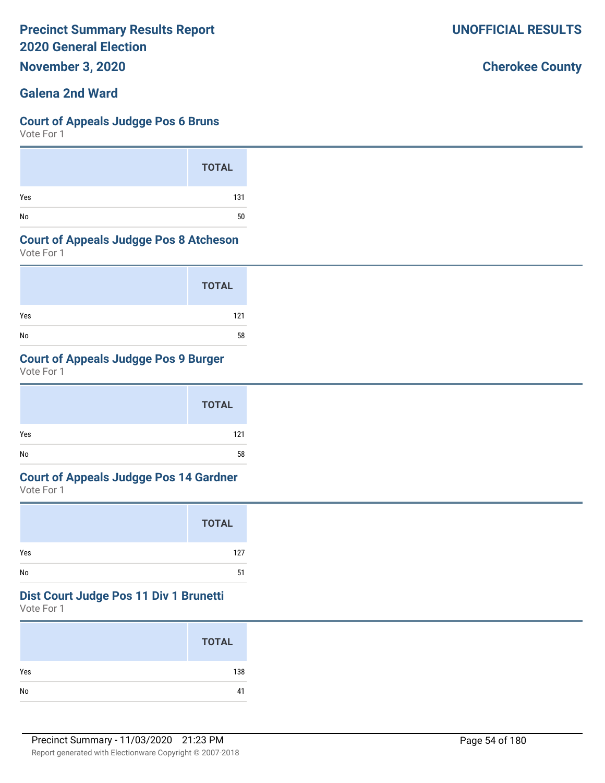**November 3, 2020**

### **Galena 2nd Ward**

#### **Court of Appeals Judgge Pos 6 Bruns**

Vote For 1

|     | <b>TOTAL</b> |
|-----|--------------|
| Yes | 131          |
| No  | 50           |

#### **Court of Appeals Judgge Pos 8 Atcheson**

Vote For 1

|     | <b>TOTAL</b> |
|-----|--------------|
| Yes | 121          |
| No  | 58           |

### **Court of Appeals Judgge Pos 9 Burger**

Vote For 1

|     | <b>TOTAL</b> |
|-----|--------------|
| Yes | 121          |
| No  | 58           |

# **Court of Appeals Judgge Pos 14 Gardner**

Vote For 1

|     | <b>TOTAL</b> |
|-----|--------------|
| Yes | 127          |
| No  | 51           |

#### **Dist Court Judge Pos 11 Div 1 Brunetti**

Vote For 1

|     | <b>TOTAL</b> |
|-----|--------------|
| Yes | 138          |
| No  | 41           |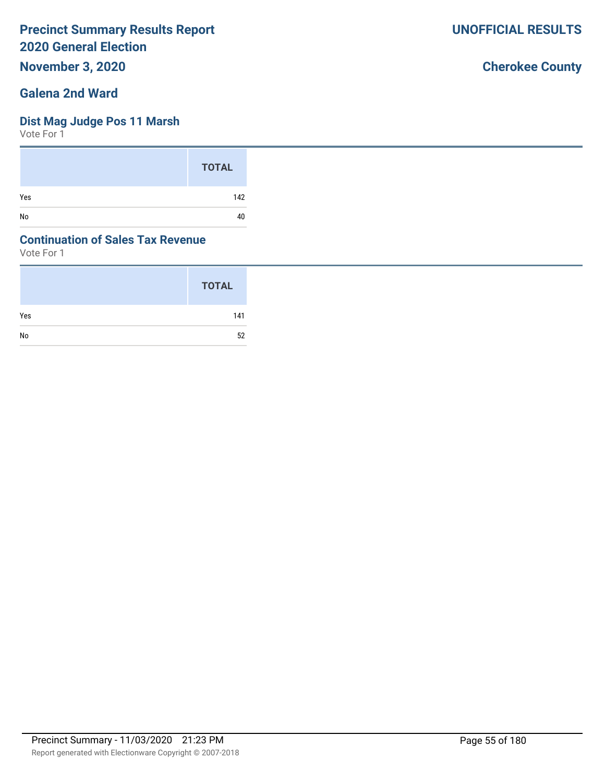**November 3, 2020**

### **Galena 2nd Ward**

### **Dist Mag Judge Pos 11 Marsh**

Vote For 1

|     | <b>TOTAL</b> |
|-----|--------------|
| Yes | 142          |
| No  | 40           |

### **Continuation of Sales Tax Revenue**

Vote For 1

|     | <b>TOTAL</b> |
|-----|--------------|
| Yes | 141          |
| No  | 52           |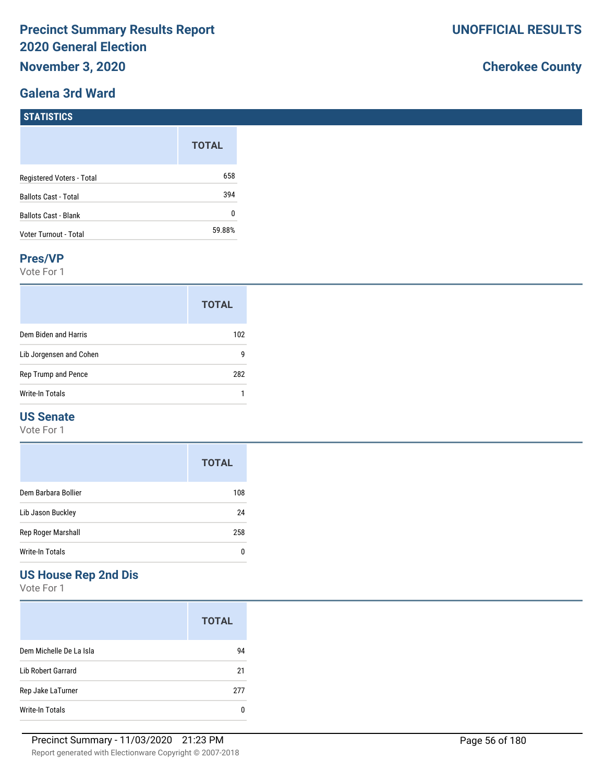### **Galena 3rd Ward**

# **Cherokee County**

#### **STATISTICS**

|                             | <b>TOTAL</b> |
|-----------------------------|--------------|
| Registered Voters - Total   | 658          |
| <b>Ballots Cast - Total</b> | 394          |
| <b>Ballots Cast - Blank</b> | N            |
| Voter Turnout - Total       | 59.88%       |

#### **Pres/VP**

Vote For 1

|                         | <b>TOTAL</b> |
|-------------------------|--------------|
| Dem Biden and Harris    | 102          |
| Lib Jorgensen and Cohen | g            |
| Rep Trump and Pence     | 282          |
| Write-In Totals         |              |

### **US Senate**

Vote For 1

|                     | <b>TOTAL</b> |
|---------------------|--------------|
| Dem Barbara Bollier | 108          |
| Lib Jason Buckley   | 24           |
| Rep Roger Marshall  | 258          |
| Write-In Totals     |              |

### **US House Rep 2nd Dis**

Vote For 1

|                           | <b>TOTAL</b> |
|---------------------------|--------------|
| Dem Michelle De La Isla   | 94           |
| <b>Lib Robert Garrard</b> | 21           |
| Rep Jake LaTurner         | 277          |
| Write-In Totals           |              |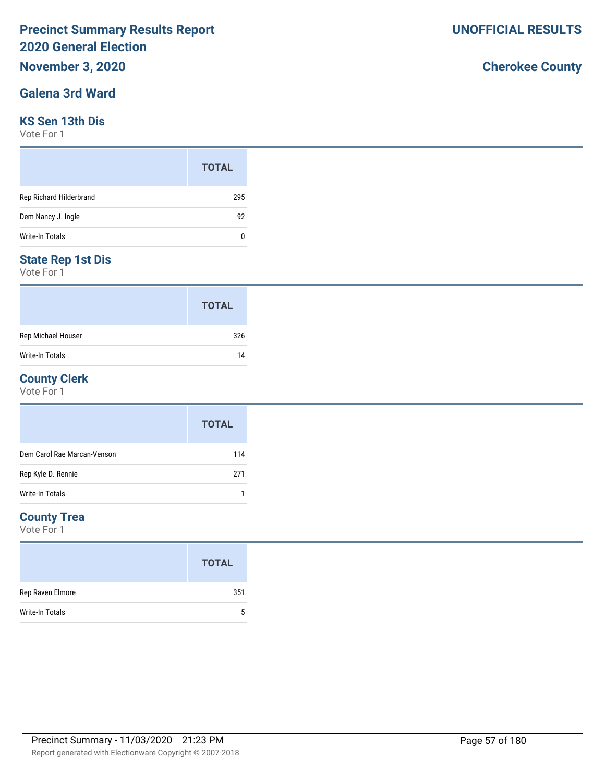# **November 3, 2020**

### **Galena 3rd Ward**

#### **KS Sen 13th Dis**

Vote For 1

|                         | <b>TOTAL</b> |  |
|-------------------------|--------------|--|
| Rep Richard Hilderbrand | 295          |  |
| Dem Nancy J. Ingle      | 92           |  |
| Write-In Totals         | 0            |  |

### **State Rep 1st Dis**

Vote For 1

|                        | <b>TOTAL</b> |
|------------------------|--------------|
| Rep Michael Houser     | 326          |
| <b>Write-In Totals</b> | 14           |

#### **County Clerk**

Vote For 1

|                             | <b>TOTAL</b> |
|-----------------------------|--------------|
| Dem Carol Rae Marcan-Venson | 114          |
| Rep Kyle D. Rennie          | 271          |
| Write-In Totals             |              |

### **County Trea**

Vote For 1

|                        | <b>TOTAL</b> |
|------------------------|--------------|
| Rep Raven Elmore       | 351          |
| <b>Write-In Totals</b> | 5            |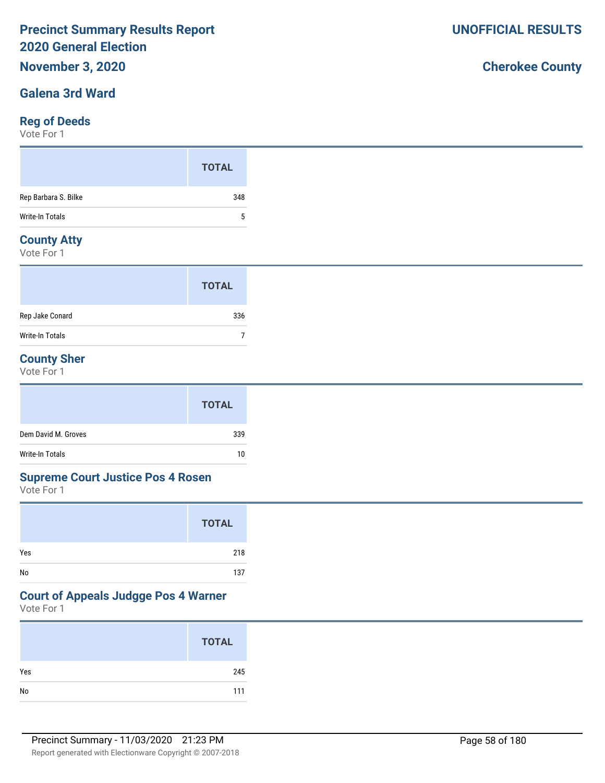## **November 3, 2020**

### **Galena 3rd Ward**

### **Reg of Deeds**

Vote For 1

|                      | <b>TOTAL</b> |
|----------------------|--------------|
| Rep Barbara S. Bilke | 348          |
| Write-In Totals      | 5            |
| <b>Construction</b>  |              |

### **County Atty**

Vote For 1

|                        | <b>TOTAL</b> |  |
|------------------------|--------------|--|
| Rep Jake Conard        | 336          |  |
| <b>Write-In Totals</b> |              |  |

### **County Sher**

Vote For 1

|                     | <b>TOTAL</b> |
|---------------------|--------------|
| Dem David M. Groves | 339          |
| Write-In Totals     | 10           |

#### **Supreme Court Justice Pos 4 Rosen**

Vote For 1

|     | <b>TOTAL</b> |
|-----|--------------|
| Yes | 218          |
| No  | 137          |

### **Court of Appeals Judgge Pos 4 Warner**

Vote For 1

|     | <b>TOTAL</b> |
|-----|--------------|
| Yes | 245          |
|     | 111          |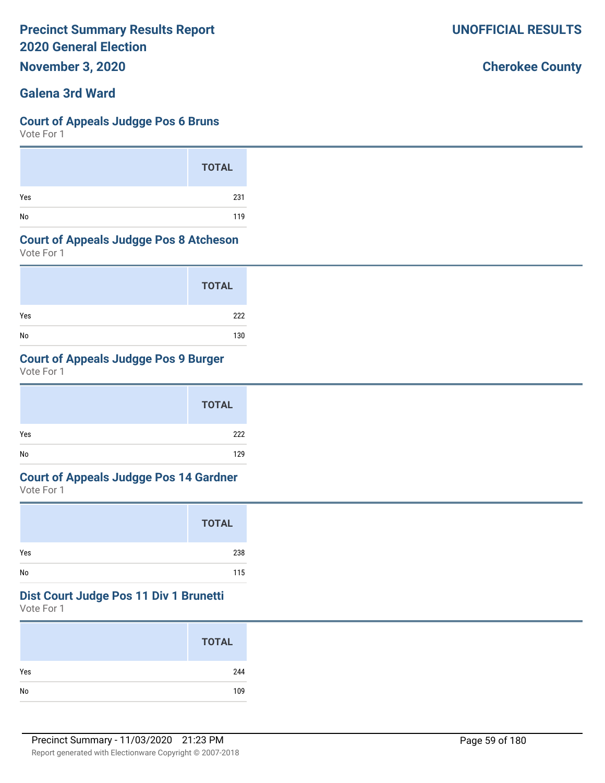**November 3, 2020**

### **Galena 3rd Ward**

#### **Court of Appeals Judgge Pos 6 Bruns**

Vote For 1

|     | <b>TOTAL</b> |
|-----|--------------|
| Yes | 231          |
| No  | 119          |

#### **Court of Appeals Judgge Pos 8 Atcheson**

Vote For 1

|     | <b>TOTAL</b> |
|-----|--------------|
| Yes | 222          |
| No  | 130          |

### **Court of Appeals Judgge Pos 9 Burger**

Vote For 1

|     | <b>TOTAL</b> |  |
|-----|--------------|--|
| Yes | 222          |  |
| No  | 129          |  |

# **Court of Appeals Judgge Pos 14 Gardner**

Vote For 1

|     | <b>TOTAL</b> |
|-----|--------------|
| Yes | 238          |
| No  | 115          |

#### **Dist Court Judge Pos 11 Div 1 Brunetti**

Vote For 1

|     | <b>TOTAL</b> |
|-----|--------------|
| Yes | 244          |
| No  | 109          |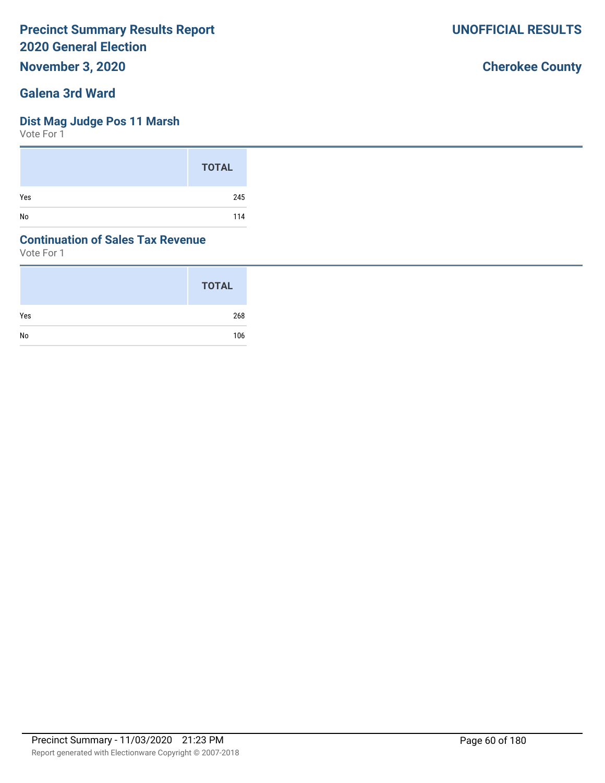**November 3, 2020**

### **Galena 3rd Ward**

### **Dist Mag Judge Pos 11 Marsh**

Vote For 1

|     | <b>TOTAL</b> |
|-----|--------------|
| Yes | 245          |
| No  | 114          |

### **Continuation of Sales Tax Revenue**

Vote For 1

|     | <b>TOTAL</b> |
|-----|--------------|
| Yes | 268          |
| No  | 106          |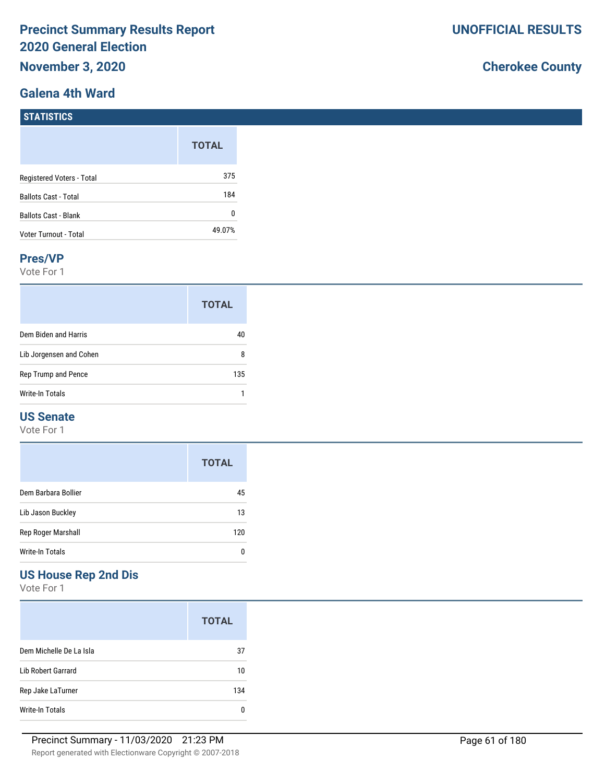### **Galena 4th Ward**

# **Cherokee County**

|                             | <b>TOTAL</b> |
|-----------------------------|--------------|
| Registered Voters - Total   | 375          |
| <b>Ballots Cast - Total</b> | 184          |
| <b>Ballots Cast - Blank</b> | 0            |
| Voter Turnout - Total       | 49.07%       |

#### **Pres/VP**

Vote For 1

|                         | <b>TOTAL</b> |
|-------------------------|--------------|
| Dem Biden and Harris    | 41           |
| Lib Jorgensen and Cohen | 8            |
| Rep Trump and Pence     | 135          |
| Write-In Totals         |              |

### **US Senate**

Vote For 1

|                     | <b>TOTAL</b> |
|---------------------|--------------|
| Dem Barbara Bollier | 45           |
| Lib Jason Buckley   | 13           |
| Rep Roger Marshall  | 120          |
| Write-In Totals     |              |

### **US House Rep 2nd Dis**

Vote For 1

|                         | <b>TOTAL</b> |
|-------------------------|--------------|
| Dem Michelle De La Isla | 37           |
| Lib Robert Garrard      | 10           |
| Rep Jake LaTurner       | 134          |
| Write-In Totals         | n            |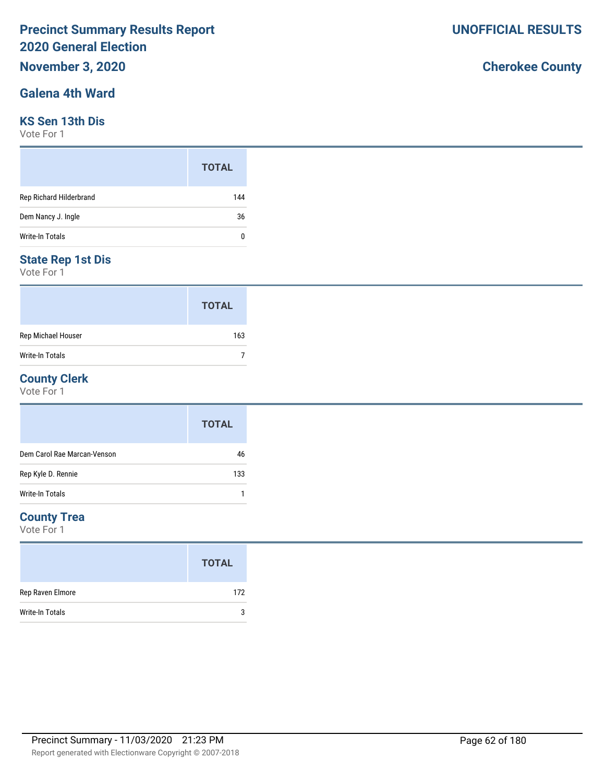# **November 3, 2020**

### **Galena 4th Ward**

#### **KS Sen 13th Dis**

Vote For 1

|                         | <b>TOTAL</b> |
|-------------------------|--------------|
| Rep Richard Hilderbrand | 144          |
| Dem Nancy J. Ingle      | 36           |
| Write-In Totals         | 0            |

### **State Rep 1st Dis**

Vote For 1

|                    | <b>TOTAL</b> |
|--------------------|--------------|
| Rep Michael Houser | 163          |
| Write-In Totals    |              |

### **County Clerk**

Vote For 1

|                             | <b>TOTAL</b> |
|-----------------------------|--------------|
| Dem Carol Rae Marcan-Venson | 46           |
| Rep Kyle D. Rennie          | 133          |
| Write-In Totals             |              |

### **County Trea**

Vote For 1

|                  | <b>TOTAL</b> |
|------------------|--------------|
| Rep Raven Elmore | 172          |
| Write-In Totals  | 3            |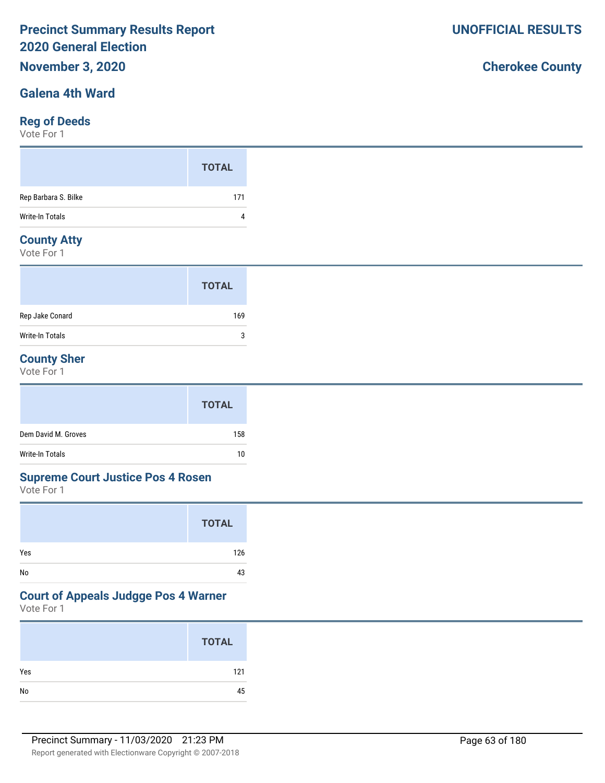# **November 3, 2020**

### **Galena 4th Ward**

### **Reg of Deeds**

Vote For 1

|                      | <b>TOTAL</b> |
|----------------------|--------------|
| Rep Barbara S. Bilke | 171          |
| Write-In Totals      | 4            |
| Construction Address |              |

### **County Atty**

Vote For 1

|                 | <b>TOTAL</b> |
|-----------------|--------------|
| Rep Jake Conard | 169          |
| Write-In Totals | 3            |

### **County Sher**

Vote For 1

|                     | <b>TOTAL</b> |
|---------------------|--------------|
| Dem David M. Groves | 158          |
| Write-In Totals     | 10           |

#### **Supreme Court Justice Pos 4 Rosen**

Vote For 1

|     | <b>TOTAL</b> |
|-----|--------------|
| Yes | 126          |
| No  | 43           |

### **Court of Appeals Judgge Pos 4 Warner**

Vote For 1

|     | <b>TOTAL</b> |
|-----|--------------|
| Yes | 121          |
| No  | 45           |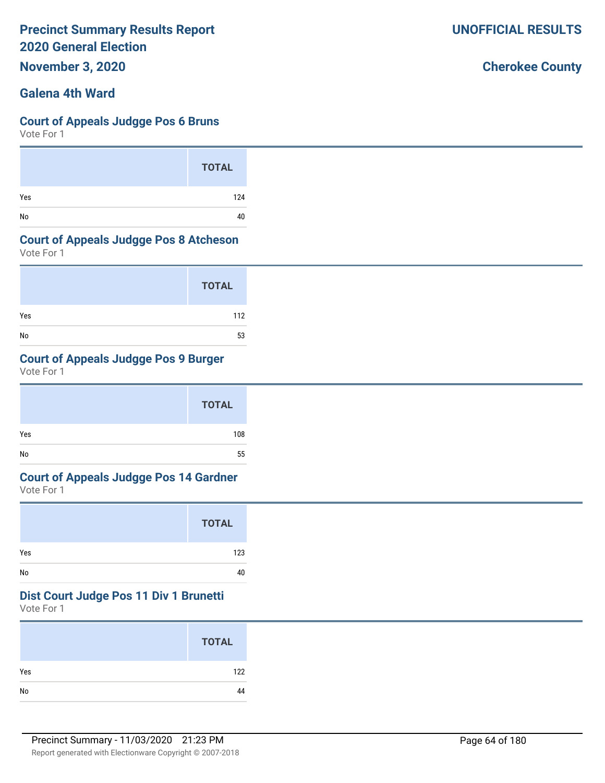**November 3, 2020**

### **Galena 4th Ward**

#### **Court of Appeals Judgge Pos 6 Bruns**

Vote For 1

|     | <b>TOTAL</b> |
|-----|--------------|
| Yes | 124          |
| No  | 40           |

#### **Court of Appeals Judgge Pos 8 Atcheson**

Vote For 1

|     | <b>TOTAL</b> |
|-----|--------------|
| Yes | 112          |
| No  | 53           |

### **Court of Appeals Judgge Pos 9 Burger**

Vote For 1

|     | <b>TOTAL</b> |  |
|-----|--------------|--|
| Yes | 108          |  |
| No  | 55           |  |

# **Court of Appeals Judgge Pos 14 Gardner**

Vote For 1

|     | <b>TOTAL</b> |
|-----|--------------|
| Yes | 123          |
| No  | 40           |

#### **Dist Court Judge Pos 11 Div 1 Brunetti**

Vote For 1

|     | <b>TOTAL</b> |
|-----|--------------|
| Yes | 122          |
| No  | 44           |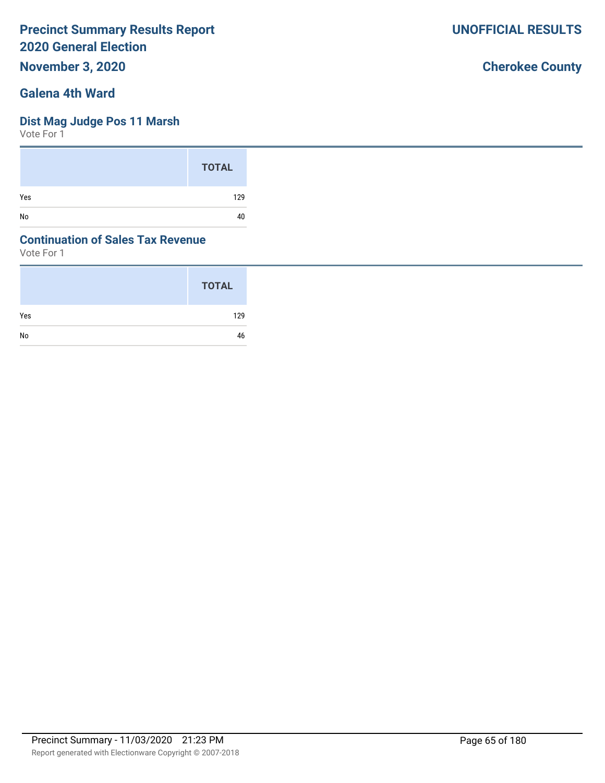**November 3, 2020**

### **Galena 4th Ward**

### **Dist Mag Judge Pos 11 Marsh**

Vote For 1

|     | <b>TOTAL</b> |
|-----|--------------|
| Yes | 129          |
| No  | 40           |

### **Continuation of Sales Tax Revenue**

Vote For 1

|     | <b>TOTAL</b> |
|-----|--------------|
| Yes | 129          |
| No  | 46           |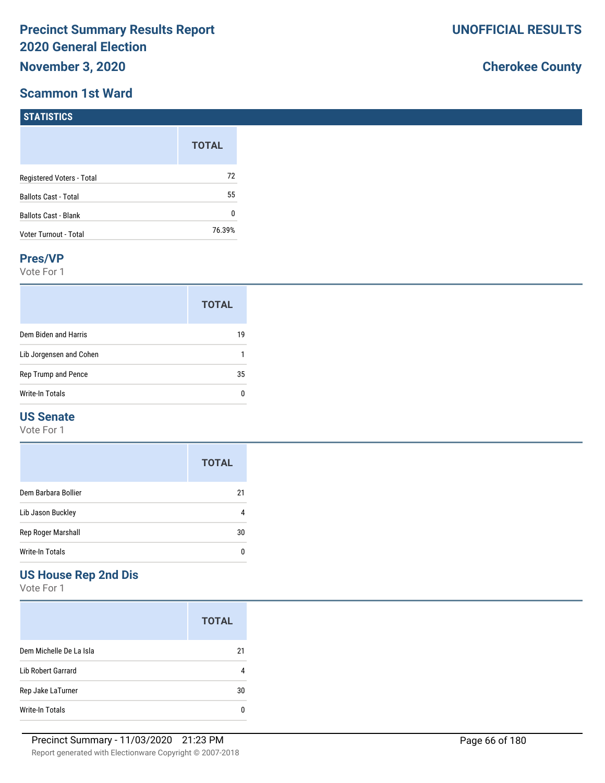### **Scammon 1st Ward**

**STATISTICS**

# **Cherokee County**

| $\blacksquare$ 3181151165   |              |
|-----------------------------|--------------|
|                             | <b>TOTAL</b> |
| Registered Voters - Total   | 72           |
| <b>Ballots Cast - Total</b> | 55           |
| Ballots Cast - Blank        | 0            |
| Voter Turnout - Total       | 76.39%       |

#### **Pres/VP**

Vote For 1

|                         | <b>TOTAL</b> |
|-------------------------|--------------|
| Dem Biden and Harris    | 19           |
| Lib Jorgensen and Cohen |              |
| Rep Trump and Pence     | 35           |
| Write-In Totals         | n            |

### **US Senate**

Vote For 1

|                     | <b>TOTAL</b> |
|---------------------|--------------|
| Dem Barbara Bollier | 21           |
| Lib Jason Buckley   |              |
| Rep Roger Marshall  | 30           |
| Write-In Totals     |              |

## **US House Rep 2nd Dis**

Vote For 1

|                           | <b>TOTAL</b> |
|---------------------------|--------------|
| Dem Michelle De La Isla   | 21           |
| <b>Lib Robert Garrard</b> |              |
| Rep Jake LaTurner         | 30           |
| Write-In Totals           |              |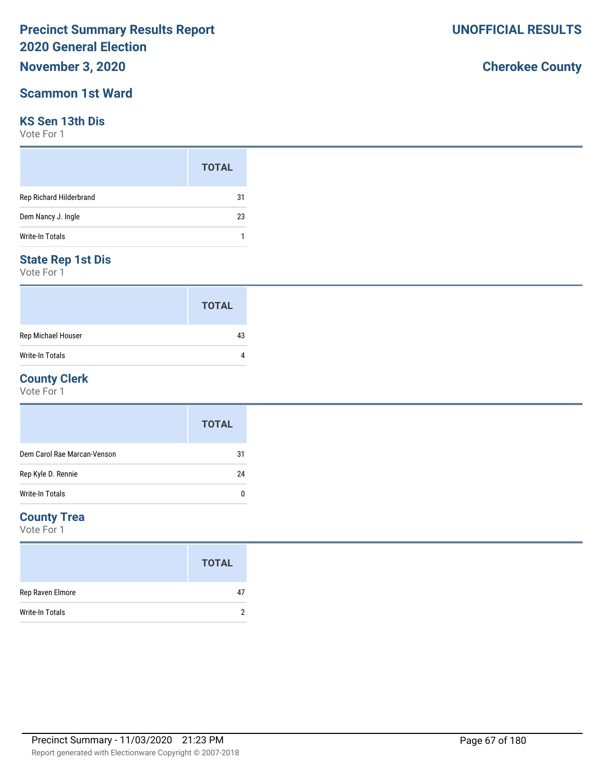## **November 3, 2020**

### **Scammon 1st Ward**

### **KS Sen 13th Dis**

Vote For 1

|                         | <b>TOTAL</b> |
|-------------------------|--------------|
| Rep Richard Hilderbrand | 31           |
| Dem Nancy J. Ingle      | 23           |
| <b>Write-In Totals</b>  |              |

### **State Rep 1st Dis**

Vote For 1

|                        | <b>TOTAL</b> |
|------------------------|--------------|
| Rep Michael Houser     | 43           |
| <b>Write-In Totals</b> |              |

### **County Clerk**

Vote For 1

|                             | <b>TOTAL</b> |
|-----------------------------|--------------|
| Dem Carol Rae Marcan-Venson | 31           |
| Rep Kyle D. Rennie          | 24           |
| Write-In Totals             | 0            |

### **County Trea**

Vote For 1

|                        | <b>TOTAL</b> |
|------------------------|--------------|
| Rep Raven Elmore       | 47           |
| <b>Write-In Totals</b> |              |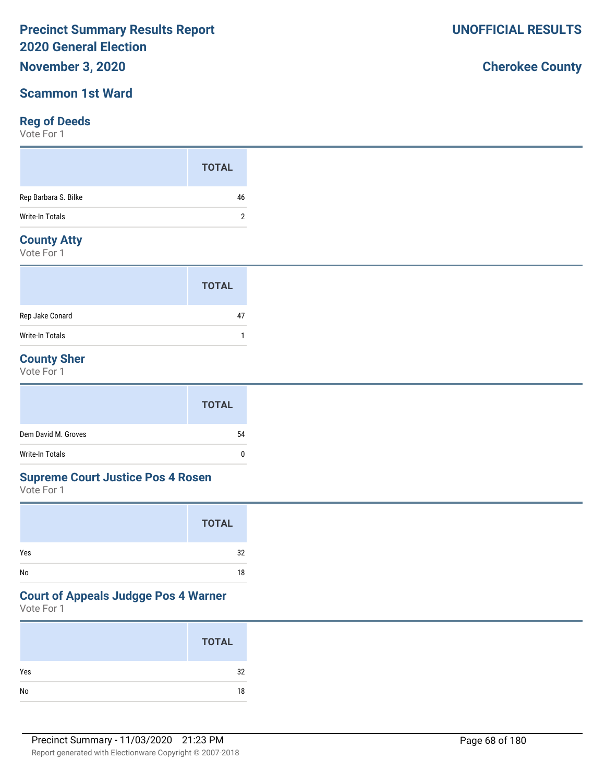### **November 3, 2020**

### **Scammon 1st Ward**

### **Reg of Deeds**

Vote For 1

### **County Atty**

Vote For 1

|                 | <b>TOTAL</b> |  |
|-----------------|--------------|--|
| Rep Jake Conard | 47           |  |
| Write-In Totals |              |  |

### **County Sher**

Vote For 1

|                     | <b>TOTAL</b> |
|---------------------|--------------|
| Dem David M. Groves | 54           |
| Write-In Totals     | $\mathbf{0}$ |

#### **Supreme Court Justice Pos 4 Rosen**

Vote For 1

|     | <b>TOTAL</b> |
|-----|--------------|
| Yes | 32           |
| No  | 18           |

### **Court of Appeals Judgge Pos 4 Warner**

Vote For 1

|     | <b>TOTAL</b> |
|-----|--------------|
| Yes | 32           |
| No  | 18           |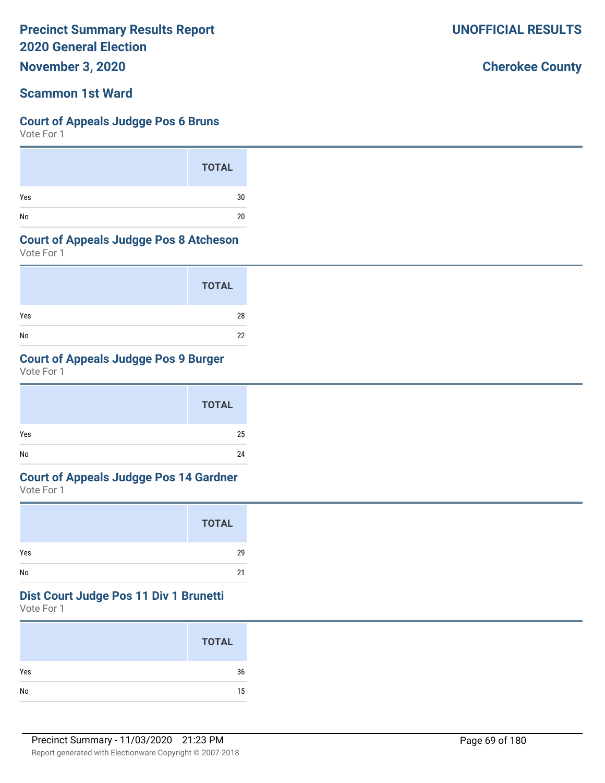**November 3, 2020**

### **Scammon 1st Ward**

#### **Court of Appeals Judgge Pos 6 Bruns**

Vote For 1

|     | <b>TOTAL</b> |
|-----|--------------|
| Yes | 30           |
| No  | 20           |

#### **Court of Appeals Judgge Pos 8 Atcheson**

Vote For 1

|     | <b>TOTAL</b> |
|-----|--------------|
| Yes | 28           |
| No  | 22           |

### **Court of Appeals Judgge Pos 9 Burger**

Vote For 1

|     | <b>TOTAL</b> |
|-----|--------------|
| Yes | 25           |
| No  | 24           |

# **Court of Appeals Judgge Pos 14 Gardner**

Vote For 1

|     | <b>TOTAL</b> |
|-----|--------------|
| Yes | 29           |
| No  | 21           |

#### **Dist Court Judge Pos 11 Div 1 Brunetti**

Vote For 1

|     | <b>TOTAL</b> |
|-----|--------------|
| Yes | 36           |
| No  | 15           |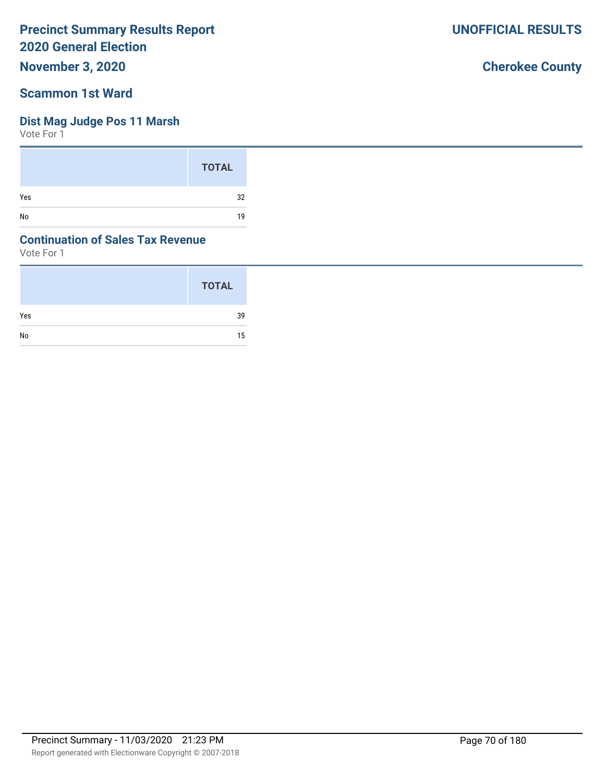**November 3, 2020**

### **Scammon 1st Ward**

### **Dist Mag Judge Pos 11 Marsh**

Vote For 1

|     | <b>TOTAL</b> |
|-----|--------------|
| Yes | 32           |
| No  | 19           |

### **Continuation of Sales Tax Revenue**

Vote For 1

|     | <b>TOTAL</b> |
|-----|--------------|
| Yes | 39           |
| No  | 15           |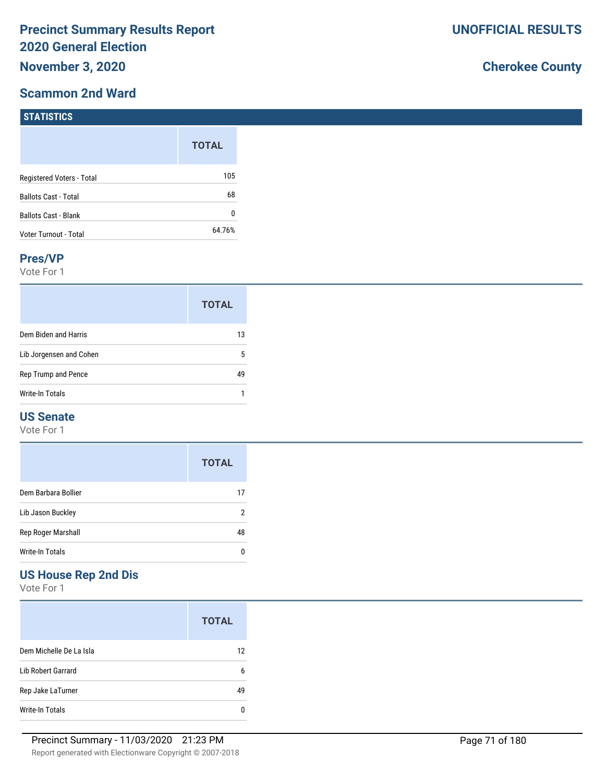### **Scammon 2nd Ward**

# **Cherokee County**

| $\blacksquare$              |              |
|-----------------------------|--------------|
|                             | <b>TOTAL</b> |
| Registered Voters - Total   | 105          |
| <b>Ballots Cast - Total</b> | 68           |
| <b>Ballots Cast - Blank</b> | 0            |
| Voter Turnout - Total       | 64.76%       |

#### **Pres/VP**

**STATICTICS** 

Vote For 1

|                         | <b>TOTAL</b> |  |
|-------------------------|--------------|--|
| Dem Biden and Harris    | 13           |  |
| Lib Jorgensen and Cohen | 5            |  |
| Rep Trump and Pence     | 49           |  |
| <b>Write-In Totals</b>  |              |  |

### **US Senate**

Vote For 1

|                     | <b>TOTAL</b> |
|---------------------|--------------|
| Dem Barbara Bollier | 17           |
| Lib Jason Buckley   | 2            |
| Rep Roger Marshall  | 48           |
| Write-In Totals     |              |

## **US House Rep 2nd Dis**

Vote For 1

|                         | <b>TOTAL</b> |
|-------------------------|--------------|
| Dem Michelle De La Isla | 12           |
| Lib Robert Garrard      | 6            |
| Rep Jake LaTurner       | 49           |
| Write-In Totals         |              |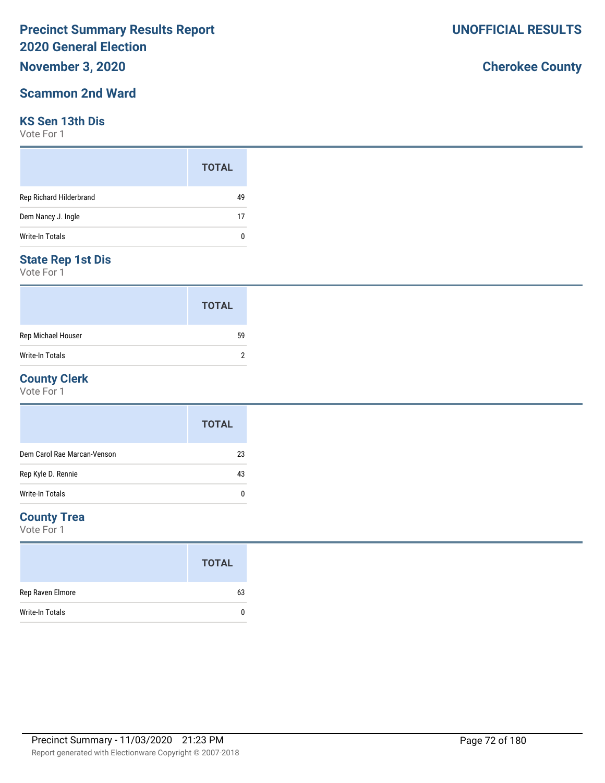## **November 3, 2020**

### **Scammon 2nd Ward**

### **KS Sen 13th Dis**

Vote For 1

|                         | <b>TOTAL</b> |
|-------------------------|--------------|
| Rep Richard Hilderbrand | 49           |
| Dem Nancy J. Ingle      | 17           |
| Write-In Totals         | n            |

### **State Rep 1st Dis**

Vote For 1

|                        | <b>TOTAL</b> |  |
|------------------------|--------------|--|
| Rep Michael Houser     | 59           |  |
| <b>Write-In Totals</b> |              |  |

### **County Clerk**

Vote For 1

|                             | <b>TOTAL</b> |
|-----------------------------|--------------|
| Dem Carol Rae Marcan-Venson | 23           |
| Rep Kyle D. Rennie          | 43           |
| <b>Write-In Totals</b>      | 0            |

### **County Trea**

Vote For 1

|                        | <b>TOTAL</b> |  |
|------------------------|--------------|--|
| Rep Raven Elmore       | 63           |  |
| <b>Write-In Totals</b> |              |  |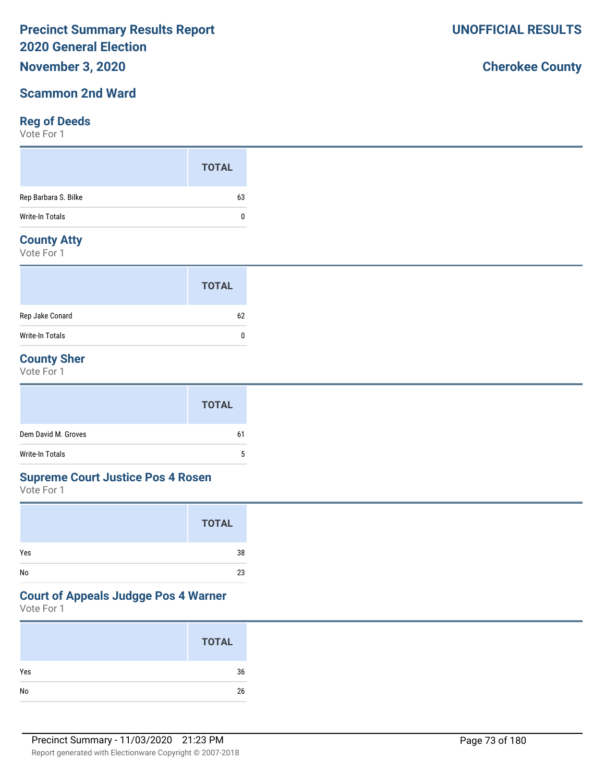## **November 3, 2020**

### **Scammon 2nd Ward**

#### **Reg of Deeds**

Vote For 1

|                      | <b>TOTAL</b> |
|----------------------|--------------|
| Rep Barbara S. Bilke | 63           |
| Write-In Totals      | 0            |
|                      |              |

#### **County Atty**

Vote For 1

|                        | <b>TOTAL</b> |
|------------------------|--------------|
| Rep Jake Conard        | 62           |
| <b>Write-In Totals</b> | 0            |

### **County Sher**

Vote For 1

|                     | <b>TOTAL</b> |
|---------------------|--------------|
| Dem David M. Groves | 61           |
| Write-In Totals     | b.           |

#### **Supreme Court Justice Pos 4 Rosen**

Vote For 1

|     | <b>TOTAL</b> |
|-----|--------------|
| Yes | 38           |
| No  | 23           |

#### **Court of Appeals Judgge Pos 4 Warner**

Vote For 1

|     | <b>TOTAL</b> |
|-----|--------------|
| Yes | 36           |
|     | 26           |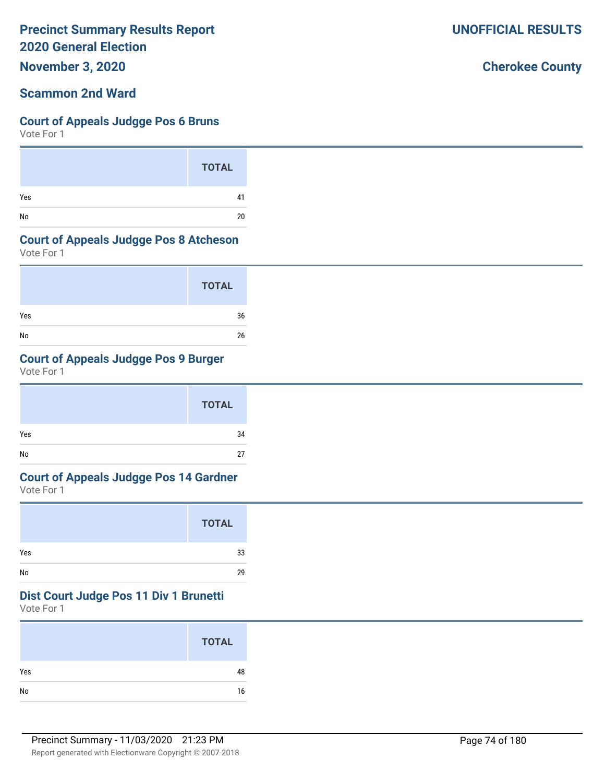**November 3, 2020**

## **Scammon 2nd Ward**

#### **Court of Appeals Judgge Pos 6 Bruns**

Vote For 1

|     | <b>TOTAL</b> |
|-----|--------------|
| Yes | 41           |
| No  | 20           |

#### **Court of Appeals Judgge Pos 8 Atcheson**

Vote For 1

|     | <b>TOTAL</b> |
|-----|--------------|
| Yes | 36           |
| No  | 26           |

## **Court of Appeals Judgge Pos 9 Burger**

Vote For 1

|     | <b>TOTAL</b> |
|-----|--------------|
| Yes | 34           |
| No  | 27           |

# **Court of Appeals Judgge Pos 14 Gardner**

Vote For 1

|     | <b>TOTAL</b> |
|-----|--------------|
| Yes | 33           |
| No  | 29           |

#### **Dist Court Judge Pos 11 Div 1 Brunetti**

Vote For 1

|     | <b>TOTAL</b> |
|-----|--------------|
| Yes | 48           |
| No  | 16           |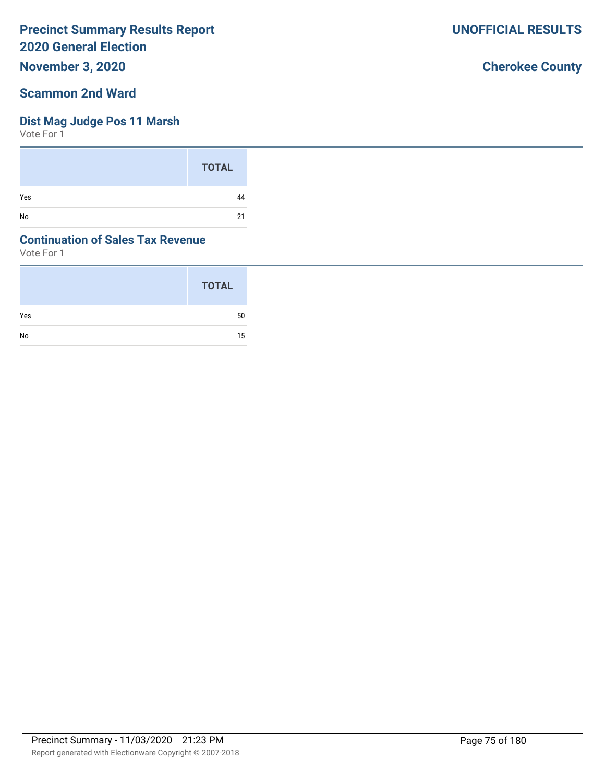**November 3, 2020**

#### **Scammon 2nd Ward**

#### **Dist Mag Judge Pos 11 Marsh**

Vote For 1

|     | <b>TOTAL</b> |
|-----|--------------|
| Yes | 44           |
| No  | 21           |

#### **Continuation of Sales Tax Revenue**

Vote For 1

|     | <b>TOTAL</b> |
|-----|--------------|
| Yes | 50           |
| No  | 15           |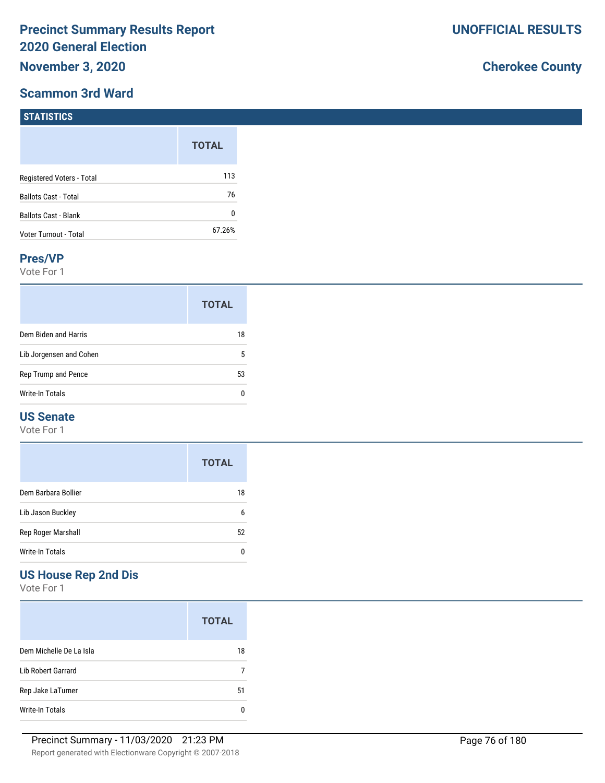#### **Scammon 3rd Ward**

**STATISTICS**

# **Cherokee County**

| $\blacksquare$ 3181151165   |              |
|-----------------------------|--------------|
|                             | <b>TOTAL</b> |
| Registered Voters - Total   | 113          |
| <b>Ballots Cast - Total</b> | 76           |
| Ballots Cast - Blank        | 0            |
| Voter Turnout - Total       | 67.26%       |

#### **Pres/VP**

Vote For 1

|                         | <b>TOTAL</b> |
|-------------------------|--------------|
| Dem Biden and Harris    | 18           |
| Lib Jorgensen and Cohen | 5            |
| Rep Trump and Pence     | 53           |
| Write-In Totals         | n            |

#### **US Senate**

Vote For 1

|                     | <b>TOTAL</b> |
|---------------------|--------------|
| Dem Barbara Bollier | 18           |
| Lib Jason Buckley   | 6            |
| Rep Roger Marshall  | 52           |
| Write-In Totals     |              |

# **US House Rep 2nd Dis**

Vote For 1

|                           | <b>TOTAL</b> |
|---------------------------|--------------|
| Dem Michelle De La Isla   | 18           |
| <b>Lib Robert Garrard</b> |              |
| Rep Jake LaTurner         | 51           |
| Write-In Totals           |              |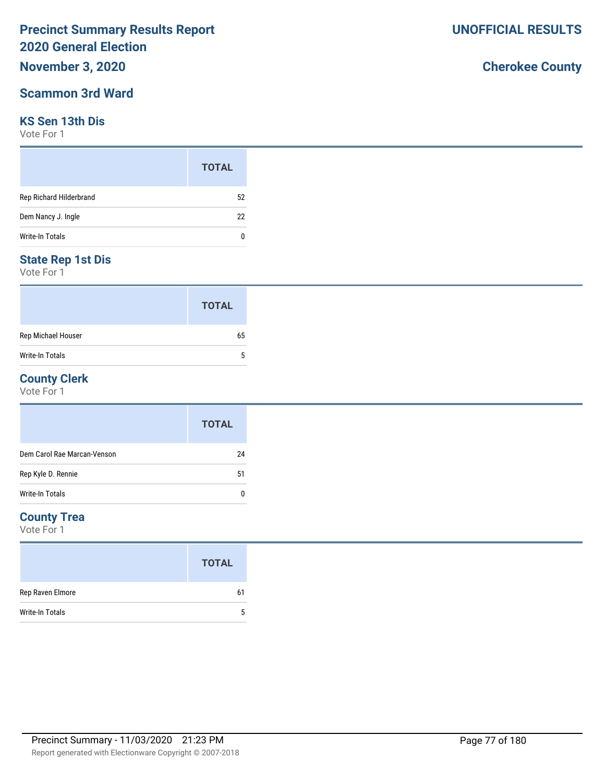## **November 3, 2020**

### **Scammon 3rd Ward**

#### **KS Sen 13th Dis**

Vote For 1

|                         | <b>TOTAL</b> |
|-------------------------|--------------|
| Rep Richard Hilderbrand | 52           |
| Dem Nancy J. Ingle      | 22           |
| <b>Write-In Totals</b>  | n            |

### **State Rep 1st Dis**

Vote For 1

|                        | <b>TOTAL</b> |
|------------------------|--------------|
| Rep Michael Houser     | 65           |
| <b>Write-In Totals</b> | 5            |

#### **County Clerk**

Vote For 1

|                             | <b>TOTAL</b> |
|-----------------------------|--------------|
| Dem Carol Rae Marcan-Venson | 24           |
| Rep Kyle D. Rennie          | 51           |
| <b>Write-In Totals</b>      | 0            |

#### **County Trea**

Vote For 1

|                  | <b>TOTAL</b> |
|------------------|--------------|
| Rep Raven Elmore | 61           |
| Write-In Totals  | 5            |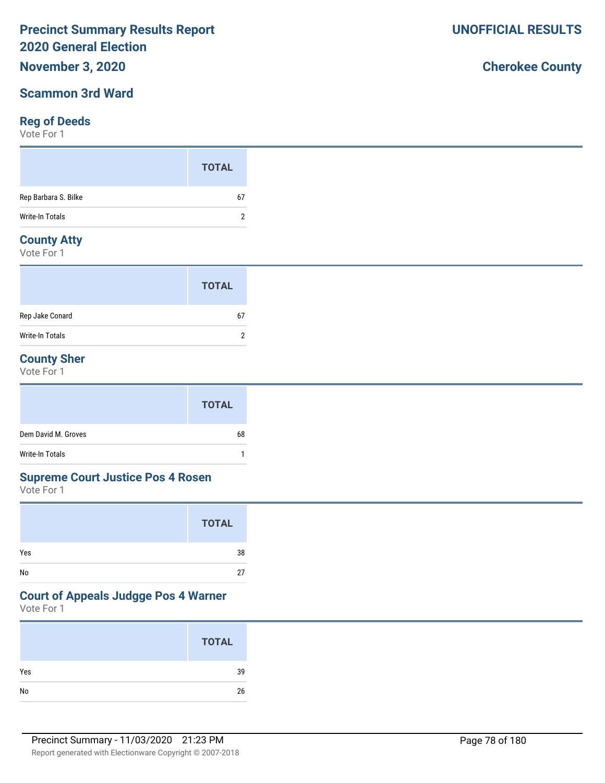### **November 3, 2020**

### **Scammon 3rd Ward**

#### **Reg of Deeds**

Vote For 1

#### **County Atty**

Vote For 1

|                 | <b>TOTAL</b> |  |
|-----------------|--------------|--|
| Rep Jake Conard | 67           |  |
| Write-In Totals |              |  |

### **County Sher**

Vote For 1

|                     | <b>TOTAL</b> |
|---------------------|--------------|
| Dem David M. Groves | 68           |
| Write-In Totals     |              |

#### **Supreme Court Justice Pos 4 Rosen**

Vote For 1

|     | <b>TOTAL</b> |
|-----|--------------|
| Yes | 38           |
| No  | 27           |

# **Court of Appeals Judgge Pos 4 Warner**

Vote For 1

| <b>TOTAL</b> |    |
|--------------|----|
|              | 39 |
|              | 26 |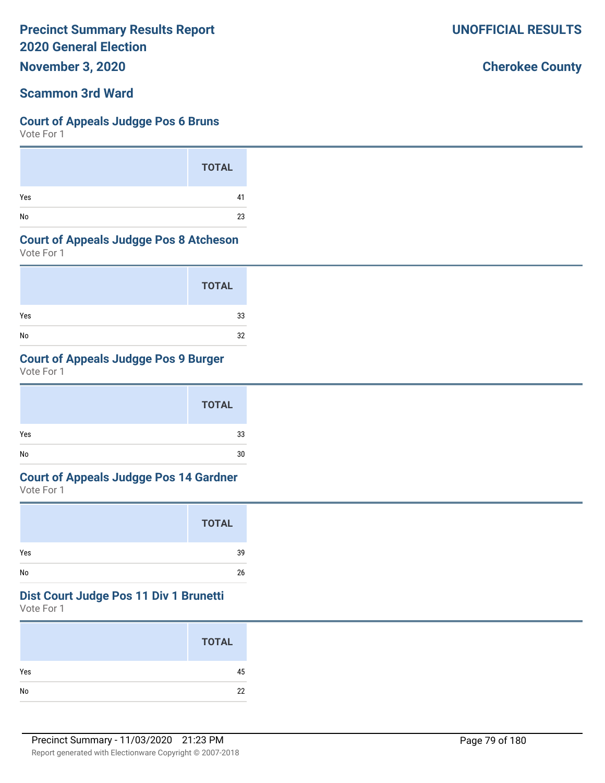**November 3, 2020**

### **Scammon 3rd Ward**

#### **Court of Appeals Judgge Pos 6 Bruns**

Vote For 1

|     | <b>TOTAL</b> |
|-----|--------------|
| Yes | 41           |
| No  | 23           |

#### **Court of Appeals Judgge Pos 8 Atcheson**

Vote For 1

|     | <b>TOTAL</b> |
|-----|--------------|
| Yes | 33           |
| No  | 32           |

## **Court of Appeals Judgge Pos 9 Burger**

Vote For 1

|     | <b>TOTAL</b> |  |
|-----|--------------|--|
| Yes | 33           |  |
| No  | 30           |  |

# **Court of Appeals Judgge Pos 14 Gardner**

Vote For 1

|     | <b>TOTAL</b> |
|-----|--------------|
| Yes | 39           |
| No  | 26           |

#### **Dist Court Judge Pos 11 Div 1 Brunetti**

Vote For 1

|     | <b>TOTAL</b> |
|-----|--------------|
| Yes | 45           |
| No  | 22           |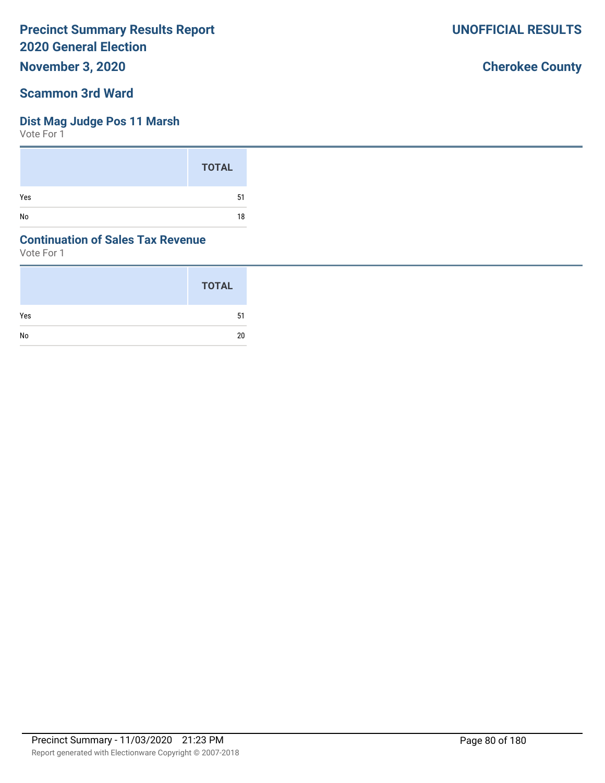**November 3, 2020**

### **Scammon 3rd Ward**

### **Dist Mag Judge Pos 11 Marsh**

Vote For 1

|     | <b>TOTAL</b> |
|-----|--------------|
| Yes | 51           |
| No  | 18           |

### **Continuation of Sales Tax Revenue**

Vote For 1

|     | <b>TOTAL</b> |
|-----|--------------|
| Yes | -51          |
| No  | 20           |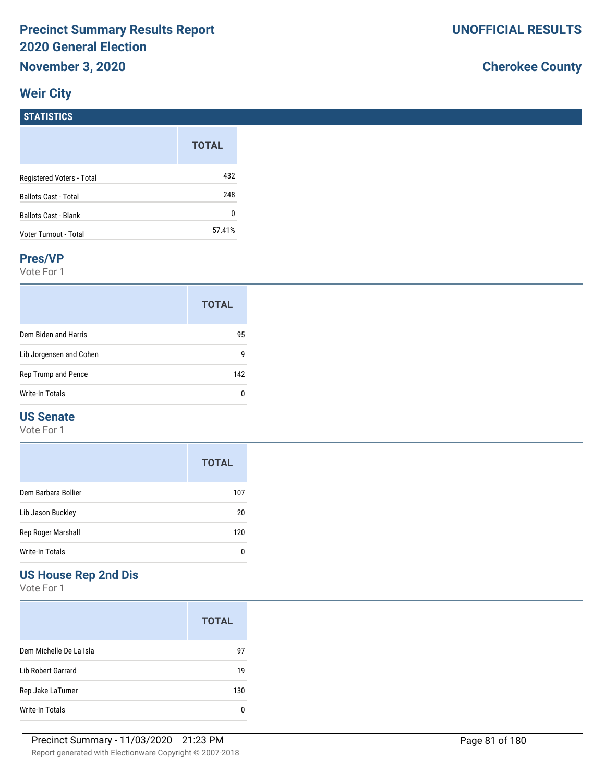# **Weir City**

# **Cherokee County**

| <b>STATISTICS</b>           |              |
|-----------------------------|--------------|
|                             | <b>TOTAL</b> |
| Registered Voters - Total   | 432          |
| <b>Ballots Cast - Total</b> | 248          |
| <b>Ballots Cast - Blank</b> | 0            |
| Voter Turnout - Total       | 57.41%       |

#### **Pres/VP**

Vote For 1

|                         | <b>TOTAL</b> |
|-------------------------|--------------|
| Dem Biden and Harris    | 95           |
| Lib Jorgensen and Cohen | g            |
| Rep Trump and Pence     | 142          |
| <b>Write-In Totals</b>  | n            |

#### **US Senate**

Vote For 1

|                     | <b>TOTAL</b> |
|---------------------|--------------|
| Dem Barbara Bollier | 107          |
| Lib Jason Buckley   | 20           |
| Rep Roger Marshall  | 120          |
| Write-In Totals     |              |

# **US House Rep 2nd Dis**

Vote For 1

|                           | <b>TOTAL</b> |
|---------------------------|--------------|
| Dem Michelle De La Isla   | 97           |
| <b>Lib Robert Garrard</b> | 19           |
| Rep Jake LaTurner         | 130          |
| Write-In Totals           |              |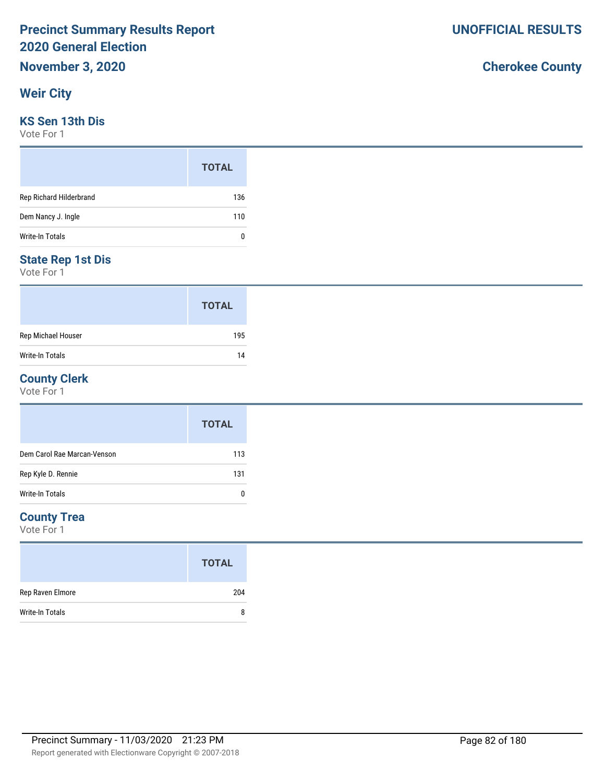### **Weir City**

#### **KS Sen 13th Dis**

Vote For 1

|                         | <b>TOTAL</b> |
|-------------------------|--------------|
| Rep Richard Hilderbrand | 136          |
| Dem Nancy J. Ingle      | 110          |
| Write-In Totals         | 0            |

#### **State Rep 1st Dis**

Vote For 1

|                    | <b>TOTAL</b> |
|--------------------|--------------|
| Rep Michael Houser | 195          |
| Write-In Totals    | 14           |

#### **County Clerk**

Vote For 1

|                             | <b>TOTAL</b> |
|-----------------------------|--------------|
| Dem Carol Rae Marcan-Venson | 113          |
| Rep Kyle D. Rennie          | 131          |
| Write-In Totals             | 0            |

#### **County Trea**

Vote For 1

|                        | <b>TOTAL</b> |
|------------------------|--------------|
| Rep Raven Elmore       | 204          |
| <b>Write-In Totals</b> | 8            |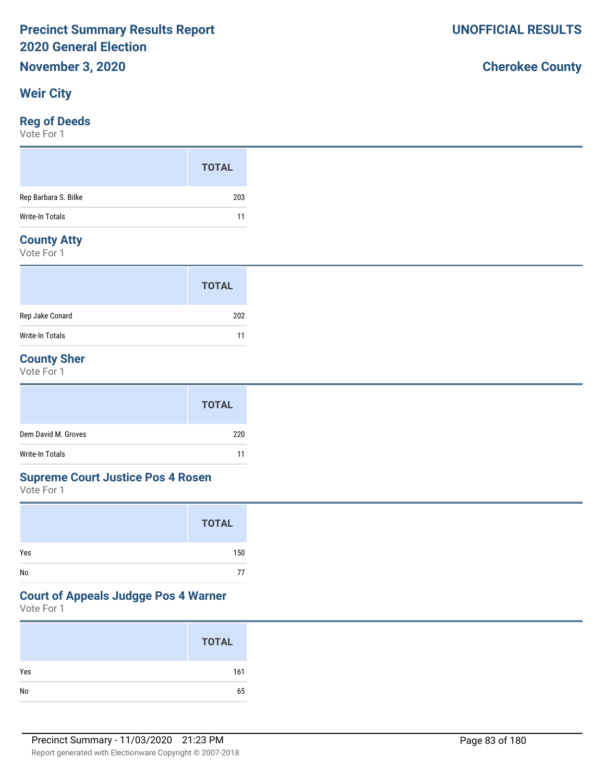### **Weir City**

#### **Reg of Deeds**

Vote For 1

#### **County Atty**

Vote For 1

|                 | <b>TOTAL</b> |
|-----------------|--------------|
| Rep Jake Conard | 202          |
| Write-In Totals | 11           |

### **County Sher**

Vote For 1

|                     | <b>TOTAL</b> |
|---------------------|--------------|
| Dem David M. Groves | 220          |
| Write-In Totals     | 11           |

#### **Supreme Court Justice Pos 4 Rosen**

Vote For 1

|     | <b>TOTAL</b> |
|-----|--------------|
| Yes | 150          |
| No  | 77           |

#### **Court of Appeals Judgge Pos 4 Warner**

Vote For 1

|     | <b>TOTAL</b> |
|-----|--------------|
| Yes | 161          |
| No  | 65           |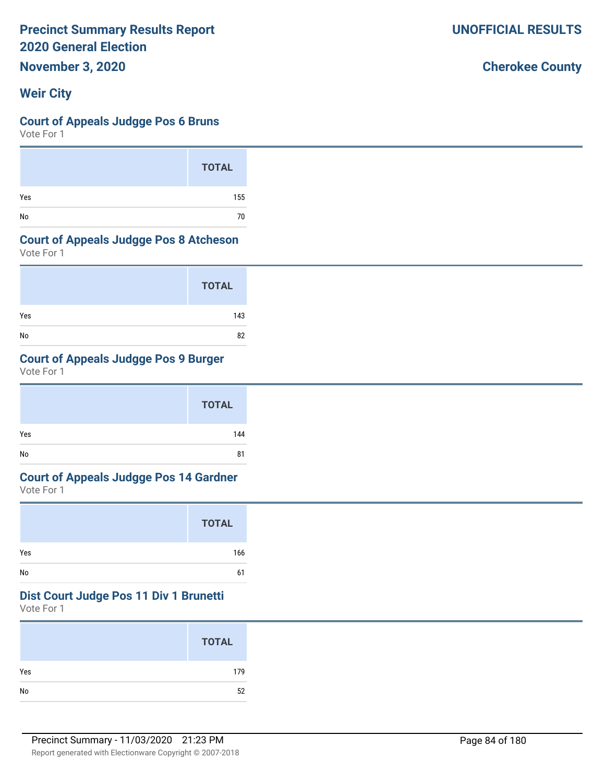**November 3, 2020**

## **Weir City**

#### **Court of Appeals Judgge Pos 6 Bruns**

Vote For 1

|     | <b>TOTAL</b> |
|-----|--------------|
| Yes | 155          |
| No  | 70           |

#### **Court of Appeals Judgge Pos 8 Atcheson**

Vote For 1

|     | <b>TOTAL</b> |
|-----|--------------|
| Yes | 143          |
| No  | 82           |

## **Court of Appeals Judgge Pos 9 Burger**

Vote For 1

|     | <b>TOTAL</b> |  |
|-----|--------------|--|
| Yes | 144          |  |
| No  | 81           |  |

# **Court of Appeals Judgge Pos 14 Gardner**

Vote For 1

|     | <b>TOTAL</b> |
|-----|--------------|
| Yes | 166          |
| No  | 61           |

#### **Dist Court Judge Pos 11 Div 1 Brunetti**

Vote For 1

|     | <b>TOTAL</b> |
|-----|--------------|
| Yes | 179          |
| No  | 52           |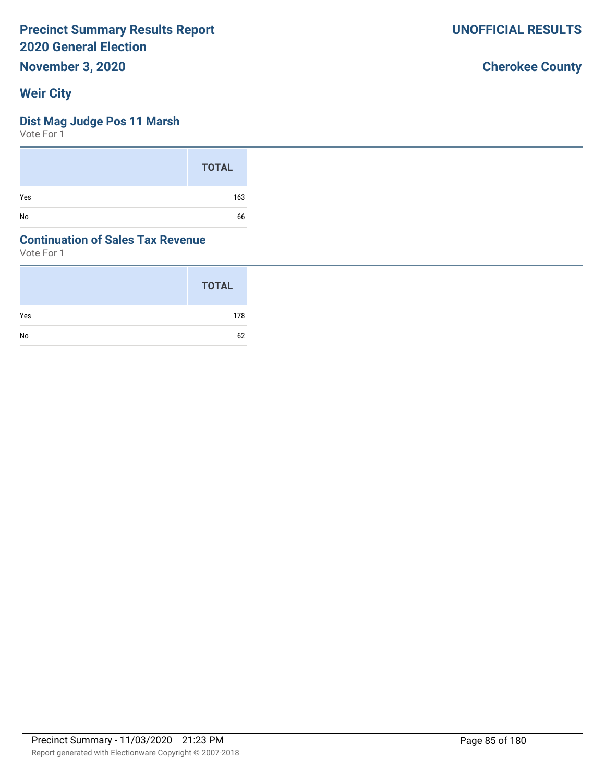**November 3, 2020**

## **Weir City**

#### **Dist Mag Judge Pos 11 Marsh**

Vote For 1

|     | <b>TOTAL</b> |
|-----|--------------|
| Yes | 163          |
| No  | 66           |

### **Continuation of Sales Tax Revenue**

Vote For 1

|     | <b>TOTAL</b> |
|-----|--------------|
| Yes | 178          |
| No  | 62           |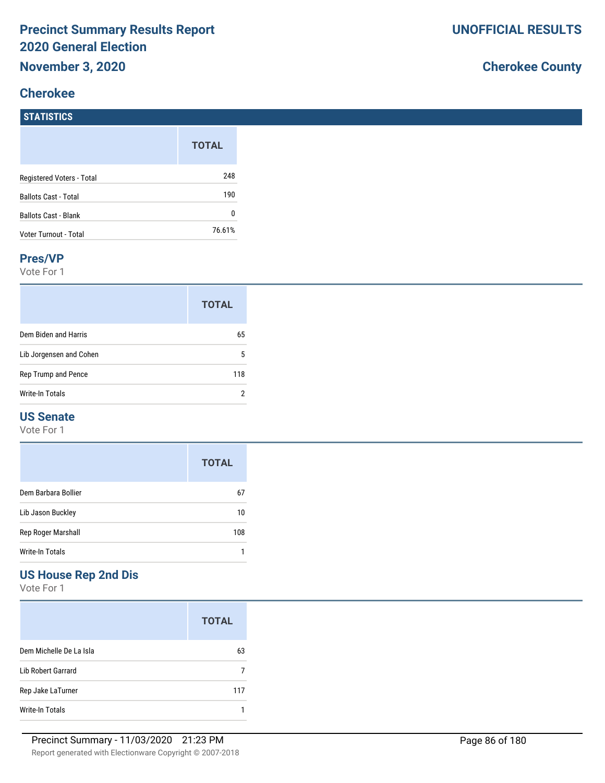## **Cherokee**

**STATISTICS**

# **Cherokee County**

| ,,,,,,,,,,,                 |              |
|-----------------------------|--------------|
|                             | <b>TOTAL</b> |
| Registered Voters - Total   | 248          |
| <b>Ballots Cast - Total</b> | 190          |
| <b>Ballots Cast - Blank</b> | 0            |
| Voter Turnout - Total       | 76.61%       |
|                             |              |

#### **Pres/VP**

Vote For 1

|                         | <b>TOTAL</b> |
|-------------------------|--------------|
| Dem Biden and Harris    | 65           |
| Lib Jorgensen and Cohen | 5            |
| Rep Trump and Pence     | 118          |
| Write-In Totals         | 2            |

#### **US Senate**

Vote For 1

|                     | <b>TOTAL</b> |
|---------------------|--------------|
| Dem Barbara Bollier | 67           |
| Lib Jason Buckley   | 10           |
| Rep Roger Marshall  | 108          |
| Write-In Totals     |              |

# **US House Rep 2nd Dis**

Vote For 1

|                         | <b>TOTAL</b> |
|-------------------------|--------------|
| Dem Michelle De La Isla | 63           |
| Lib Robert Garrard      |              |
| Rep Jake LaTurner       | 117          |
| Write-In Totals         |              |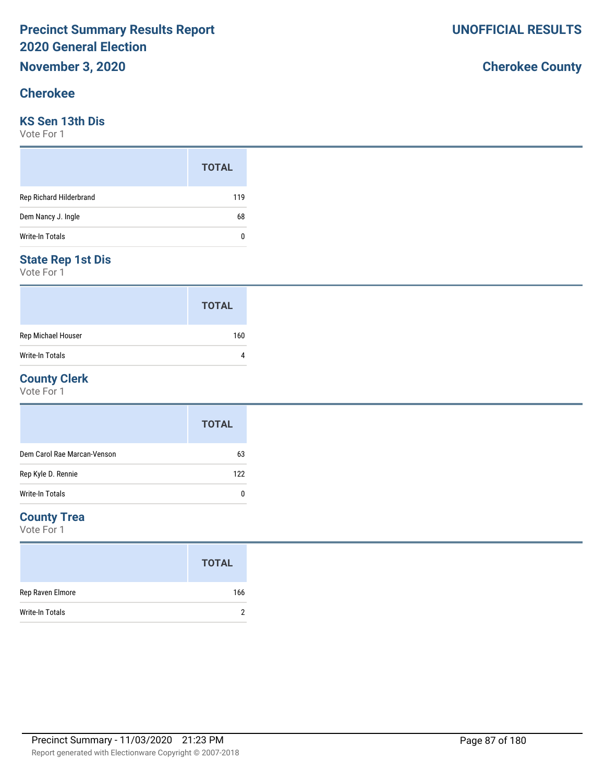#### **Cherokee**

#### **KS Sen 13th Dis**

Vote For 1

|                         | <b>TOTAL</b> |
|-------------------------|--------------|
| Rep Richard Hilderbrand | 119          |
| Dem Nancy J. Ingle      | 68           |
| Write-In Totals         | 0            |

#### **State Rep 1st Dis**

Vote For 1

|                        | <b>TOTAL</b> |
|------------------------|--------------|
| Rep Michael Houser     | 160          |
| <b>Write-In Totals</b> |              |

#### **County Clerk**

Vote For 1

|                             | <b>TOTAL</b> |
|-----------------------------|--------------|
| Dem Carol Rae Marcan-Venson | 63           |
| Rep Kyle D. Rennie          | 122          |
| Write-In Totals             |              |

#### **County Trea**

Vote For 1

|                        | <b>TOTAL</b> |
|------------------------|--------------|
| Rep Raven Elmore       | 166          |
| <b>Write-In Totals</b> |              |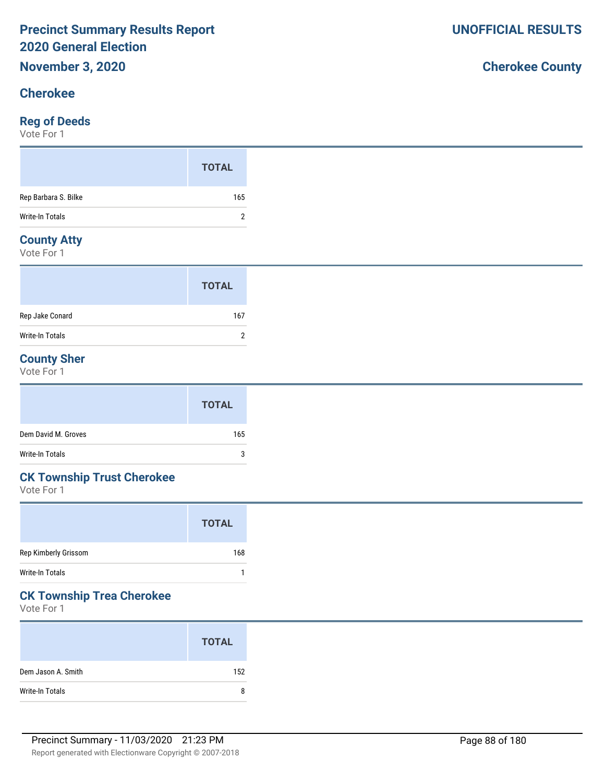#### **Cherokee**

#### **Reg of Deeds**

Vote For 1

#### **County Atty**

Vote For 1

|                 | <b>TOTAL</b> |  |
|-----------------|--------------|--|
| Rep Jake Conard | 167          |  |
| Write-In Totals | っ            |  |

### **County Sher**

Vote For 1

|                     | <b>TOTAL</b> |
|---------------------|--------------|
| Dem David M. Groves | 165          |
| Write-In Totals     | 3            |

# **CK Township Trust Cherokee**

Vote For 1

|                      | <b>TOTAL</b> |
|----------------------|--------------|
| Rep Kimberly Grissom | 168          |
| Write-In Totals      |              |
|                      |              |

## **CK Township Trea Cherokee**

Vote For 1

|                    | <b>TOTAL</b> |
|--------------------|--------------|
| Dem Jason A. Smith | 152          |
| Write-In Totals    | 8            |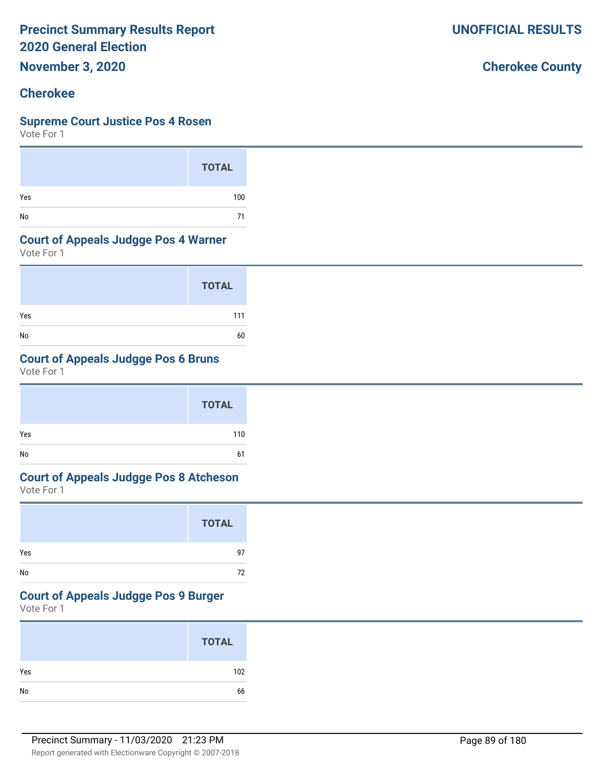**November 3, 2020**

# **Cherokee**

### **Supreme Court Justice Pos 4 Rosen**

Vote For 1

|     | <b>TOTAL</b> |
|-----|--------------|
| Yes | 100          |
| No  | 71           |

## **Court of Appeals Judgge Pos 4 Warner**

Vote For 1

|     | <b>TOTAL</b> |
|-----|--------------|
| Yes | 111          |
| No  | 60           |

# **Court of Appeals Judgge Pos 6 Bruns**

Vote For 1

|         | <b>TOTAL</b> |
|---------|--------------|
| Yes     | 110          |
| No<br>- | 61           |

# **Court of Appeals Judgge Pos 8 Atcheson**

Vote For 1

|     | <b>TOTAL</b> |
|-----|--------------|
| Yes | 97           |
| No  | 72           |

## **Court of Appeals Judgge Pos 9 Burger**

Vote For 1

| <b>TOTAL</b> |     |
|--------------|-----|
| Yes          | 102 |
|              | 66  |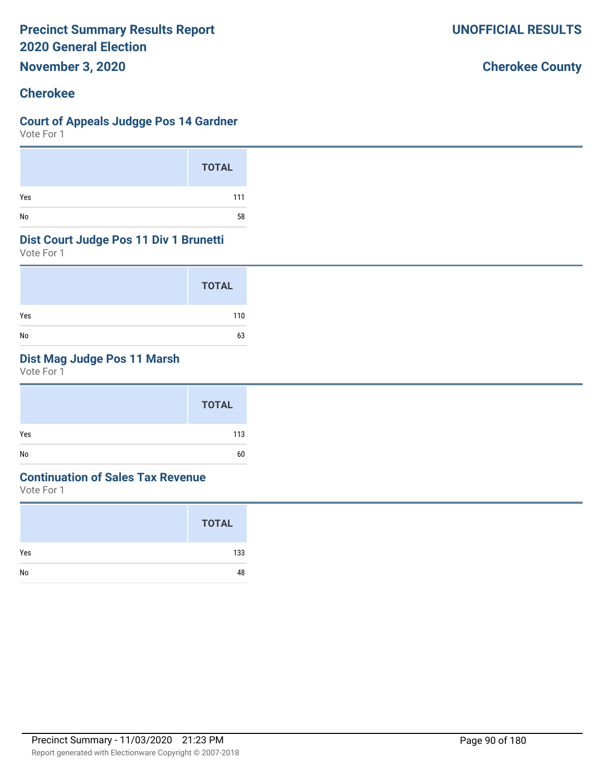**November 3, 2020**

#### **Cherokee**

#### **Court of Appeals Judgge Pos 14 Gardner**

Vote For 1

|     | <b>TOTAL</b> |
|-----|--------------|
| Yes | 111          |
| No  | 58           |

#### **Dist Court Judge Pos 11 Div 1 Brunetti**

Vote For 1

|     | <b>TOTAL</b> |
|-----|--------------|
| Yes | 110          |
| No  | 63           |

## **Dist Mag Judge Pos 11 Marsh**

Vote For 1

|     | <b>TOTAL</b> |
|-----|--------------|
| Yes | 113          |
| No  | 60           |

#### **Continuation of Sales Tax Revenue**

Vote For 1

|     | <b>TOTAL</b> |
|-----|--------------|
| Yes | 133          |
| No  | 48           |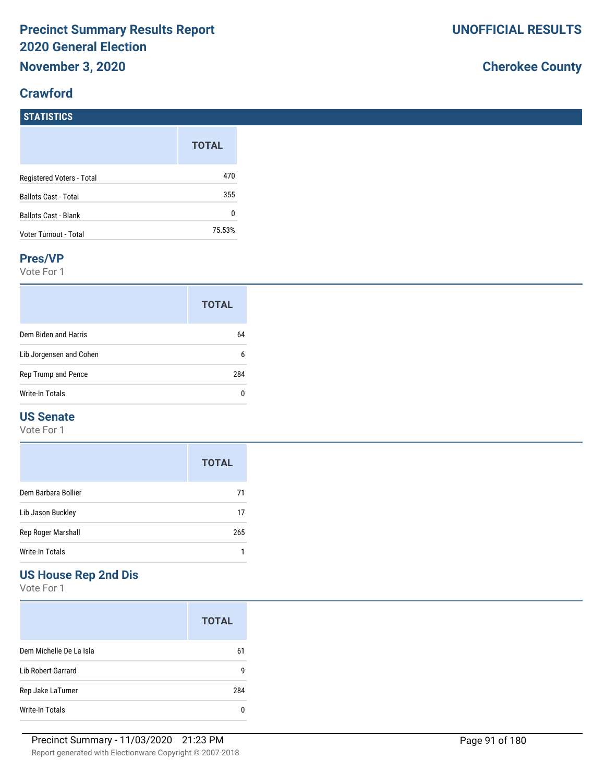### **Crawford**

# **Cherokee County**

| <b>STATISTICS</b>           |              |
|-----------------------------|--------------|
|                             | <b>TOTAL</b> |
| Registered Voters - Total   | 470          |
| <b>Ballots Cast - Total</b> | 355          |
| <b>Ballots Cast - Blank</b> | 0            |
| Voter Turnout - Total       | 75.53%       |

#### **Pres/VP**

Vote For 1

|                         | <b>TOTAL</b> |
|-------------------------|--------------|
| Dem Biden and Harris    | 64           |
| Lib Jorgensen and Cohen | 6            |
| Rep Trump and Pence     | 284          |
| Write-In Totals         |              |

#### **US Senate**

Vote For 1

|                     | <b>TOTAL</b> |
|---------------------|--------------|
| Dem Barbara Bollier | 71           |
| Lib Jason Buckley   | 17           |
| Rep Roger Marshall  | 265          |
| Write-In Totals     |              |

## **US House Rep 2nd Dis**

Vote For 1

|                         | <b>TOTAL</b> |
|-------------------------|--------------|
| Dem Michelle De La Isla | 61           |
| Lib Robert Garrard      | g            |
| Rep Jake LaTurner       | 284          |
| Write-In Totals         |              |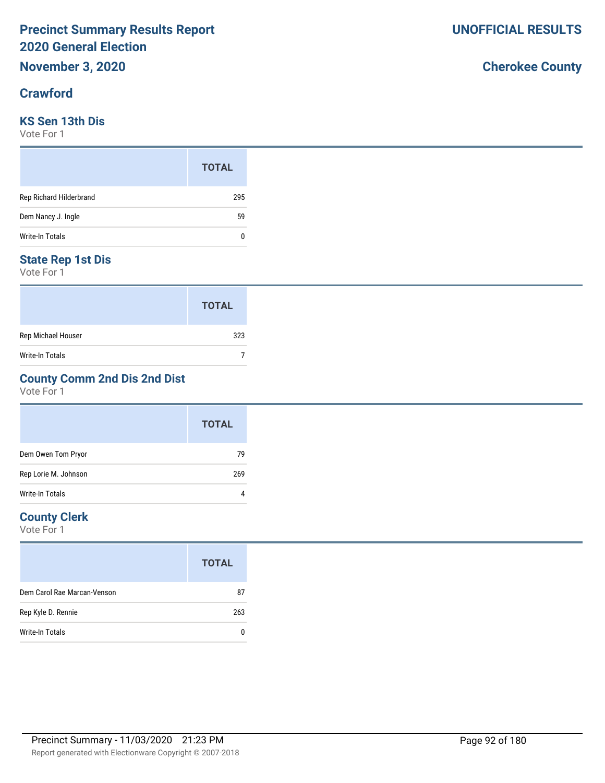#### **Crawford**

#### **KS Sen 13th Dis**

Vote For 1

|                         | <b>TOTAL</b> |
|-------------------------|--------------|
| Rep Richard Hilderbrand | 295          |
| Dem Nancy J. Ingle      | 59           |
| Write-In Totals         | 0            |

#### **State Rep 1st Dis**

Vote For 1

|                    | <b>TOTAL</b> |
|--------------------|--------------|
| Rep Michael Houser | 323          |
| Write-In Totals    |              |

### **County Comm 2nd Dis 2nd Dist**

Vote For 1

|                      | <b>TOTAL</b> |
|----------------------|--------------|
| Dem Owen Tom Pryor   | 79           |
| Rep Lorie M. Johnson | 269          |
| Write-In Totals      |              |

#### **County Clerk**

Vote For 1

|                             | <b>TOTAL</b> |
|-----------------------------|--------------|
| Dem Carol Rae Marcan-Venson | 87           |
| Rep Kyle D. Rennie          | 263          |
| Write-In Totals             |              |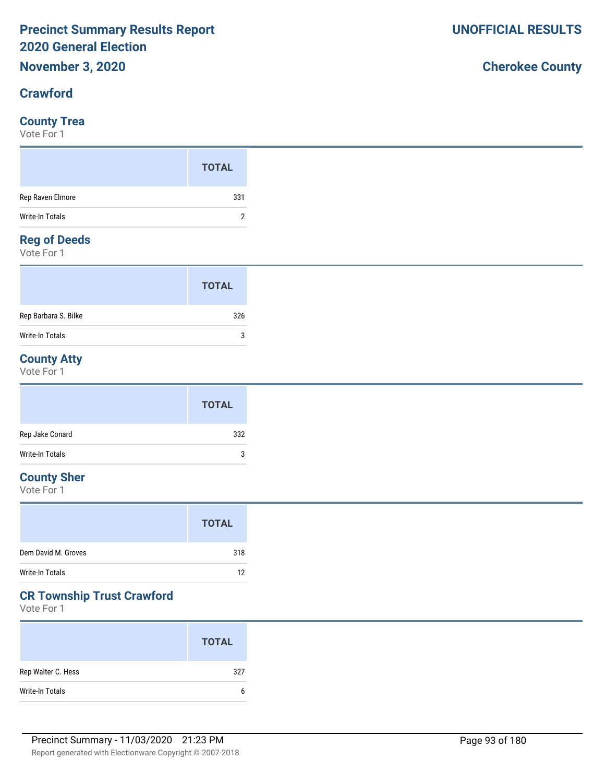#### **Crawford**

#### **County Trea**

Vote For 1

#### **Reg of Deeds**

Vote For 1

|                      | <b>TOTAL</b> |  |
|----------------------|--------------|--|
| Rep Barbara S. Bilke | 326          |  |
| Write-In Totals      | 3            |  |

# **County Atty**

Vote For 1

|                 | <b>TOTAL</b> |
|-----------------|--------------|
| Rep Jake Conard | 332          |
| Write-In Totals | 3            |

### **County Sher**

Vote For 1

|                     | <b>TOTAL</b> |
|---------------------|--------------|
| Dem David M. Groves | 318          |
| Write-In Totals     | 12           |

## **CR Township Trust Crawford**

Vote For 1

|                    | <b>TOTAL</b> |
|--------------------|--------------|
| Rep Walter C. Hess | 327          |
| Write-In Totals    | b            |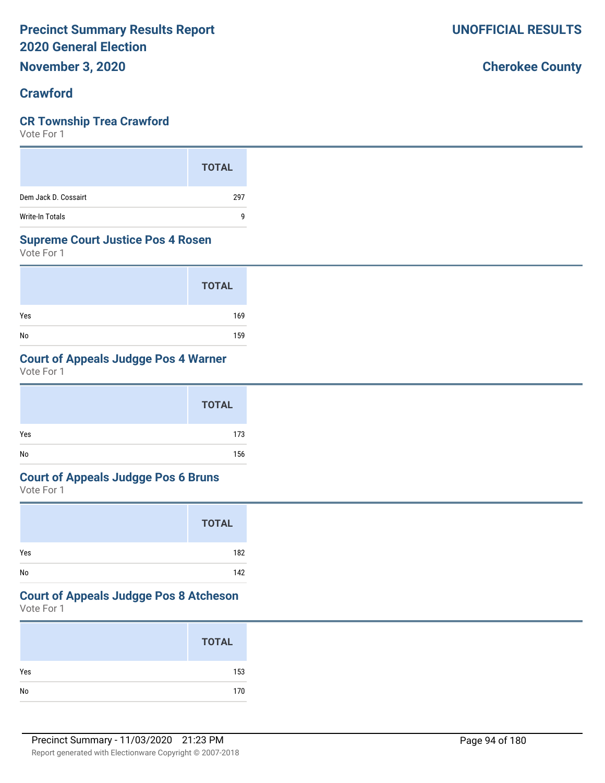**November 3, 2020**

#### **Crawford**

#### **CR Township Trea Crawford**

Vote For 1

|                        | <b>TOTAL</b> |
|------------------------|--------------|
| Dem Jack D. Cossairt   | 297          |
| <b>Write-In Totals</b> | q            |

#### **Supreme Court Justice Pos 4 Rosen**

Vote For 1

|     | <b>TOTAL</b> |
|-----|--------------|
| Yes | 169          |
| No  | 159          |

## **Court of Appeals Judgge Pos 4 Warner**

Vote For 1

|     | <b>TOTAL</b> |
|-----|--------------|
| Yes | 173          |
| No  | 156          |

#### **Court of Appeals Judgge Pos 6 Bruns**

Vote For 1

|     | <b>TOTAL</b> |
|-----|--------------|
| Yes | 182          |
| No  | 142          |

# **Court of Appeals Judgge Pos 8 Atcheson**

Vote For 1

|     | <b>TOTAL</b> |
|-----|--------------|
| Yes | 153          |
| No  | 170          |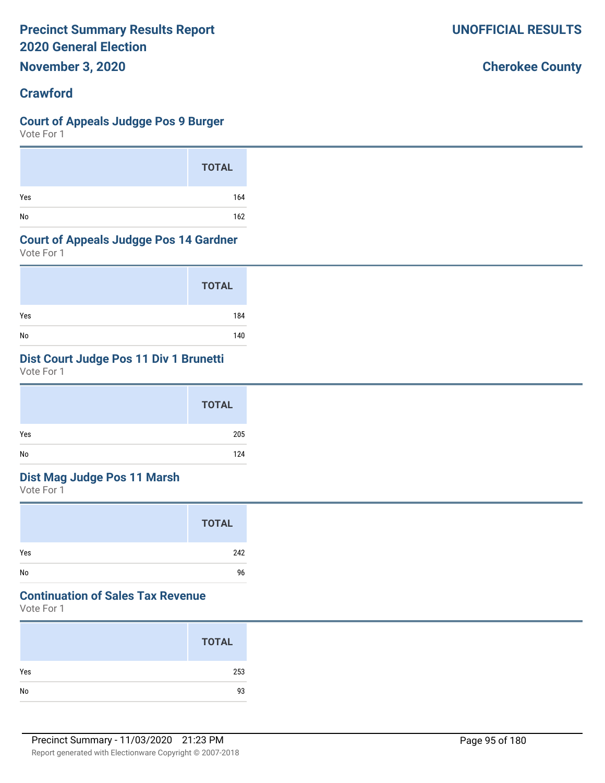**November 3, 2020**

### **Crawford**

## **Court of Appeals Judgge Pos 9 Burger**

Vote For 1

|     | <b>TOTAL</b> |
|-----|--------------|
| Yes | 164          |
| No  | 162          |

## **Court of Appeals Judgge Pos 14 Gardner**

Vote For 1

|     | <b>TOTAL</b> |
|-----|--------------|
| Yes | 184          |
| No  | 140          |

# **Dist Court Judge Pos 11 Div 1 Brunetti**

Vote For 1

| <b>TOTAL</b> |
|--------------|
| Yes<br>205   |
| No<br>124    |

# **Dist Mag Judge Pos 11 Marsh**

Vote For 1

|     | <b>TOTAL</b> |
|-----|--------------|
| Yes | 242          |
| No  | 96           |

# **Continuation of Sales Tax Revenue**

Vote For 1

|     | <b>TOTAL</b> |
|-----|--------------|
| Yes | 253          |
| No  | 93           |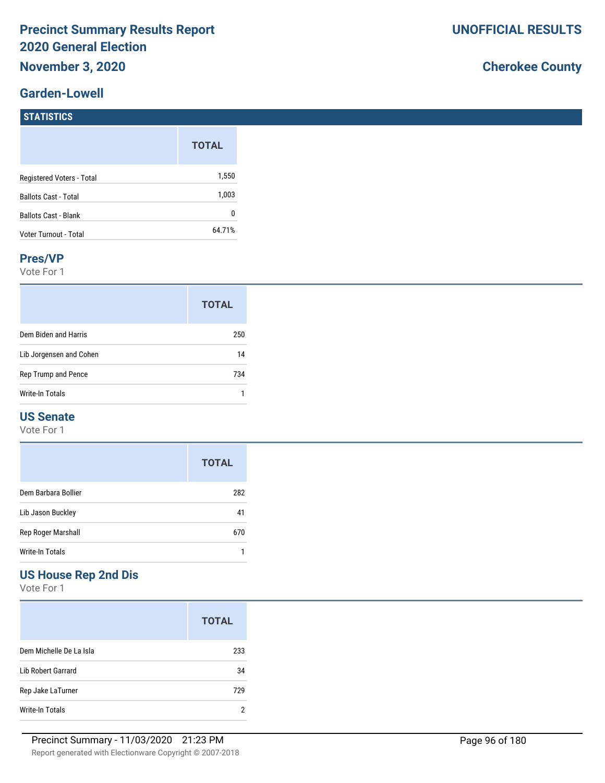#### **Garden-Lowell**

|                             | <b>TOTAL</b> |
|-----------------------------|--------------|
| Registered Voters - Total   | 1,550        |
| <b>Ballots Cast - Total</b> | 1,003        |
| <b>Ballots Cast - Blank</b> | ŋ            |
| Voter Turnout - Total       | 64.71%       |

#### **Pres/VP**

Vote For 1

|                         | <b>TOTAL</b> |
|-------------------------|--------------|
| Dem Biden and Harris    | 250          |
| Lib Jorgensen and Cohen | 14           |
| Rep Trump and Pence     | 734          |
| Write-In Totals         |              |

#### **US Senate**

Vote For 1

|                     | <b>TOTAL</b> |
|---------------------|--------------|
| Dem Barbara Bollier | 282          |
| Lib Jason Buckley   | 41           |
| Rep Roger Marshall  | 670          |
| Write-In Totals     |              |

## **US House Rep 2nd Dis**

Vote For 1

|                         | <b>TOTAL</b> |
|-------------------------|--------------|
| Dem Michelle De La Isla | 233          |
| Lib Robert Garrard      | 34           |
| Rep Jake LaTurner       | 729          |
| Write-In Totals         | 2            |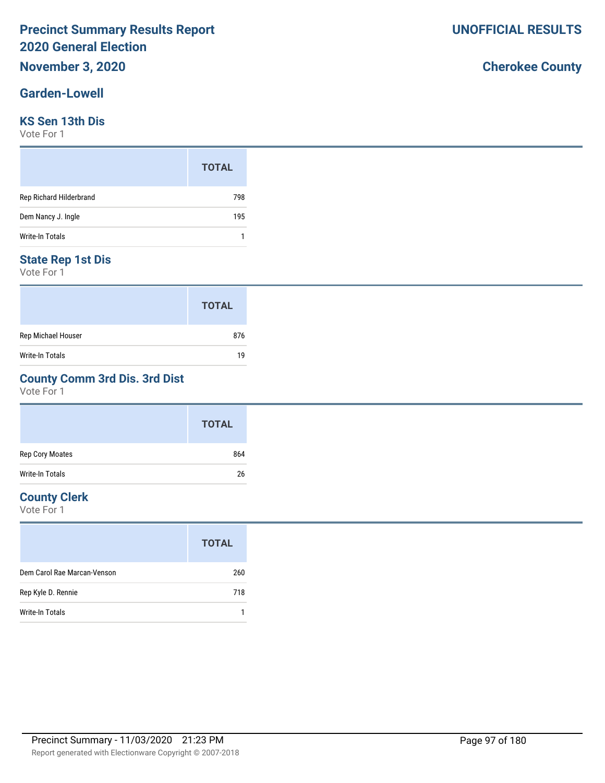#### **Garden-Lowell**

#### **KS Sen 13th Dis**

Vote For 1

|                         | <b>TOTAL</b> |
|-------------------------|--------------|
| Rep Richard Hilderbrand | 798          |
| Dem Nancy J. Ingle      | 195          |
| Write-In Totals         |              |

#### **State Rep 1st Dis**

Vote For 1

|                        | <b>TOTAL</b> |
|------------------------|--------------|
| Rep Michael Houser     | 876          |
| <b>Write-In Totals</b> | 19           |

### **County Comm 3rd Dis. 3rd Dist**

Vote For 1

|                        | <b>TOTAL</b> |
|------------------------|--------------|
| Rep Cory Moates        | 864          |
| <b>Write-In Totals</b> | 26           |

#### **County Clerk**

Vote For 1

|                             | <b>TOTAL</b> |
|-----------------------------|--------------|
| Dem Carol Rae Marcan-Venson | 260          |
| Rep Kyle D. Rennie          | 718          |
| Write-In Totals             |              |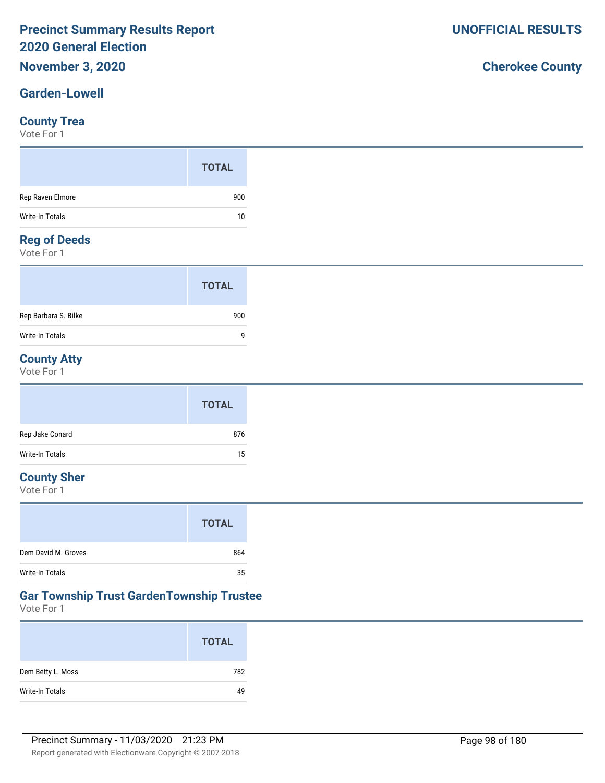#### **Garden-Lowell**

#### **County Trea**

Vote For 1

## **Reg of Deeds**

Vote For 1

|                      | <b>TOTAL</b> |
|----------------------|--------------|
| Rep Barbara S. Bilke | 900          |
| Write-In Totals      | q            |

### **County Atty**

Vote For 1

|                 | <b>TOTAL</b> |
|-----------------|--------------|
| Rep Jake Conard | 876          |
| Write-In Totals | 15           |

## **County Sher**

Vote For 1

|                        | <b>TOTAL</b> |
|------------------------|--------------|
| Dem David M. Groves    | 864          |
| <b>Write-In Totals</b> | 35           |

#### **Gar Township Trust GardenTownship Trustee**

Vote For 1

|                   | <b>TOTAL</b> |
|-------------------|--------------|
| Dem Betty L. Moss | 782          |
| Write-In Totals   | 49           |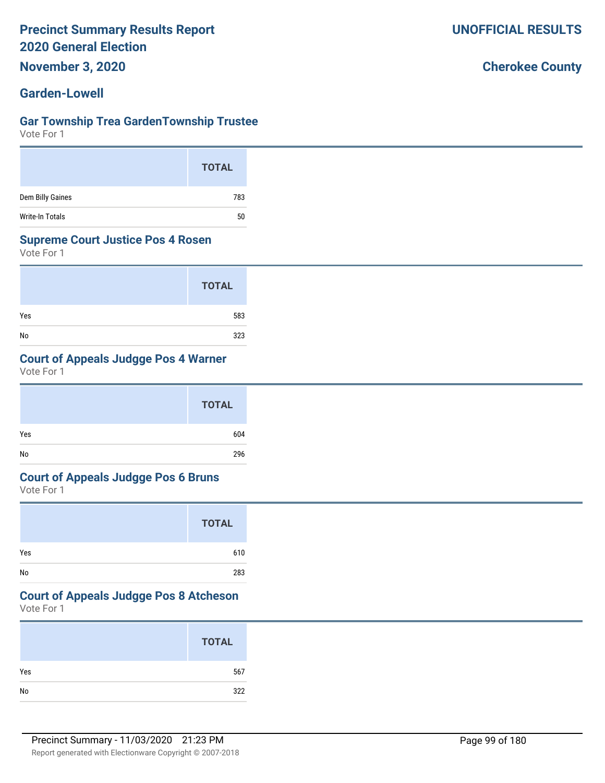**November 3, 2020**

#### **Garden-Lowell**

#### **Gar Township Trea GardenTownship Trustee**

Vote For 1

|                  | <b>TOTAL</b> |
|------------------|--------------|
| Dem Billy Gaines | 783          |
| Write-In Totals  | 50           |

#### **Supreme Court Justice Pos 4 Rosen**

Vote For 1

|     | <b>TOTAL</b> |
|-----|--------------|
| Yes | 583          |
| No  | 323          |

### **Court of Appeals Judgge Pos 4 Warner**

Vote For 1

|     | <b>TOTAL</b> |
|-----|--------------|
| Yes | 604          |
| No  | 296          |

#### **Court of Appeals Judgge Pos 6 Bruns**

Vote For 1

|     | <b>TOTAL</b> |
|-----|--------------|
| Yes | 610          |
| No  | 283          |

## **Court of Appeals Judgge Pos 8 Atcheson**

Vote For 1

| <b>TOTAL</b>  |     |
|---------------|-----|
| Yes           | 567 |
| $\mathsf{No}$ | 322 |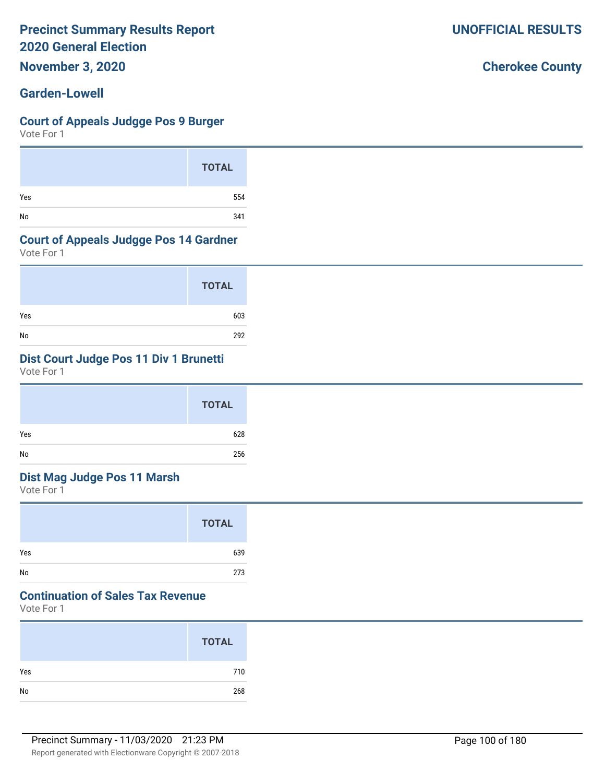**November 3, 2020**

#### **Garden-Lowell**

#### **Court of Appeals Judgge Pos 9 Burger**

Vote For 1

|     | <b>TOTAL</b> |
|-----|--------------|
| Yes | 554          |
| No  | 341          |

#### **Court of Appeals Judgge Pos 14 Gardner**

Vote For 1

|     | <b>TOTAL</b> |
|-----|--------------|
| Yes | 603          |
| No  | 292          |

## **Dist Court Judge Pos 11 Div 1 Brunetti**

Vote For 1

|     | <b>TOTAL</b> |
|-----|--------------|
| Yes | 628          |
| No  | 256          |

#### **Dist Mag Judge Pos 11 Marsh**

Vote For 1

|     | <b>TOTAL</b> |
|-----|--------------|
| Yes | 639          |
| No  | 273          |

# **Continuation of Sales Tax Revenue**

Vote For 1

|     | <b>TOTAL</b> |
|-----|--------------|
| Yes | 710          |
| No  | 268          |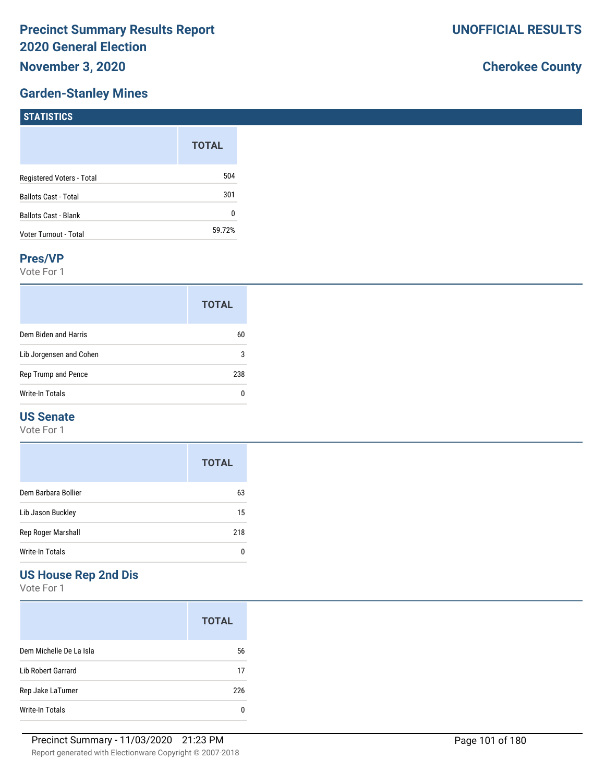## **Garden-Stanley Mines**

# **Cherokee County**

| 1311131103                  |              |
|-----------------------------|--------------|
|                             | <b>TOTAL</b> |
| Registered Voters - Total   | 504          |
| <b>Ballots Cast - Total</b> | 301          |
| Ballots Cast - Blank        | 0            |
| Voter Turnout - Total       | 59.72%       |
|                             |              |

#### **Pres/VP**

**STATISTICS** 

Vote For 1

|                         | <b>TOTAL</b> |
|-------------------------|--------------|
| Dem Biden and Harris    | 60           |
| Lib Jorgensen and Cohen | 3            |
| Rep Trump and Pence     |              |
| <b>Write-In Totals</b>  |              |

#### **US Senate**

Vote For 1

|                     | <b>TOTAL</b> |
|---------------------|--------------|
| Dem Barbara Bollier | 63           |
| Lib Jason Buckley   | 15           |
| Rep Roger Marshall  | 218          |
| Write-In Totals     |              |

### **US House Rep 2nd Dis**

Vote For 1

|                         | <b>TOTAL</b> |
|-------------------------|--------------|
| Dem Michelle De La Isla | 56           |
| Lib Robert Garrard      | 17           |
| Rep Jake LaTurner       | 226          |
| Write-In Totals         |              |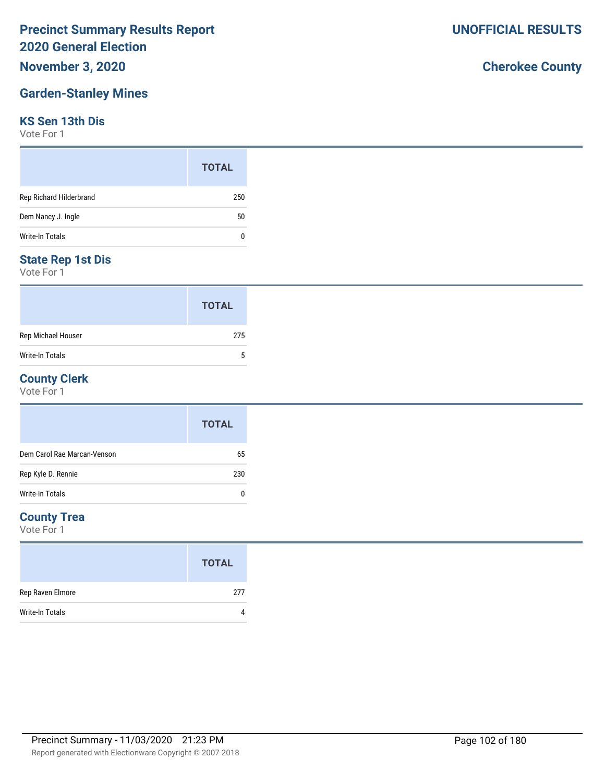## **November 3, 2020**

# **Garden-Stanley Mines**

### **KS Sen 13th Dis**

Vote For 1

|                         | <b>TOTAL</b> |
|-------------------------|--------------|
| Rep Richard Hilderbrand | 250          |
| Dem Nancy J. Ingle      | 50           |
| Write-In Totals         | 0            |

#### **State Rep 1st Dis**

Vote For 1

|                    | <b>TOTAL</b> |
|--------------------|--------------|
| Rep Michael Houser | 275          |
| Write-In Totals    | 5            |

#### **County Clerk**

Vote For 1

|                             | <b>TOTAL</b> |
|-----------------------------|--------------|
| Dem Carol Rae Marcan-Venson | 65           |
| Rep Kyle D. Rennie          | 230          |
| Write-In Totals             | 0            |

#### **County Trea**

Vote For 1

|                        | <b>TOTAL</b> |
|------------------------|--------------|
| Rep Raven Elmore       | 277          |
| <b>Write-In Totals</b> |              |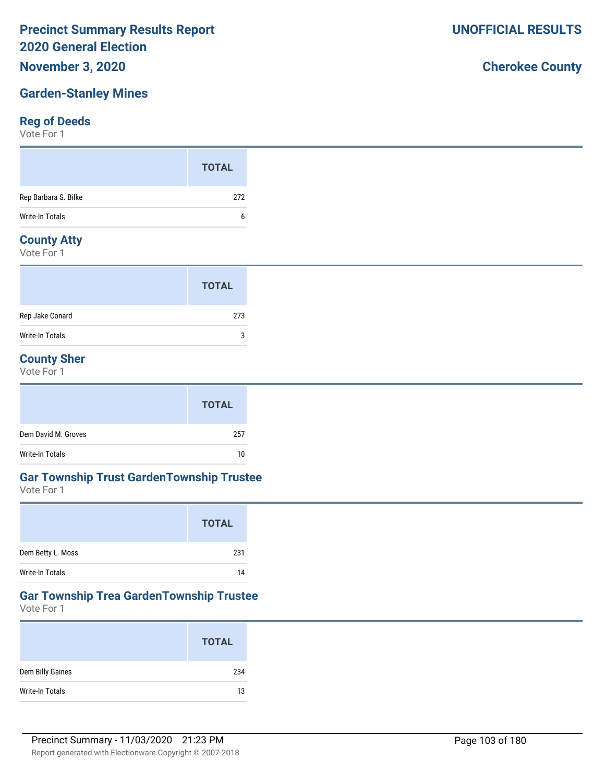### **November 3, 2020**

# **Garden-Stanley Mines**

# **Reg of Deeds**

Vote For 1

|                      | <b>TOTAL</b> |
|----------------------|--------------|
| Rep Barbara S. Bilke | 272          |
| Write-In Totals      | b            |
| Complete Address     |              |

#### **County Atty**

Vote For 1

|                 | <b>TOTAL</b> |  |
|-----------------|--------------|--|
| Rep Jake Conard | 273          |  |
| Write-In Totals | 3            |  |

### **County Sher**

Vote For 1

|                     | <b>TOTAL</b> |
|---------------------|--------------|
| Dem David M. Groves | 257          |
| Write-In Totals     | 10           |

#### **Gar Township Trust GardenTownship Trustee**

Vote For 1

|                   | <b>TOTAL</b> |
|-------------------|--------------|
| Dem Betty L. Moss | 231          |
| Write-In Totals   | 14           |

### **Gar Township Trea GardenTownship Trustee**

Vote For 1

|                  | <b>TOTAL</b> |
|------------------|--------------|
| Dem Billy Gaines | 234          |
| Write-In Totals  | 13           |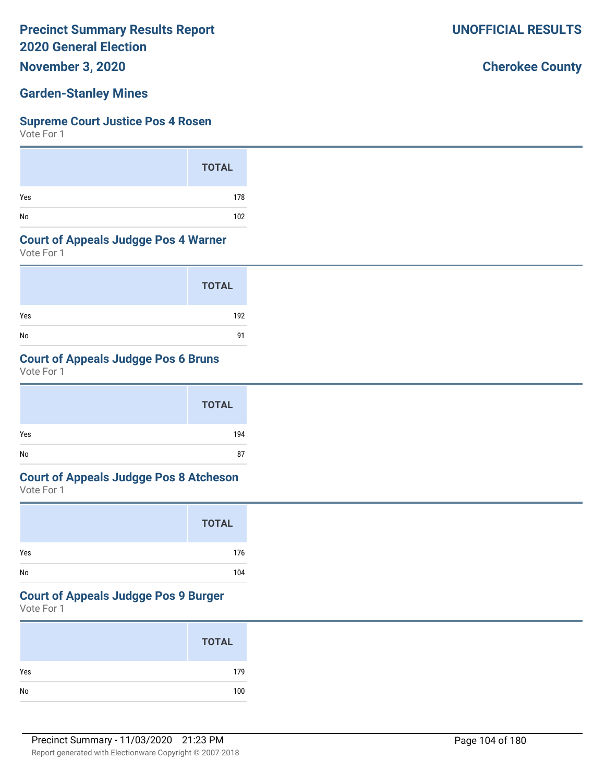**November 3, 2020**

#### **Garden-Stanley Mines**

#### **Supreme Court Justice Pos 4 Rosen**

Vote For 1

|     | <b>TOTAL</b> |
|-----|--------------|
| Yes | 178          |
| No  | 102          |

#### **Court of Appeals Judgge Pos 4 Warner**

Vote For 1

|     | <b>TOTAL</b> |
|-----|--------------|
| Yes | 192          |
| No  | 91           |

#### **Court of Appeals Judgge Pos 6 Bruns**

Vote For 1

|     | <b>TOTAL</b> |
|-----|--------------|
| Yes | 194          |
| No  | 87           |

# **Court of Appeals Judgge Pos 8 Atcheson**

Vote For 1

|     | <b>TOTAL</b> |
|-----|--------------|
| Yes | 176          |
| No  | 104          |

#### **Court of Appeals Judgge Pos 9 Burger**

Vote For 1

|     | <b>TOTAL</b> |
|-----|--------------|
| Yes | 179          |
|     | 100          |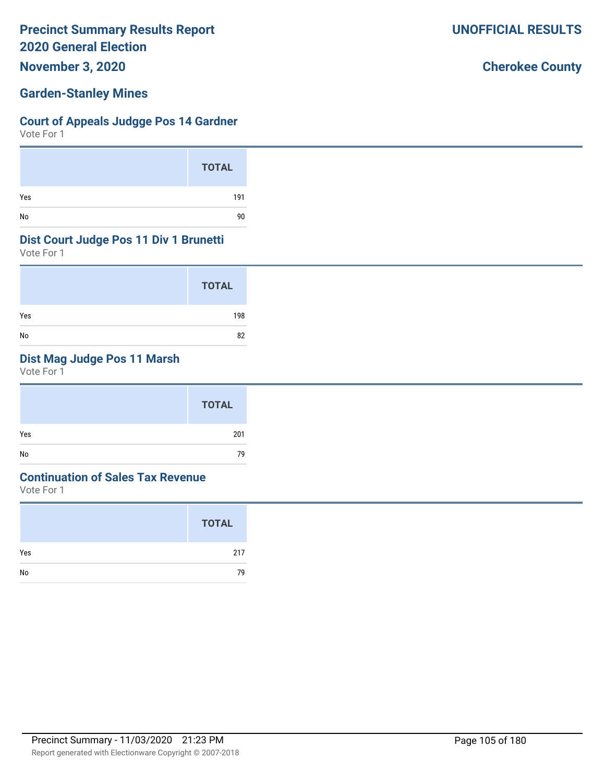**November 3, 2020**

#### **Garden-Stanley Mines**

#### **Court of Appeals Judgge Pos 14 Gardner**

Vote For 1

|     | <b>TOTAL</b> |
|-----|--------------|
| Yes | 191          |
| No  | 90           |

#### **Dist Court Judge Pos 11 Div 1 Brunetti**

Vote For 1

|     | <b>TOTAL</b> |
|-----|--------------|
| Yes | 198          |
| No  | 82           |

## **Dist Mag Judge Pos 11 Marsh**

Vote For 1

|     | <b>TOTAL</b> |
|-----|--------------|
| Yes | 201          |
| No  | 79           |

#### **Continuation of Sales Tax Revenue**

Vote For 1

|     | <b>TOTAL</b> |
|-----|--------------|
| Yes | 217          |
| No  | 79           |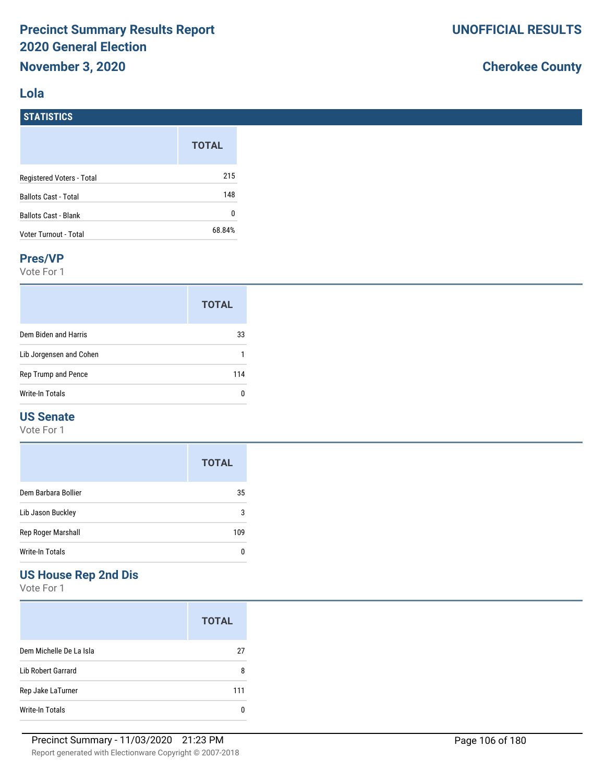#### **Lola**

**STATISTICS**

# **Cherokee County**

|                             | <b>TOTAL</b> |
|-----------------------------|--------------|
| Registered Voters - Total   | 215          |
| <b>Ballots Cast - Total</b> | 148          |
| <b>Ballots Cast - Blank</b> | 0            |
| Voter Turnout - Total       | 68.84%       |

#### **Pres/VP**

Vote For 1

|                         | <b>TOTAL</b> |
|-------------------------|--------------|
| Dem Biden and Harris    | 33           |
| Lib Jorgensen and Cohen |              |
| Rep Trump and Pence     | 114          |
| Write-In Totals         |              |

#### **US Senate**

Vote For 1

|                     | <b>TOTAL</b> |
|---------------------|--------------|
| Dem Barbara Bollier | 35           |
| Lib Jason Buckley   | 3            |
| Rep Roger Marshall  | 109          |
| Write-In Totals     |              |

# **US House Rep 2nd Dis**

Vote For 1

|                         | <b>TOTAL</b> |
|-------------------------|--------------|
| Dem Michelle De La Isla | 27           |
| Lib Robert Garrard      | 8            |
| Rep Jake LaTurner       | 111          |
| Write-In Totals         |              |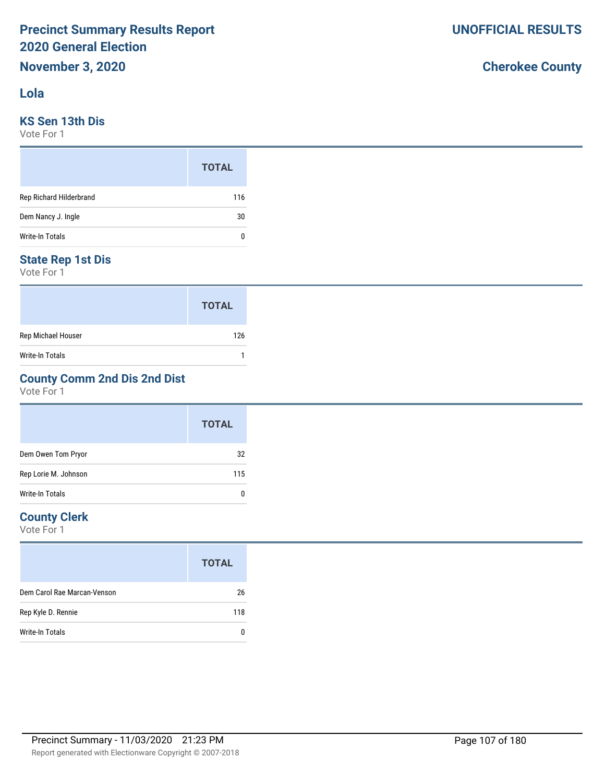#### **Lola**

#### **KS Sen 13th Dis**

Vote For 1

|                         | <b>TOTAL</b> |
|-------------------------|--------------|
| Rep Richard Hilderbrand | 116          |
| Dem Nancy J. Ingle      | 30           |
| <b>Write-In Totals</b>  | 0            |

#### **State Rep 1st Dis**

Vote For 1

|                    | <b>TOTAL</b> |
|--------------------|--------------|
| Rep Michael Houser | 126          |
| Write-In Totals    |              |

### **County Comm 2nd Dis 2nd Dist**

Vote For 1

|                      | <b>TOTAL</b> |
|----------------------|--------------|
| Dem Owen Tom Pryor   | 32           |
| Rep Lorie M. Johnson | 115          |
| Write-In Totals      | 0            |

#### **County Clerk**

Vote For 1

|                             | <b>TOTAL</b> |
|-----------------------------|--------------|
| Dem Carol Rae Marcan-Venson | 26           |
| Rep Kyle D. Rennie          | 118          |
| Write-In Totals             |              |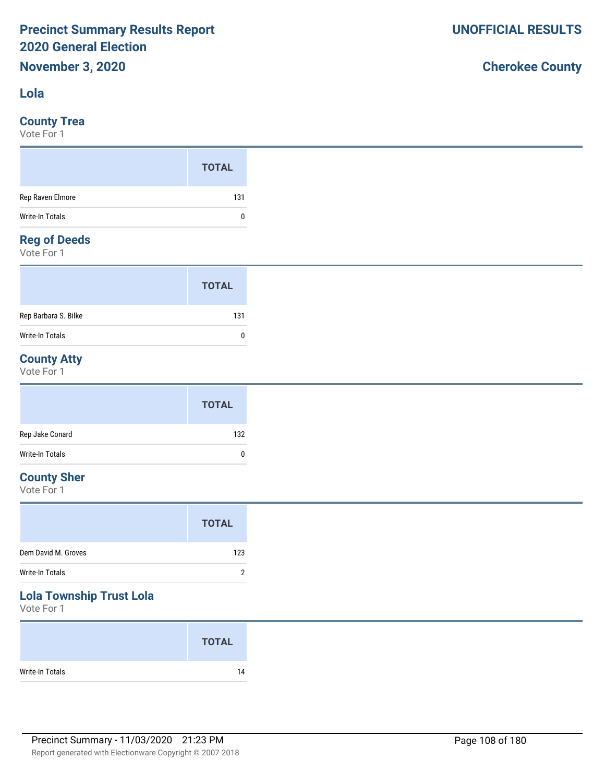#### **Lola**

#### **County Trea**

Vote For 1

|                    | <b>TOTAL</b> |
|--------------------|--------------|
| Rep Raven Elmore   | 131          |
| Write-In Totals    | 0            |
| <b>Designation</b> |              |

#### **Reg of Deeds**

Vote For 1

|                      | <b>TOTAL</b> |  |
|----------------------|--------------|--|
| Rep Barbara S. Bilke | 131          |  |
| Write-In Totals      | 0            |  |

# **County Atty**

Vote For 1

|                 | <b>TOTAL</b> |
|-----------------|--------------|
| Rep Jake Conard | 132          |
| Write-In Totals | $\mathbf{0}$ |

## **County Sher**

Vote For 1

|                     | <b>TOTAL</b> |
|---------------------|--------------|
| Dem David M. Groves | 123          |
| Write-In Totals     | າ            |
| .                   |              |

#### **Lola Township Trust Lola**

Vote For 1

|                 | <b>TOTAL</b> |
|-----------------|--------------|
| Write-In Totals | 14           |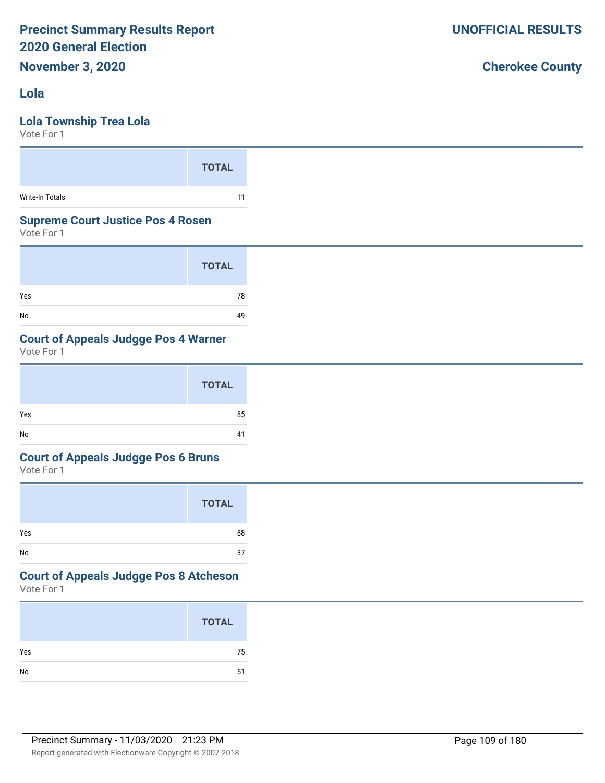#### **Lola**

### **Lola Township Trea Lola**

Vote For 1

#### **Supreme Court Justice Pos 4 Rosen**

Vote For 1

|     | <b>TOTAL</b> |
|-----|--------------|
| Yes | 78           |
| No  | 49           |

### **Court of Appeals Judgge Pos 4 Warner**

Vote For 1

|     | <b>TOTAL</b> |
|-----|--------------|
| Yes | 85           |
| No  | 41           |

### **Court of Appeals Judgge Pos 6 Bruns**

Vote For 1

|     | <b>TOTAL</b> |
|-----|--------------|
| Yes | 88           |
| No  | 37           |

#### Vote For 1 **Court of Appeals Judgge Pos 8 Atcheson**

|     | <b>TOTAL</b> |
|-----|--------------|
| Yes | 75           |
| No  | 51           |
|     |              |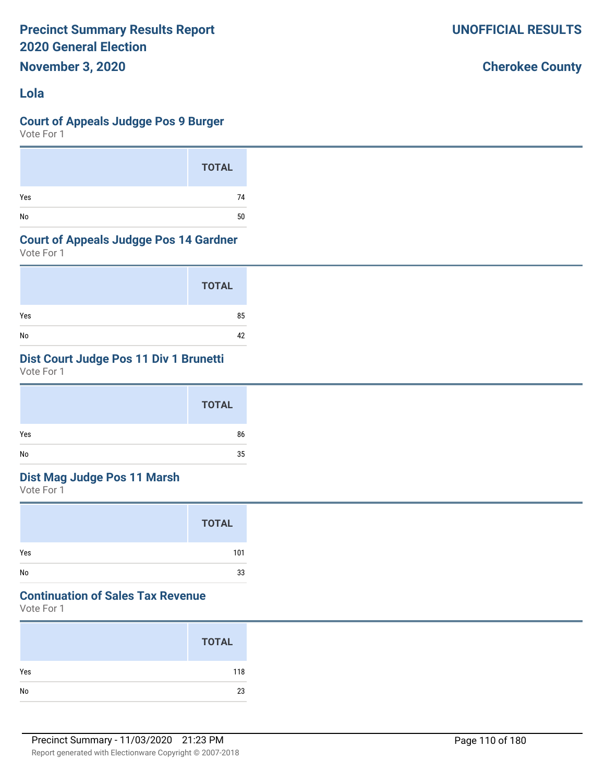**November 3, 2020**

# **Lola**

### **Court of Appeals Judgge Pos 9 Burger**

Vote For 1

|     | <b>TOTAL</b> |
|-----|--------------|
| Yes | 74           |
| No  | 50           |

### **Court of Appeals Judgge Pos 14 Gardner**

Vote For 1

|     | <b>TOTAL</b> |
|-----|--------------|
| Yes | 85           |
| No  | 42           |

# **Dist Court Judge Pos 11 Div 1 Brunetti**

Vote For 1

|     | <b>TOTAL</b> |
|-----|--------------|
| Yes | 86           |
| No  | 35           |

# **Dist Mag Judge Pos 11 Marsh**

Vote For 1

|     | <b>TOTAL</b> |
|-----|--------------|
| Yes | 101          |
| No  | 33           |

# **Continuation of Sales Tax Revenue**

Vote For 1

|            | <b>TOTAL</b> |
|------------|--------------|
| Yes        | 118          |
| ${\sf No}$ | 23           |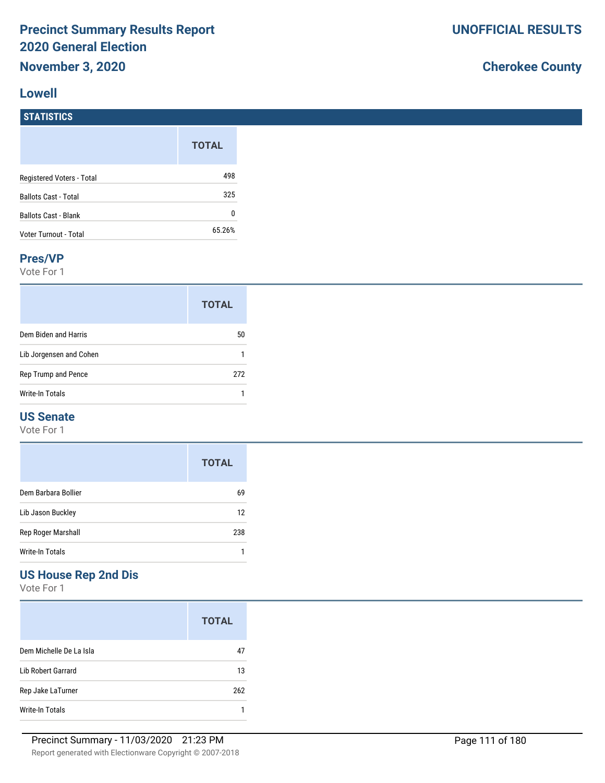#### **Lowell**

# **Cherokee County**

# **STATISTICS**

|                             | <b>TOTAL</b> |
|-----------------------------|--------------|
|                             |              |
| Registered Voters - Total   | 498          |
| <b>Ballots Cast - Total</b> | 325          |
| Ballots Cast - Blank        | 0            |
| Voter Turnout - Total       | 65.26%       |

#### **Pres/VP**

Vote For 1

|                         | <b>TOTAL</b> |
|-------------------------|--------------|
| Dem Biden and Harris    | 50           |
| Lib Jorgensen and Cohen |              |
| Rep Trump and Pence     | 272          |
| Write-In Totals         |              |

### **US Senate**

Vote For 1

|                           | <b>TOTAL</b> |
|---------------------------|--------------|
| Dem Barbara Bollier       | 69           |
| Lib Jason Buckley         | 12           |
| Rep Roger Marshall<br>238 |              |
| Write-In Totals           |              |

## **US House Rep 2nd Dis**

|                         | <b>TOTAL</b> |
|-------------------------|--------------|
| Dem Michelle De La Isla | 47           |
| Lib Robert Garrard      | 13           |
| Rep Jake LaTurner       | 262          |
| Write-In Totals         |              |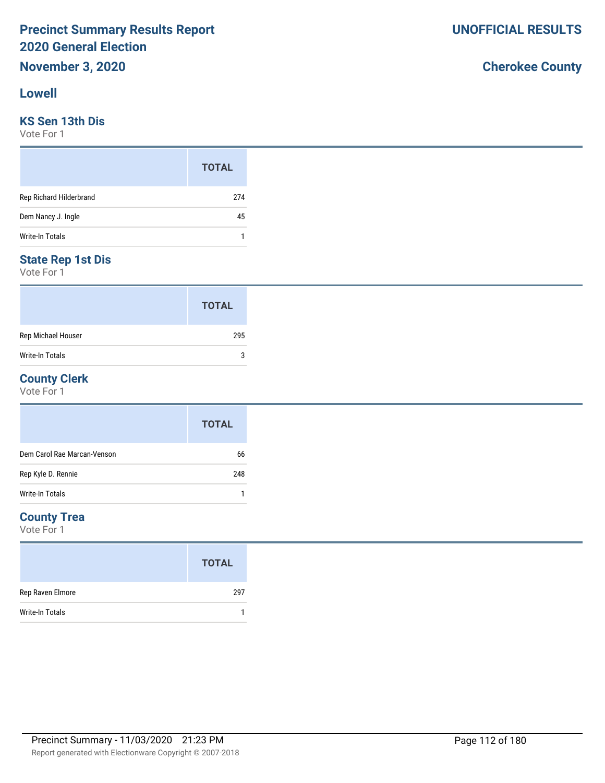#### **Lowell**

#### **KS Sen 13th Dis**

Vote For 1

|                         | <b>TOTAL</b> |
|-------------------------|--------------|
| Rep Richard Hilderbrand | 274          |
| Dem Nancy J. Ingle      | 45           |
| Write-In Totals         |              |

#### **State Rep 1st Dis**

Vote For 1

|                        | <b>TOTAL</b> |
|------------------------|--------------|
| Rep Michael Houser     | 295          |
| <b>Write-In Totals</b> | ঽ            |

#### **County Clerk**

Vote For 1

|                             | <b>TOTAL</b> |
|-----------------------------|--------------|
| Dem Carol Rae Marcan-Venson | 66           |
| Rep Kyle D. Rennie          | 248          |
| <b>Write-In Totals</b>      |              |

#### **County Trea**

Vote For 1

|                        | <b>TOTAL</b> |
|------------------------|--------------|
| Rep Raven Elmore       | 297          |
| <b>Write-In Totals</b> |              |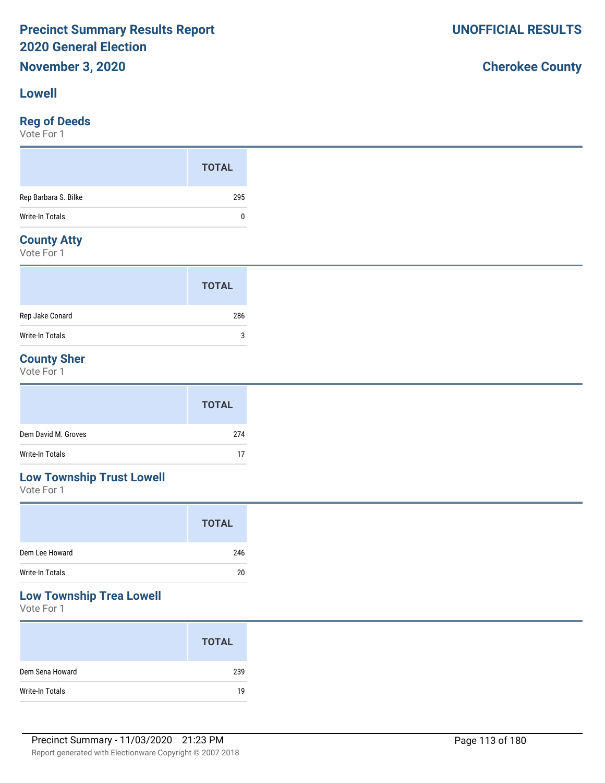#### **Lowell**

#### **Reg of Deeds**

Vote For 1

#### **County Atty**

Vote For 1

|                        | <b>TOTAL</b> |  |
|------------------------|--------------|--|
| Rep Jake Conard        | 286          |  |
| <b>Write-In Totals</b> | 3            |  |

## **County Sher**

Vote For 1

|                     | <b>TOTAL</b> |
|---------------------|--------------|
| Dem David M. Groves | 274          |
| Write-In Totals     | 17           |

# **Low Township Trust Lowell**

Vote For 1

|                 | <b>TOTAL</b> |
|-----------------|--------------|
| Dem Lee Howard  | 246          |
| Write-In Totals | 20           |

# **Low Township Trea Lowell**

Vote For 1

|                 | <b>TOTAL</b> |
|-----------------|--------------|
| Dem Sena Howard | 239          |
| Write-In Totals | 19           |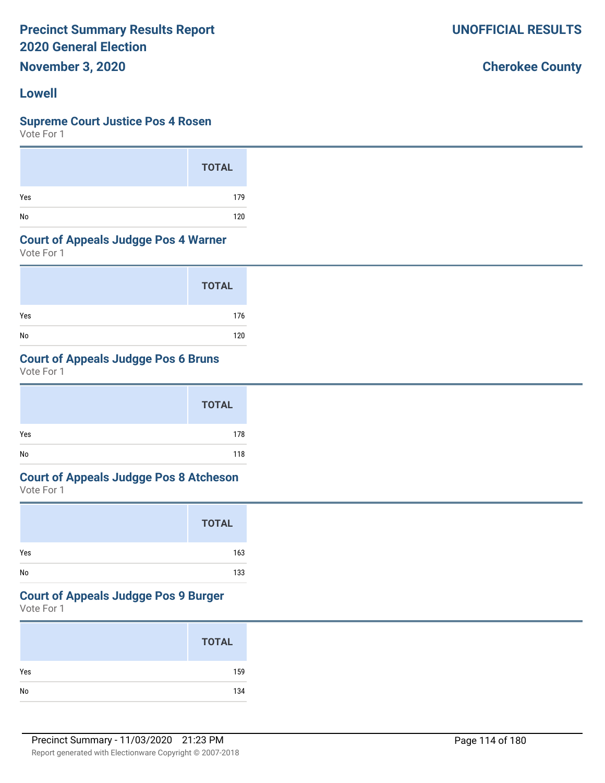**November 3, 2020**

#### **Lowell**

#### **Supreme Court Justice Pos 4 Rosen**

Vote For 1

|     | <b>TOTAL</b> |
|-----|--------------|
| Yes | 179          |
| No  | 120          |

#### **Court of Appeals Judgge Pos 4 Warner**

Vote For 1

|     | <b>TOTAL</b> |
|-----|--------------|
| Yes | 176          |
| No  | 120          |

### **Court of Appeals Judgge Pos 6 Bruns**

Vote For 1

|     | <b>TOTAL</b> |
|-----|--------------|
| Yes | 178          |
| No  | 118          |

# **Court of Appeals Judgge Pos 8 Atcheson**

Vote For 1

|     | <b>TOTAL</b> |
|-----|--------------|
| Yes | 163          |
| No  | 133          |

# **Court of Appeals Judgge Pos 9 Burger**

Vote For 1

|            | <b>TOTAL</b> |
|------------|--------------|
| Yes        | 159          |
| ${\sf No}$ | 134          |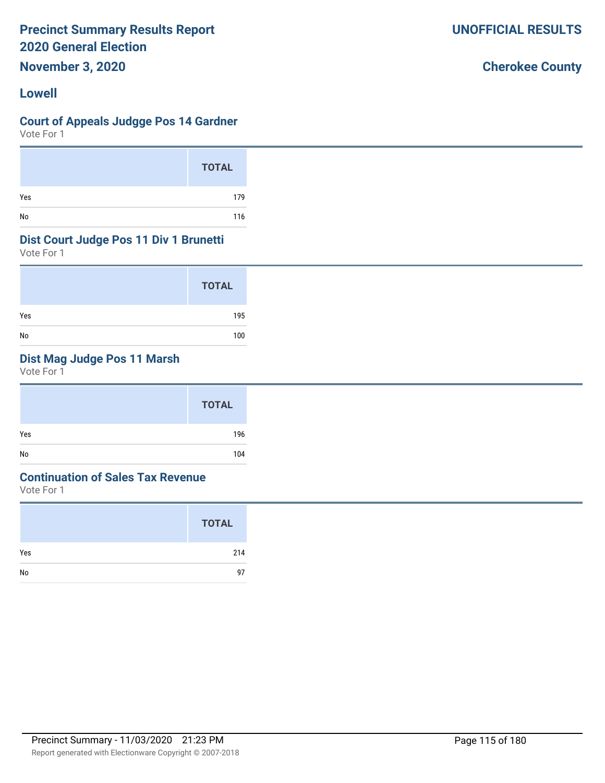**November 3, 2020**

#### **Lowell**

#### **Court of Appeals Judgge Pos 14 Gardner**

Vote For 1

|     | <b>TOTAL</b> |
|-----|--------------|
| Yes | 179          |
| No  | 116          |

#### **Dist Court Judge Pos 11 Div 1 Brunetti**

Vote For 1

|     | <b>TOTAL</b> |
|-----|--------------|
| Yes | 195          |
| No  | 100          |

## **Dist Mag Judge Pos 11 Marsh**

Vote For 1

|     | <b>TOTAL</b> |
|-----|--------------|
| Yes | 196          |
| No  | 104          |

#### **Continuation of Sales Tax Revenue**

Vote For 1

|     | <b>TOTAL</b> |
|-----|--------------|
| Yes | 214          |
| No  | 97           |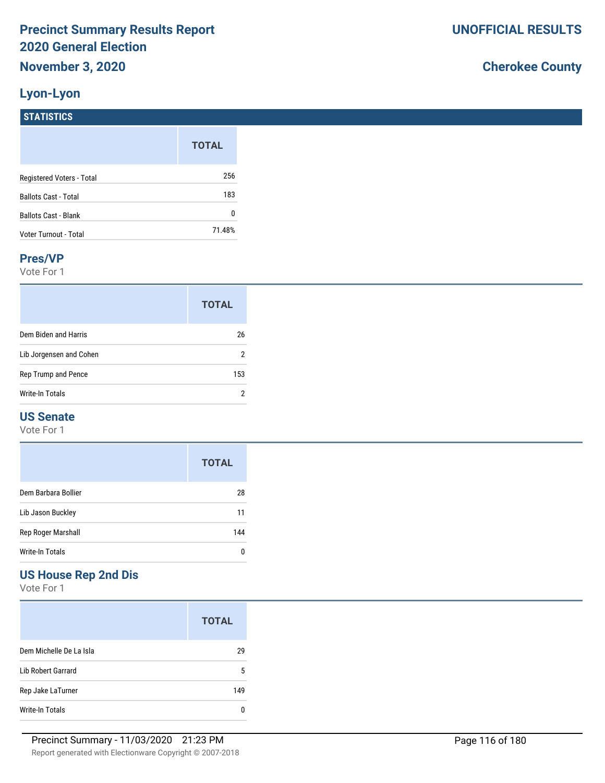### **Lyon-Lyon**

**STATISTICS**

# **Cherokee County**

|                           | <b>TOTAL</b> |
|---------------------------|--------------|
| Registered Voters - Total | 256          |
| Ballots Cast - Total      | 183          |
| Ballots Cast - Blank      | 0            |
| Voter Turnout - Total     | 71.48%       |

#### **Pres/VP**

Vote For 1

|                         | <b>TOTAL</b> |
|-------------------------|--------------|
| Dem Biden and Harris    | 26           |
| Lib Jorgensen and Cohen | 2            |
| Rep Trump and Pence     | 153          |
| Write-In Totals         | 2            |

#### **US Senate**

Vote For 1

|                     | <b>TOTAL</b> |
|---------------------|--------------|
| Dem Barbara Bollier | 28           |
| Lib Jason Buckley   | 11           |
| Rep Roger Marshall  | 144          |
| Write-In Totals     |              |

## **US House Rep 2nd Dis**

|                         | <b>TOTAL</b> |
|-------------------------|--------------|
| Dem Michelle De La Isla | 29           |
| Lib Robert Garrard      | 5            |
| Rep Jake LaTurner       | 149          |
| Write-In Totals         |              |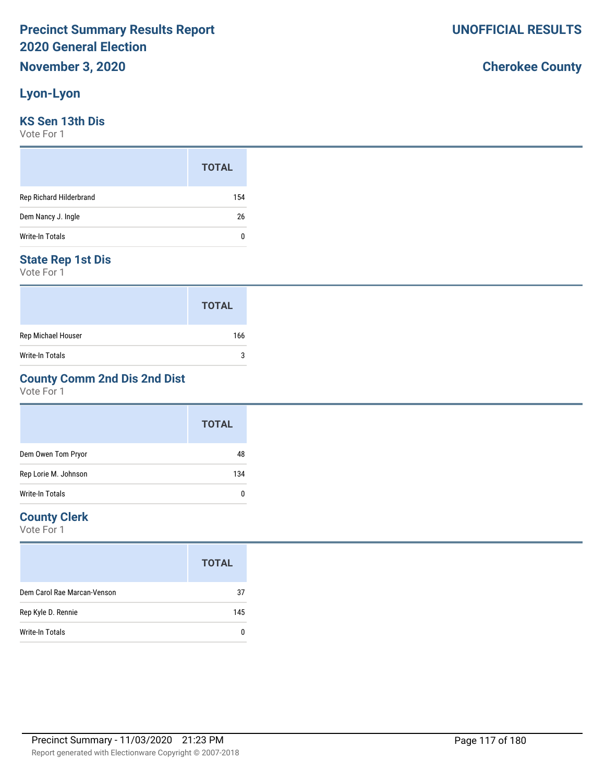### **Lyon-Lyon**

#### **KS Sen 13th Dis**

Vote For 1

|                         | <b>TOTAL</b> |
|-------------------------|--------------|
| Rep Richard Hilderbrand | 154          |
| Dem Nancy J. Ingle      | 26           |
| Write-In Totals         | 0            |

#### **State Rep 1st Dis**

Vote For 1

|                    | <b>TOTAL</b> |
|--------------------|--------------|
| Rep Michael Houser | 166          |
| Write-In Totals    | 3            |

### **County Comm 2nd Dis 2nd Dist**

Vote For 1

|                      | <b>TOTAL</b> |
|----------------------|--------------|
| Dem Owen Tom Pryor   | 48           |
| Rep Lorie M. Johnson | 134          |
| Write-In Totals      | 0            |

#### **County Clerk**

Vote For 1

|                             | <b>TOTAL</b> |
|-----------------------------|--------------|
| Dem Carol Rae Marcan-Venson | 37           |
| Rep Kyle D. Rennie          | 145          |
| Write-In Totals             |              |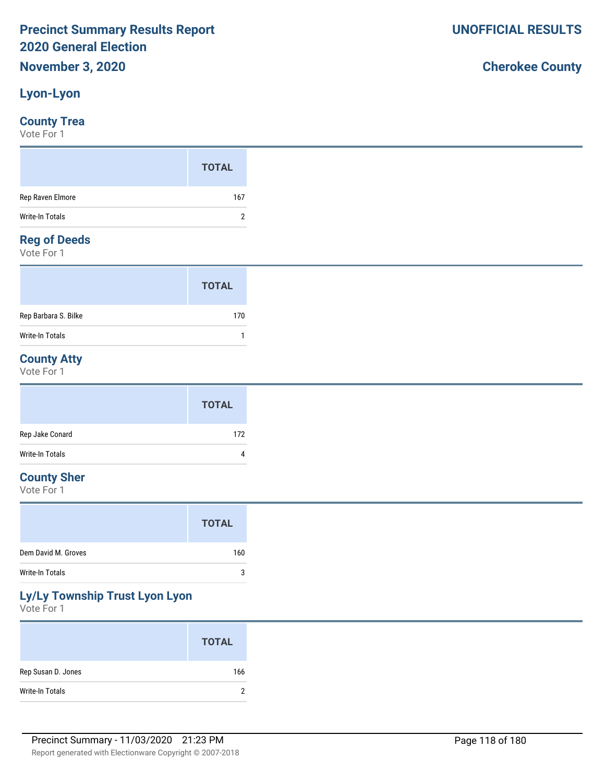### **Lyon-Lyon**

#### **County Trea**

Vote For 1

|                  | <b>TOTAL</b> |
|------------------|--------------|
| Rep Raven Elmore | 167          |
| Write-In Totals  | ົາ           |
| $\sim$<br>$\sim$ |              |

#### **Reg of Deeds**

Vote For 1

|                      | <b>TOTAL</b> |
|----------------------|--------------|
| Rep Barbara S. Bilke | 170          |
| Write-In Totals      |              |

### **County Atty**

Vote For 1

|                 | <b>TOTAL</b> |
|-----------------|--------------|
| Rep Jake Conard | 172          |
| Write-In Totals | 4            |

### **County Sher**

Vote For 1

## **Ly/Ly Township Trust Lyon Lyon**

Vote For 1

|                    | <b>TOTAL</b> |
|--------------------|--------------|
| Rep Susan D. Jones | 166          |
| Write-In Totals    | ົ            |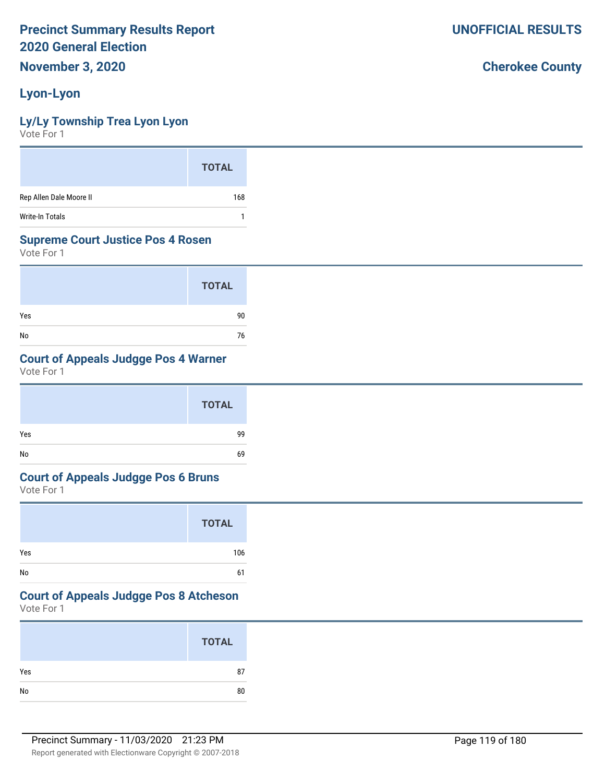**November 3, 2020**

# **Lyon-Lyon**

## **Ly/Ly Township Trea Lyon Lyon**

Vote For 1

|                         | <b>TOTAL</b> |
|-------------------------|--------------|
| Rep Allen Dale Moore II | 168          |
| <b>Write-In Totals</b>  |              |

### **Supreme Court Justice Pos 4 Rosen**

Vote For 1

|     | <b>TOTAL</b> |
|-----|--------------|
| Yes | 90           |
| No  | 76           |

## **Court of Appeals Judgge Pos 4 Warner**

Vote For 1

|     | <b>TOTAL</b> |
|-----|--------------|
| Yes | 99           |
| No  | 69           |

### **Court of Appeals Judgge Pos 6 Bruns**

Vote For 1

|     | <b>TOTAL</b> |
|-----|--------------|
| Yes | 106          |
| No  | 61           |

# **Court of Appeals Judgge Pos 8 Atcheson**

Vote For 1

|            | <b>TOTAL</b> |
|------------|--------------|
| Yes        | 87           |
| ${\sf No}$ | 80           |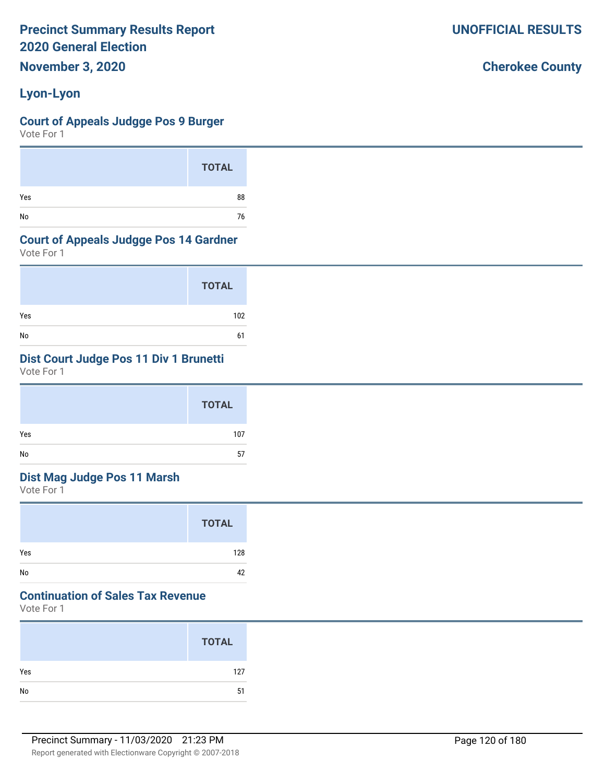**November 3, 2020**

# **Lyon-Lyon**

### **Court of Appeals Judgge Pos 9 Burger**

Vote For 1

|     | <b>TOTAL</b> |
|-----|--------------|
| Yes | 88           |
| No  | 76           |

### **Court of Appeals Judgge Pos 14 Gardner**

Vote For 1

|     | <b>TOTAL</b> |
|-----|--------------|
| Yes | 102          |
| No  | 61           |

# **Dist Court Judge Pos 11 Div 1 Brunetti**

Vote For 1

|     | TOTAL |
|-----|-------|
| Yes | 107   |
| No  | 57    |

# **Dist Mag Judge Pos 11 Marsh**

Vote For 1

|     | <b>TOTAL</b> |
|-----|--------------|
| Yes | 128          |
| No  | 42           |

# **Continuation of Sales Tax Revenue**

Vote For 1

|     | <b>TOTAL</b> |
|-----|--------------|
| Yes | 127          |
| No  | 51           |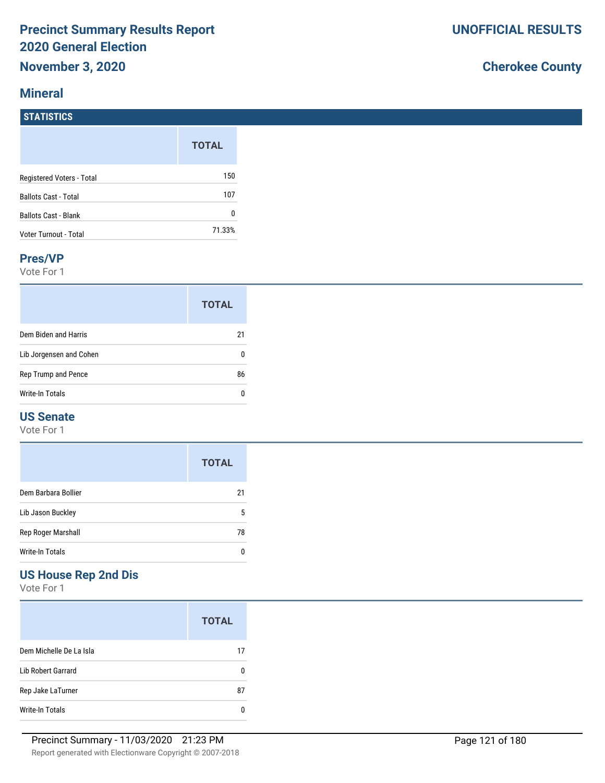### **Mineral**

# **Cherokee County**

| <b>STATISTICS</b>           |              |
|-----------------------------|--------------|
|                             | <b>TOTAL</b> |
| Registered Voters - Total   | 150          |
| <b>Ballots Cast - Total</b> | 107          |
| <b>Ballots Cast - Blank</b> | 0            |
| Voter Turnout - Total       | 71.33%       |

#### **Pres/VP**

Vote For 1

|                         | <b>TOTAL</b> |
|-------------------------|--------------|
| Dem Biden and Harris    | 21           |
| Lib Jorgensen and Cohen |              |
| Rep Trump and Pence     | 86           |
| Write-In Totals         |              |

#### **US Senate**

Vote For 1

|                     | <b>TOTAL</b> |
|---------------------|--------------|
| Dem Barbara Bollier | 21           |
| Lib Jason Buckley   | 5            |
| Rep Roger Marshall  | 78           |
| Write-In Totals     |              |

### **US House Rep 2nd Dis**

|                         | <b>TOTAL</b> |
|-------------------------|--------------|
| Dem Michelle De La Isla | 17           |
| Lib Robert Garrard      | n            |
| Rep Jake LaTurner       | 87           |
| Write-In Totals         |              |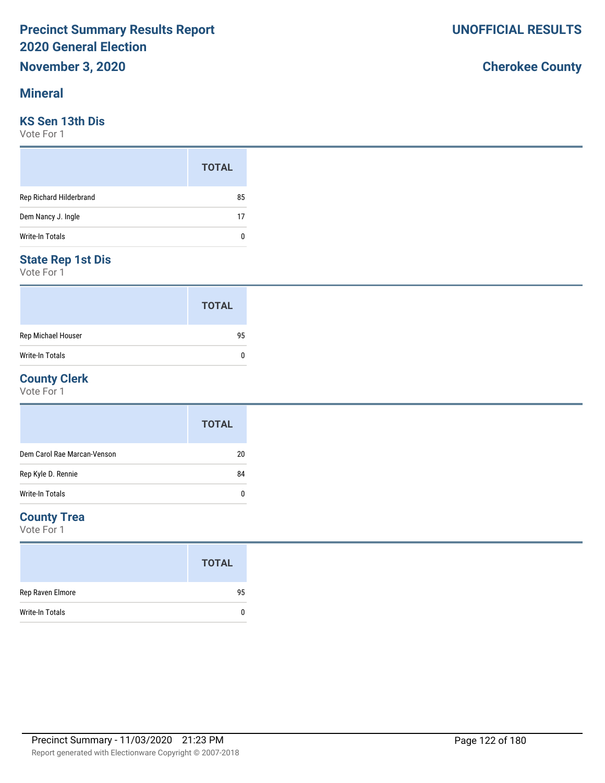#### **Mineral**

#### **KS Sen 13th Dis**

Vote For 1

|                         | <b>TOTAL</b> |  |
|-------------------------|--------------|--|
| Rep Richard Hilderbrand | 85           |  |
| Dem Nancy J. Ingle      | 17           |  |
| Write-In Totals         | 0            |  |

### **State Rep 1st Dis**

Vote For 1

|                        | <b>TOTAL</b> |
|------------------------|--------------|
| Rep Michael Houser     | 95           |
| <b>Write-In Totals</b> | ŋ            |

#### **County Clerk**

Vote For 1

|                             | <b>TOTAL</b> |
|-----------------------------|--------------|
| Dem Carol Rae Marcan-Venson | 20           |
| Rep Kyle D. Rennie          | 84           |
| Write-In Totals             | 0            |

#### **County Trea**

Vote For 1

|                  | <b>TOTAL</b> |
|------------------|--------------|
| Rep Raven Elmore | 95           |
| Write-In Totals  |              |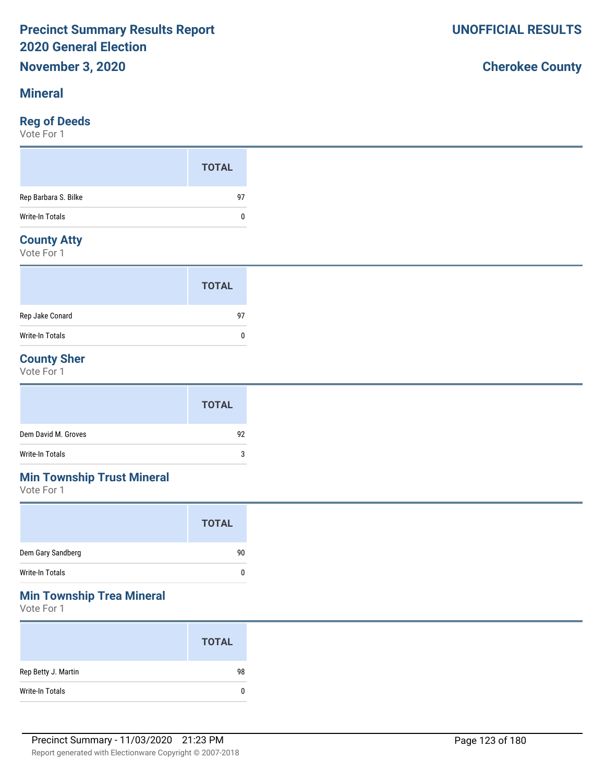#### **Mineral**

### **Reg of Deeds**

Vote For 1

### **County Atty**

Vote For 1

|                        | <b>TOTAL</b> |  |
|------------------------|--------------|--|
| Rep Jake Conard        | 97           |  |
| <b>Write-In Totals</b> | 0            |  |

### **County Sher**

Vote For 1

|                     | <b>TOTAL</b> |
|---------------------|--------------|
| Dem David M. Groves | 92           |
| Write-In Totals     | 3            |

# **Min Township Trust Mineral**

Vote For 1

| <b>TOTAL</b> |
|--------------|
| 90           |
| 0            |
|              |

### **Min Township Trea Mineral**

Vote For 1

|                     | <b>TOTAL</b> |
|---------------------|--------------|
| Rep Betty J. Martin | 98           |
| Write-In Totals     | 0            |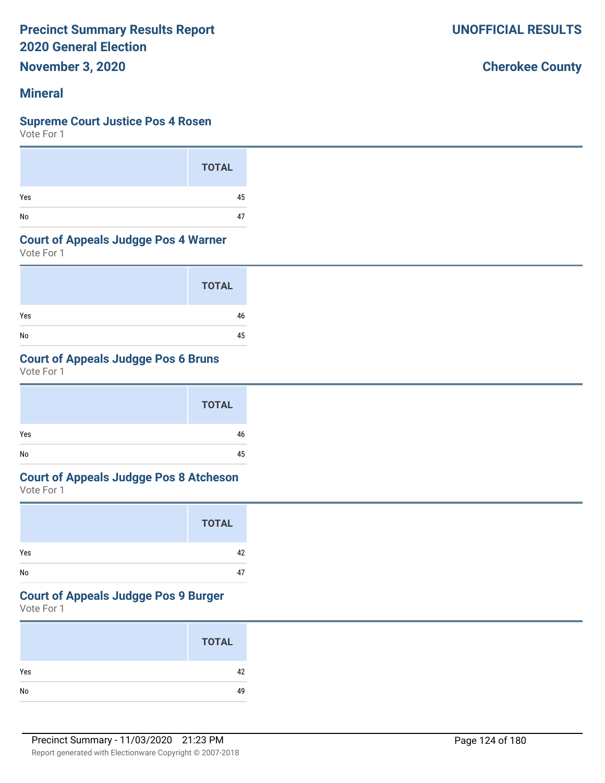**November 3, 2020**

### **Mineral**

#### **Supreme Court Justice Pos 4 Rosen**

Vote For 1

|     | <b>TOTAL</b> |
|-----|--------------|
| Yes | 45           |
| No  | 47           |

#### **Court of Appeals Judgge Pos 4 Warner**

Vote For 1

|     | <b>TOTAL</b> |
|-----|--------------|
| Yes | 46           |
| No  | 45           |

## **Court of Appeals Judgge Pos 6 Bruns**

Vote For 1

|     | <b>TOTAL</b> |  |
|-----|--------------|--|
| Yes | 46           |  |
| No  | 45           |  |

# **Court of Appeals Judgge Pos 8 Atcheson**

Vote For 1

|     | <b>TOTAL</b> |
|-----|--------------|
| Yes | 42           |
| No  | 47           |

#### **Court of Appeals Judgge Pos 9 Burger**

Vote For 1

|     | <b>TOTAL</b> |
|-----|--------------|
| Yes | 42           |
| No  | 49           |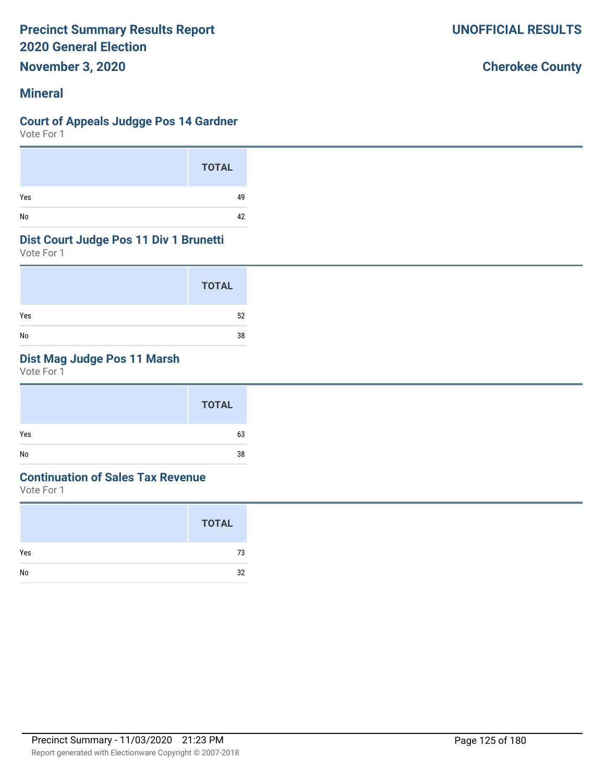**November 3, 2020**

### **Mineral**

#### **Court of Appeals Judgge Pos 14 Gardner**

Vote For 1

|     | <b>TOTAL</b> |
|-----|--------------|
| Yes | 49           |
| No  | 42           |

#### **Dist Court Judge Pos 11 Div 1 Brunetti**

Vote For 1

|     | <b>TOTAL</b> |  |
|-----|--------------|--|
| Yes | 52           |  |
| No  | 38           |  |

## **Dist Mag Judge Pos 11 Marsh**

Vote For 1

| Yes<br>63 |
|-----------|
| No<br>38  |

### **Continuation of Sales Tax Revenue**

Vote For 1

|     | <b>TOTAL</b> |
|-----|--------------|
| Yes | 73           |
| No  | 32           |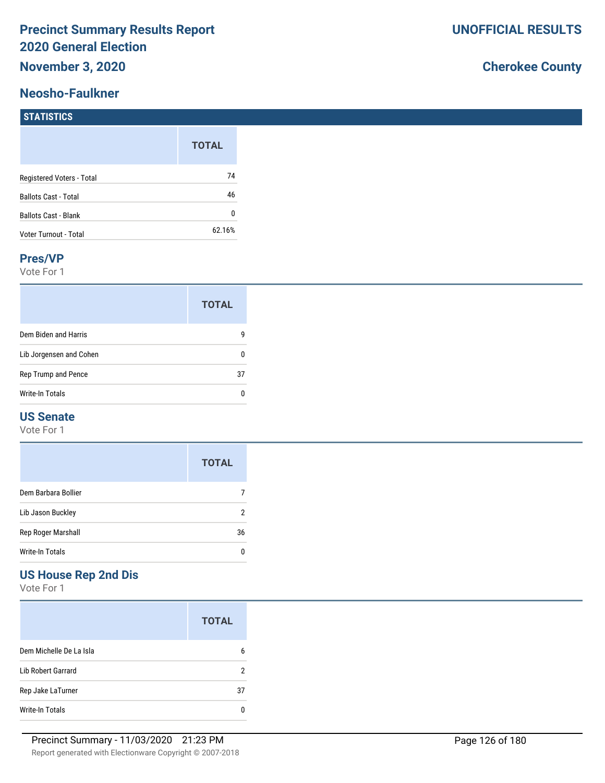## **Neosho-Faulkner**

# **Cherokee County**

#### **STATISTICS**

|                             | <b>TOTAL</b> |
|-----------------------------|--------------|
| Registered Voters - Total   | 74           |
| <b>Ballots Cast - Total</b> | 46           |
| <b>Ballots Cast - Blank</b> | N            |
| Voter Turnout - Total       | 62.16%       |

#### **Pres/VP**

Vote For 1

|                         | <b>TOTAL</b> |
|-------------------------|--------------|
| Dem Biden and Harris    | g            |
| Lib Jorgensen and Cohen | 0            |
| Rep Trump and Pence     | 37           |
| Write-In Totals         | n            |

#### **US Senate**

Vote For 1

|                     | <b>TOTAL</b> |
|---------------------|--------------|
| Dem Barbara Bollier |              |
| Lib Jason Buckley   | 2            |
| Rep Roger Marshall  | 36           |
| Write-In Totals     | O            |

### **US House Rep 2nd Dis**

|                         | <b>TOTAL</b> |
|-------------------------|--------------|
| Dem Michelle De La Isla | 6            |
| Lib Robert Garrard      | 2            |
| Rep Jake LaTurner       | 37           |
| <b>Write-In Totals</b>  |              |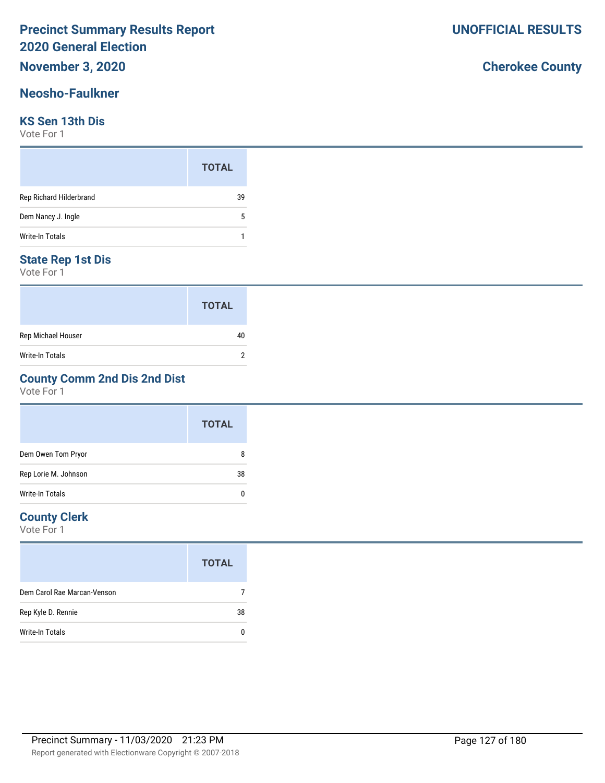# **November 3, 2020**

#### **Neosho-Faulkner**

#### **KS Sen 13th Dis**

Vote For 1

|                         | <b>TOTAL</b> |  |
|-------------------------|--------------|--|
| Rep Richard Hilderbrand | 39           |  |
| Dem Nancy J. Ingle      | 5            |  |
| <b>Write-In Totals</b>  |              |  |

#### **State Rep 1st Dis**

Vote For 1

|                    | <b>TOTAL</b> |
|--------------------|--------------|
| Rep Michael Houser | 40           |
| Write-In Totals    |              |

### **County Comm 2nd Dis 2nd Dist**

Vote For 1

|                      | <b>TOTAL</b> |
|----------------------|--------------|
| Dem Owen Tom Pryor   | 8            |
| Rep Lorie M. Johnson | 38           |
| Write-In Totals      |              |

#### **County Clerk**

|                             | <b>TOTAL</b> |
|-----------------------------|--------------|
| Dem Carol Rae Marcan-Venson |              |
| Rep Kyle D. Rennie          | 38           |
| Write-In Totals             |              |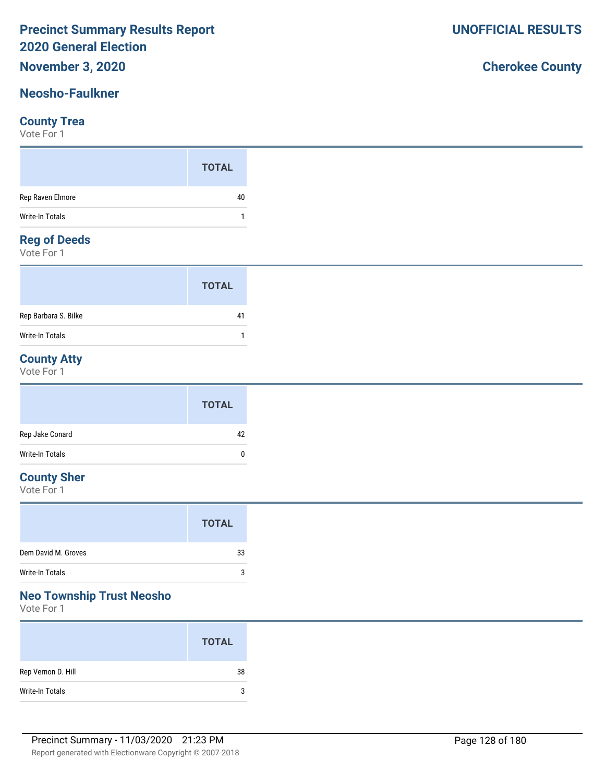### **November 3, 2020**

### **Neosho-Faulkner**

#### **County Trea**

Vote For 1

#### **Reg of Deeds**

Vote For 1

|                      | <b>TOTAL</b> |
|----------------------|--------------|
| Rep Barbara S. Bilke | 41           |
| Write-In Totals      |              |

### **County Atty**

Vote For 1

|                 | <b>TOTAL</b> |
|-----------------|--------------|
| Rep Jake Conard | 42           |
| Write-In Totals | $\mathbf{0}$ |

#### **County Sher**

Vote For 1

#### **Neo Township Trust Neosho**

Vote For 1

|                    | <b>TOTAL</b> |
|--------------------|--------------|
| Rep Vernon D. Hill | 38           |
| Write-In Totals    | 3            |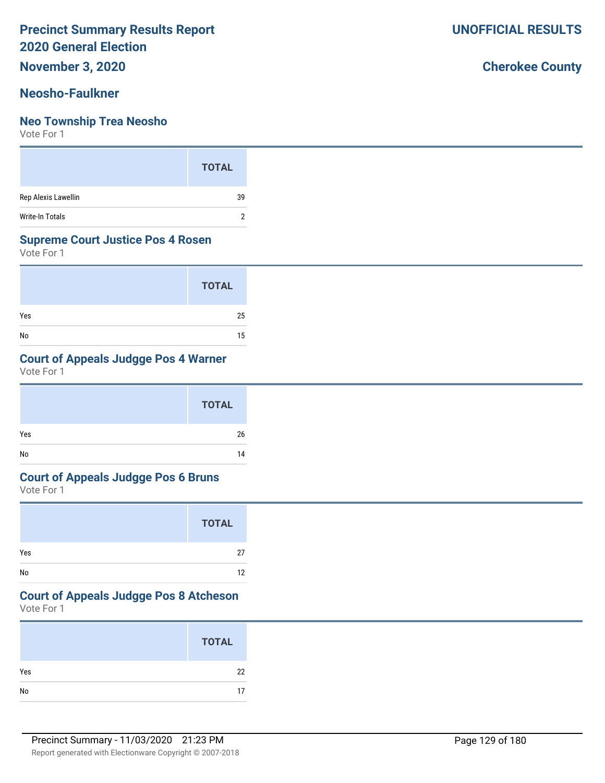**November 3, 2020**

#### **Neosho-Faulkner**

#### **Neo Township Trea Neosho**

Vote For 1

|                     | <b>TOTAL</b> |
|---------------------|--------------|
| Rep Alexis Lawellin | 39           |
| Write-In Totals     |              |

#### **Supreme Court Justice Pos 4 Rosen**

Vote For 1

|     | <b>TOTAL</b> |
|-----|--------------|
| Yes | 25           |
| No  | 15           |

### **Court of Appeals Judgge Pos 4 Warner**

Vote For 1

|     | <b>TOTAL</b> |
|-----|--------------|
| Yes | 26           |
| No  | 14           |

#### **Court of Appeals Judgge Pos 6 Bruns**

Vote For 1

|     | <b>TOTAL</b> |
|-----|--------------|
| Yes | 27           |
| No  | 12           |

# **Court of Appeals Judgge Pos 8 Atcheson**

Vote For 1

|     | <b>TOTAL</b> |
|-----|--------------|
| Yes | 22           |
|     | 17           |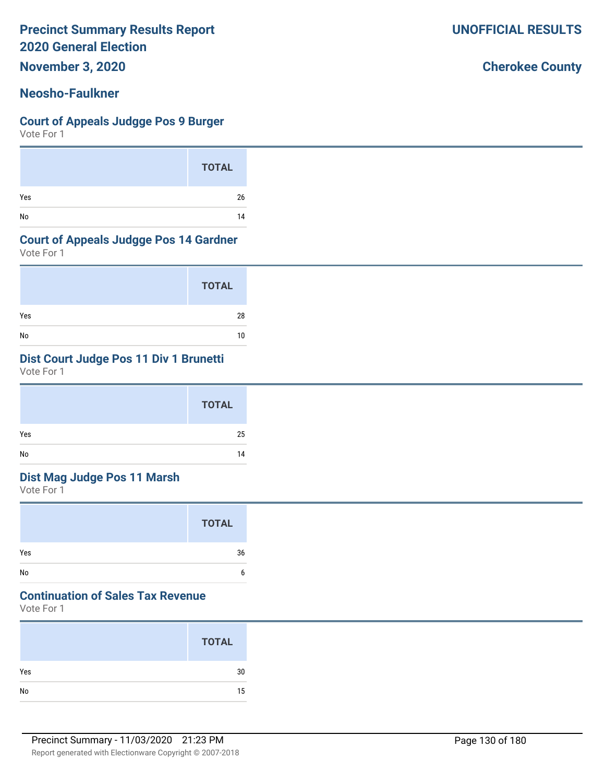**November 3, 2020**

### **Neosho-Faulkner**

#### **Court of Appeals Judgge Pos 9 Burger**

Vote For 1

|     | <b>TOTAL</b> |
|-----|--------------|
| Yes | 26           |
| No  | 14           |

#### **Court of Appeals Judgge Pos 14 Gardner**

Vote For 1

|     | <b>TOTAL</b> |
|-----|--------------|
| Yes | 28           |
| No  | 10           |

## **Dist Court Judge Pos 11 Div 1 Brunetti**

Vote For 1

|     | <b>TOTAL</b> |
|-----|--------------|
| Yes | 25           |
| No  | 14           |

### **Dist Mag Judge Pos 11 Marsh**

Vote For 1

|     | <b>TOTAL</b> |
|-----|--------------|
| Yes | 36           |
| No  | h            |

## **Continuation of Sales Tax Revenue**

Vote For 1

|     | <b>TOTAL</b> |
|-----|--------------|
| Yes | 30           |
| No  | 15           |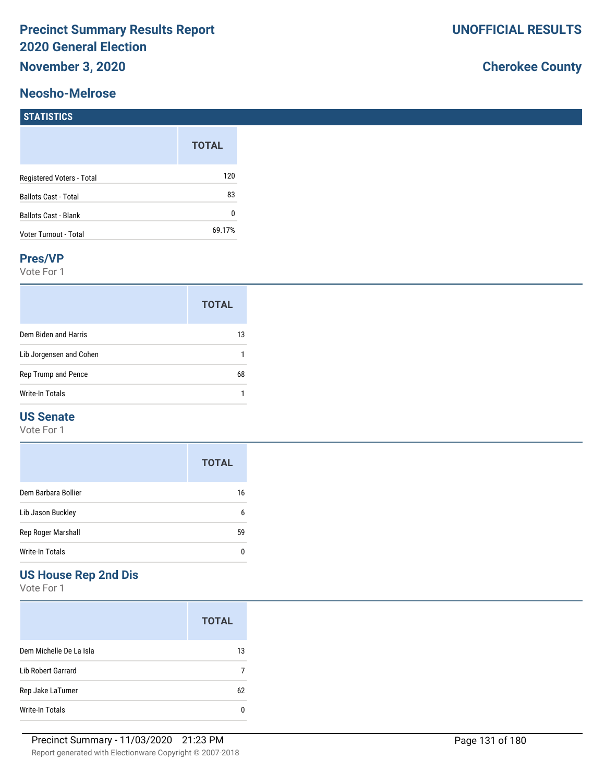#### **Neosho-Melrose**

# **Cherokee County**

|                              | <b>TOTAL</b> |
|------------------------------|--------------|
| Registered Voters - Total    | 120          |
| <b>Ballots Cast - Total</b>  | 83           |
| <b>Ballots Cast - Blank</b>  | O            |
| <b>Voter Turnout - Total</b> | 69.17%       |

#### **Pres/VP**

Vote For 1

|                         | <b>TOTAL</b> |
|-------------------------|--------------|
| Dem Biden and Harris    | 13           |
| Lib Jorgensen and Cohen |              |
| Rep Trump and Pence     | 68           |
| Write-In Totals         |              |

### **US Senate**

Vote For 1

|                        | <b>TOTAL</b> |
|------------------------|--------------|
| Dem Barbara Bollier    | 16           |
| Lib Jason Buckley      | 6            |
| Rep Roger Marshall     | 59           |
| <b>Write-In Totals</b> | O            |

## **US House Rep 2nd Dis**

|                         | <b>TOTAL</b> |
|-------------------------|--------------|
| Dem Michelle De La Isla | 13           |
| Lib Robert Garrard      |              |
| Rep Jake LaTurner       | 62           |
| Write-In Totals         |              |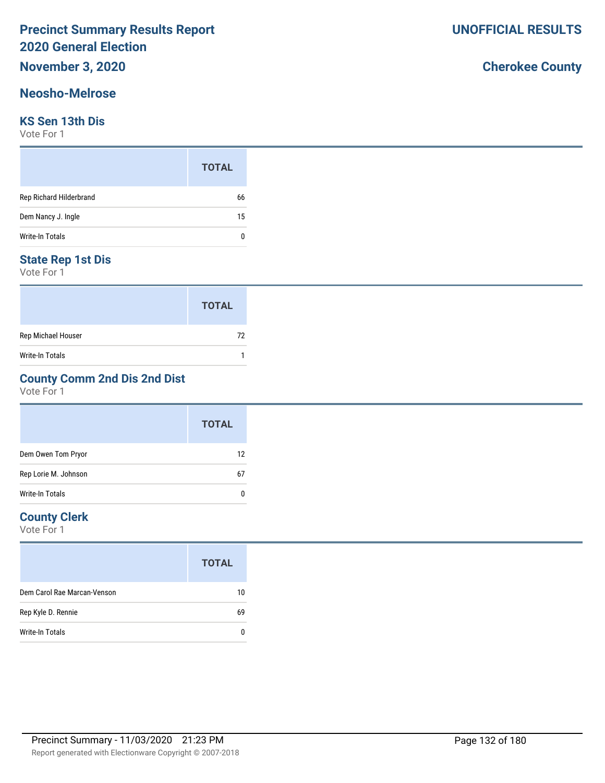# **November 3, 2020**

#### **Neosho-Melrose**

#### **KS Sen 13th Dis**

Vote For 1

|                         | <b>TOTAL</b> |  |
|-------------------------|--------------|--|
| Rep Richard Hilderbrand | 66           |  |
| Dem Nancy J. Ingle      | 15           |  |
| <b>Write-In Totals</b>  | n            |  |

#### **State Rep 1st Dis**

Vote For 1

|                    | <b>TOTAL</b> |
|--------------------|--------------|
| Rep Michael Houser | 72           |
| Write-In Totals    |              |

### **County Comm 2nd Dis 2nd Dist**

Vote For 1

|                      | <b>TOTAL</b> |
|----------------------|--------------|
| Dem Owen Tom Pryor   | 12           |
| Rep Lorie M. Johnson | 67           |
| Write-In Totals      |              |

#### **County Clerk**

Vote For 1

|                             | <b>TOTAL</b> |
|-----------------------------|--------------|
| Dem Carol Rae Marcan-Venson | 10           |
| Rep Kyle D. Rennie          | 69           |
| Write-In Totals             |              |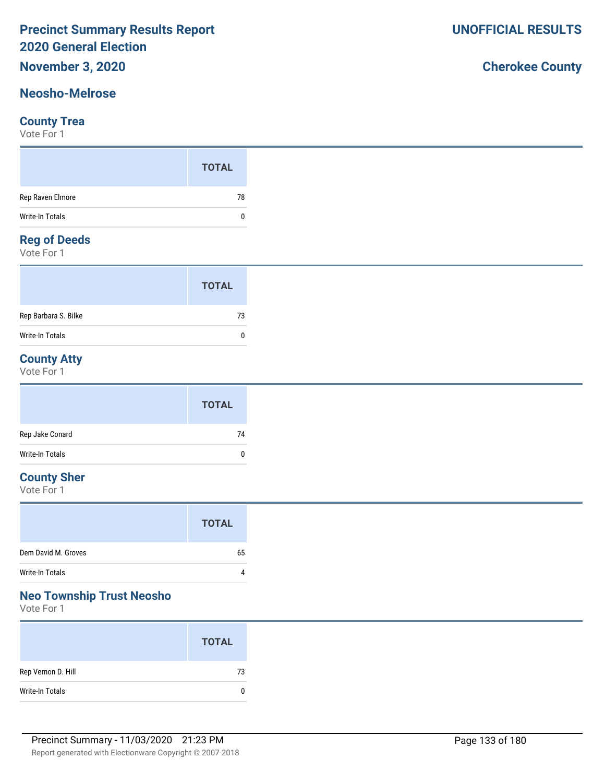# **November 3, 2020**

### **Neosho-Melrose**

#### **County Trea**

Vote For 1

#### **Reg of Deeds**

Vote For 1

|                      | <b>TOTAL</b> |  |
|----------------------|--------------|--|
| Rep Barbara S. Bilke | 73           |  |
| Write-In Totals      | n            |  |

### **County Atty**

Vote For 1

|                 | <b>TOTAL</b> |
|-----------------|--------------|
| Rep Jake Conard | 74           |
| Write-In Totals | 0            |

### **County Sher**

Vote For 1

## **Neo Township Trust Neosho**

Vote For 1

|                    | <b>TOTAL</b> |
|--------------------|--------------|
| Rep Vernon D. Hill | 73           |
| Write-In Totals    | 0            |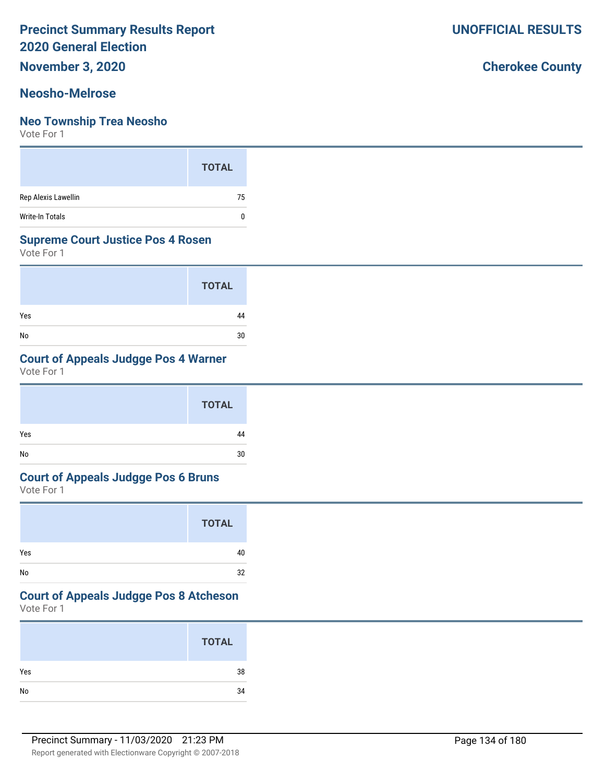**November 3, 2020**

#### **Neosho-Melrose**

#### **Neo Township Trea Neosho**

Vote For 1

|                        | <b>TOTAL</b> |
|------------------------|--------------|
| Rep Alexis Lawellin    | 75           |
| <b>Write-In Totals</b> |              |

#### **Supreme Court Justice Pos 4 Rosen**

Vote For 1

|     | <b>TOTAL</b> |
|-----|--------------|
| Yes | 44           |
| No  | 30           |

### **Court of Appeals Judgge Pos 4 Warner**

Vote For 1

|     | <b>TOTAL</b> |
|-----|--------------|
| Yes | 44           |
| No  | 30           |

#### **Court of Appeals Judgge Pos 6 Bruns**

Vote For 1

|     | <b>TOTAL</b> |
|-----|--------------|
| Yes | 40           |
| No  | 32           |

# **Court of Appeals Judgge Pos 8 Atcheson**

Vote For 1

|     | <b>TOTAL</b> |
|-----|--------------|
| Yes | 38           |
| No  | 34           |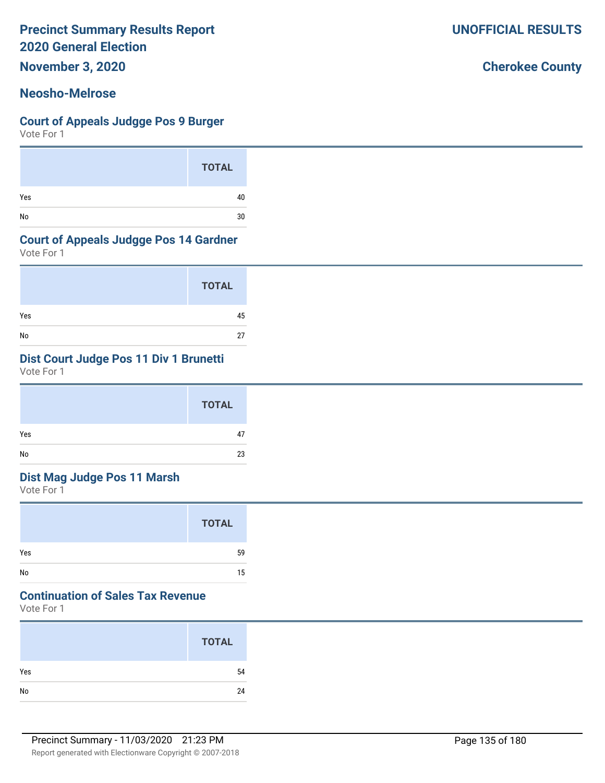**November 3, 2020**

#### **Neosho-Melrose**

#### **Court of Appeals Judgge Pos 9 Burger**

Vote For 1

|     | <b>TOTAL</b> |
|-----|--------------|
| Yes | 40           |
| No  | 30           |

#### **Court of Appeals Judgge Pos 14 Gardner**

Vote For 1

|     | <b>TOTAL</b> |
|-----|--------------|
| Yes | 45           |
| No  | 27           |

### **Dist Court Judge Pos 11 Div 1 Brunetti**

Vote For 1

|     | <b>TOTAL</b> |
|-----|--------------|
| Yes | 47           |
| No  | 23           |

### **Dist Mag Judge Pos 11 Marsh**

Vote For 1

|     | <b>TOTAL</b> |
|-----|--------------|
| Yes | 59           |
| No  | 15           |

## **Continuation of Sales Tax Revenue**

Vote For 1

|     | <b>TOTAL</b> |
|-----|--------------|
| Yes | 54           |
| No  | 24           |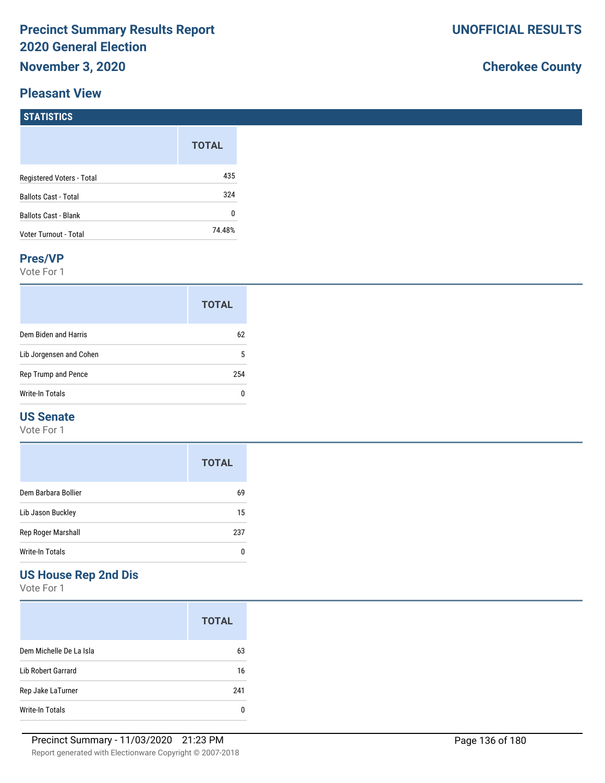#### **Pleasant View**

# **Cherokee County**

| <b>STATISTICS</b>           |              |
|-----------------------------|--------------|
|                             | <b>TOTAL</b> |
| Registered Voters - Total   | 435          |
| <b>Ballots Cast - Total</b> | 324          |
| <b>Ballots Cast - Blank</b> | $\mathbf{0}$ |
| Voter Turnout - Total       | 74.48%       |

#### **Pres/VP**

Vote For 1

|                         | <b>TOTAL</b> |
|-------------------------|--------------|
| Dem Biden and Harris    | 62           |
| Lib Jorgensen and Cohen | 5            |
| Rep Trump and Pence     | 254          |
| Write-In Totals         | n            |

#### **US Senate**

Vote For 1

|                     | <b>TOTAL</b> |
|---------------------|--------------|
| Dem Barbara Bollier | 69           |
| Lib Jason Buckley   | 15           |
| Rep Roger Marshall  | 237          |
| Write-In Totals     |              |

# **US House Rep 2nd Dis**

|                         | <b>TOTAL</b> |
|-------------------------|--------------|
| Dem Michelle De La Isla | 63           |
| Lib Robert Garrard      | 16           |
| Rep Jake LaTurner       | 241          |
| Write-In Totals         |              |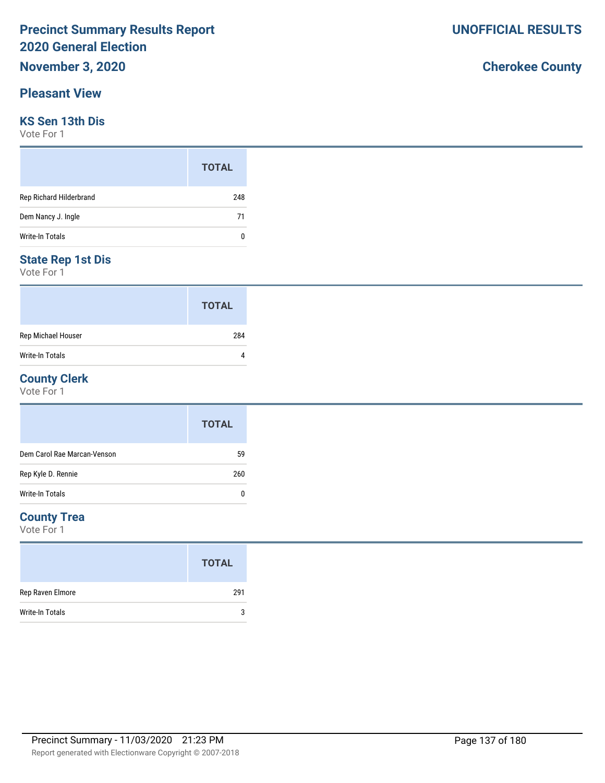#### **Pleasant View**

#### **KS Sen 13th Dis**

Vote For 1

|                         | <b>TOTAL</b> |
|-------------------------|--------------|
| Rep Richard Hilderbrand | 248          |
| Dem Nancy J. Ingle      | 71           |
| <b>Write-In Totals</b>  | 0            |

#### **State Rep 1st Dis**

Vote For 1

|                        | <b>TOTAL</b> |
|------------------------|--------------|
| Rep Michael Houser     | 284          |
| <b>Write-In Totals</b> |              |

#### **County Clerk**

Vote For 1

|                             | <b>TOTAL</b> |
|-----------------------------|--------------|
| Dem Carol Rae Marcan-Venson | 59           |
| Rep Kyle D. Rennie          | 260          |
| Write-In Totals             | 0            |

#### **County Trea**

Vote For 1

|                        | <b>TOTAL</b> |
|------------------------|--------------|
| Rep Raven Elmore       | 291          |
| <b>Write-In Totals</b> | 3            |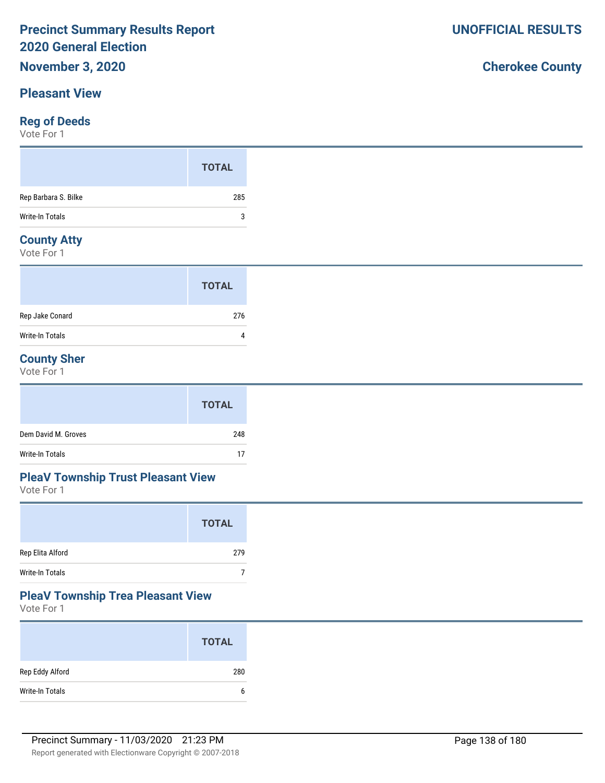#### **Pleasant View**

#### **Reg of Deeds**

Vote For 1

|                      | <b>TOTAL</b> |
|----------------------|--------------|
| Rep Barbara S. Bilke | 285          |
| Write-In Totals      | 3            |
|                      |              |

### **County Atty**

Vote For 1

|                 | <b>TOTAL</b> |
|-----------------|--------------|
| Rep Jake Conard | 276          |
| Write-In Totals | 4            |

#### **County Sher**

Vote For 1

|                     | <b>TOTAL</b> |
|---------------------|--------------|
| Dem David M. Groves | 248          |
| Write-In Totals     | 17           |

### **PleaV Township Trust Pleasant View**

Vote For 1

|                  | <b>TOTAL</b> |  |
|------------------|--------------|--|
| Rep Elita Alford | 279          |  |
| Write-In Totals  |              |  |

#### **PleaV Township Trea Pleasant View**

Vote For 1

|                 | <b>TOTAL</b> |
|-----------------|--------------|
| Rep Eddy Alford | 280          |
| Write-In Totals | b            |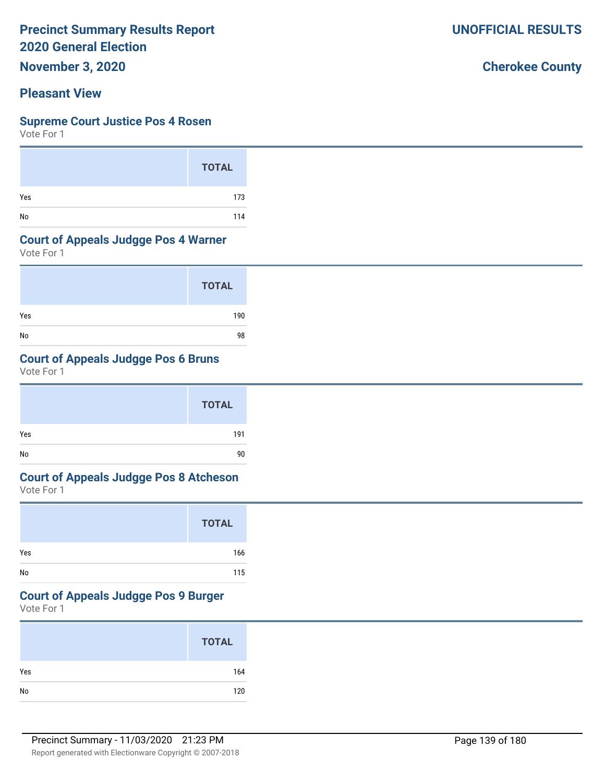**November 3, 2020**

## **Pleasant View**

#### **Supreme Court Justice Pos 4 Rosen**

Vote For 1

|     | <b>TOTAL</b> |
|-----|--------------|
| Yes | 173          |
| No  | 114          |

### **Court of Appeals Judgge Pos 4 Warner**

Vote For 1

|     | <b>TOTAL</b> |
|-----|--------------|
| Yes | 190          |
| No  | 98           |

# **Court of Appeals Judgge Pos 6 Bruns**

Vote For 1

|     | <b>TOTAL</b> |
|-----|--------------|
| Yes | 191          |
| No  | 90           |

# **Court of Appeals Judgge Pos 8 Atcheson**

Vote For 1

|     | <b>TOTAL</b> |
|-----|--------------|
| Yes | 166          |
| No  | 115          |

### **Court of Appeals Judgge Pos 9 Burger**

Vote For 1

|     | <b>TOTAL</b> |
|-----|--------------|
| Yes | 164          |
| No  | 120          |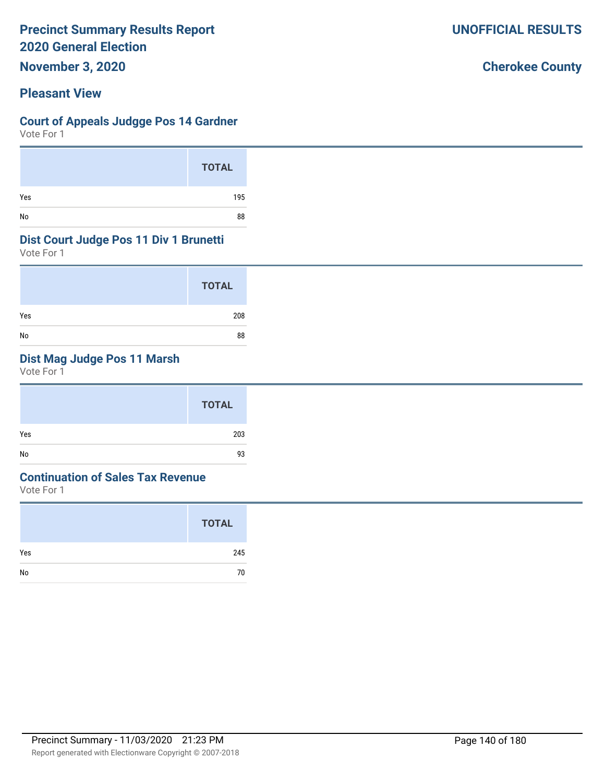**November 3, 2020**

#### **Pleasant View**

#### **Court of Appeals Judgge Pos 14 Gardner**

Vote For 1

|     | <b>TOTAL</b> |
|-----|--------------|
| Yes | 195          |
| No  | 88           |

#### **Dist Court Judge Pos 11 Div 1 Brunetti**

Vote For 1

|     | <b>TOTAL</b> |
|-----|--------------|
| Yes | 208          |
| No  | 88           |

## **Dist Mag Judge Pos 11 Marsh**

Vote For 1

|     | <b>TOTAL</b> |
|-----|--------------|
| Yes | 203          |
| No  | 93           |

#### **Continuation of Sales Tax Revenue**

Vote For 1

|     | <b>TOTAL</b> |
|-----|--------------|
| Yes | 245          |
| No  | 70           |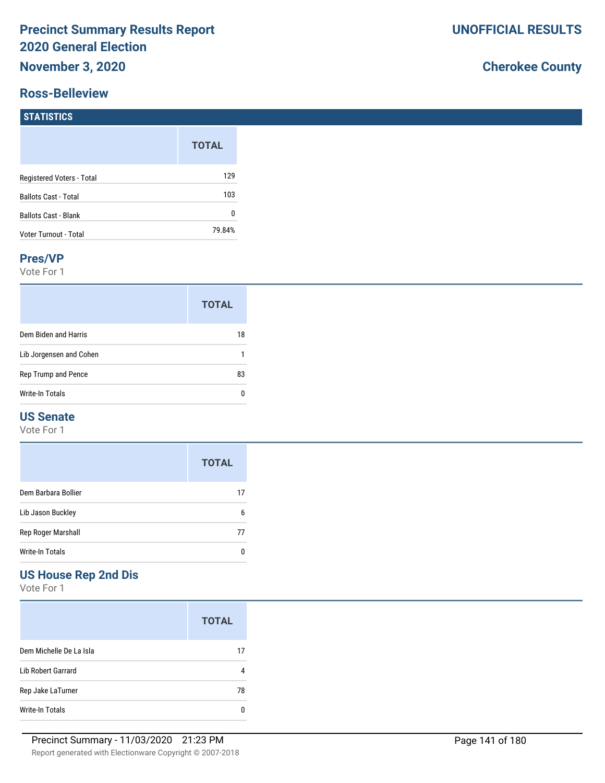#### **Ross-Belleview**

# **Cherokee County**

#### **STATISTICS**

|                             | <b>TOTAL</b> |
|-----------------------------|--------------|
| Registered Voters - Total   | 129          |
| <b>Ballots Cast - Total</b> | 103          |
| <b>Ballots Cast - Blank</b> |              |
| Voter Turnout - Total       | 79.84%       |

#### **Pres/VP**

Vote For 1

|                         | <b>TOTAL</b> |
|-------------------------|--------------|
| Dem Biden and Harris    | 18           |
| Lib Jorgensen and Cohen |              |
| Rep Trump and Pence     | 83           |
| Write-In Totals         |              |

#### **US Senate**

Vote For 1

|                     | <b>TOTAL</b> |
|---------------------|--------------|
| Dem Barbara Bollier | 17           |
| Lib Jason Buckley   | 6            |
| Rep Roger Marshall  | 77           |
| Write-In Totals     |              |

## **US House Rep 2nd Dis**

|                           | <b>TOTAL</b> |
|---------------------------|--------------|
| Dem Michelle De La Isla   | 17           |
| <b>Lib Robert Garrard</b> |              |
| Rep Jake LaTurner         | 78           |
| Write-In Totals           |              |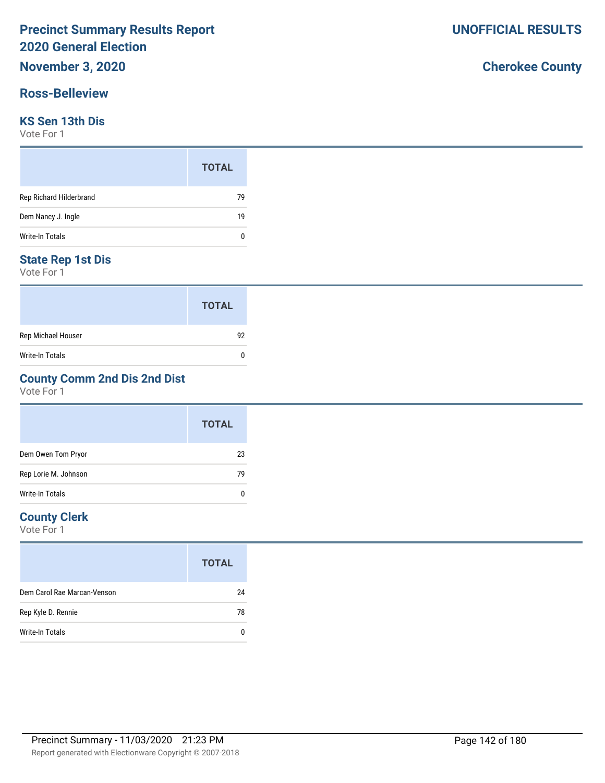#### **Ross-Belleview**

#### **KS Sen 13th Dis**

Vote For 1

|                         | <b>TOTAL</b> |
|-------------------------|--------------|
| Rep Richard Hilderbrand | 79           |
| Dem Nancy J. Ingle      | 19           |
| Write-In Totals         | 0            |

#### **State Rep 1st Dis**

Vote For 1

|                    | <b>TOTAL</b> |
|--------------------|--------------|
| Rep Michael Houser | 92           |
| Write-In Totals    | O            |

### **County Comm 2nd Dis 2nd Dist**

Vote For 1

|                      | <b>TOTAL</b> |
|----------------------|--------------|
| Dem Owen Tom Pryor   | 23           |
| Rep Lorie M. Johnson | 79           |
| Write-In Totals      | Ω            |

#### **County Clerk**

|                             | <b>TOTAL</b> |
|-----------------------------|--------------|
| Dem Carol Rae Marcan-Venson | 24           |
| Rep Kyle D. Rennie          | 78           |
| Write-In Totals             |              |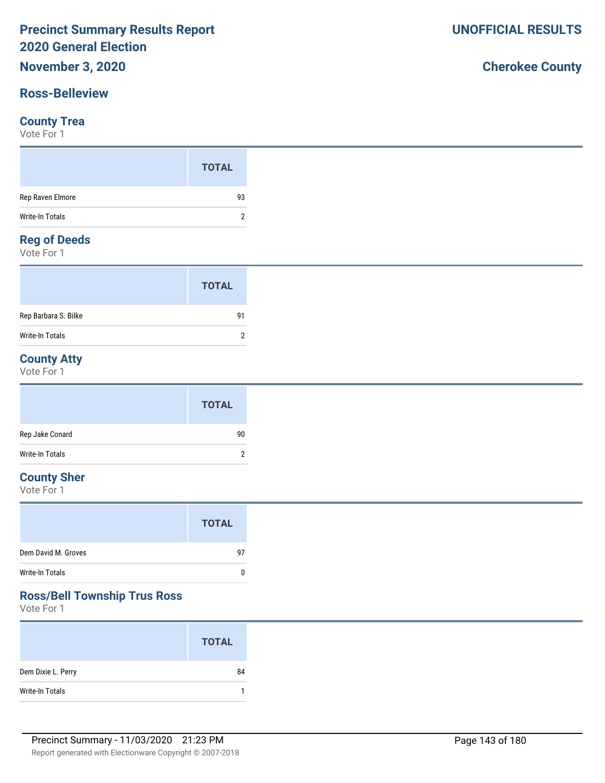# **November 3, 2020**

### **Ross-Belleview**

#### **County Trea**

Vote For 1

#### **Reg of Deeds**

Vote For 1

|                      | <b>TOTAL</b> |  |
|----------------------|--------------|--|
| Rep Barbara S. Bilke | 91           |  |
| Write-In Totals      | 2            |  |

### **County Atty**

Vote For 1

|                 | <b>TOTAL</b> |
|-----------------|--------------|
| Rep Jake Conard | 90           |
| Write-In Totals | ົ<br>∸       |

### **County Sher**

Vote For 1

### **Ross/Bell Township Trus Ross**

Vote For 1

|                    | <b>TOTAL</b> |
|--------------------|--------------|
| Dem Dixie L. Perry | 84           |
| Write-In Totals    |              |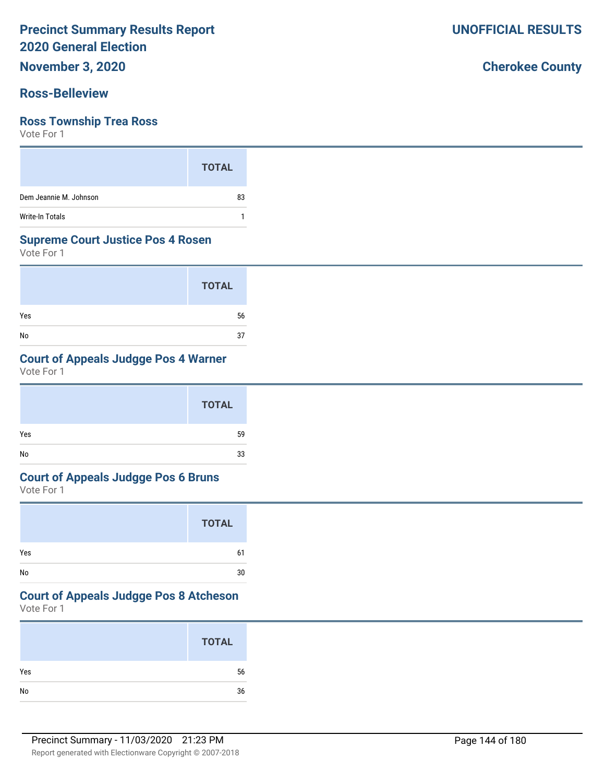**November 3, 2020**

#### **Ross-Belleview**

#### **Ross Township Trea Ross**

Vote For 1

|                        | <b>TOTAL</b> |
|------------------------|--------------|
| Dem Jeannie M. Johnson | 83           |
| <b>Write-In Totals</b> |              |

#### **Supreme Court Justice Pos 4 Rosen**

Vote For 1

|     | <b>TOTAL</b> |
|-----|--------------|
| Yes | 56           |
| No  | 37           |

### **Court of Appeals Judgge Pos 4 Warner**

Vote For 1

|     | <b>TOTAL</b> |
|-----|--------------|
| Yes | 59           |
| No  | 33           |

#### **Court of Appeals Judgge Pos 6 Bruns**

Vote For 1

|     | <b>TOTAL</b> |
|-----|--------------|
| Yes | 61           |
| No  | 30           |

## **Court of Appeals Judgge Pos 8 Atcheson**

Vote For 1

|     | <b>TOTAL</b> |
|-----|--------------|
| Yes | 56           |
| No  | 36           |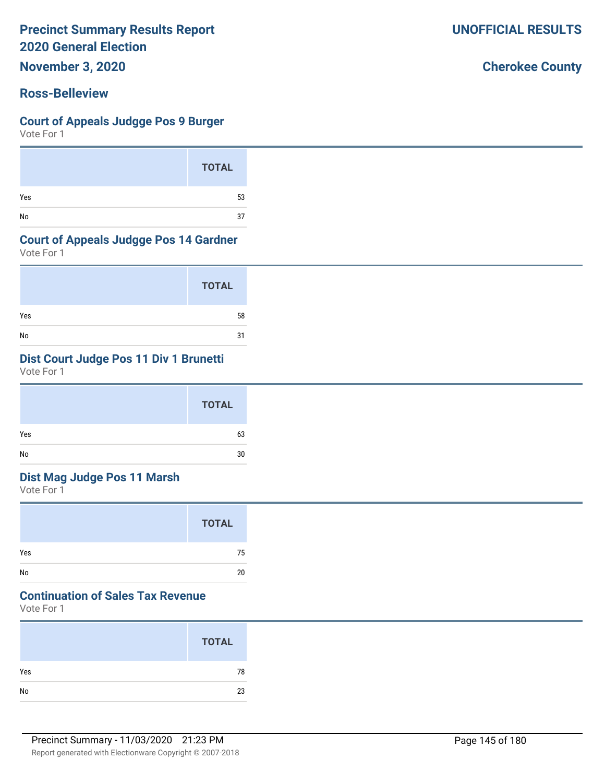**November 3, 2020**

## **Ross-Belleview**

#### **Court of Appeals Judgge Pos 9 Burger**

Vote For 1

|     | <b>TOTAL</b> |
|-----|--------------|
| Yes | 53           |
| No  | 37           |

#### **Court of Appeals Judgge Pos 14 Gardner**

Vote For 1

|     | <b>TOTAL</b> |
|-----|--------------|
| Yes | 58           |
| No  | 31           |

## **Dist Court Judge Pos 11 Div 1 Brunetti**

Vote For 1

|                              | <b>TOTAL</b> |
|------------------------------|--------------|
| Yes                          | 63           |
| $\operatorname{\mathsf{No}}$ | 30           |

## **Dist Mag Judge Pos 11 Marsh**

Vote For 1

|     | <b>TOTAL</b> |
|-----|--------------|
| Yes | 75           |
| No  | 20           |

## **Continuation of Sales Tax Revenue**

Vote For 1

|     | <b>TOTAL</b> |
|-----|--------------|
| Yes | 78           |
| No  | 23           |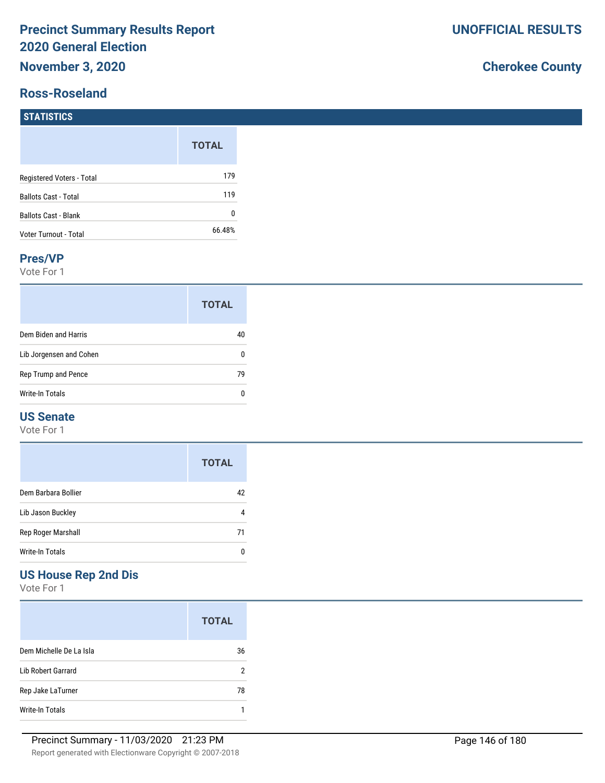### **Ross-Roseland**

## **Cherokee County**

#### **STATISTICS**

|                             | <b>TOTAL</b> |
|-----------------------------|--------------|
| Registered Voters - Total   | 179          |
| <b>Ballots Cast - Total</b> | 119          |
| <b>Ballots Cast - Blank</b> | 0            |
| Voter Turnout - Total       | 66.48%       |

#### **Pres/VP**

Vote For 1

|                         | <b>TOTAL</b> |
|-------------------------|--------------|
| Dem Biden and Harris    |              |
| Lib Jorgensen and Cohen |              |
| Rep Trump and Pence     | 79           |
| Write-In Totals         |              |

### **US Senate**

Vote For 1

|                     | <b>TOTAL</b> |
|---------------------|--------------|
| Dem Barbara Bollier | 42           |
| Lib Jason Buckley   |              |
| Rep Roger Marshall  | 71           |
| Write-In Totals     |              |

## **US House Rep 2nd Dis**

|                         | <b>TOTAL</b> |
|-------------------------|--------------|
| Dem Michelle De La Isla | 36           |
| Lib Robert Garrard      | 2            |
| Rep Jake LaTurner       | 78           |
| Write-In Totals         |              |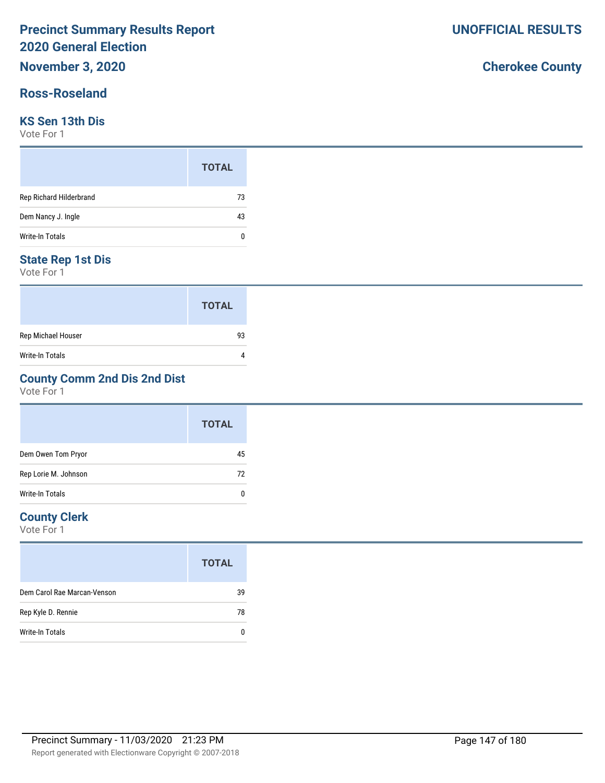## **Ross-Roseland**

### **KS Sen 13th Dis**

Vote For 1

|                         | <b>TOTAL</b> |  |
|-------------------------|--------------|--|
| Rep Richard Hilderbrand | 73           |  |
| Dem Nancy J. Ingle      | 43           |  |
| Write-In Totals         | ſ            |  |

### **State Rep 1st Dis**

Vote For 1

|                    | <b>TOTAL</b> |
|--------------------|--------------|
| Rep Michael Houser | 93           |
| Write-In Totals    |              |

## **County Comm 2nd Dis 2nd Dist**

Vote For 1

|                      | <b>TOTAL</b> |  |
|----------------------|--------------|--|
| Dem Owen Tom Pryor   | 45           |  |
| Rep Lorie M. Johnson | 72           |  |
| Write-In Totals      | 0            |  |

#### **County Clerk**

Vote For 1

|                             | <b>TOTAL</b> |
|-----------------------------|--------------|
| Dem Carol Rae Marcan-Venson | 39           |
| Rep Kyle D. Rennie          | 78           |
| Write-In Totals             |              |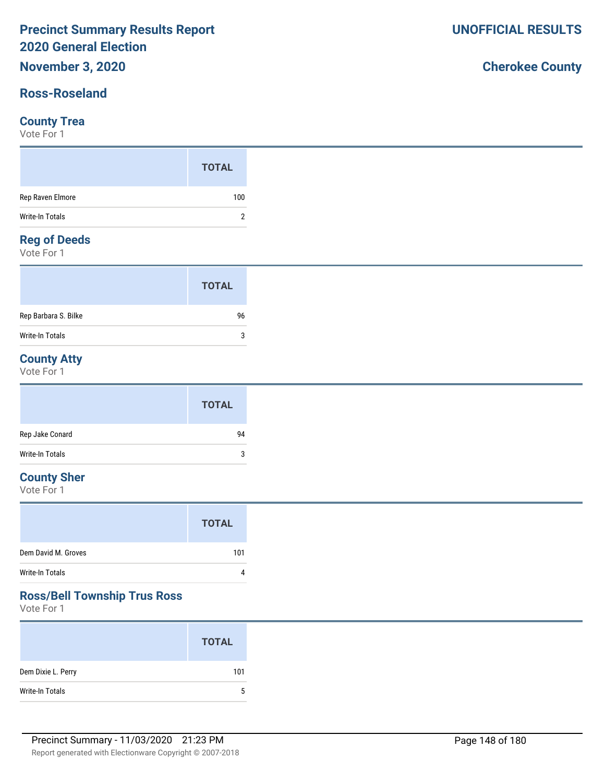## **Ross-Roseland**

#### **County Trea**

Vote For 1

#### **Reg of Deeds**

Vote For 1

|                      | <b>TOTAL</b> |
|----------------------|--------------|
| Rep Barbara S. Bilke | 96           |
| Write-In Totals      | ാ            |

## **County Atty**

Vote For 1

|                 | <b>TOTAL</b> |
|-----------------|--------------|
| Rep Jake Conard | 94           |
| Write-In Totals | 3            |

## **County Sher**

Vote For 1

|                     | <b>TOTAL</b> |
|---------------------|--------------|
| Dem David M. Groves | 101          |
| Write-In Totals     | $\Lambda$    |

## **Ross/Bell Township Trus Ross**

Vote For 1

|                    | <b>TOTAL</b> |
|--------------------|--------------|
| Dem Dixie L. Perry | 101          |
| Write-In Totals    | $5^{\circ}$  |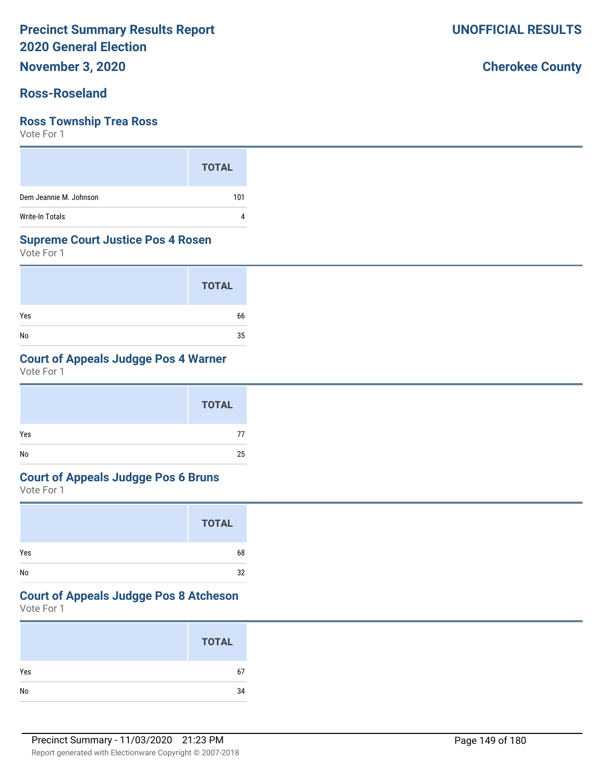**November 3, 2020**

## **Ross-Roseland**

#### **Ross Township Trea Ross**

Vote For 1

|                        | <b>TOTAL</b> |
|------------------------|--------------|
| Dem Jeannie M. Johnson | 101          |
| <b>Write-In Totals</b> |              |

#### **Supreme Court Justice Pos 4 Rosen**

Vote For 1

|     | <b>TOTAL</b> |
|-----|--------------|
| Yes | 66           |
| No  | 35           |

## **Court of Appeals Judgge Pos 4 Warner**

Vote For 1

|     | <b>TOTAL</b> |
|-----|--------------|
| Yes | 77           |
| No  | 25           |

#### **Court of Appeals Judgge Pos 6 Bruns**

Vote For 1

|     | <b>TOTAL</b> |
|-----|--------------|
| Yes | 68           |
| No  | 32           |

## **Court of Appeals Judgge Pos 8 Atcheson**

Vote For 1

| <b>TOTAL</b> |    |
|--------------|----|
| Yes          | 67 |
|              | 34 |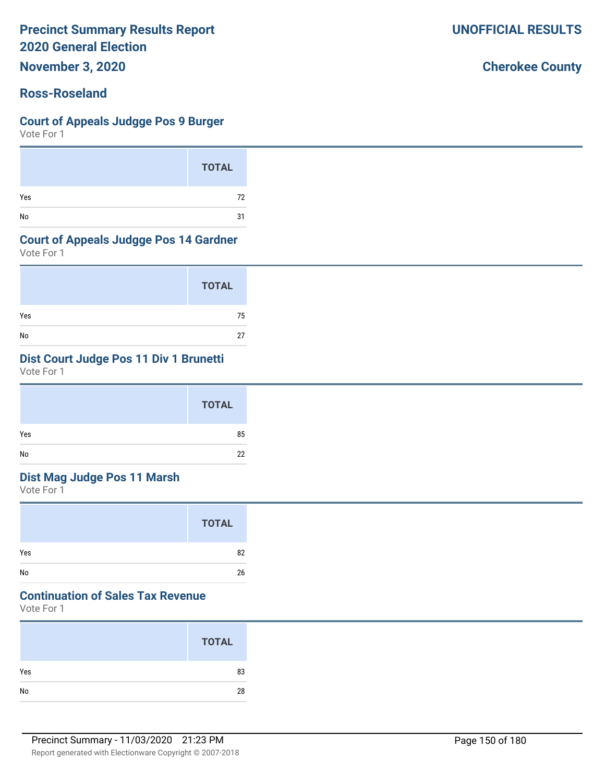**November 3, 2020**

## **Ross-Roseland**

#### **Court of Appeals Judgge Pos 9 Burger**

Vote For 1

|     | <b>TOTAL</b> |
|-----|--------------|
| Yes | 72           |
| No  | 31           |

#### **Court of Appeals Judgge Pos 14 Gardner**

Vote For 1

|     | <b>TOTAL</b> |
|-----|--------------|
| Yes | 75           |
| No  | 27           |

## **Dist Court Judge Pos 11 Div 1 Brunetti**

Vote For 1

|     | <b>TOTAL</b> |
|-----|--------------|
| Yes | 85           |
| No  | 22           |

## **Dist Mag Judge Pos 11 Marsh**

Vote For 1

|     | <b>TOTAL</b> |
|-----|--------------|
| Yes | 82           |
| No  | 26           |

## **Continuation of Sales Tax Revenue**

Vote For 1

|     | <b>TOTAL</b> |
|-----|--------------|
| Yes | 83           |
| No  | 28           |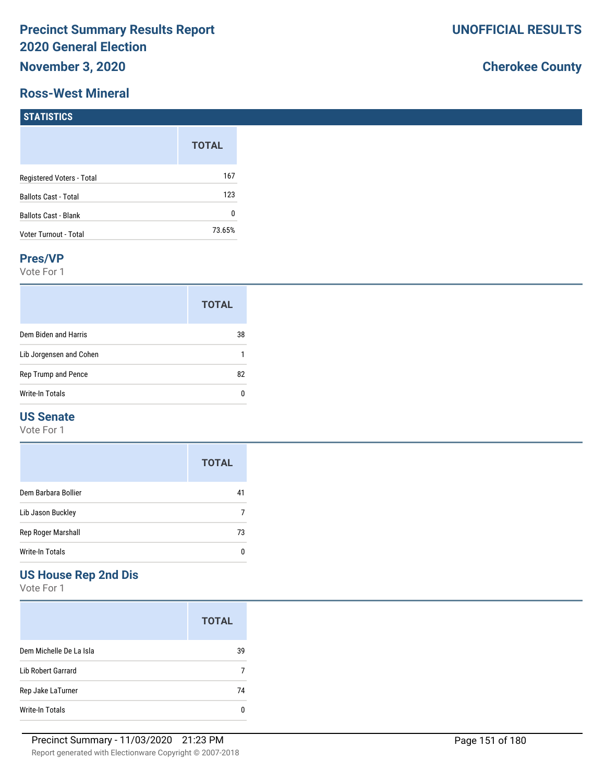#### **Ross-West Mineral**

## **Cherokee County**

| <b>STATISTICS</b>           |              |
|-----------------------------|--------------|
|                             | <b>TOTAL</b> |
| Registered Voters - Total   | 167          |
| Ballots Cast - Total        | 123          |
| <b>Ballots Cast - Blank</b> | 0            |
| Voter Turnout - Total       | 73.65%       |

#### **Pres/VP**

Vote For 1

|                         | <b>TOTAL</b> |
|-------------------------|--------------|
| Dem Biden and Harris    | 38           |
| Lib Jorgensen and Cohen |              |
| Rep Trump and Pence     | 82           |
| Write-In Totals         |              |

## **US Senate**

Vote For 1

|                     | <b>TOTAL</b> |
|---------------------|--------------|
| Dem Barbara Bollier | 41           |
| Lib Jason Buckley   |              |
| Rep Roger Marshall  | 73           |
| Write-In Totals     |              |

## **US House Rep 2nd Dis**

|                         | <b>TOTAL</b> |
|-------------------------|--------------|
| Dem Michelle De La Isla | 39           |
| Lib Robert Garrard      |              |
| Rep Jake LaTurner       | 74           |
| Write-In Totals         |              |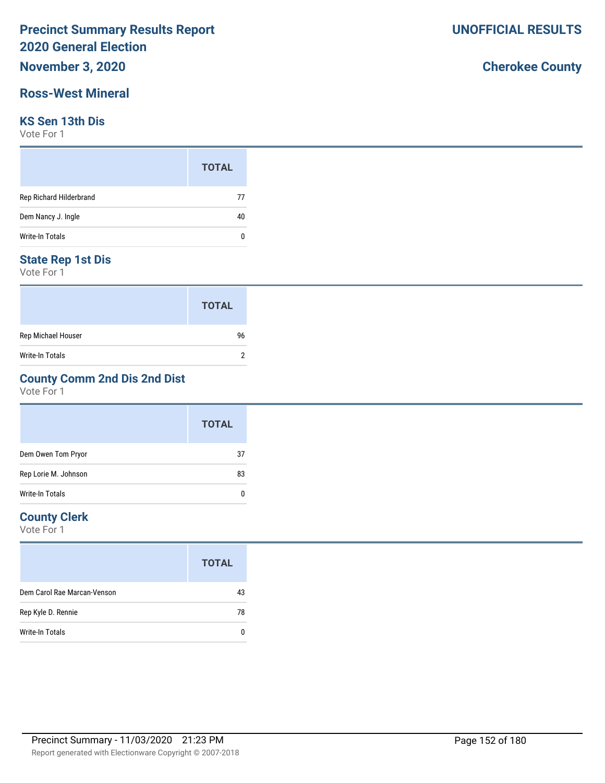## **November 3, 2020**

## **Ross-West Mineral**

#### **KS Sen 13th Dis**

Vote For 1

|                         | <b>TOTAL</b> |  |
|-------------------------|--------------|--|
| Rep Richard Hilderbrand | 77           |  |
| Dem Nancy J. Ingle      | 40           |  |
| <b>Write-In Totals</b>  | n            |  |

### **State Rep 1st Dis**

Vote For 1

|                    | <b>TOTAL</b> |
|--------------------|--------------|
| Rep Michael Houser | 96           |
| Write-In Totals    |              |

## **County Comm 2nd Dis 2nd Dist**

Vote For 1

|                      | <b>TOTAL</b> |
|----------------------|--------------|
| Dem Owen Tom Pryor   | 37           |
| Rep Lorie M. Johnson | 83           |
| Write-In Totals      | 0            |

### **County Clerk**

|                             | <b>TOTAL</b> |
|-----------------------------|--------------|
| Dem Carol Rae Marcan-Venson | 43           |
| Rep Kyle D. Rennie          | 78           |
| Write-In Totals             |              |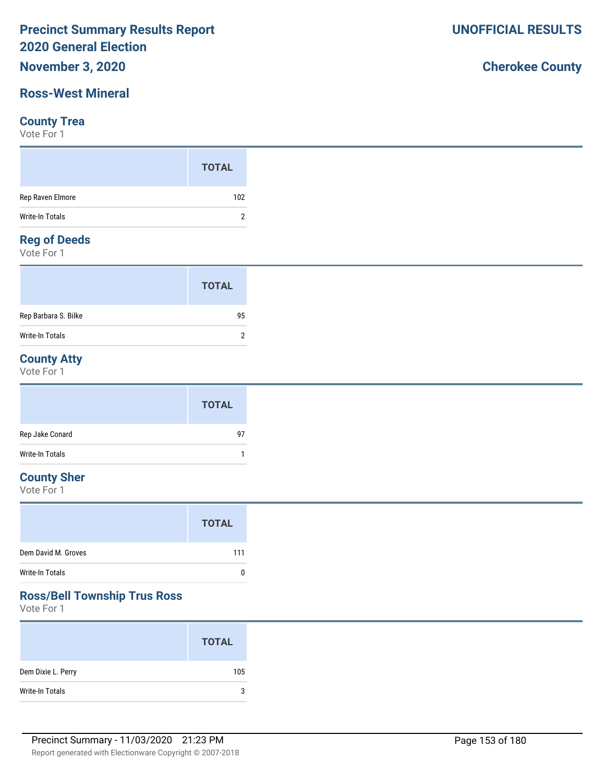## **November 3, 2020**

## **Ross-West Mineral**

#### **County Trea**

Vote For 1

|                                       | <b>TOTAL</b> |
|---------------------------------------|--------------|
| Rep Raven Elmore                      | 102          |
| Write-In Totals<br><b>Designation</b> | າ            |

## **Reg of Deeds**

Vote For 1

|                      | <b>TOTAL</b> |  |
|----------------------|--------------|--|
| Rep Barbara S. Bilke | 95           |  |
| Write-In Totals      | 2            |  |

## **County Atty**

Vote For 1

|                 | <b>TOTAL</b> |
|-----------------|--------------|
| Rep Jake Conard | 97           |
| Write-In Totals |              |

## **County Sher**

Vote For 1

|                     | <b>TOTAL</b> |
|---------------------|--------------|
| Dem David M. Groves | 111          |
| Write-In Totals     | n            |

## **Ross/Bell Township Trus Ross**

Vote For 1

|                    | <b>TOTAL</b> |
|--------------------|--------------|
| Dem Dixie L. Perry | 105          |
| Write-In Totals    | 3            |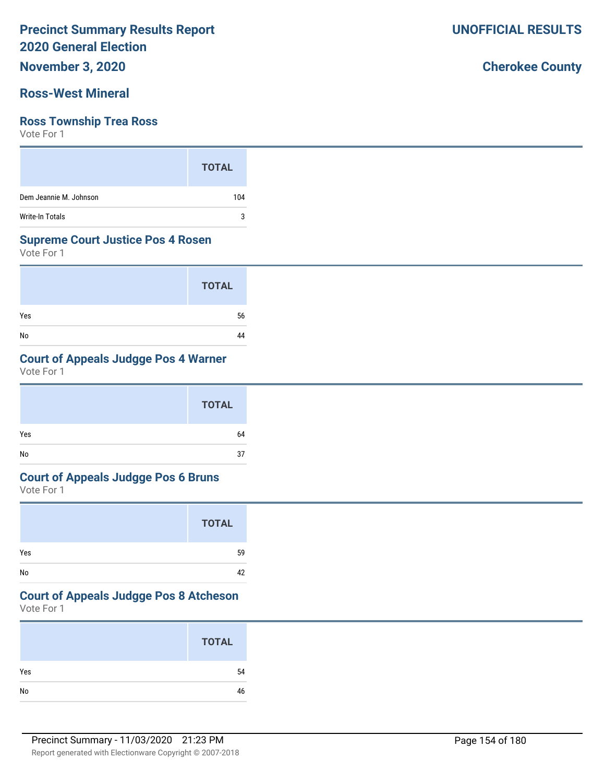## **November 3, 2020**

## **Ross-West Mineral**

#### **Ross Township Trea Ross**

Vote For 1

|                        | <b>TOTAL</b> |
|------------------------|--------------|
| Dem Jeannie M. Johnson | 104          |
| <b>Write-In Totals</b> | 3            |

#### **Supreme Court Justice Pos 4 Rosen**

Vote For 1

|     | <b>TOTAL</b> |
|-----|--------------|
| Yes | 56           |
| No  | 44           |

## **Court of Appeals Judgge Pos 4 Warner**

Vote For 1

|     | <b>TOTAL</b> |
|-----|--------------|
| Yes | 64           |
| No  | 37           |

#### **Court of Appeals Judgge Pos 6 Bruns**

Vote For 1

|     | <b>TOTAL</b> |
|-----|--------------|
| Yes | 59           |
| No  | 42           |

## **Court of Appeals Judgge Pos 8 Atcheson**

Vote For 1

|     | <b>TOTAL</b> |
|-----|--------------|
| Yes | 54           |
| No  | 46           |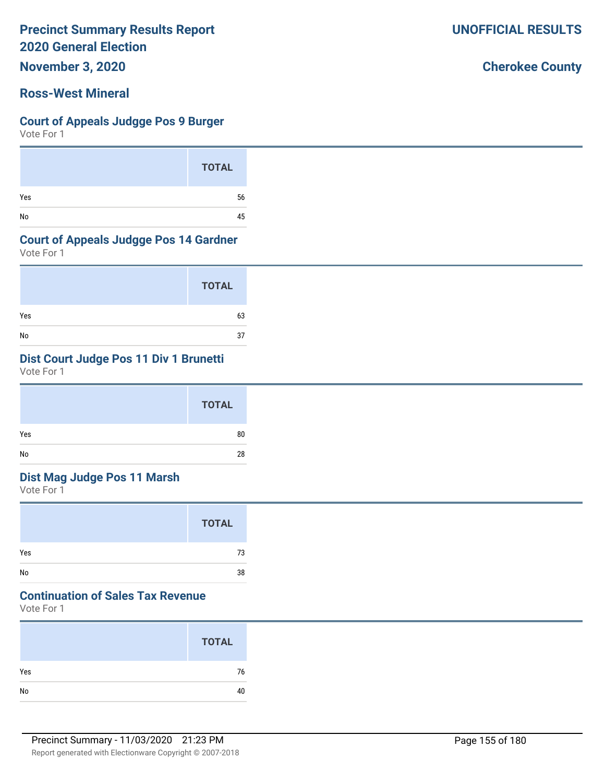**November 3, 2020**

### **Ross-West Mineral**

#### **Court of Appeals Judgge Pos 9 Burger**

Vote For 1

|     | <b>TOTAL</b> |
|-----|--------------|
| Yes | 56           |
| No  | 45           |

#### **Court of Appeals Judgge Pos 14 Gardner**

Vote For 1

|     | <b>TOTAL</b> |
|-----|--------------|
| Yes | 63           |
| No  | 37           |

## **Dist Court Judge Pos 11 Div 1 Brunetti**

Vote For 1

## **Dist Mag Judge Pos 11 Marsh**

Vote For 1

| Yes<br>73 | <b>TOTAL</b> |
|-----------|--------------|
|           |              |

## **Continuation of Sales Tax Revenue**

Vote For 1

|     | <b>TOTAL</b> |
|-----|--------------|
| Yes | 76           |
| No  | 40           |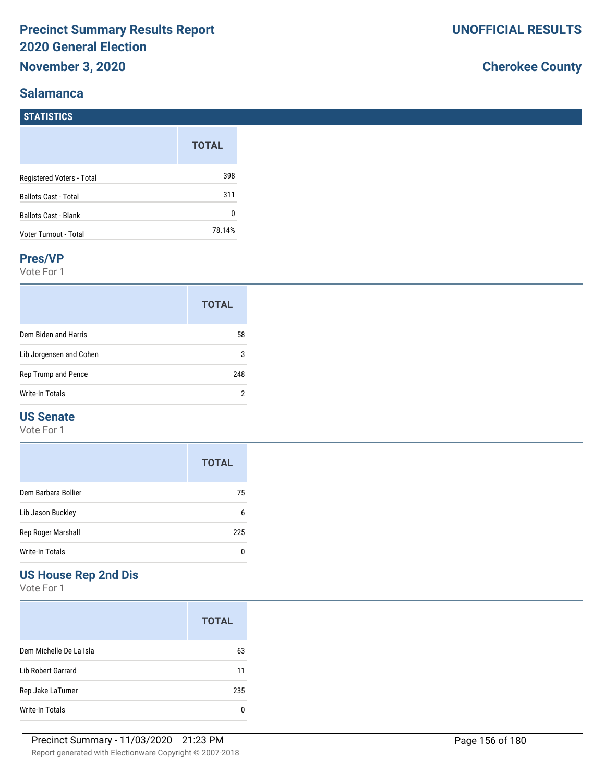### **Salamanca**

**STATISTICS**

## **Cherokee County**

|                              | <b>TOTAL</b> |
|------------------------------|--------------|
| Registered Voters - Total    | 398          |
| <b>Ballots Cast - Total</b>  | 311          |
| <b>Ballots Cast - Blank</b>  | O            |
| <b>Voter Turnout - Total</b> | 78.14%       |

#### **Pres/VP**

Vote For 1

|                         | <b>TOTAL</b> |
|-------------------------|--------------|
| Dem Biden and Harris    | 58           |
| Lib Jorgensen and Cohen | 3            |
| Rep Trump and Pence     | 248          |
| Write-In Totals         | 2            |

### **US Senate**

Vote For 1

|                     | <b>TOTAL</b> |
|---------------------|--------------|
| Dem Barbara Bollier | 75           |
| Lib Jason Buckley   | 6            |
| Rep Roger Marshall  | 225          |
| Write-In Totals     |              |

## **US House Rep 2nd Dis**

|                         | <b>TOTAL</b> |
|-------------------------|--------------|
| Dem Michelle De La Isla | 63           |
| Lib Robert Garrard      | 11           |
| Rep Jake LaTurner       | 235          |
| Write-In Totals         |              |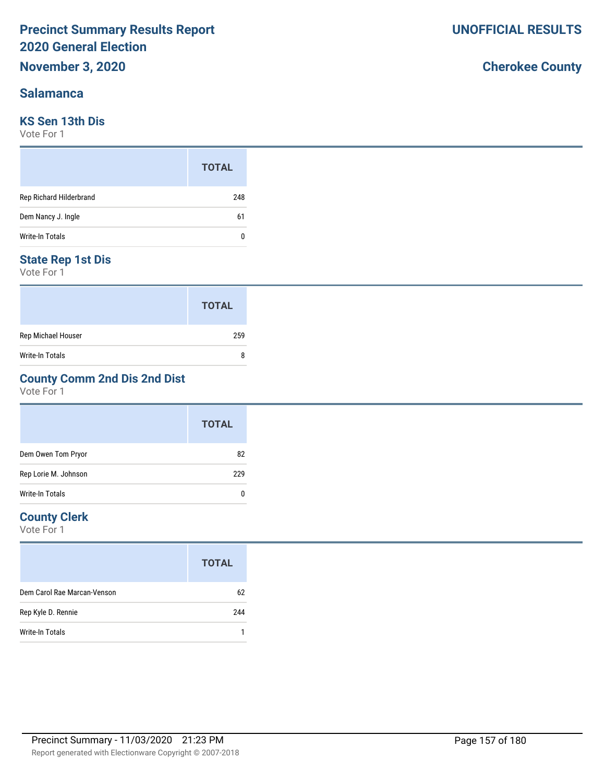#### **Salamanca**

#### **KS Sen 13th Dis**

Vote For 1

|                         | <b>TOTAL</b> |
|-------------------------|--------------|
| Rep Richard Hilderbrand | 248          |
| Dem Nancy J. Ingle      | 61           |
| Write-In Totals         | 0            |

### **State Rep 1st Dis**

Vote For 1

|                    | <b>TOTAL</b> |
|--------------------|--------------|
| Rep Michael Houser | 259          |
| Write-In Totals    | 8            |

## **County Comm 2nd Dis 2nd Dist**

Vote For 1

|                      | <b>TOTAL</b> |
|----------------------|--------------|
| Dem Owen Tom Pryor   | 82           |
| Rep Lorie M. Johnson | 229          |
| Write-In Totals      | 0            |

#### **County Clerk**

|                             | <b>TOTAL</b> |
|-----------------------------|--------------|
| Dem Carol Rae Marcan-Venson | 62           |
| Rep Kyle D. Rennie          | 244          |
| Write-In Totals             |              |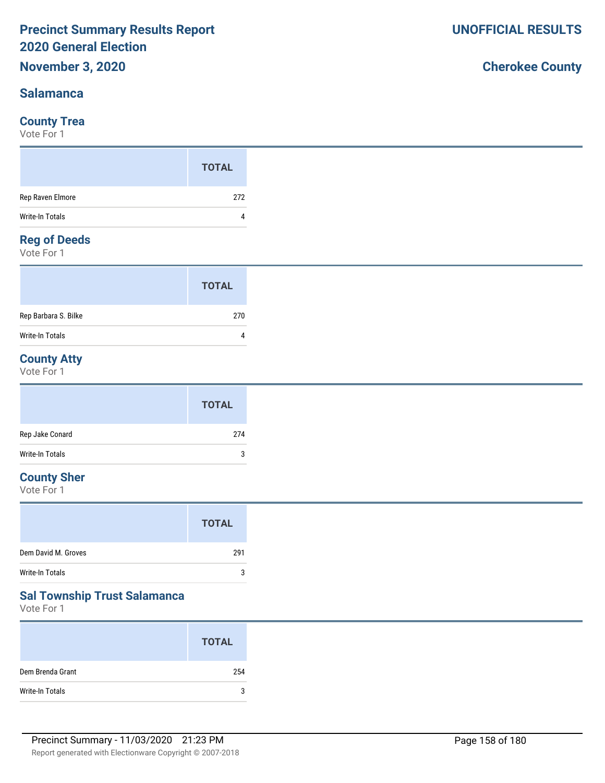### **Salamanca**

#### **County Trea**

Vote For 1

#### **Reg of Deeds**

Vote For 1

|                        | <b>TOTAL</b> |  |
|------------------------|--------------|--|
| Rep Barbara S. Bilke   | 270          |  |
| <b>Write-In Totals</b> | 4            |  |

## **County Atty**

Vote For 1

|                 | <b>TOTAL</b> |
|-----------------|--------------|
| Rep Jake Conard | 274          |
| Write-In Totals | 3            |

## **County Sher**

Vote For 1

#### **Sal Township Trust Salamanca**

Vote For 1

|                  | <b>TOTAL</b> |
|------------------|--------------|
| Dem Brenda Grant | 254          |
| Write-In Totals  | 3            |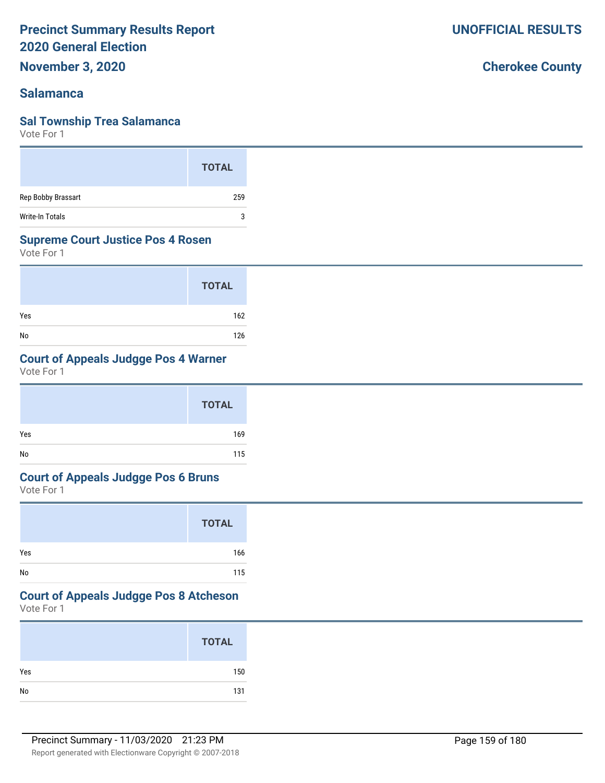## **November 3, 2020**

## **Salamanca**

## **Sal Township Trea Salamanca**

Vote For 1

|                    | <b>TOTAL</b> |
|--------------------|--------------|
| Rep Bobby Brassart | 259          |
| Write-In Totals    | 3            |

## **Supreme Court Justice Pos 4 Rosen**

Vote For 1

|     | <b>TOTAL</b> |
|-----|--------------|
| Yes | 162          |
| No  | 126          |

## **Court of Appeals Judgge Pos 4 Warner**

Vote For 1

## **Court of Appeals Judgge Pos 6 Bruns**

Vote For 1

|     | <b>TOTAL</b> |
|-----|--------------|
| Yes | 166          |
| No  | 115          |

## **Court of Appeals Judgge Pos 8 Atcheson**

Vote For 1

|     | <b>TOTAL</b> |
|-----|--------------|
| Yes | 150          |
| No  | 131          |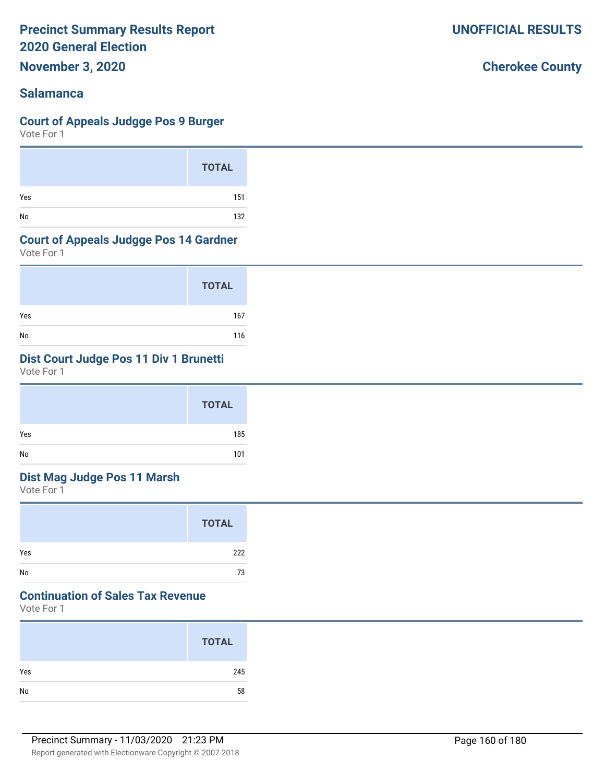**November 3, 2020**

## **Salamanca**

#### **Court of Appeals Judgge Pos 9 Burger**

Vote For 1

|     | <b>TOTAL</b> |
|-----|--------------|
| Yes | 151          |
| No  | 132          |

#### **Court of Appeals Judgge Pos 14 Gardner**

Vote For 1

|     | <b>TOTAL</b> |
|-----|--------------|
| Yes | 167          |
| No  | 116          |

## **Dist Court Judge Pos 11 Div 1 Brunetti**

Vote For 1

|     | <b>TOTAL</b> |
|-----|--------------|
| Yes | 185          |
| No  | 101          |

## **Dist Mag Judge Pos 11 Marsh**

Vote For 1

|     | <b>TOTAL</b> |
|-----|--------------|
| Yes | 222          |
| No  | 73           |

## **Continuation of Sales Tax Revenue**

Vote For 1

|     | <b>TOTAL</b> |
|-----|--------------|
| Yes | 245          |
| No  | 58           |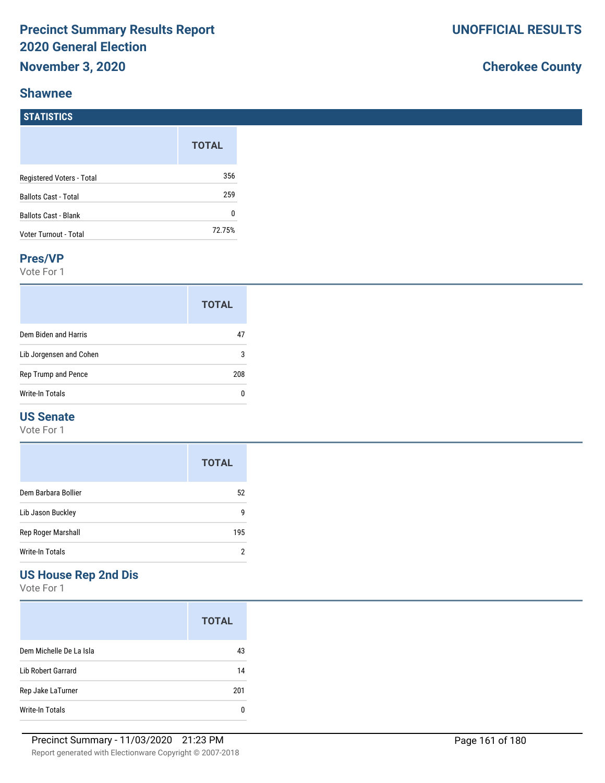#### **Shawnee**

**STATISTICS**

## **Cherokee County**

| .                           |              |
|-----------------------------|--------------|
|                             | <b>TOTAL</b> |
| Registered Voters - Total   | 356          |
| <b>Ballots Cast - Total</b> | 259          |
| <b>Ballots Cast - Blank</b> | 0            |
| Voter Turnout - Total       | 72.75%       |

#### **Pres/VP**

Vote For 1

|                         | <b>TOTAL</b> |
|-------------------------|--------------|
| Dem Biden and Harris    | 47           |
| Lib Jorgensen and Cohen | 3            |
| Rep Trump and Pence     | 208          |
| Write-In Totals         | n            |

### **US Senate**

Vote For 1

|                     | <b>TOTAL</b> |
|---------------------|--------------|
| Dem Barbara Bollier | 52           |
| Lib Jason Buckley   | g            |
| Rep Roger Marshall  | 195          |
| Write-In Totals     |              |

## **US House Rep 2nd Dis**

|                         | <b>TOTAL</b> |
|-------------------------|--------------|
| Dem Michelle De La Isla | 43           |
| Lib Robert Garrard      | 14           |
| Rep Jake LaTurner       | 201          |
| Write-In Totals         | n            |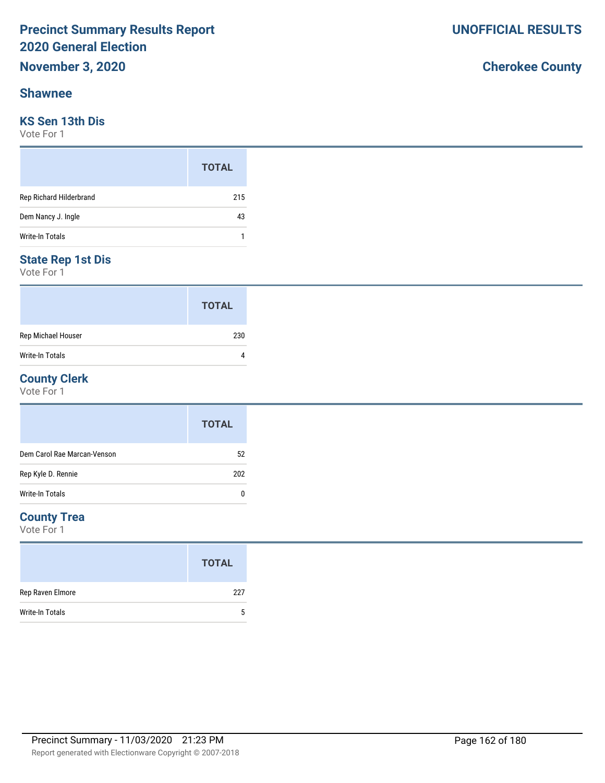#### **Shawnee**

### **KS Sen 13th Dis**

Vote For 1

|                         | <b>TOTAL</b> |
|-------------------------|--------------|
| Rep Richard Hilderbrand | 215          |
| Dem Nancy J. Ingle      | 43           |
| <b>Write-In Totals</b>  |              |

#### **State Rep 1st Dis**

Vote For 1

|                    | <b>TOTAL</b> |
|--------------------|--------------|
| Rep Michael Houser | 230          |
| Write-In Totals    |              |

#### **County Clerk**

Vote For 1

|                             | <b>TOTAL</b> |
|-----------------------------|--------------|
| Dem Carol Rae Marcan-Venson | 52           |
| Rep Kyle D. Rennie          | 202          |
| Write-In Totals             | 0            |

### **County Trea**

Vote For 1

|                        | <b>TOTAL</b> |
|------------------------|--------------|
| Rep Raven Elmore       | 227          |
| <b>Write-In Totals</b> | 5            |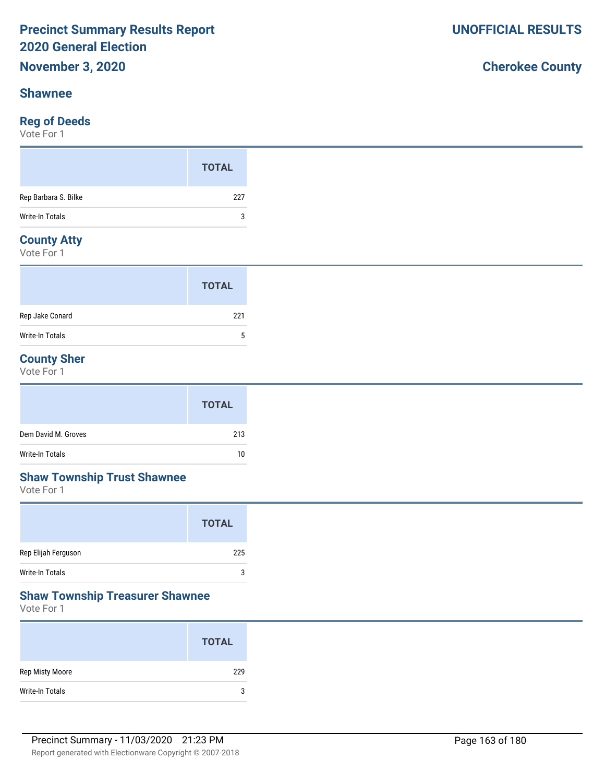#### **Shawnee**

## **Reg of Deeds**

Vote For 1

|                                    | <b>TOTAL</b> |
|------------------------------------|--------------|
| Rep Barbara S. Bilke               | 227          |
| Write-In Totals                    | 3            |
| $\sim$ $\sim$ $\sim$ $\sim$ $\sim$ |              |

#### **County Atty**

Vote For 1

|                 | <b>TOTAL</b> |
|-----------------|--------------|
| Rep Jake Conard | 221          |
| Write-In Totals | 5            |

## **County Sher**

Vote For 1

|                     | <b>TOTAL</b> |
|---------------------|--------------|
| Dem David M. Groves | 213          |
| Write-In Totals     | 10           |

## **Shaw Township Trust Shawnee**

Vote For 1

|                        | <b>TOTAL</b> |
|------------------------|--------------|
| Rep Elijah Ferguson    | 225          |
| <b>Write-In Totals</b> | 3            |

### **Shaw Township Treasurer Shawnee**

Vote For 1

|                 | <b>TOTAL</b> |
|-----------------|--------------|
| Rep Misty Moore | 229          |
| Write-In Totals | 3            |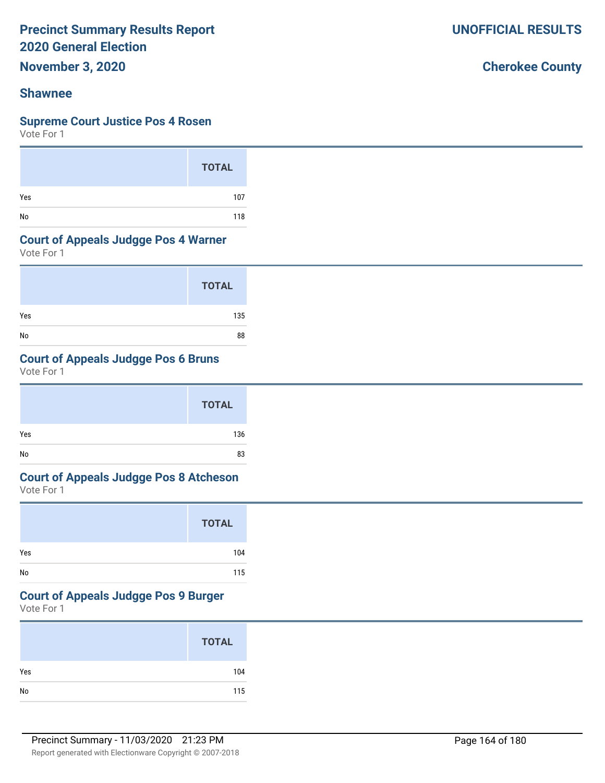**November 3, 2020**

### **Shawnee**

#### **Supreme Court Justice Pos 4 Rosen**

Vote For 1

|     | <b>TOTAL</b> |
|-----|--------------|
| Yes | 107          |
| No  | 118          |

#### **Court of Appeals Judgge Pos 4 Warner**

Vote For 1

|     | <b>TOTAL</b> |
|-----|--------------|
| Yes | 135          |
| No  | 88           |

## **Court of Appeals Judgge Pos 6 Bruns**

Vote For 1

|     | <b>TOTAL</b> |
|-----|--------------|
| Yes | 136          |
| No  | 83           |

## **Court of Appeals Judgge Pos 8 Atcheson**

Vote For 1

|     | <b>TOTAL</b> |
|-----|--------------|
| Yes | 104          |
| No  | 115          |

## **Court of Appeals Judgge Pos 9 Burger**

Vote For 1

|               | <b>TOTAL</b> |
|---------------|--------------|
| Yes           | 104          |
| $\mathsf{No}$ | 115          |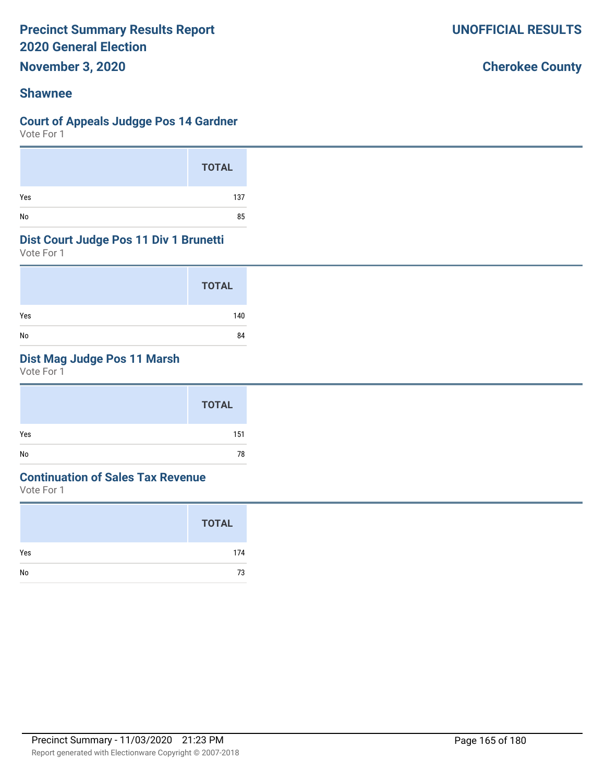**November 3, 2020**

## **Shawnee**

### **Court of Appeals Judgge Pos 14 Gardner**

Vote For 1

|     | <b>TOTAL</b> |
|-----|--------------|
| Yes | 137          |
| No  | 85           |

#### **Dist Court Judge Pos 11 Div 1 Brunetti**

Vote For 1

|     | <b>TOTAL</b> |
|-----|--------------|
| Yes | 140          |
| No  | 84           |

## **Dist Mag Judge Pos 11 Marsh**

Vote For 1

|     | <b>TOTAL</b> |
|-----|--------------|
| Yes | 151          |
| No  | 78           |

#### **Continuation of Sales Tax Revenue**

Vote For 1

|     | <b>TOTAL</b> |
|-----|--------------|
| Yes | 174          |
| No  | 73           |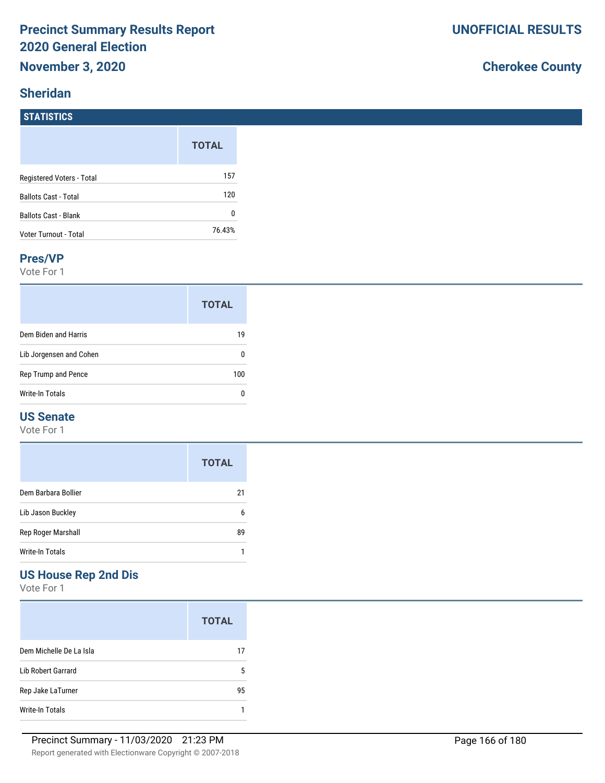## **Sheridan**

## **Cherokee County**

| <b>STATISTICS</b>            |              |
|------------------------------|--------------|
|                              | <b>TOTAL</b> |
| Registered Voters - Total    | 157          |
| <b>Ballots Cast - Total</b>  | 120          |
| <b>Ballots Cast - Blank</b>  | 0            |
| <b>Voter Turnout - Total</b> | 76.43%       |

#### **Pres/VP**

Vote For 1

|                         | <b>TOTAL</b> |
|-------------------------|--------------|
| Dem Biden and Harris    | 19           |
| Lib Jorgensen and Cohen |              |
| Rep Trump and Pence     | 100          |
| Write-In Totals         |              |

### **US Senate**

Vote For 1

|                     | <b>TOTAL</b> |
|---------------------|--------------|
| Dem Barbara Bollier | 21           |
| Lib Jason Buckley   | 6            |
| Rep Roger Marshall  | 89           |
| Write-In Totals     |              |

## **US House Rep 2nd Dis**

|                         | <b>TOTAL</b> |
|-------------------------|--------------|
| Dem Michelle De La Isla | 17           |
| Lib Robert Garrard      | 5            |
| Rep Jake LaTurner       | 95           |
| Write-In Totals         |              |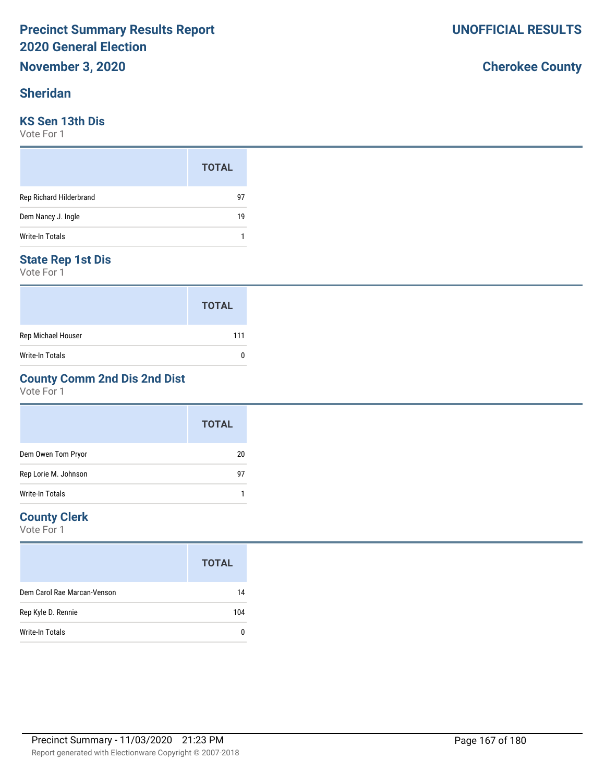### **Sheridan**

### **KS Sen 13th Dis**

Vote For 1

|                         | <b>TOTAL</b> |
|-------------------------|--------------|
| Rep Richard Hilderbrand | 97           |
| Dem Nancy J. Ingle      | 19           |
| <b>Write-In Totals</b>  |              |

#### **State Rep 1st Dis**

Vote For 1

|                    | <b>TOTAL</b> |
|--------------------|--------------|
| Rep Michael Houser | 111          |
| Write-In Totals    | O            |

## **County Comm 2nd Dis 2nd Dist**

Vote For 1

|                      | <b>TOTAL</b> |
|----------------------|--------------|
| Dem Owen Tom Pryor   | 20           |
| Rep Lorie M. Johnson | 97           |
| Write-In Totals      |              |

#### **County Clerk**

Vote For 1

|                             | <b>TOTAL</b> |
|-----------------------------|--------------|
| Dem Carol Rae Marcan-Venson | 14           |
| Rep Kyle D. Rennie          | 104          |
| Write-In Totals             |              |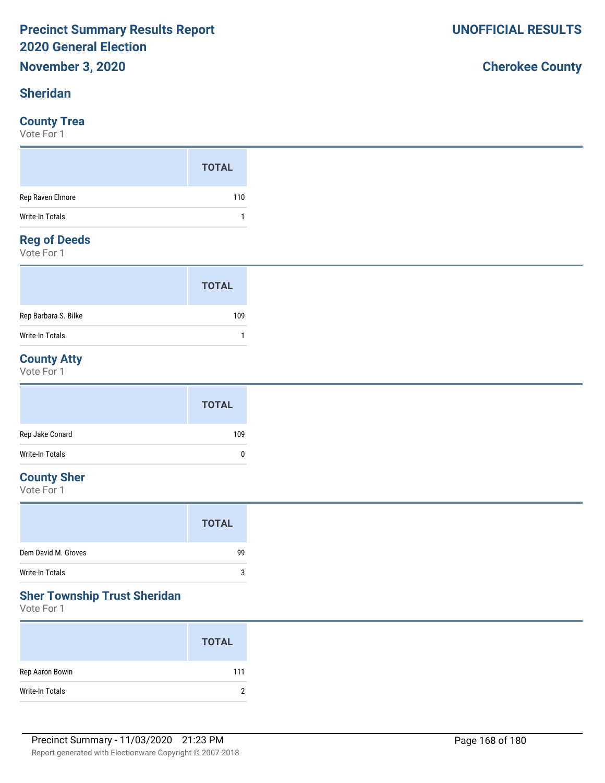### **Sheridan**

#### **County Trea**

Vote For 1

#### **Reg of Deeds**

Vote For 1

|                      | <b>TOTAL</b> |
|----------------------|--------------|
| Rep Barbara S. Bilke | 109          |
| Write-In Totals      |              |

## **County Atty**

Vote For 1

|                 | <b>TOTAL</b> |
|-----------------|--------------|
| Rep Jake Conard | 109          |
| Write-In Totals | $\mathbf{0}$ |

## **County Sher**

Vote For 1

| Dem David M. Groves | 99      |
|---------------------|---------|
| Write-In Totals     | ্ব<br>J |

#### **Sher Township Trust Sheridan**

Vote For 1

|                 | <b>TOTAL</b> |
|-----------------|--------------|
| Rep Aaron Bowin | 111          |
| Write-In Totals | ∩            |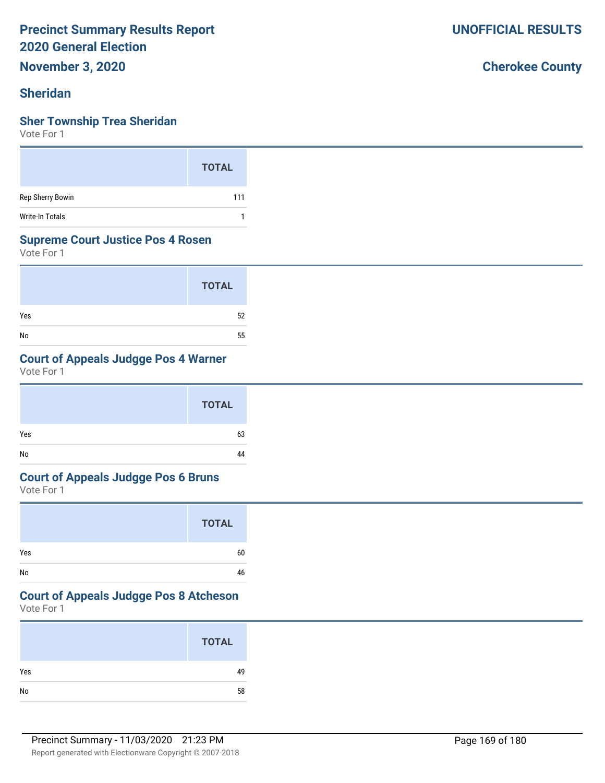**November 3, 2020**

### **Sheridan**

#### **Sher Township Trea Sheridan**

Vote For 1

|                  | <b>TOTAL</b> |
|------------------|--------------|
| Rep Sherry Bowin | 111          |
| Write-In Totals  |              |

#### **Supreme Court Justice Pos 4 Rosen**

Vote For 1

|     | <b>TOTAL</b> |
|-----|--------------|
| Yes | 52           |
| No  | 55           |

## **Court of Appeals Judgge Pos 4 Warner**

Vote For 1

|     | <b>TOTAL</b> |  |
|-----|--------------|--|
| Yes | 63           |  |
| No  | 44           |  |

#### **Court of Appeals Judgge Pos 6 Bruns**

Vote For 1

|     | <b>TOTAL</b> |
|-----|--------------|
| Yes | 60           |
| No  | 46           |

## **Court of Appeals Judgge Pos 8 Atcheson**

Vote For 1

|     | <b>TOTAL</b> |
|-----|--------------|
| Yes | 49           |
| No  | 58           |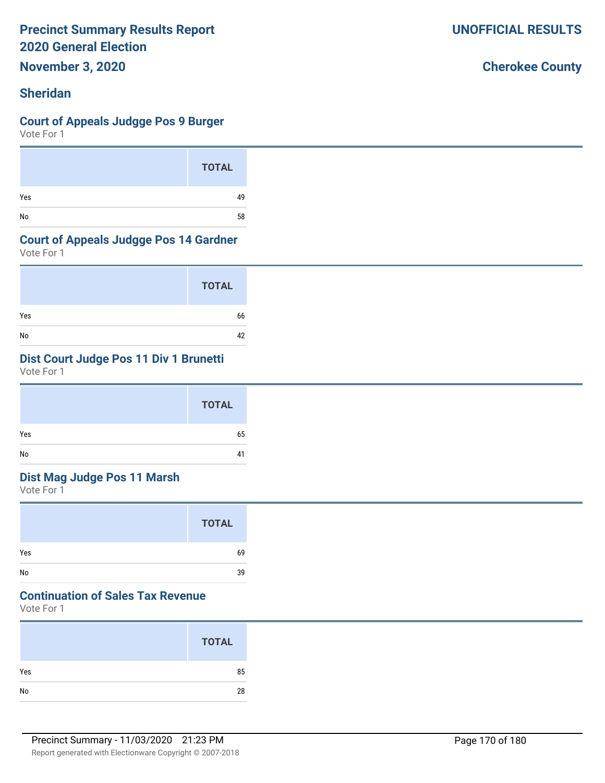**November 3, 2020**

## **Sheridan**

#### **Court of Appeals Judgge Pos 9 Burger**

Vote For 1

|     | <b>TOTAL</b> |
|-----|--------------|
| Yes | 49           |
| No  | 58           |

#### **Court of Appeals Judgge Pos 14 Gardner**

Vote For 1

|     | <b>TOTAL</b> |
|-----|--------------|
| Yes | 66           |
| No  | 42           |

## **Dist Court Judge Pos 11 Div 1 Brunetti**

Vote For 1

|     | <b>TOTAL</b> |
|-----|--------------|
| Yes | 65           |
| No  | 41           |

## **Dist Mag Judge Pos 11 Marsh**

Vote For 1

| <b>TOTAL</b> |
|--------------|
| 69           |
| 39           |

## **Continuation of Sales Tax Revenue**

Vote For 1

|     | <b>TOTAL</b> |
|-----|--------------|
| Yes | 85           |
| No  | 28           |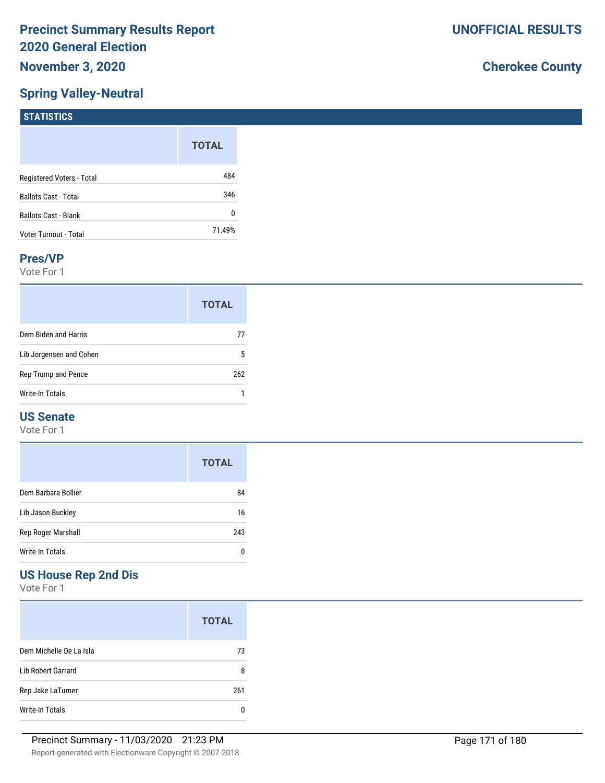## **Spring Valley-Neutral**

## **Cherokee County**

| $1311131103$                |              |
|-----------------------------|--------------|
|                             | <b>TOTAL</b> |
| Registered Voters - Total   | 484          |
| <b>Ballots Cast - Total</b> | 346          |
| Ballots Cast - Blank        | 0            |
| Voter Turnout - Total       | 71.49%       |

#### **Pres/VP**

**STATISTICS** 

Vote For 1

|                         | <b>TOTAL</b> |
|-------------------------|--------------|
| Dem Biden and Harris    | 77           |
| Lib Jorgensen and Cohen | 5            |
| Rep Trump and Pence     | 262          |
| Write-In Totals         |              |

## **US Senate**

Vote For 1

|                     | <b>TOTAL</b> |
|---------------------|--------------|
| Dem Barbara Bollier | 84           |
| Lib Jason Buckley   | 16           |
| Rep Roger Marshall  | 243          |
| Write-In Totals     |              |

## **US House Rep 2nd Dis**

|                         | <b>TOTAL</b> |
|-------------------------|--------------|
| Dem Michelle De La Isla | 73           |
| Lib Robert Garrard      | 8            |
| Rep Jake LaTurner       | 261          |
| Write-In Totals         |              |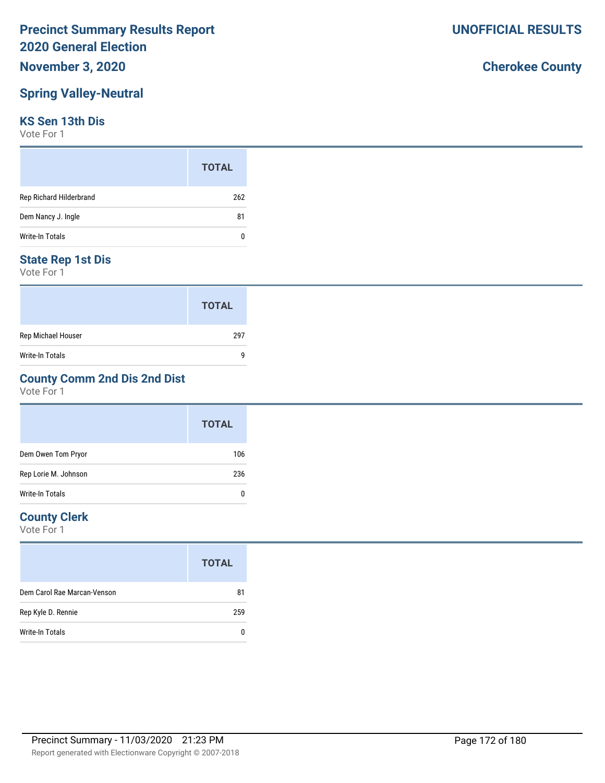## **November 3, 2020**

## **Spring Valley-Neutral**

#### **KS Sen 13th Dis**

Vote For 1

|                         | <b>TOTAL</b> |
|-------------------------|--------------|
| Rep Richard Hilderbrand | 262          |
| Dem Nancy J. Ingle      | 81           |
| Write-In Totals         | 0            |

### **State Rep 1st Dis**

Vote For 1

|                        | <b>TOTAL</b> |
|------------------------|--------------|
| Rep Michael Houser     | 297          |
| <b>Write-In Totals</b> | q            |

## **County Comm 2nd Dis 2nd Dist**

Vote For 1

|                        | <b>TOTAL</b> |
|------------------------|--------------|
| Dem Owen Tom Pryor     | 106          |
| Rep Lorie M. Johnson   | 236          |
| <b>Write-In Totals</b> | 0            |

### **County Clerk**

|                             | <b>TOTAL</b> |
|-----------------------------|--------------|
| Dem Carol Rae Marcan-Venson | 81           |
| Rep Kyle D. Rennie          | 259          |
| Write-In Totals             |              |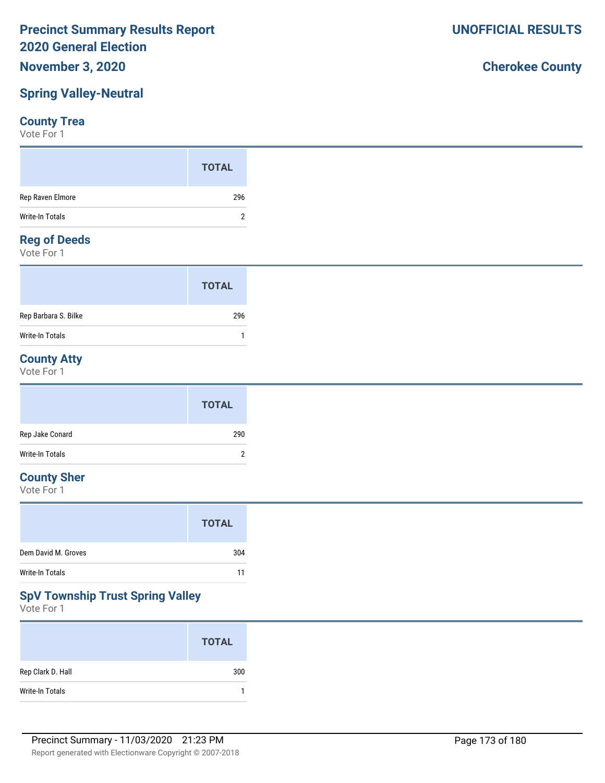## **November 3, 2020**

## **Spring Valley-Neutral**

## **County Trea**

Vote For 1

#### **Reg of Deeds**

Vote For 1

|                      | <b>TOTAL</b> |  |
|----------------------|--------------|--|
| Rep Barbara S. Bilke | 296          |  |
| Write-In Totals      |              |  |

## **County Atty**

Vote For 1

|                 | <b>TOTAL</b> |
|-----------------|--------------|
| Rep Jake Conard | 290          |
| Write-In Totals | າ<br>∸       |

## **County Sher**

Vote For 1

|                     | <b>TOTAL</b> |
|---------------------|--------------|
| Dem David M. Groves | 304          |
| Write-In Totals     | 11           |
|                     |              |

## **SpV Township Trust Spring Valley**

Vote For 1

|                   | <b>TOTAL</b> |
|-------------------|--------------|
| Rep Clark D. Hall | 300          |
| Write-In Totals   |              |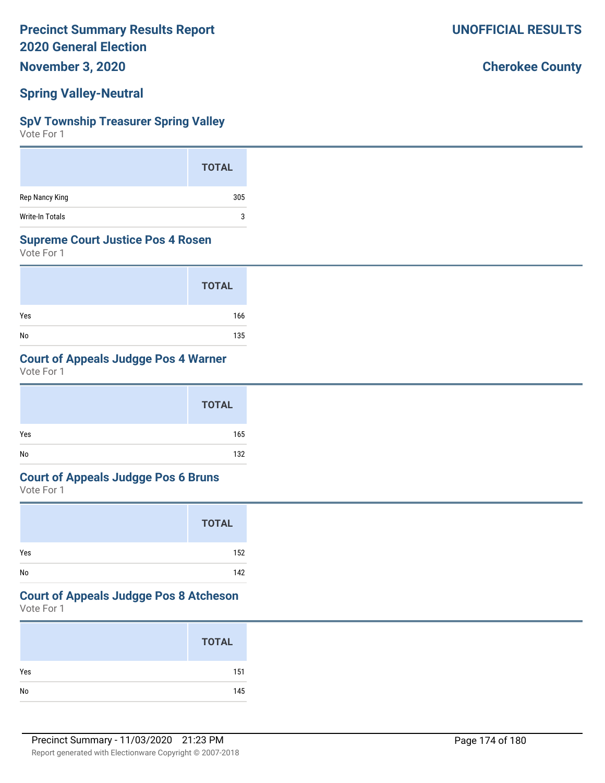**November 3, 2020**

## **Spring Valley-Neutral**

#### **SpV Township Treasurer Spring Valley**

Vote For 1

|                        | <b>TOTAL</b> |
|------------------------|--------------|
| Rep Nancy King         | 305          |
| <b>Write-In Totals</b> | 3            |

#### **Supreme Court Justice Pos 4 Rosen**

Vote For 1

|     | <b>TOTAL</b> |
|-----|--------------|
| Yes | 166          |
| No  | 135          |

## **Court of Appeals Judgge Pos 4 Warner**

Vote For 1

|     | <b>TOTAL</b> |  |
|-----|--------------|--|
| Yes | 165          |  |
| No  | 132          |  |

#### **Court of Appeals Judgge Pos 6 Bruns**

Vote For 1

|     | <b>TOTAL</b> |
|-----|--------------|
| Yes | 152          |
| No  | 142          |

### **Court of Appeals Judgge Pos 8 Atcheson**

Vote For 1

| <b>TOTAL</b> |     |
|--------------|-----|
| Yes          | 151 |
| No           | 145 |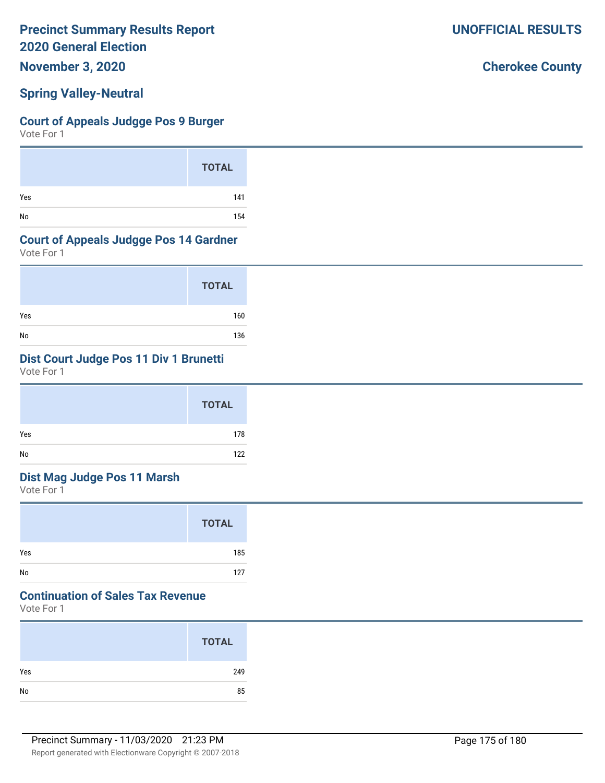**November 3, 2020**

## **Spring Valley-Neutral**

#### **Court of Appeals Judgge Pos 9 Burger**

Vote For 1

|     | <b>TOTAL</b> |
|-----|--------------|
| Yes | 141          |
| No  | 154          |

#### **Court of Appeals Judgge Pos 14 Gardner**

Vote For 1

|     | <b>TOTAL</b> |
|-----|--------------|
| Yes | 160          |
| No  | 136          |

## **Dist Court Judge Pos 11 Div 1 Brunetti**

Vote For 1

|     | <b>TOTAL</b> |
|-----|--------------|
| Yes | 178          |
| No  | 122          |

## **Dist Mag Judge Pos 11 Marsh**

Vote For 1

|     | <b>TOTAL</b> |  |
|-----|--------------|--|
| Yes | 185          |  |
| No  | 127          |  |

## **Continuation of Sales Tax Revenue**

Vote For 1

|     | <b>TOTAL</b> |
|-----|--------------|
| Yes | 249          |
| No  | 85           |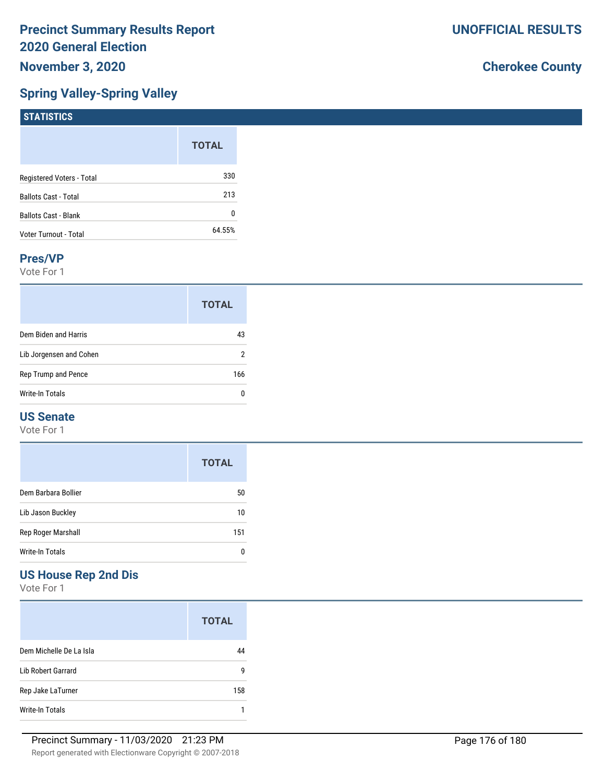## **Spring Valley-Spring Valley**

## **Cherokee County**

| $1311131103$                |              |
|-----------------------------|--------------|
|                             | <b>TOTAL</b> |
| Registered Voters - Total   | 330          |
| <b>Ballots Cast - Total</b> | 213          |
| Ballots Cast - Blank        | 0            |
| Voter Turnout - Total       | 64.55%       |
|                             |              |

#### **Pres/VP**

**STATISTICS**

Vote For 1

|                         | <b>TOTAL</b> |
|-------------------------|--------------|
| Dem Biden and Harris    | 43           |
| Lib Jorgensen and Cohen | 2            |
| Rep Trump and Pence     | 166          |
| Write-In Totals         | n            |

## **US Senate**

Vote For 1

|                     | <b>TOTAL</b> |
|---------------------|--------------|
| Dem Barbara Bollier | 50           |
| Lib Jason Buckley   | 10           |
| Rep Roger Marshall  | 151          |
| Write-In Totals     |              |

## **US House Rep 2nd Dis**

|                           | <b>TOTAL</b> |
|---------------------------|--------------|
| Dem Michelle De La Isla   | 44           |
| <b>Lib Robert Garrard</b> | g            |
| Rep Jake LaTurner         | 158          |
| Write-In Totals           |              |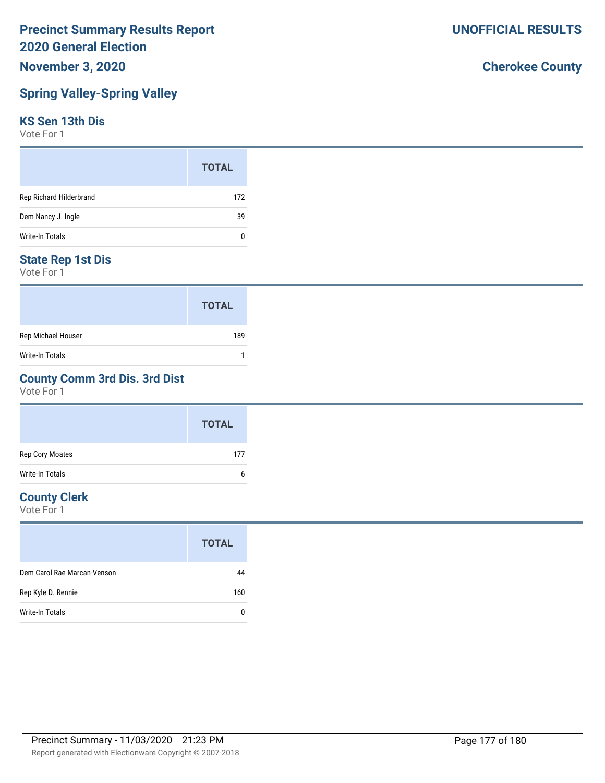## **Spring Valley-Spring Valley**

#### **KS Sen 13th Dis**

Vote For 1

|                         | <b>TOTAL</b> |
|-------------------------|--------------|
| Rep Richard Hilderbrand | 172          |
| Dem Nancy J. Ingle      | 39           |
| Write-In Totals         | 0            |

#### **State Rep 1st Dis**

Vote For 1

|                    | <b>TOTAL</b> |
|--------------------|--------------|
| Rep Michael Houser | 189          |
| Write-In Totals    |              |

#### **County Comm 3rd Dis. 3rd Dist**

Vote For 1

|                        | <b>TOTAL</b> |
|------------------------|--------------|
| Rep Cory Moates        | 177          |
| <b>Write-In Totals</b> | 6            |

### **County Clerk**

Vote For 1

| <b>TOTAL</b>                      |
|-----------------------------------|
| Dem Carol Rae Marcan-Venson<br>44 |
| Rep Kyle D. Rennie<br>160         |
| Write-In Totals<br>0              |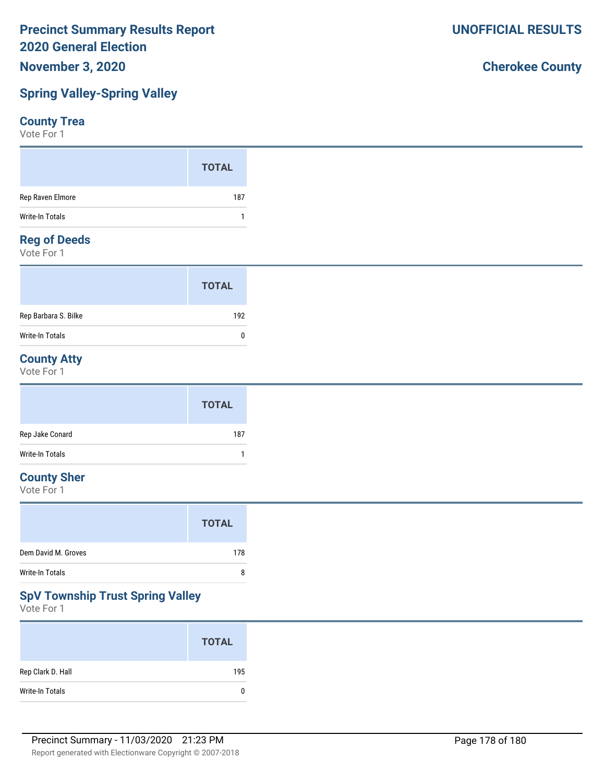## **Spring Valley-Spring Valley**

#### **County Trea**

Vote For 1

|                  | <b>TOTAL</b> |
|------------------|--------------|
| Rep Raven Elmore | 187          |
| Write-In Totals  |              |
| Demof Deede      |              |

#### **Reg of Deeds**

Vote For 1

|                      | <b>TOTAL</b> |
|----------------------|--------------|
| Rep Barbara S. Bilke | 192          |
| Write-In Totals      | n            |

## **County Atty**

Vote For 1

|                 | <b>TOTAL</b> |
|-----------------|--------------|
| Rep Jake Conard | 187          |
| Write-In Totals |              |

## **County Sher**

Vote For 1

## **SpV Township Trust Spring Valley**

Vote For 1

|                   | <b>TOTAL</b> |
|-------------------|--------------|
| Rep Clark D. Hall | 195          |
| Write-In Totals   | 0            |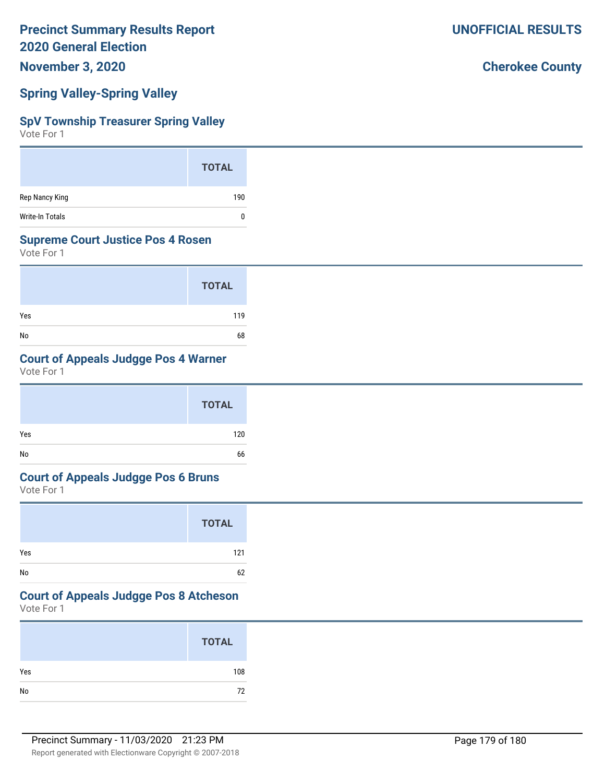**November 3, 2020**

### **Spring Valley-Spring Valley**

#### **SpV Township Treasurer Spring Valley**

Vote For 1

|                        | <b>TOTAL</b> |
|------------------------|--------------|
| Rep Nancy King         | 190          |
| <b>Write-In Totals</b> |              |

#### **Supreme Court Justice Pos 4 Rosen**

Vote For 1

|     | <b>TOTAL</b> |
|-----|--------------|
| Yes | 119          |
| No  | 68           |

## **Court of Appeals Judgge Pos 4 Warner**

Vote For 1

|     | <b>TOTAL</b> |  |
|-----|--------------|--|
| Yes | 120          |  |
| No  | 66           |  |

#### **Court of Appeals Judgge Pos 6 Bruns**

Vote For 1

|     | <b>TOTAL</b> |
|-----|--------------|
| Yes | 121          |
| No  | 62           |

### **Court of Appeals Judgge Pos 8 Atcheson**

Vote For 1

|     | <b>TOTAL</b> |
|-----|--------------|
| Yes | 108          |
| No  | 72           |